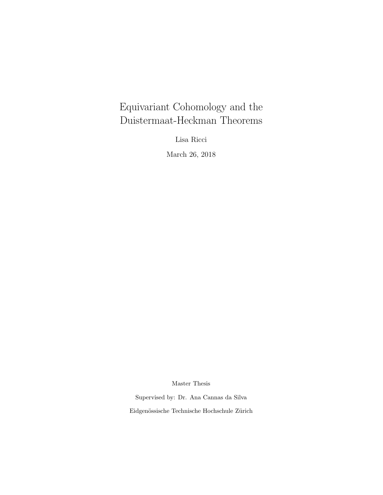# <span id="page-0-0"></span>Equivariant Cohomology and the Duistermaat-Heckman Theorems

Lisa Ricci

March 26, 2018

Master Thesis

Supervised by: Dr. Ana Cannas da Silva Eidgenössische Technische Hochschule Zürich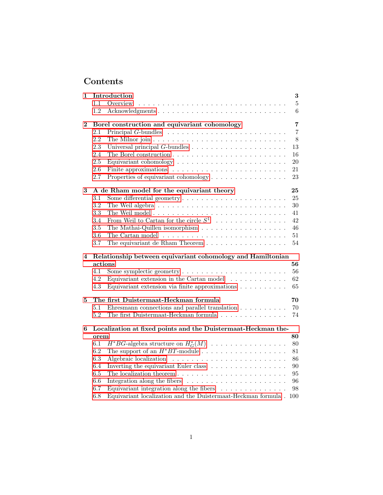## Contents

| 1        |      | Introduction                                                                        | $\bf{3}$       |
|----------|------|-------------------------------------------------------------------------------------|----------------|
|          | 1.1  | Overview                                                                            | $\bf 5$        |
|          | 1.2  | Acknowledgments                                                                     | $\,6\,$        |
| $\bf{2}$ |      | Borel construction and equivariant cohomology                                       | $\overline{7}$ |
|          | 2.1  |                                                                                     | $\overline{7}$ |
|          | 2.2  |                                                                                     | 8              |
|          | 2.3  | Universal principal $G$ -bundles $\ldots \ldots \ldots \ldots \ldots \ldots \ldots$ | 13             |
|          | 2.4  |                                                                                     | 16             |
|          | 2.5  |                                                                                     | 20             |
|          | 2.6  | Finite approximations $\ldots \ldots \ldots \ldots \ldots \ldots \ldots \ldots$     | 21             |
|          | 2.7  | Properties of equivariant cohomology                                                | 23             |
| 3        |      | A de Rham model for the equivariant theory                                          | 25             |
|          | 3.1  |                                                                                     | 25             |
|          | 3.2  |                                                                                     | $30\,$         |
|          | 3.3  |                                                                                     | 41             |
|          | 3.4  | From Weil to Cartan for the circle $S^1$                                            | 42             |
|          | 3.5  |                                                                                     | 46             |
|          | 3.6  |                                                                                     | 51             |
|          | 3.7  | The equivariant de Rham Theorem $\ldots \ldots \ldots \ldots \ldots$                | 54             |
| 4        |      | Relationship between equivariant cohomology and Hamiltonian                         |                |
|          |      | actions                                                                             | 56             |
|          | 4.1  |                                                                                     | 56             |
|          | 4.2  | Equivariant extension in the Cartan model $\ldots \ldots \ldots$                    | 62             |
|          | 4.3  | Equivariant extension via finite approximations $\ldots \ldots \ldots$              | 65             |
| 5        |      | The first Duistermaat-Heckman formula                                               | 70             |
|          | 5.1  | Ehresmann connections and parallel translation $\ldots \ldots \ldots$               | 70             |
|          | 5.2  | The first Duistermaat-Heckman formula $\ldots \ldots \ldots \ldots \ldots$          | 74             |
| 6        |      | Localization at fixed points and the Duistermaat-Heckman the-                       |                |
|          | orem |                                                                                     | 80             |
|          | 6.1  | $H^*BG$ -algebra structure on $H^*_G(M)$                                            | 80             |
|          | 6.2  |                                                                                     | 81             |
|          |      |                                                                                     |                |
|          | 6.3  |                                                                                     | 86             |
|          | 6.4  | Inverting the equivariant Euler class $\ldots \ldots \ldots \ldots \ldots$          | 90             |
|          | 6.5  |                                                                                     | 95             |
|          | 6.6  | Integration along the fibers $\dots \dots \dots \dots \dots \dots \dots$            | 96             |
|          | 6.7  | Equivariant integration along the fibers $\dots \dots \dots \dots$                  | 98             |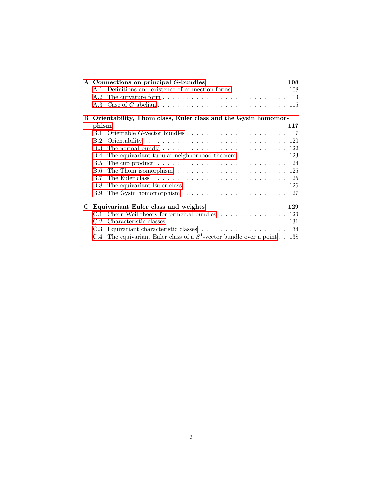|   |            | A Connections on principal G-bundles                                                                | 108 |
|---|------------|-----------------------------------------------------------------------------------------------------|-----|
|   |            | A.1 Definitions and existence of connection forms  108                                              |     |
|   |            |                                                                                                     |     |
|   |            |                                                                                                     |     |
| B |            | Orientability, Thom class, Euler class and the Gysin homomor-                                       |     |
|   | phism      |                                                                                                     | 117 |
|   |            | B.1 Orientable G-vector bundles $\ldots \ldots \ldots \ldots \ldots \ldots \ldots \ldots 117$       |     |
|   | B.2        |                                                                                                     |     |
|   | <b>B.3</b> | The normal bundle $\ldots \ldots \ldots \ldots \ldots \ldots \ldots \ldots \ldots \ldots 122$       |     |
|   | B.4        | The equivariant tubular neighborhood theorem $\dots \dots \dots \dots 123$                          |     |
|   | <b>B.5</b> | The cup product $\dots \dots \dots \dots \dots \dots \dots \dots \dots \dots \dots \dots \dots 124$ |     |
|   | B.6        | The Thom isomorphism $\ldots \ldots \ldots \ldots \ldots \ldots \ldots \ldots \ldots 125$           |     |
|   | B.7        | The Euler class $\ldots \ldots \ldots \ldots \ldots \ldots \ldots \ldots \ldots \ldots \ldots 125$  |     |
|   | <b>B.8</b> | The equivariant Euler class $\ldots \ldots \ldots \ldots \ldots \ldots \ldots \ldots 126$           |     |
|   | B.9        | The Gysin homomorphism $\ldots \ldots \ldots \ldots \ldots \ldots \ldots \ldots 127$                |     |
| C |            | Equivariant Euler class and weights                                                                 | 129 |
|   |            | C.1 Chern-Weil theory for principal bundles $\dots \dots \dots \dots \dots \dots$ 129               |     |
|   | C.2        |                                                                                                     |     |
|   | C.3        |                                                                                                     |     |
|   |            | C.4 The equivariant Euler class of a $S^1$ -vector bundle over a point 138                          |     |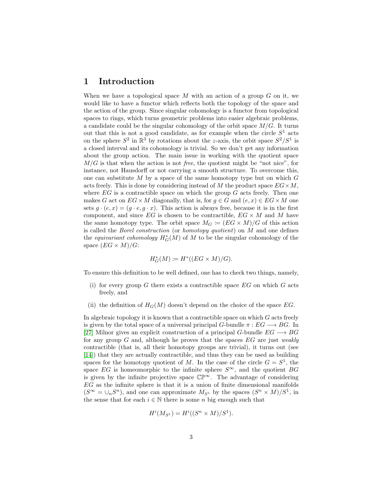### <span id="page-4-0"></span>1 Introduction

When we have a topological space  $M$  with an action of a group  $G$  on it, we would like to have a functor which reflects both the topology of the space and the action of the group. Since singular cohomology is a functor from topological spaces to rings, which turns geometric problems into easier algebraic problems, a candidate could be the singular cohomology of the orbit space  $M/G$ . It turns out that this is not a good candidate, as for example when the circle  $S<sup>1</sup>$  acts on the sphere  $S^2$  in  $\mathbb{R}^3$  by rotations about the z-axis, the orbit space  $S^2/S^1$  is a closed interval and its cohomology is trivial. So we don't get any information about the group action. The main issue in working with the quotient space  $M/G$  is that when the action is not free, the quotient might be "not nice", for instance, not Hausdorff or not carrying a smooth structure. To overcome this, one can substitute M by a space of the same homotopy type but on which  $G$ acts freely. This is done by considering instead of M the product space  $EG \times M$ , where  $EG$  is a contractible space on which the group  $G$  acts freely. Then one makes G act on  $EG \times M$  diagonally, that is, for  $g \in G$  and  $(e, x) \in EG \times M$  one sets  $g \cdot (e, x) = (g \cdot e, g \cdot x)$ . This action is always free, because it is in the first component, and since  $EG$  is chosen to be contractible,  $EG \times M$  and M have the same homotopy type. The orbit space  $M_G \coloneqq (EG \times M)/G$  of this action is called the Borel construction (or homotopy quotient) on M and one defines the *equivariant cohomology*  $H^*_{G}(M)$  of M to be the singular cohomology of the space  $(EG \times M)/G$ :

$$
H_G^*(M) \coloneqq H^*((EG \times M)/G).
$$

To ensure this definition to be well defined, one has to check two things, namely,

- (i) for every group  $G$  there exists a contractible space  $EG$  on which  $G$  acts freely, and
- (ii) the definition of  $H_G(M)$  doesn't depend on the choice of the space EG.

In algebraic topology it is known that a contractible space on which G acts freely is given by the total space of a universal principal G-bundle  $\pi : EG \longrightarrow BG$ . In [\[27\]](#page-143-0) Milnor gives an explicit construction of a principal G-bundle  $EG \longrightarrow BG$ for any group  $G$  and, although he proves that the spaces  $EG$  are just weakly contractible (that is, all their homotopy groups are trivial), it turns out (see [\[14\]](#page-142-0)) that they are actually contractible, and thus they can be used as building spaces for the homotopy quotient of M. In the case of the circle  $G = S^1$ , the space EG is homeomorphic to the infinite sphere  $S^{\infty}$ , and the quotient BG is given by the infinite projective space CP<sup>∞</sup>. The advantage of considering  $EG$  as the infinite sphere is that it is a union of finite dimensional manifolds  $(S^{\infty} = \bigcup_n S^n)$ , and one can approximate  $M_{S^1}$  by the spaces  $(S^n \times M)/S^1$ , in the sense that for each  $i \in \mathbb{N}$  there is some n big enough such that

$$
H^i(M_{S^1}) = H^i((S^n \times M)/S^1).
$$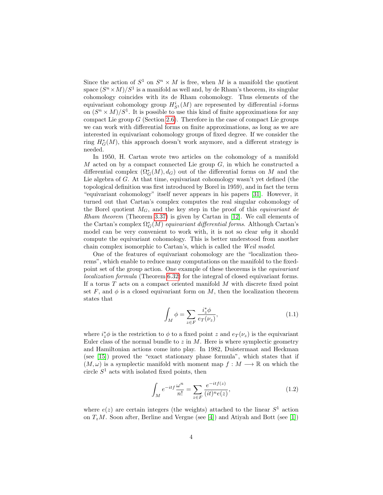Since the action of  $S^1$  on  $S^n \times M$  is free, when M is a manifold the quotient space  $(S^{n} \times M)/S^{1}$  is a manifold as well and, by de Rham's theorem, its singular cohomology coincides with its de Rham cohomology. Thus elements of the equivariant cohomology group  $H_{S^1}^i(M)$  are represented by differential *i*-forms on  $(S^n \times M)/S^1$ . It is possible to use this kind of finite approximations for any compact Lie group  $G$  (Section [2.6\)](#page-22-0). Therefore in the case of compact Lie groups we can work with differential forms on finite approximations, as long as we are interested in equivariant cohomology groups of fixed degree. If we consider the ring  $H_G^*(M)$ , this approach doesn't work anymore, and a different strategy is needed.

In 1950, H. Cartan wrote two articles on the cohomology of a manifold M acted on by a compact connected Lie group  $G$ , in which he constructed a differential complex  $(\Omega_G^*(M), d_G)$  out of the differential forms on M and the Lie algebra of G. At that time, equivariant cohomology wasn't yet defined (the topological definition was first introduced by Borel in 1959), and in fact the term "equivariant cohomology" itself never appears in his papers [\[31\]](#page-143-1). However, it turned out that Cartan's complex computes the real singular cohomology of the Borel quotient  $M_G$ , and the key step in the proof of this *equivariant de* Rham theorem (Theorem [3.37\)](#page-55-1) is given by Cartan in [\[12\]](#page-141-0). We call elements of the Cartan's complex  $\Omega_G^*(M)$  equivariant differential forms. Although Cartan's model can be very convenient to work with, it is not so clear why it should compute the equivariant cohomology. This is better understood from another chain complex isomorphic to Cartan's, which is called the Weil model.

One of the features of equivariant cohomology are the "localization theorems", which enable to reduce many computations on the manifold to the fixedpoint set of the group action. One example of these theorems is the equivariant localization formula (Theorem [6.32\)](#page-102-0) for the integral of closed equivariant forms. If a torus  $T$  acts on a compact oriented manifold  $M$  with discrete fixed point set F, and  $\phi$  is a closed equivariant form on M, then the localization theorem states that

<span id="page-5-0"></span>
$$
\int_{M} \phi = \sum_{z \in F} \frac{i_z^* \phi}{e_T(\nu_z)},\tag{1.1}
$$

where  $i_z^*\phi$  is the restriction to  $\phi$  to a fixed point z and  $e_T(\nu_z)$  is the equivariant Euler class of the normal bundle to  $z$  in  $M$ . Here is where symplectic geometry and Hamiltonian actions come into play. In 1982, Duistermaat and Heckman (see [\[15\]](#page-142-1)) proved the "exact stationary phase formula", which states that if  $(M, \omega)$  is a symplectic manifold with moment map  $f : M \longrightarrow \mathbb{R}$  on which the circle  $S<sup>1</sup>$  acts with isolated fixed points, then

<span id="page-5-1"></span>
$$
\int_M e^{-itf} \frac{\omega^n}{n!} = \sum_{z \in F} \frac{e^{-itf(z)}}{(it)^n e(z)},\tag{1.2}
$$

where  $e(z)$  are certain integers (the weights) attached to the linear  $S<sup>1</sup>$  action on  $T_zM$ . Soon after, Berline and Vergne (see [\[4\]](#page-141-1)) and Atiyah and Bott (see [\[1\]](#page-141-2))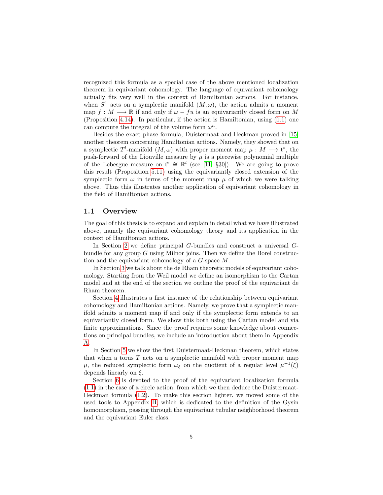recognized this formula as a special case of the above mentioned localization theorem in equivariant cohomology. The language of equivariant cohomology actually fits very well in the context of Hamiltonian actions. For instance, when  $S^1$  acts on a symplectic manifold  $(M, \omega)$ , the action admits a moment map  $f: M \longrightarrow \mathbb{R}$  if and only if  $\omega - fu$  is an equivariantly closed form on M (Proposition [4.14\)](#page-65-0). In particular, if the action is Hamiltonian, using [\(1.1\)](#page-5-0) one can compute the integral of the volume form  $\omega^n$ .

Besides the exact phase formula, Duistermaat and Heckman proved in [\[15\]](#page-142-1) another theorem concerning Hamiltonian actions. Namely, they showed that on a symplectic  $T^l$ -manifold  $(M, \omega)$  with proper moment map  $\mu : M \longrightarrow \mathfrak{t}^*$ , the push-forward of the Liouville measure by  $\mu$  is a piecewise polynomial multiple of the Lebesgue measure on  $\mathfrak{t}^* \cong \mathbb{R}^l$  (see [\[11,](#page-141-3) §30]). We are going to prove this result (Proposition [5.11\)](#page-79-0) using the equivariantly closed extension of the symplectic form  $\omega$  in terms of the moment map  $\mu$  of which we were talking above. Thus this illustrates another application of equivariant cohomology in the field of Hamiltonian actions.

#### <span id="page-6-0"></span>1.1 Overview

The goal of this thesis is to expand and explain in detail what we have illustrated above, namely the equivariant cohomology theory and its application in the context of Hamiltonian actions.

In Section [2](#page-8-0) we define principal G-bundles and construct a universal Gbundle for any group  $G$  using Milnor joins. Then we define the Borel construction and the equivariant cohomology of a G-space M.

In Section [3](#page-26-0) we talk about the de Rham theoretic models of equivariant cohomology. Starting from the Weil model we define an isomorphism to the Cartan model and at the end of the section we outline the proof of the equivariant de Rham theorem.

Section [4](#page-57-0) illustrates a first instance of the relationship between equivariant cohomology and Hamiltonian actions. Namely, we prove that a symplectic manifold admits a moment map if and only if the symplectic form extends to an equivariantly closed form. We show this both using the Cartan model and via finite approximations. Since the proof requires some knowledge about connections on principal bundles, we include an introduction about them in Appendix [A.](#page-109-0)

In Section [5](#page-71-0) we show the first Duistermaat-Heckman theorem, which states that when a torus  $T$  acts on a symplectic manifold with proper moment map  $\mu$ , the reduced symplectic form  $\omega_{\xi}$  on the quotient of a regular level  $\mu^{-1}(\xi)$ depends linearly on  $\xi$ .

Section [6](#page-81-0) is devoted to the proof of the equivariant localization formula [\(1.1\)](#page-5-0) in the case of a circle action, from which we then deduce the Duistermaat-Heckman formula [\(1.2\)](#page-5-1). To make this section lighter, we moved some of the used tools to Appendix [B,](#page-118-0) which is dedicated to the definition of the Gysin homomorphism, passing through the equivariant tubular neighborhood theorem and the equivariant Euler class.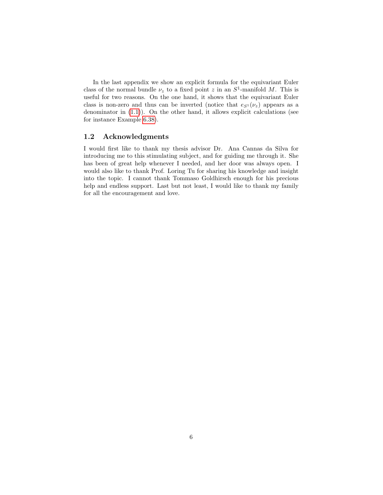In the last appendix we show an explicit formula for the equivariant Euler class of the normal bundle  $\nu_z$  to a fixed point z in an  $S^1$ -manifold M. This is useful for two reasons. On the one hand, it shows that the equivariant Euler class is non-zero and thus can be inverted (notice that  $e_{S^1}(\nu_z)$ ) appears as a denominator in [\(1.1\)](#page-5-0)). On the other hand, it allows explicit calculations (see for instance Example [6.38\)](#page-106-0).

#### <span id="page-7-0"></span>1.2 Acknowledgments

I would first like to thank my thesis advisor Dr. Ana Cannas da Silva for introducing me to this stimulating subject, and for guiding me through it. She has been of great help whenever I needed, and her door was always open. I would also like to thank Prof. Loring Tu for sharing his knowledge and insight into the topic. I cannot thank Tommaso Goldhirsch enough for his precious help and endless support. Last but not least, I would like to thank my family for all the encouragement and love.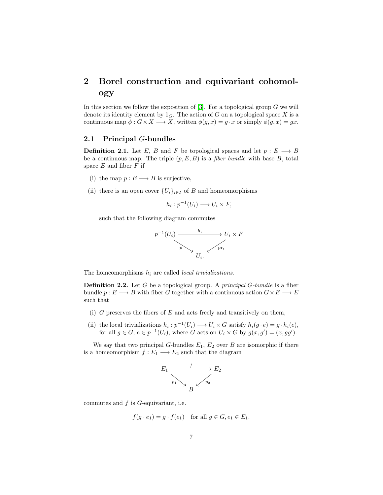## <span id="page-8-0"></span>2 Borel construction and equivariant cohomology

In this section we follow the exposition of  $[3]$ . For a topological group G we will denote its identity element by  $1_G$ . The action of G on a topological space X is a continuous map  $\phi: G \times X \longrightarrow X$ , written  $\phi(g, x) = g \cdot x$  or simply  $\phi(g, x) = gx$ .

#### <span id="page-8-1"></span>2.1 Principal G-bundles

**Definition 2.1.** Let E, B and F be topological spaces and let  $p : E \longrightarrow B$ be a continuous map. The triple  $(p, E, B)$  is a *fiber bundle* with base B, total space  $E$  and fiber  $F$  if

- (i) the map  $p: E \longrightarrow B$  is surjective,
- (ii) there is an open cover  ${U_i}_{i \in I}$  of B and homeomorphisms

$$
h_i: p^{-1}(U_i) \longrightarrow U_i \times F,
$$

such that the following diagram commutes



The homeomorphisms  $h_i$  are called *local trivializations*.

**Definition 2.2.** Let  $G$  be a topological group. A *principal*  $G$ -bundle is a fiber bundle  $p: E \longrightarrow B$  with fiber G together with a continuous action  $G \times E \longrightarrow E$ such that

- (i)  $G$  preserves the fibers of  $E$  and acts freely and transitively on them,
- (ii) the local trivializations  $h_i: p^{-1}(U_i) \longrightarrow U_i \times G$  satisfy  $h_i(g \cdot e) = g \cdot h_i(e)$ , for all  $g \in G$ ,  $e \in p^{-1}(U_i)$ , where G acts on  $U_i \times G$  by  $g(x, g') = (x, gg')$ .

We say that two principal G-bundles  $E_1, E_2$  over B are isomorphic if there is a homeomorphism  $f: E_1 \longrightarrow E_2$  such that the diagram



commutes and f is G-equivariant, i.e.

$$
f(g \cdot e_1) = g \cdot f(e_1) \quad \text{for all } g \in G, e_1 \in E_1.
$$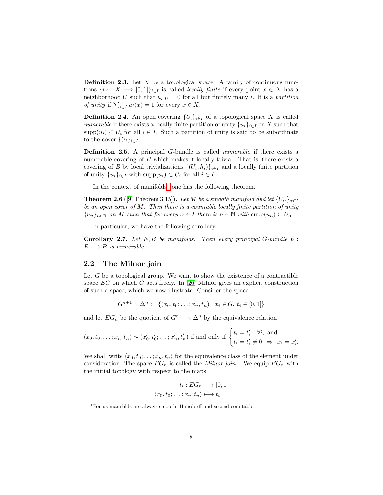**Definition 2.3.** Let  $X$  be a topological space. A family of continuous functions  $\{u_i: X \longrightarrow [0,1]\}_{i \in I}$  is called *locally finite* if every point  $x \in X$  has a neighborhood U such that  $u_i|_U = 0$  for all but finitely many i. It is a partition of unity if  $\sum_{i\in I} u_i(x) = 1$  for every  $x \in X$ .

**Definition 2.4.** An open covering  $\{U_i\}_{i\in I}$  of a topological space X is called *numerable* if there exists a locally finite partition of unity  $\{u_i\}_{i\in I}$  on X such that  $\text{supp}(u_i) \subset U_i$  for all  $i \in I$ . Such a partition of unity is said to be subordinate to the cover  $\{U_i\}_{i\in I}$ .

Definition 2.5. A principal G-bundle is called numerable if there exists a numerable covering of  $B$  which makes it locally trivial. That is, there exists a covering of B by local trivializations  $\{(U_i, h_i)\}_{i \in I}$  and a locally finite partition of unity  $\{u_i\}_{i\in I}$  with  $\text{supp}(u_i) \subset U_i$  for all  $i \in I$ .

In the context of manifolds<sup>[1](#page-9-1)</sup> one has the following theorem.

**Theorem 2.6** ([\[9,](#page-141-5) Theorem 3.15]). Let M be a smooth manifold and let  $\{U_{\alpha}\}_{{\alpha \in I}}$ be an open cover of  $M$ . Then there is a countable locally finite partition of unity  ${u_n}_{n\in\mathbb{N}}$  on M such that for every  $\alpha \in I$  there is  $n \in \mathbb{N}$  with  $\text{supp}(u_n) \subset U_\alpha$ .

In particular, we have the following corollary.

**Corollary 2.7.** Let  $E, B$  be manifolds. Then every principal  $G$ -bundle  $p$ :  $E \longrightarrow B$  is numerable.

#### <span id="page-9-0"></span>2.2 The Milnor join

Let  $G$  be a topological group. We want to show the existence of a contractible space  $EG$  on which G acts freely. In [\[26\]](#page-143-2) Milnor gives an explicit construction of such a space, which we now illustrate. Consider the space

$$
G^{n+1} \times \Delta^n := \{(x_0, t_0; \dots; x_n, t_n) \mid x_i \in G, t_i \in [0, 1]\}
$$

and let  $EG_n$  be the quotient of  $G^{n+1} \times \Delta^n$  by the equivalence relation

$$
(x_0, t_0; \ldots; x_n, t_n) \sim (x'_0, t'_0; \ldots; x'_n, t'_n)
$$
 if and only if 
$$
\begin{cases} t_i = t'_i & \forall i, \text{ and} \\ t_i = t'_i \neq 0 & \Rightarrow x_i = x'_i. \end{cases}
$$

We shall write  $\langle x_0, t_0; \ldots; x_n, t_n \rangle$  for the equivalence class of the element under consideration. The space  $EG_n$  is called the *Milnor join*. We equip  $EG_n$  with the initial topology with respect to the maps

$$
t_i: EG_n \longrightarrow [0,1]
$$

$$
\langle x_0, t_0; \dots; x_n, t_n \rangle \longmapsto t_i
$$

<span id="page-9-1"></span> $1$ For us manifolds are always smooth, Hausdorff and second-countable.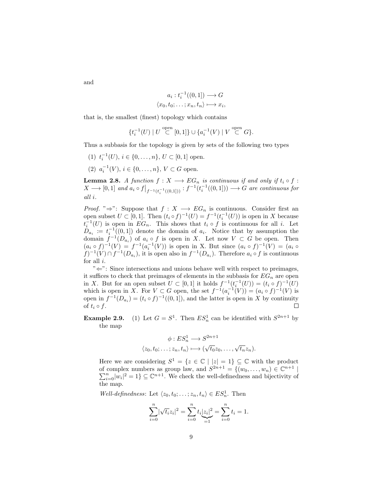and

$$
a_i : t_i^{-1}((0,1]) \longrightarrow G
$$
  

$$
\langle x_0, t_0; \dots; x_n, t_n \rangle \longmapsto x_i,
$$

that is, the smallest (finest) topology which contains

$$
\{t_i^{-1}(U) \mid U \stackrel{\text{open}}{\subset} [0,1] \} \cup \{a_i^{-1}(V) \mid V \stackrel{\text{open}}{\subset} G\}.
$$

Thus a subbasis for the topology is given by sets of the following two types

(1)  $t_i^{-1}(U), i \in \{0, \ldots, n\}, U \subset [0, 1]$  open. (2)  $a_i^{-1}(V), i \in \{0, \ldots, n\}, V \subset G$  open.

<span id="page-10-0"></span>**Lemma 2.8.** A function  $f: X \longrightarrow EG_n$  is continuous if and only if  $t_i \circ f$ :  $X \longrightarrow [0,1]$  and  $a_i \circ f|_{f^{-1}(t_i^{-1}((0,1]))} : f^{-1}(t_i^{-1}((0,1])) \longrightarrow G$  are continuous for all i.

*Proof.* " $\Rightarrow$ ": Suppose that  $f: X \longrightarrow EG_n$  is continuous. Consider first an open subset  $U \subset [0,1]$ . Then  $(t_i \circ f)^{-1}(U) = f^{-1}(t_i^{-1}(U))$  is open in X because open subset  $\mathcal{O} \subset [0,1]$ . Then  $(\iota_i \circ f) \circ (\iota_j - f \circ (\iota_i \circ f))$  is open in  $\mathcal{O}$  and  $\iota_i^{-1}(U)$  is open in  $EG_n$ . This shows that  $t_i \circ f$  is continuous for all i. Let  $D_{a_i} := t_i^{-1}((0,1])$  denote the domain of  $a_i$ . Notice that by assumption the domain  $f^{-1}(D_{a_i})$  of  $a_i \circ f$  is open in X. Let now  $V \subset G$  be open. Then  $(a_i \circ f)^{-1}(V) = f^{-1}(a_i^{-1}(V))$  is open in X. But since  $(a_i \circ f)^{-1}(V) = (a_i \circ f)^{-1}(V)$  $f^{-1}(V) \cap f^{-1}(D_{a_i})$ , it is open also in  $f^{-1}(D_{a_i})$ . Therefore  $a_i \circ f$  is continuous for all  $i$ .

"<sup>←</sup>": Since intersections and unions behave well with respect to preimages, it suffices to check that preimages of elements in the subbasis for  $EG_n$  are open in X. But for an open subset  $U \subset [0,1]$  it holds  $f^{-1}(t_i^{-1}(U)) = (t_i \circ f)^{-1}(U)$ which is open in X. For  $V \subset G$  open, the set  $f^{-1}(a_i^{-1}(V)) = (a_i \circ f)^{-1}(V)$  is open in  $f^{-1}(D_{a_i}) = (t_i \circ f)^{-1}((0,1])$ , and the latter is open in X by continuity of  $t_i \circ f$ .  $\Box$ 

**Example 2.9.** (1) Let  $G = S^1$ . Then  $ES_n^1$  can be identified with  $S^{2n+1}$  by the map

$$
\phi: ES_n^1 \longrightarrow S^{2n+1}
$$
  

$$
\langle z_0, t_0; \dots; z_n, t_n \rangle \longmapsto (\sqrt{t_0}z_0, \dots, \sqrt{t_n}z_n).
$$

Here we are considering  $S^1 = \{z \in \mathbb{C} \mid |z| = 1\} \subseteq \mathbb{C}$  with the product of complex numbers as group law, and  $S^{2n+1} = \{(w_0, \ldots, w_n) \in \mathbb{C}^{n+1} \mid$  $\sum_{i=0}^{n} |w_i|^2 = 1$   $\subseteq \mathbb{C}^{n+1}$ . We check the well-definedness and bijectivity of the map.

Well-definedness: Let  $\langle z_0, t_0; \ldots; z_n, t_n \rangle \in ES_n^1$ . Then

$$
\sum_{i=0}^{n} |\sqrt{t_i} z_i|^2 = \sum_{i=0}^{n} t_i \underbrace{|z_i|^2}_{=1} = \sum_{i=0}^{n} t_i = 1.
$$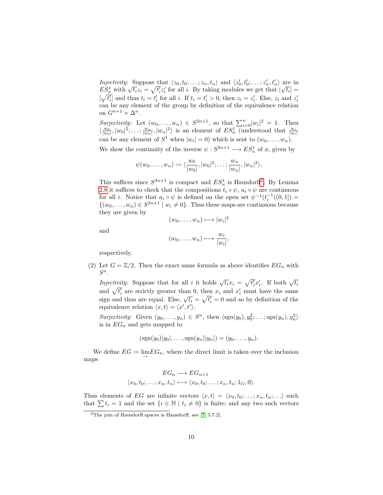Injectivity: Suppose that  $\langle z_0, t_0; \ldots; z_n, t_n \rangle$  and  $\langle z'_0, t'_0; \ldots; z'_n, t'_n \rangle$  are in *ES*<sup>1</sup><sub>n</sub> with  $\sqrt{t_i}z_i = \sqrt{t'_i}z'_i$  for all *i*. By taking modules we get that  $|\sqrt{t_i}| =$  $|\sqrt{t_i'}|$  and thus  $t_i = t_i'$  for all i. If  $t_i = t_i' > 0$ , then  $z_i = z_i'$ . Else,  $z_i$  and  $z_i'$ can be any element of the group by definition of the equivalence relation on  $G^{n+1} \times \Delta^n$ .

Surjectivity: Let  $(w_0, \ldots, w_n) \in S^{2n+1}$ , so that  $\sum_{i=0}^n |w_i|^2 = 1$ . Then  $\langle \frac{w_0}{|w_0|}, |w_0|^2; \ldots; \frac{w_n}{|w_n|}, |w_n|^2 \rangle$  is an element of  $ES_n^1$  (understood that  $\frac{w_i}{|w_i|}$ ) can be any element of  $S^1$  when  $|w_i|=0$ ) which is sent to  $(w_0,\ldots,w_n)$ .

We show the continuity of the inverse  $\psi : S^{2n+1} \longrightarrow ES_n^1$  of  $\phi$ , given by

$$
\psi(w_0, \ldots, w_n) \coloneqq \langle \frac{w_0}{|w_0|}, |w_0|^2; \ldots; \frac{w_n}{|w_n|}, |w_n|^2 \rangle.
$$

This suffices since  $S^{2n+1}$  $S^{2n+1}$  $S^{2n+1}$  is compact and  $ES_n^1$  is Hausdorff<sup>2</sup>. By Lemma [2.8](#page-10-0) it suffices to check that the compositions  $t_i \circ \psi$ ,  $a_i \circ \psi$  are continuous for all *i*. Notice that  $a_i \circ \psi$  is defined on the open set  $\psi^{-1}(t_i^{-1}((0,1]) =$  $\{(w_0, \ldots, w_n) \in S^{2n+1} \mid w_i \neq 0\}$ . Thus these maps are continuous because they are given by

$$
(w_0,\ldots,w_n)\longmapsto |w_i|^2
$$

and

$$
(w_0,\ldots,w_n)\longmapsto \frac{w_i}{|w_i|},
$$

respectively.

(2) Let  $G = \mathbb{Z}/2$ . Then the exact same formula as above identifies  $EG_n$  with  $S^n$ .

*Injectivity*: Suppose that for all i it holds  $\sqrt{t_i}x_i = \sqrt{t'_i}x'_i$ . If both  $\sqrt{t_i}$ and  $\sqrt{t'_i}$  are strictly greater than 0, then  $x_i$  and  $x'_i$  must have the same sign and thus are equal. Else,  $\sqrt{t_i} = \sqrt{t'_i} = 0$  and so by definition of the equivalence relation  $\langle x, t \rangle = \langle x', t' \rangle$ .

Surjectivity: Given  $(y_0, \ldots, y_n) \in S^n$ , then  $\langle \text{sgn}(y_0), y_0^2; \ldots; \text{sgn}(y_n), y_n^2 \rangle$ is in  $EG_n$  and gets mapped to

$$
(sgn(y_0)|y_0|, \ldots, sgn(y_n)|y_n|) = (y_0, \ldots, y_n).
$$

We define  $EG \coloneqq \lim_{n \to \infty} EG_n$ , where the direct limit is taken over the inclusion maps

$$
EG_n \longrightarrow EG_{n+1}
$$
  

$$
\langle x_0, t_0; \dots; x_n, t_n \rangle \longmapsto \langle x_0, t_0; \dots; x_n, t_n; 1_G, 0 \rangle.
$$

Thus elements of EG are infinite vectors  $\langle x, t \rangle = \langle x_0, t_0; \ldots; x_n, t_n; \ldots \rangle$  such that  $\sum t_i = 1$  and the set  $\{i \in \mathbb{N} \mid t_i \neq 0\}$  is finite; and any two such vectors

<span id="page-11-0"></span><sup>&</sup>lt;sup>2</sup>The join of Hausdorff spaces is Hausdorff, see  $[7, 5.7.2]$  $[7, 5.7.2]$ .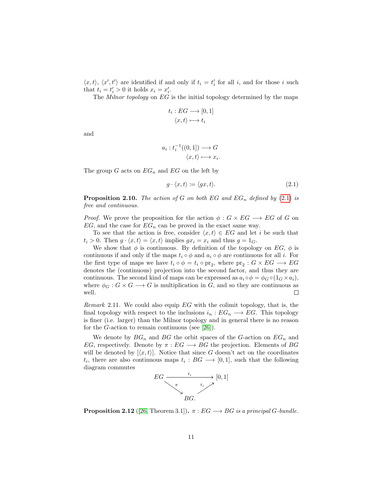$\langle x, t \rangle$ ,  $\langle x', t' \rangle$  are identified if and only if  $t_i = t'_i$  for all i, and for those i such that  $t_i = t'_i > 0$  it holds  $x_i = x'_i$ .

The *Milnor topology* on  $EG$  is the initial topology determined by the maps

$$
t_i: EG \longrightarrow [0,1]
$$

$$
\langle x, t \rangle \longmapsto t_i
$$

and

$$
a_i : t_i^{-1}((0,1]) \longrightarrow G
$$

$$
\langle x, t \rangle \longmapsto x_i.
$$

The group  $G$  acts on  $EG_n$  and  $EG$  on the left by

<span id="page-12-0"></span>
$$
g \cdot \langle x, t \rangle \coloneqq \langle gx, t \rangle. \tag{2.1}
$$

**Proposition 2.10.** The action of G on both EG and  $EG_n$  defined by [\(2.1\)](#page-12-0) is free and continuous.

*Proof.* We prove the proposition for the action  $\phi : G \times EG \longrightarrow EG$  of G on  $EG$ , and the case for  $EG_n$  can be proved in the exact same way.

To see that the action is free, consider  $\langle x, t \rangle \in EG$  and let i be such that  $t_i > 0$ . Then  $g \cdot \langle x, t \rangle = \langle x, t \rangle$  implies  $gx_i = x_i$  and thus  $g = 1_G$ .

We show that  $\phi$  is continuous. By definition of the topology on EG,  $\phi$  is continuous if and only if the maps  $t_i \circ \phi$  and  $a_i \circ \phi$  are continuous for all i. For the first type of maps we have  $t_i \circ \phi = t_i \circ pr_2$ , where  $pr_2 : G \times EG \longrightarrow EG$ denotes the (continuous) projection into the second factor, and thus they are continuous. The second kind of maps can be expressed as  $a_i \circ \phi = \phi_G \circ (1_G \times a_i)$ , where  $\phi_G : G \times G \longrightarrow G$  is multiplication in G, and so they are continuous as well.  $\Box$ 

Remark 2.11. We could also equip  $EG$  with the colimit topology, that is, the final topology with respect to the inclusions  $i_n : EG_n \longrightarrow EG$ . This topology is finer (i.e. larger) than the Milnor topology and in general there is no reason for the G-action to remain continuous (see [\[26\]](#page-143-2)).

We denote by  $BG_n$  and BG the orbit spaces of the G-action on  $EG_n$  and EG, respectively. Denote by  $\pi : EG \longrightarrow BG$  the projection. Elements of BG will be denoted by  $[\langle x, t \rangle]$ . Notice that since G doesn't act on the coordinates  $t_i$ , there are also continuous maps  $t_i : BG \longrightarrow [0,1]$ , such that the following diagram commutes



<span id="page-12-1"></span>**Proposition 2.12** ([\[26,](#page-143-2) Theorem 3.1]).  $\pi : EG \longrightarrow BG$  is a principal G-bundle.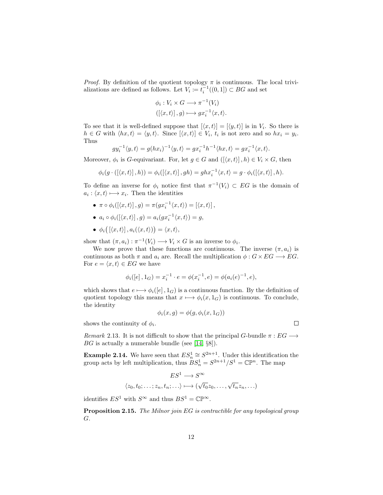*Proof.* By definition of the quotient topology  $\pi$  is continuous. The local trivializations are defined as follows. Let  $V_i \coloneqq t_i^{-1}((0,1]) \subset BG$  and set

$$
\phi_i: V_i \times G \longrightarrow \pi^{-1}(V_i)
$$

$$
([\langle x, t \rangle], g) \longmapsto gx_i^{-1}\langle x, t \rangle.
$$

To see that it is well-defined suppose that  $[\langle x, t \rangle] = [\langle y, t \rangle]$  is in  $V_i$ . So there is  $h \in G$  with  $\langle hx, t \rangle = \langle y, t \rangle$ . Since  $[\langle x, t \rangle] \in V_i$ ,  $t_i$  is not zero and so  $hx_i = y_i$ . Thus

$$
gy_i^{-1}\langle y,t\rangle = g(hx_i)^{-1}\langle y,t\rangle = gx_i^{-1}h^{-1}\langle hx,t\rangle = gx_i^{-1}\langle x,t\rangle.
$$

Moreover,  $\phi_i$  is G-equivariant. For, let  $g \in G$  and  $([\langle x, t \rangle], h) \in V_i \times G$ , then

$$
\phi_i(g \cdot (\left[ \langle x, t \rangle \right], h)) = \phi_i(\left[ \langle x, t \rangle \right], gh) = ghx_i^{-1} \langle x, t \rangle = g \cdot \phi_i(\left[ \langle x, t \rangle \right], h).
$$

To define an inverse for  $\phi_i$  notice first that  $\pi^{-1}(V_i) \subset EG$  is the domain of  $a_i: \langle x, t \rangle \longmapsto x_i$ . Then the identities

- $\pi \circ \phi_i([\langle x,t \rangle], g) = \pi(gx_i^{-1} \langle x,t \rangle) = [\langle x,t \rangle],$
- $a_i \circ \phi_i([\langle x,t \rangle], g) = a_i(gx_i^{-1} \langle x,t \rangle) = g,$
- $\bullet \phi_i([ \langle x, t \rangle ], a_i( \langle x, t \rangle )) = \langle x, t \rangle,$

show that  $(\pi, a_i) : \pi^{-1}(V_i) \longrightarrow V_i \times G$  is an inverse to  $\phi_i$ .

We now prove that these functions are continuous. The inverse  $(\pi, a_i)$  is continuous as both  $\pi$  and  $a_i$  are. Recall the multiplication  $\phi : G \times EG \longrightarrow EG$ . For  $e = \langle x, t \rangle \in EG$  we have

$$
\phi_i([e], 1_G) = x_i^{-1} \cdot e = \phi(x_i^{-1}, e) = \phi(a_i(e)^{-1}, e),
$$

which shows that  $e \mapsto \phi_i([e], 1_G)$  is a continuous function. By the definition of quotient topology this means that  $x \mapsto \phi_i(x, 1_G)$  is continuous. To conclude, the identity

$$
\phi_i(x, g) = \phi(g, \phi_i(x, 1_G))
$$

shows the continuity of  $\phi_i$ .

Remark 2.13. It is not difficult to show that the principal G-bundle  $\pi : EG \longrightarrow$  $BG$  is actually a numerable bundle (see [\[14,](#page-142-0)  $\S$ 8]).

**Example 2.14.** We have seen that  $ES_n^1 \cong S^{2n+1}$ . Under this identification the group acts by left multiplication, thus  $BS_n^1 = S^{2n+1}/S^1 = \mathbb{CP}^n$ . The map

$$
ES^1 \longrightarrow S^{\infty}
$$
  

$$
\langle z_0, t_0; \dots; z_n, t_n; \dots \rangle \longmapsto (\sqrt{t_0}z_0, \dots, \sqrt{t_n}z_n, \dots)
$$

identifies  $ES^1$  with  $S^{\infty}$  and thus  $BS^1 = \mathbb{CP}^{\infty}$ .

Proposition 2.15. The Milnor join EG is contractible for any topological group G.

 $\Box$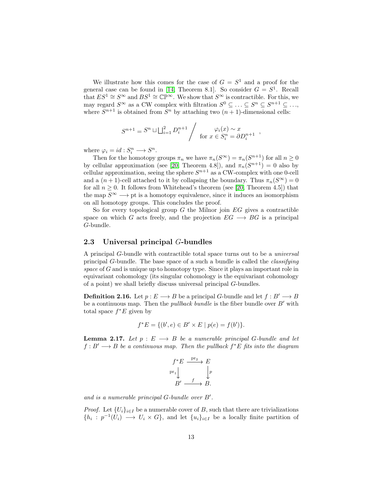We illustrate how this comes for the case of  $G = S<sup>1</sup>$  and a proof for the general case can be found in [\[14,](#page-142-0) Theorem 8.1]. So consider  $G = S<sup>1</sup>$ . Recall that  $ES^1 \cong S^{\infty}$  and  $BS^1 \cong \mathbb{CP}^{\infty}$ . We show that  $S^{\infty}$  is contractible. For this, we may regard  $S^{\infty}$  as a CW complex with filtration  $S^0 \subseteq \ldots \subseteq S^n \subseteq S^{n+1} \subseteq \ldots$ , where  $S^{n+1}$  is obtained from  $S^n$  by attaching two  $(n + 1)$ -dimensional cells:

$$
S^{n+1} = S^n \sqcup \bigsqcup_{i=1}^2 D_i^{n+1} / \qquad \varphi_i(x) \sim x
$$
  
for  $x \in S_i^n = \partial D_i^{n+1}$ ,

where  $\varphi_i = id : S_i^n \longrightarrow S^n$ .

Then for the homotopy groups  $\pi_n$  we have  $\pi_n(S^{\infty}) = \pi_n(S^{n+1})$  for all  $n \geq 0$ by cellular approximation (see [\[20,](#page-142-2) Theorem 4.8]), and  $\pi_n(S^{n+1}) = 0$  also by cellular approximation, seeing the sphere  $S^{n+1}$  as a CW-complex with one 0-cell and a  $(n + 1)$ -cell attached to it by collapsing the boundary. Thus  $\pi_n(S^{\infty}) = 0$ for all  $n \geq 0$ . It follows from Whitehead's theorem (see [\[20,](#page-142-2) Theorem 4.5]) that the map  $S^{\infty} \longrightarrow$  pt is a homotopy equivalence, since it induces an isomorphism on all homotopy groups. This concludes the proof.

So for every topological group  $G$  the Milnor join  $EG$  gives a contractible space on which G acts freely, and the projection  $EG \longrightarrow BG$  is a principal G-bundle.

#### <span id="page-14-0"></span>2.3 Universal principal G-bundles

A principal G-bundle with contractible total space turns out to be a universal principal G-bundle. The base space of a such a bundle is called the classifying space of  $G$  and is unique up to homotopy type. Since it plays an important role in equivariant cohomology (its singular cohomology is the equivariant cohomology of a point) we shall briefly discuss universal principal G-bundles.

**Definition 2.16.** Let  $p : E \longrightarrow B$  be a principal G-bundle and let  $f : B' \longrightarrow B$ be a continuous map. Then the *pullback bundle* is the fiber bundle over  $B'$  with total space  $f^*E$  given by

$$
f^*E = \{ (b', e) \in B' \times E \mid p(e) = f(b') \}.
$$

<span id="page-14-1"></span>**Lemma 2.17.** Let  $p : E \longrightarrow B$  be a numerable principal G-bundle and let  $f : B' \longrightarrow B$  be a continuous map. Then the pullback  $f^*E$  fits into the diagram

$$
f^*E \xrightarrow{\text{pr}_2} E
$$
  
pr<sub>1</sub> 
$$
\downarrow p
$$
  

$$
B' \xrightarrow{f} B.
$$

and is a numerable principal  $G$ -bundle over  $B'$ .

*Proof.* Let  $\{U_i\}_{i\in I}$  be a numerable cover of B, such that there are trivializations  $\{h_i: p^{-1}(U_i) \longrightarrow U_i \times G\}$ , and let  $\{u_i\}_{i \in I}$  be a locally finite partition of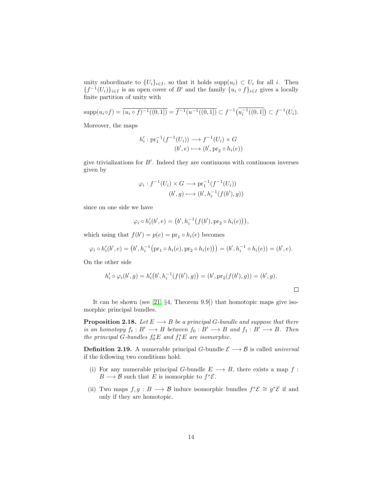unity subordinate to  $\{U_i\}_{i\in I}$ , so that it holds supp $(u_i) \subset U_i$  for all i. Then  ${f^{-1}(U_i)}_{i\in I}$  is an open cover of B' and the family  ${u_i \circ f}_{i\in I}$  gives a locally finite partition of unity with

$$
\text{supp}(u_i \circ f) = \overline{(u_i \circ f)^{-1}((0,1])} = \overline{f^{-1}(u^{-1}((0,1])} \subset f^{-1}(\overline{u_i^{-1}((0,1])}) \subset f^{-1}(U_i).
$$

Moreover, the maps

$$
h'_i: \operatorname{pr}_1^{-1}(f^{-1}(U_i)) \longrightarrow f^{-1}(U_i) \times G
$$

$$
(b', e) \longmapsto (b', \operatorname{pr}_2 \circ h_i(e))
$$

give trivializations for  $B'$ . Indeed they are continuous with continuous inverses given by

$$
\varphi_i: f^{-1}(U_i) \times G \longrightarrow \text{pr}_1^{-1}(f^{-1}(U_i))
$$

$$
(b', g) \longmapsto (b', h_i^{-1}(f(b'), g))
$$

since on one side we have

$$
\varphi_i \circ h_i'(b',e) = (b', h_i^{-1}(f(b'), pr_2 \circ h_i(e))),
$$

which using that  $f(b') = p(e) = \text{pr}_1 \circ h_i(e)$  becomes

$$
\varphi_i \circ h'_i(b',e) = (b', h_i^{-1}(\text{pr}_1 \circ h_i(e), \text{pr}_2 \circ h_i(e))) = (b', h_i^{-1} \circ h_i(e)) = (b', e).
$$

On the other side

$$
h'_i \circ \varphi_i(b', g) = h'_i(b', h_i^{-1}(f(b'), g)) = (b', pr_2(f(b'), g)) = (b', g).
$$

It can be shown (see [\[21,](#page-142-3) §4, Theorem 9.9]) that homotopic maps give isomorphic principal bundles.

<span id="page-15-0"></span>**Proposition 2.18.** Let  $E \longrightarrow B$  be a principal G-bundle and suppose that there is an homotopy  $f_t : B' \longrightarrow B$  between  $f_0 : B' \longrightarrow B$  and  $f_1 : B' \longrightarrow B$ . Then the principal G-bundles  $f_0^*E$  and  $f_1^*E$  are isomorphic.

**Definition 2.19.** A numerable principal G-bundle  $\mathcal{E} \longrightarrow \mathcal{B}$  is called *universal* if the following two conditions hold.

- (i) For any numerable principal G-bundle  $E \longrightarrow B$ , there exists a map f:  $B \longrightarrow \mathcal{B}$  such that E is isomorphic to  $f^*\mathcal{E}$ .
- (ii) Two maps  $f, g : B \longrightarrow \mathcal{B}$  induce isomorphic bundles  $f^* \mathcal{E} \cong g^* \mathcal{E}$  if and only if they are homotopic.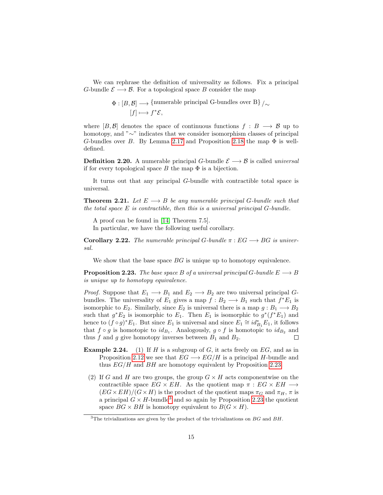We can rephrase the definition of universality as follows. Fix a principal G-bundle  $\mathcal{E} \longrightarrow \mathcal{B}$ . For a topological space B consider the map

$$
\Phi : [B, \mathcal{B}] \longrightarrow \{\text{numerable principal G-bundles over B}\}\big/\sim [f] \longmapsto f^*\mathcal{E},
$$

where  $[B,\mathcal{B}]$  denotes the space of continuous functions  $f : B \longrightarrow \mathcal{B}$  up to homotopy, and "∼" indicates that we consider isomorphism classes of principal G-bundles over B. By Lemma [2.17](#page-14-1) and Proposition [2.18](#page-15-0) the map  $\Phi$  is welldefined.

**Definition 2.20.** A numerable principal G-bundle  $\mathcal{E} \longrightarrow \mathcal{B}$  is called *universal* if for every topological space  $B$  the map  $\Phi$  is a bijection.

It turns out that any principal G-bundle with contractible total space is universal.

**Theorem 2.21.** Let  $E \longrightarrow B$  be any numerable principal G-bundle such that the total space  $E$  is contractible, then this is a universal principal  $G$ -bundle.

A proof can be found in [\[14,](#page-142-0) Theorem 7.5]. In particular, we have the following useful corollary.

**Corollary 2.22.** The numerable principal G-bundle  $\pi : EG \longrightarrow BG$  is universal.

We show that the base space  $BG$  is unique up to homotopy equivalence.

<span id="page-16-0"></span>**Proposition 2.23.** The base space B of a universal principal G-bundle  $E \longrightarrow B$ is unique up to homotopy equivalence.

*Proof.* Suppose that  $E_1 \longrightarrow B_1$  and  $E_2 \longrightarrow B_2$  are two universal principal Gbundles. The universality of  $E_1$  gives a map  $f : B_2 \longrightarrow B_1$  such that  $f^*E_1$  is isomorphic to  $E_2$ . Similarly, since  $E_2$  is universal there is a map  $g : B_1 \longrightarrow B_2$ such that  $g^*E_2$  is isomorphic to  $E_1$ . Then  $E_1$  is isomorphic to  $g^*(f^*E_1)$  and hence to  $(f \circ g)^* E_1$ . But since  $E_1$  is universal and since  $E_1 \cong id_{B_1}^* E_1$ , it follows that  $f \circ g$  is homotopic to  $id_{B_1}$ . Analogously,  $g \circ f$  is homotopic to  $id_{B_2}$  and thus f and g give homotopy inverses between  $B_1$  and  $B_2$ .  $\Box$ 

- **Example 2.24.** (1) If H is a subgroup of G, it acts freely on  $EG$ , and as in Proposition [2.12](#page-12-1) we see that  $EG \longrightarrow EG/H$  is a principal H-bundle and thus  $EG/H$  and  $BH$  are homotopy equivalent by Proposition [2.23.](#page-16-0)
	- (2) If G and H are two groups, the group  $G \times H$  acts componentwise on the contractible space  $EG \times EH$ . As the quotient map  $\pi : EG \times EH \longrightarrow$  $(EG \times EH)/(G \times H)$  is the product of the quotient maps  $\pi_G$  and  $\pi_H$ ,  $\pi$  is a principal  $G \times H$ -bundle<sup>[3](#page-16-1)</sup> and so again by Proposition [2.23](#page-16-0) the quotient space  $BG \times BH$  is homotopy equivalent to  $B(G \times H)$ .

<span id="page-16-1"></span> $3$ The trivializations are given by the product of the trivializations on  $BG$  and  $BH$ .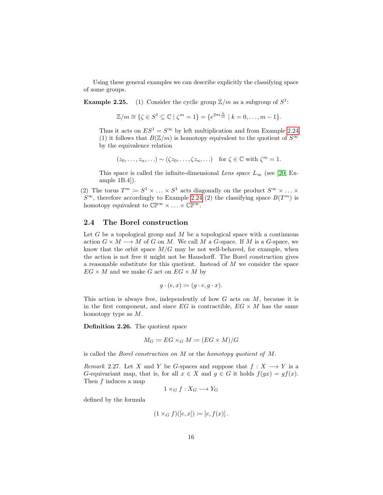Using these general examples we can describe explicitly the classifying space of some groups.

**Example 2.25.** (1) Consider the cyclic group  $\mathbb{Z}/m$  as a subgroup of  $S^1$ :

$$
\mathbb{Z}/m \cong \{ \zeta \in S^1 \subseteq \mathbb{C} \mid \zeta^m = 1 \} = \{ e^{2\pi i \frac{k}{m}} \mid k = 0, \dots, m - 1 \}.
$$

Thus it acts on  $ES^1 = S^{\infty}$  by left multiplication and from Example [2.24](#page-0-0) (1) it follows that  $B(\mathbb{Z}/m)$  is homotopy equivalent to the quotient of  $S^{\infty}$ by the equivalence relation

$$
(z_0, \ldots, z_n, \ldots) \sim (\zeta z_0, \ldots, \zeta z_n, \ldots) \quad \text{for } \zeta \in \mathbb{C} \text{ with } \zeta^m = 1.
$$

This space is called the infinite-dimensional Lens space  $L_{\infty}$  (see [\[20,](#page-142-2) Example 1B.4]).

(2) The torus  $T^m \coloneqq S^1 \times \ldots \times S^1$  acts diagonally on the product  $S^\infty \times \ldots \times$  $S^{\infty}$ , therefore accordingly to Example [2.24](#page-0-0) (2) the classifying space  $B(T^m)$  is homotopy equivalent to  $\mathbb{CP}^{\infty} \times ... \times \mathbb{CP}^{\infty}$ .

#### <span id="page-17-0"></span>2.4 The Borel construction

Let G be a topological group and M be a topological space with a continuous action  $G \times M \longrightarrow M$  of G on M. We call M a G-space. If M is a G-space, we know that the orbit space  $M/G$  may be not well-behaved, for example, when the action is not free it might not be Hausdorff. The Borel construction gives a reasonable substitute for this quotient. Instead of  $M$  we consider the space  $EG \times M$  and we make G act on  $EG \times M$  by

$$
g \cdot (e, x) \coloneqq (g \cdot e, g \cdot x).
$$

This action is always free, independently of how  $G$  acts on  $M$ , because it is in the first component, and since  $EG$  is contractible,  $EG \times M$  has the same homotopy type as M.

Definition 2.26. The quotient space

$$
M_G \coloneqq EG \times_G M \coloneqq (EG \times M)/G
$$

is called the *Borel construction on*  $M$  or the *homotopy quotient of*  $M$ .

Remark 2.27. Let X and Y be G-spaces and suppose that  $f: X \longrightarrow Y$  is a G-equivariant map, that is, for all  $x \in X$  and  $g \in G$  it holds  $f(gx) = gf(x)$ . Then  $f$  induces a map

$$
1 \times_G f : X_G \longrightarrow Y_G
$$

defined by the formula

$$
(1 \times_G f)([e, x]) \coloneqq [e, f(x)].
$$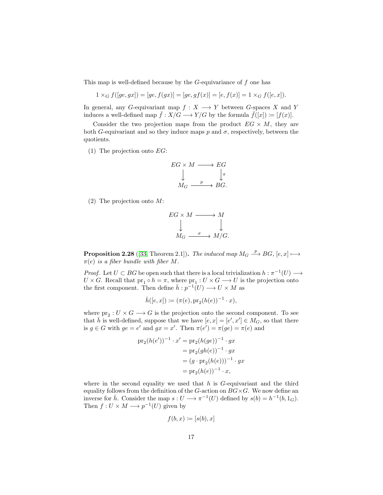This map is well-defined because by the  $G$ -equivariance of  $f$  one has

$$
1 \times_G f([ge, gx]) = [ge, f(gx)] = [ge, gf(x)] = [e, f(x)] = 1 \times_G f([e, x]).
$$

In general, any G-equivariant map  $f: X \longrightarrow Y$  between G-spaces X and Y induces a well-defined map  $\bar{f}: X/G \longrightarrow Y/G$  by the formula  $\bar{f}([x]) := [f(x)].$ 

Consider the two projection maps from the product  $EG \times M$ , they are both G-equivariant and so they induce maps p and  $\sigma$ , respectively, between the quotients.

(1) The projection onto  $EG$ :

$$
EG \times M \longrightarrow EG
$$
  
\n
$$
\downarrow \qquad \qquad \downarrow \pi
$$
  
\n
$$
M_G \xrightarrow{p} BG.
$$

(2) The projection onto M:

$$
EG \times M \longrightarrow M
$$
  
\n
$$
\downarrow \qquad \qquad \downarrow
$$
  
\n
$$
M_G \xrightarrow{\sigma} M/G.
$$

<span id="page-18-0"></span>**Proposition 2.28** ([\[33,](#page-143-3) Theorem 2.1]). The induced map  $M_G \stackrel{p}{\longrightarrow} BG$ ,  $[e, x] \longmapsto$  $\pi(e)$  is a fiber bundle with fiber M.

*Proof.* Let  $U \subset BG$  be open such that there is a local trivialization  $h : \pi^{-1}(U) \longrightarrow$  $U \times G$ . Recall that  $\text{pr}_1 \circ h = \pi$ , where  $\text{pr}_1 : U \times G \longrightarrow U$  is the projection onto the first component. Then define  $\bar{h}: p^{-1}(U) \longrightarrow U \times M$  as

$$
\bar h([e,x]):=(\pi(e), \mathrm{pr}_2(h(e))^{-1}\cdot x),
$$

where  $pr_2: U \times G \longrightarrow G$  is the projection onto the second component. To see that  $\bar{h}$  is well-defined, suppose that we have  $[e, x] = [e', x'] \in M_G$ , so that there is  $g \in G$  with  $ge = e'$  and  $gx = x'$ . Then  $\pi(e') = \pi(ge) = \pi(e)$  and

$$
\begin{aligned} \n\text{pr}_2(h(e'))^{-1} \cdot x' &= \text{pr}_2(h(ge))^{-1} \cdot gx \\ \n&= \text{pr}_2(gh(e))^{-1} \cdot gx \\ \n&= (g \cdot \text{pr}_2(h(e)))^{-1} \cdot gx \\ \n&= \text{pr}_2(h(e))^{-1} \cdot x, \n\end{aligned}
$$

where in the second equality we used that  $h$  is  $G$ -equivariant and the third equality follows from the definition of the G-action on  $BG\times G$ . We now define an inverse for  $\bar{h}$ . Consider the map  $s: U \longrightarrow \pi^{-1}(U)$  defined by  $s(b) = h^{-1}(b, 1_G)$ . Then  $f: U \times M \longrightarrow p^{-1}(U)$  given by

$$
f(b, x) \coloneqq [s(b), x]
$$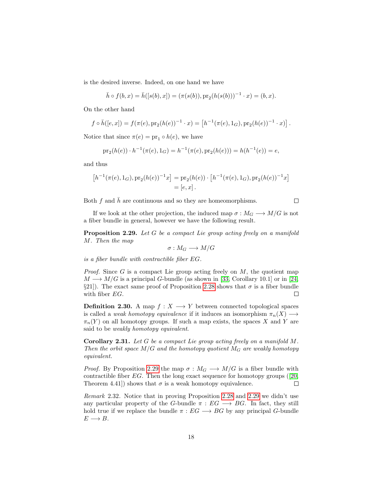is the desired inverse. Indeed, on one hand we have

$$
\bar{h} \circ f(b, x) = \bar{h}([s(b), x]) = (\pi(s(b)), \operatorname{pr}_2(h(s(b)))^{-1} \cdot x) = (b, x).
$$

On the other hand

$$
f \circ \bar{h}([e, x]) = f(\pi(e), \mathrm{pr}_2(h(e))^{-1} \cdot x) = [h^{-1}(\pi(e), 1_G), \mathrm{pr}_2(h(e))^{-1} \cdot x)].
$$

Notice that since  $\pi(e) = \text{pr}_1 \circ h(e)$ , we have

$$
\mathrm{pr}_2(h(e)) \cdot h^{-1}(\pi(e), 1_G) = h^{-1}(\pi(e), \mathrm{pr}_2(h(e))) = h(h^{-1}(e)) = e,
$$

and thus

$$
[h^{-1}(\pi(e), 1_G), \operatorname{pr}_2(h(e))^{-1}x] = \operatorname{pr}_2(h(e)) \cdot [h^{-1}(\pi(e), 1_G), \operatorname{pr}_2(h(e))^{-1}x] = [e, x].
$$

Both f and  $\bar{h}$  are continuous and so they are homeomorphisms.

 $\Box$ 

If we look at the other projection, the induced map  $\sigma : M_G \longrightarrow M/G$  is not a fiber bundle in general, however we have the following result.

<span id="page-19-0"></span>Proposition 2.29. Let G be a compact Lie group acting freely on a manifold M. Then the map

$$
\sigma: M_G \longrightarrow M/G
$$

is a fiber bundle with contractible fiber EG.

*Proof.* Since  $G$  is a compact Lie group acting freely on  $M$ , the quotient map  $M \longrightarrow M/G$  is a principal G-bundle (as shown in [\[33,](#page-143-3) Corollary 10.1] or in [\[24,](#page-142-4) §21]). The exact same proof of Proposition [2.28](#page-18-0) shows that  $\sigma$  is a fiber bundle with fiber EG.  $\Box$ 

**Definition 2.30.** A map  $f: X \longrightarrow Y$  between connected topological spaces is called a *weak homotopy equivalence* if it induces an isomorphism  $\pi_n(X) \longrightarrow$  $\pi_n(Y)$  on all homotopy groups. If such a map exists, the spaces X and Y are said to be weakly homotopy equivalent.

**Corollary 2.31.** Let  $G$  be a compact Lie group acting freely on a manifold  $M$ . Then the orbit space  $M/G$  and the homotopy quotient  $M_G$  are weakly homotopy equivalent.

*Proof.* By Proposition [2.29](#page-19-0) the map  $\sigma : M_G \longrightarrow M/G$  is a fiber bundle with contractible fiber EG. Then the long exact sequence for homotopy groups([\[20,](#page-142-2)  $\Box$ Theorem 4.41) shows that  $\sigma$  is a weak homotopy equivalence.

Remark 2.32. Notice that in proving Proposition [2.28](#page-18-0) and [2.29](#page-19-0) we didn't use any particular property of the G-bundle  $\pi : EG \longrightarrow BG$ . In fact, they still hold true if we replace the bundle  $\pi : EG \longrightarrow BG$  by any principal G-bundle  $E \longrightarrow B$ .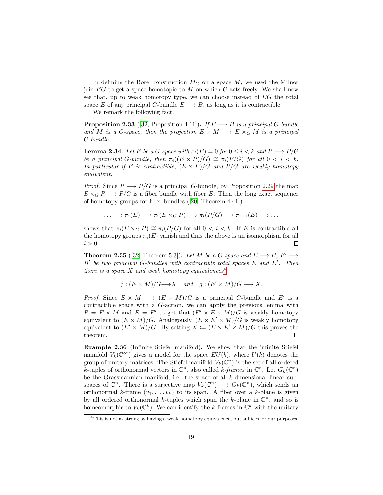In defining the Borel construction  $M_G$  on a space  $M$ , we used the Milnor join  $EG$  to get a space homotopic to  $M$  on which  $G$  acts freely. We shall now see that, up to weak homotopy type, we can choose instead of EG the total space E of any principal G-bundle  $E \longrightarrow B$ , as long as it is contractible.

We remark the following fact.

**Proposition 2.33** ([\[32,](#page-143-4) Proposition 4.11]). If  $E \longrightarrow B$  is a principal G-bundle and M is a G-space, then the projection  $E \times M \longrightarrow E \times_G M$  is a principal G-bundle.

<span id="page-20-2"></span>**Lemma 2.34.** Let E be a G-space with  $\pi_i(E) = 0$  for  $0 \leq i \leq k$  and  $P \longrightarrow P/G$ be a principal G-bundle, then  $\pi_i((E \times P)/G) \cong \pi_i(P/G)$  for all  $0 < i < k$ . In particular if E is contractible,  $(E \times P)/G$  and  $P/G$  are weakly homotopy equivalent.

*Proof.* Since  $P \longrightarrow P/G$  is a principal G-bundle, by Proposition [2.29](#page-19-0) the map  $E \times_G P \longrightarrow P/G$  is a fiber bundle with fiber E. Then the long exact sequence of homotopy groups for fiber bundles([\[20,](#page-142-2) Theorem 4.41])

$$
\ldots \longrightarrow \pi_i(E) \longrightarrow \pi_i(E \times_G P) \longrightarrow \pi_i(P/G) \longrightarrow \pi_{i-1}(E) \longrightarrow \ldots
$$

shows that  $\pi_i(E \times_G P) \cong \pi_i(P/G)$  for all  $0 < i < k$ . If E is contractible all the homotopy groups  $\pi_i(E)$  vanish and thus the above is an isomorphism for all  $i > 0$ .  $\Box$ 

<span id="page-20-1"></span>**Theorem 2.35** ([\[32,](#page-143-4) Theorem 5.3]). Let M be a G-space and  $E \longrightarrow B$ ,  $E' \longrightarrow$  $B'$  be two principal G-bundles with contractible total spaces  $E$  and  $E'$ . Then there is a space X and weak homotopy equivalences<sup>[4](#page-20-0)</sup>

$$
f:(E \times M)/G \longrightarrow X
$$
 and  $g:(E' \times M)/G \longrightarrow X$ .

*Proof.* Since  $E \times M \longrightarrow (E \times M)/G$  is a principal G-bundle and E' is a contractible space with a G-action, we can apply the previous lemma with  $P = E \times M$  and  $E = E'$  to get that  $(E' \times E \times M)/G$  is weakly homotopy equivalent to  $(E \times M)/G$ . Analogously,  $(E \times E' \times M)/G$  is weakly homotopy equivalent to  $(E' \times M)/G$ . By setting  $X = (E \times E' \times M)/G$  this proves the theorem.  $\Box$ 

Example 2.36 (Infinite Stiefel manifold). We show that the infinite Stiefel manifold  $V_k(\mathbb{C}^\infty)$  gives a model for the space  $EU(k)$ , where  $U(k)$  denotes the group of unitary matrices. The Stiefel manifold  $V_k(\mathbb{C}^n)$  is the set of all ordered k-tuples of orthonormal vectors in  $\mathbb{C}^n$ , also called k-frames in  $\mathbb{C}^n$ . Let  $G_k(\mathbb{C}^n)$ be the Grassmannian manifold, i.e. the space of all k-dimensional linear subspaces of  $\mathbb{C}^n$ . There is a surjective map  $V_k(\mathbb{C}^n) \longrightarrow G_k(\mathbb{C}^n)$ , which sends an orthonormal k-frame  $(v_1, \ldots, v_k)$  to its span. A fiber over a k-plane is given by all ordered orthonormal k-tuples which span the k-plane in  $\mathbb{C}^n$ , and so is homeomorphic to  $V_k(\mathbb{C}^k)$ . We can identify the k-frames in  $\mathbb{C}^k$  with the unitary

<span id="page-20-0"></span><sup>4</sup>This is not as strong as having a weak homotopy equivalence, but suffices for our purposes.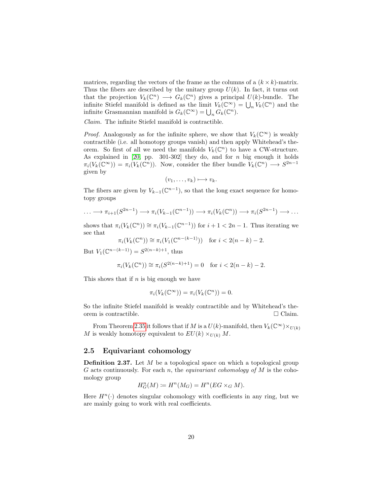matrices, regarding the vectors of the frame as the columns of a  $(k \times k)$ -matrix. Thus the fibers are described by the unitary group  $U(k)$ . In fact, it turns out that the projection  $V_k(\mathbb{C}^n) \longrightarrow G_k(\mathbb{C}^n)$  gives a principal  $U(k)$ -bundle. The infinite Stiefel manifold is defined as the limit  $V_k(\mathbb{C}^\infty) = \bigcup_n V_k(\mathbb{C}^n)$  and the infinite Grasmannian manifold is  $G_k(\mathbb{C}^\infty) = \bigcup_n G_k(\mathbb{C}^n)$ .

Claim. The infinite Stiefel manifold is contractible.

*Proof.* Analogously as for the infinite sphere, we show that  $V_k(\mathbb{C}^\infty)$  is weakly contractible (i.e. all homotopy groups vanish) and then apply Whitehead's theorem. So first of all we need the manifolds  $V_k(\mathbb{C}^n)$  to have a CW-structure. As explained in [\[20,](#page-142-2) pp. 301-302] they do, and for  $n$  big enough it holds  $\pi_i(V_k(\mathbb{C}^\infty)) = \pi_i(V_k(\mathbb{C}^n))$ . Now, consider the fiber bundle  $V_k(\mathbb{C}^n) \longrightarrow S^{2n-1}$ given by

$$
(v_1,\ldots,v_k)\longmapsto v_k.
$$

The fibers are given by  $V_{k-1}(\mathbb{C}^{n-1})$ , so that the long exact sequence for homotopy groups

$$
\ldots \longrightarrow \pi_{i+1}(S^{2n-1}) \longrightarrow \pi_i(V_{k-1}(\mathbb{C}^{n-1})) \longrightarrow \pi_i(V_k(\mathbb{C}^n)) \longrightarrow \pi_i(S^{2n-1}) \longrightarrow \ldots
$$

shows that  $\pi_i(V_k(\mathbb{C}^n)) \cong \pi_i(V_{k-1}(\mathbb{C}^{n-1}))$  for  $i+1 < 2n-1$ . Thus iterating we see that

$$
\pi_i(V_k(\mathbb{C}^n)) \cong \pi_i(V_1(\mathbb{C}^{n-(k-1)})) \quad \text{for } i < 2(n-k)-2.
$$

But  $V_1(\mathbb{C}^{n-(k-1)}) = S^{2(n-k)+1}$ , thus

$$
\pi_i(V_k(\mathbb{C}^n)) \cong \pi_i(S^{2(n-k)+1}) = 0 \text{ for } i < 2(n-k) - 2.
$$

This shows that if  $n$  is big enough we have

$$
\pi_i(V_k(\mathbb{C}^{\infty})) = \pi_i(V_k(\mathbb{C}^n)) = 0.
$$

So the infinite Stiefel manifold is weakly contractible and by Whitehead's theorem is contractible.  $\Box$  Claim.

From Theorem [2.35](#page-20-1) it follows that if M is a  $U(k)$ -manifold, then  $V_k(\mathbb{C}^\infty)\times_{U(k)}$ M is weakly homotopy equivalent to  $EU(k) \times_{U(k)} M$ .

#### <span id="page-21-0"></span>2.5 Equivariant cohomology

**Definition 2.37.** Let  $M$  be a topological space on which a topological group G acts continuously. For each n, the *equivariant cohomology of*  $M$  is the cohomology group

$$
H_G^n(M) \coloneqq H^n(M_G) = H^n(EG \times_G M).
$$

Here  $H^n(\cdot)$  denotes singular cohomology with coefficients in any ring, but we are mainly going to work with real coefficients.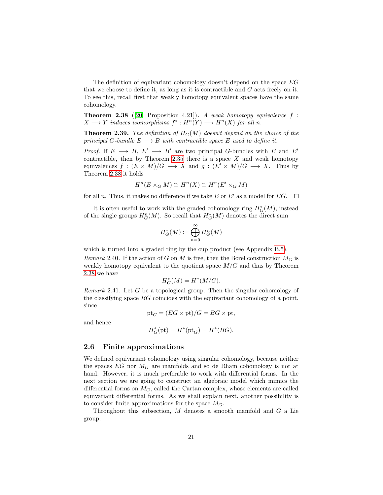The definition of equivariant cohomology doesn't depend on the space EG that we choose to define it, as long as it is contractible and  $G$  acts freely on it. To see this, recall first that weakly homotopy equivalent spaces have the same cohomology.

<span id="page-22-1"></span>**Theorem 2.38** ([\[20,](#page-142-2) Proposition 4.21]). A weak homotopy equivalence f:  $X \longrightarrow Y$  induces isomorphisms  $f^* : H^n(Y) \longrightarrow H^n(X)$  for all n.

**Theorem 2.39.** The definition of  $H_G(M)$  doesn't depend on the choice of the principal G-bundle  $E \longrightarrow B$  with contractible space E used to define it.

*Proof.* If  $E \longrightarrow B$ ,  $E' \longrightarrow B'$  are two principal G-bundles with E and E' contractible, then by Theorem [2.35](#page-20-1) there is a space  $X$  and weak homotopy equivalences  $f : (E \times M)/G \longrightarrow X$  and  $g : (E' \times M)/G \longrightarrow X$ . Thus by Theorem [2.38](#page-22-1) it holds

$$
H^n(E \times_G M) \cong H^n(X) \cong H^n(E' \times_G M)
$$

for all n. Thus, it makes no difference if we take E or E' as a model for EG.  $\Box$ 

It is often useful to work with the graded cohomology ring  $H^*_{G}(M)$ , instead of the single groups  $H_G^n(M)$ . So recall that  $H_G^*(M)$  denotes the direct sum

$$
H_G^*(M) := \bigoplus_{n=0}^{\infty} H_G^n(M)
$$

which is turned into a graded ring by the cup product (see Appendix [B.5\)](#page-125-0). Remark 2.40. If the action of G on M is free, then the Borel construction  $M_G$  is weakly homotopy equivalent to the quotient space  $M/G$  and thus by Theorem [2.38](#page-22-1) we have

$$
H^{\ast}_{G}(M)=H^{\ast}(M/G).
$$

Remark 2.41. Let  $G$  be a topological group. Then the singular cohomology of the classifying space BG coincides with the equivariant cohomology of a point, since

$$
\text{pt}_G = (EG \times \text{pt})/G = BG \times \text{pt},
$$

and hence

$$
H_G^*(\text{pt}) = H^*(\text{pt}_G) = H^*(BG).
$$

#### <span id="page-22-0"></span>2.6 Finite approximations

We defined equivariant cohomology using singular cohomology, because neither the spaces  $EG$  nor  $M_G$  are manifolds and so de Rham cohomology is not at hand. However, it is much preferable to work with differential forms. In the next section we are going to construct an algebraic model which mimics the differential forms on  $M_G$ , called the Cartan complex, whose elements are called equivariant differential forms. As we shall explain next, another possibility is to consider finite approximations for the space  $M_G$ .

Throughout this subsection,  $M$  denotes a smooth manifold and  $G$  a Lie group.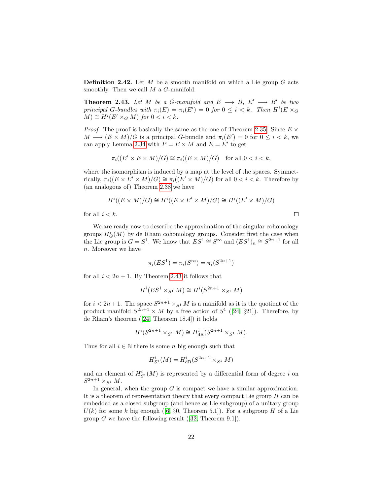**Definition 2.42.** Let  $M$  be a smooth manifold on which a Lie group  $G$  acts smoothly. Then we call  $M$  a  $G$ -manifold.

<span id="page-23-0"></span>**Theorem 2.43.** Let M be a G-manifold and  $E \longrightarrow B$ ,  $E' \longrightarrow B'$  be two principal G-bundles with  $\pi_i(E) = \pi_i(E') = 0$  for  $0 \leq i < k$ . Then  $H^i(E \times_G$  $(M) \cong H^i(E' \times_G M)$  for  $0 < i < k$ .

*Proof.* The proof is basically the same as the one of Theorem [2.35.](#page-20-1) Since  $E \times$  $M \longrightarrow (E \times M)/G$  is a principal G-bundle and  $\pi_i(E') = 0$  for  $0 \leq i \leq k$ , we can apply Lemma [2.34](#page-20-2) with  $P = E \times M$  and  $E = E'$  to get

$$
\pi_i((E' \times E \times M)/G) \cong \pi_i((E \times M)/G) \quad \text{for all } 0 < i < k,
$$

where the isomorphism is induced by a map at the level of the spaces. Symmetrically,  $\pi_i((E \times E' \times M)/G) \cong \pi_i((E' \times M)/G)$  for all  $0 < i < k$ . Therefore by (an analogous of) Theorem [2.38](#page-22-1) we have

$$
H^i((E \times M)/G) \cong H^i((E \times E' \times M)/G) \cong H^i((E' \times M)/G)
$$

 $\Box$ 

for all  $i < k$ .

We are ready now to describe the approximation of the singular cohomology groups  $H_G^i(M)$  by de Rham cohomology groups. Consider first the case when the Lie group is  $G = S^1$ . We know that  $ES^1 \cong S^{\infty}$  and  $(ES^1)_n \cong S^{2n+1}$  for all n. Moreover we have

$$
\pi_i(ES^1) = \pi_i(S^\infty) = \pi_i(S^{2n+1})
$$

for all  $i < 2n + 1$ . By Theorem [2.43](#page-23-0) it follows that

$$
H^i(ES^1 \times_{S^1} M) \cong H^i(S^{2n+1} \times_{S^1} M)
$$

for  $i < 2n + 1$ . The space  $S^{2n+1} \times_{S^1} M$  is a manifold as it is the quotient of the product manifold  $S^{2n+1} \times M$  by a free action of  $S^1$  ([\[24,](#page-142-4) §21]). Therefore, by de Rham's theorem([\[24,](#page-142-4) Theorem 18.4]) it holds

$$
H^{i}(S^{2n+1} \times_{S^1} M) \cong H^i_{\text{dR}}(S^{2n+1} \times_{S^1} M).
$$

Thus for all  $i \in \mathbb{N}$  there is some n big enough such that

$$
H_{S^{1}}^{i}(M) = H_{\text{dR}}^{i}(S^{2n+1} \times_{S^{1}} M)
$$

and an element of  $H_{S^1}^i(M)$  is represented by a differential form of degree i on  $S^{2n+1} \times_{S^1} M$ .

In general, when the group  $G$  is compact we have a similar approximation. It is a theorem of representation theory that every compact Lie group  $H$  can be embedded as a closed subgroup (and hence as Lie subgroup) of a unitary group  $U(k)$ for some k big enough ([\[6,](#page-141-7) §0, Theorem 5.1]). For a subgroup H of a Lie group $G$  we have the following result ([\[32,](#page-143-4) Theorem 9.1]).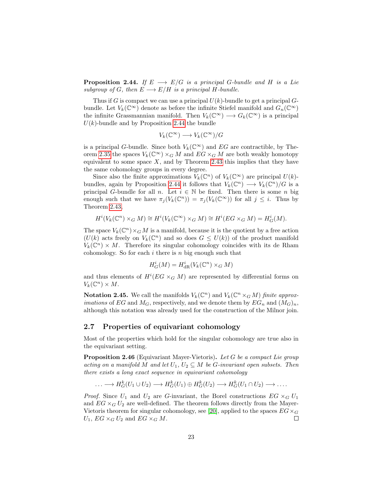<span id="page-24-1"></span>**Proposition 2.44.** If  $E \longrightarrow E/G$  is a principal G-bundle and H is a Lie subgroup of G, then  $E \longrightarrow E/H$  is a principal H-bundle.

Thus if G is compact we can use a principal  $U(k)$ -bundle to get a principal Gbundle. Let  $V_k(\mathbb{C}^\infty)$  denote as before the infinite Stiefel manifold and  $G_n(\mathbb{C}^\infty)$ the infinite Grassmannian manifold. Then  $V_k(\mathbb{C}^\infty) \longrightarrow G_k(\mathbb{C}^\infty)$  is a principal  $U(k)$ -bundle and by Proposition [2.44](#page-24-1) the bundle

$$
V_k(\mathbb{C}^\infty) \longrightarrow V_k(\mathbb{C}^\infty)/G
$$

is a principal G-bundle. Since both  $V_k(\mathbb{C}^\infty)$  and EG are contractible, by The-orem [2.35](#page-20-1) the spaces  $V_k(\mathbb{C}^\infty) \times_G M$  and  $EG \times_G M$  are both weakly homotopy equivalent to some space  $X$ , and by Theorem [2.43](#page-23-0) this implies that they have the same cohomology groups in every degree.

Since also the finite approximations  $V_k(\mathbb{C}^n)$  of  $V_k(\mathbb{C}^{\infty})$  are principal  $U(k)$ -bundles, again by Proposition [2.44](#page-24-1) it follows that  $V_k(\mathbb{C}^n) \longrightarrow V_k(\mathbb{C}^n)/G$  is a principal G-bundle for all n. Let  $i \in \mathbb{N}$  be fixed. Then there is some n big enough such that we have  $\pi_j(V_k(\mathbb{C}^n)) = \pi_j(V_k(\mathbb{C}^{\infty}))$  for all  $j \leq i$ . Thus by Theorem [2.43,](#page-23-0)

$$
H^i(V_k(\mathbb{C}^n)\times_G M)\cong H^i(V_k(\mathbb{C}^\infty)\times_G M)\cong H^i(EG\times_G M)=H^i_G(M).
$$

The space  $V_k(\mathbb{C}^n) \times_G M$  is a manifold, because it is the quotient by a free action  $(U(k))$  acts freely on  $V_k(\mathbb{C}^n)$  and so does  $G \leq U(k)$  of the product manifold  $V_k(\mathbb{C}^n) \times M$ . Therefore its singular cohomology coincides with its de Rham cohomology. So for each  $i$  there is  $n$  big enough such that

$$
H^i_G(M) = H^i_{\mathrm{dR}}(V_k(\mathbb{C}^n) \times_G M)
$$

and thus elements of  $H^{i}(EG \times_G M)$  are represented by differential forms on  $V_k(\mathbb{C}^n)\times M$ .

**Notation 2.45.** We call the manifolds  $V_k(\mathbb{C}^n)$  and  $V_k(\mathbb{C}^n \times_G M)$  finite approx*imations* of EG and  $M_G$ , respectively, and we denote them by  $EG_n$  and  $(M_G)_n$ , although this notation was already used for the construction of the Milnor join.

#### <span id="page-24-0"></span>2.7 Properties of equivariant cohomology

Most of the properties which hold for the singular cohomology are true also in the equivariant setting.

Proposition 2.46 (Equivariant Mayer-Vietoris). Let G be a compact Lie group acting on a manifold M and let  $U_1, U_2 \subseteq M$  be G-invariant open subsets. Then there exists a long exact sequence in equivariant cohomology

$$
\ldots \longrightarrow H_G^k(U_1 \cup U_2) \longrightarrow H_G^k(U_1) \oplus H_G^k(U_2) \longrightarrow H_G^k(U_1 \cap U_2) \longrightarrow \ldots
$$

*Proof.* Since  $U_1$  and  $U_2$  are G-invariant, the Borel constructions  $EG \times_G U_1$ and  $EG \times_G U_2$  are well-defined. The theorem follows directly from the Mayer-Vietoris theorem for singular cohomology, see [\[20\]](#page-142-2), applied to the spaces  $EG \times_G$  $U_1$ ,  $EG \times_G U_2$  and  $EG \times_G M$ .  $\Box$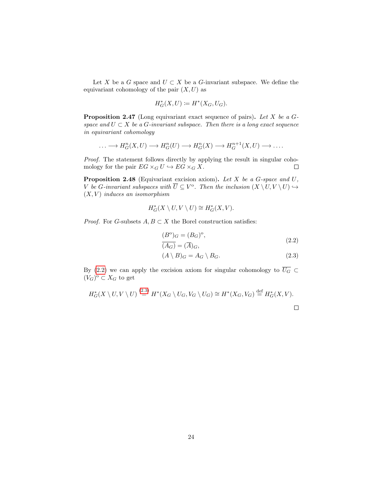Let X be a G space and  $U \subset X$  be a G-invariant subspace. We define the equivariant cohomology of the pair  $(X, U)$  as

$$
H_G^*(X, U) \coloneqq H^*(X_G, U_G).
$$

**Proposition 2.47** (Long equivariant exact sequence of pairs). Let X be a  $G$ space and  $U \subset X$  be a G-invariant subspace. Then there is a long exact sequence in equivariant cohomology

$$
\ldots \longrightarrow H_G^n(X, U) \longrightarrow H_G^n(U) \longrightarrow H_G^n(X) \longrightarrow H_G^{n+1}(X, U) \longrightarrow \ldots
$$

Proof. The statement follows directly by applying the result in singular cohomology for the pair  $EG \times_G U \hookrightarrow EG \times_G X$ .  $\Box$ 

**Proposition 2.48** (Equivariant excision axiom). Let  $X$  be a  $G$ -space and  $U$ , V be G-invariant subspaces with  $\overline{U} \subseteq V^{\circ}$ . Then the inclusion  $(X \setminus U, V \setminus U) \hookrightarrow$  $(X, V)$  induces an isomorphism

$$
H^*_G(X \setminus U, V \setminus U) \cong H^*_G(X, V).
$$

*Proof.* For G-subsets  $A, B \subset X$  the Borel construction satisfies:

<span id="page-25-0"></span>
$$
(B^{\circ})_G = (B_G)^{\circ},
$$
  
\n
$$
\overline{(A_G)} = \overline{(A)}_G,
$$
\n(2.2)

<span id="page-25-1"></span>
$$
(A \setminus B)_G = A_G \setminus B_G. \tag{2.3}
$$

By [\(2.2\)](#page-25-0) we can apply the excision axiom for singular cohomology to  $\overline{U_G}$  ⊂  $(V_G)^{\mathrm{o}} \subset X_G$  to get

$$
H_G^*(X \setminus U, V \setminus U) \stackrel{(2.3)}{=} H^*(X_G \setminus U_G, V_G \setminus U_G) \cong H^*(X_G, V_G) \stackrel{\text{def}}{=} H_G^*(X, V).
$$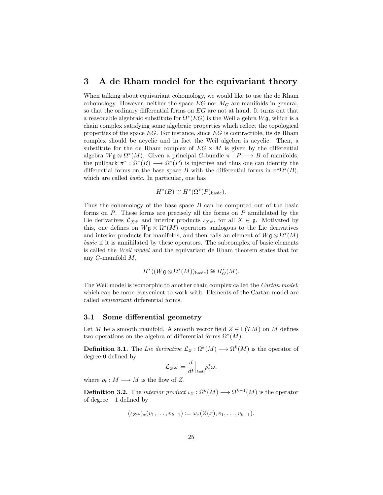#### <span id="page-26-0"></span>3 A de Rham model for the equivariant theory

When talking about equivariant cohomology, we would like to use the de Rham cohomology. However, neither the space  $EG$  nor  $M_G$  are manifolds in general, so that the ordinary differential forms on EG are not at hand. It turns out that a reasonable algebraic substitute for  $\Omega^*(EG)$  is the Weil algebra  $W\mathfrak{g}$ , which is a chain complex satisfying some algebraic properties which reflect the topological properties of the space  $EG$ . For instance, since  $EG$  is contractible, its de Rham complex should be acyclic and in fact the Weil algebra is acyclic. Then, a substitute for the de Rham complex of  $EG \times M$  is given by the differential algebra  $W$ **g**  $\otimes \Omega^*(M)$ . Given a principal *G*-bundle  $\pi : P \longrightarrow B$  of manifolds, the pullback  $\pi^*: \Omega^*(B) \longrightarrow \Omega^*(P)$  is injective and thus one can identify the differential forms on the base space B with the differential forms in  $\pi^*\Omega^*(B)$ , which are called basic. In particular, one has

$$
H^*(B) \cong H^*(\Omega^*(P)_{\text{basic}}).
$$

Thus the cohomology of the base space  $B$  can be computed out of the basic forms on  $P$ . These forms are precisely all the forms on  $P$  annihilated by the Lie derivatives  $\mathcal{L}_{X^{\#}}$  and interior products  $\iota_{X^{\#}}$ , for all  $X \in \mathfrak{g}$ . Motivated by this, one defines on  $W\mathfrak{g} \otimes \Omega^*(M)$  operators analogous to the Lie derivatives and interior products for manifolds, and then calls an element of  $W\mathfrak{g} \otimes \Omega^*(M)$ basic if it is annihilated by these operators. The subcomplex of basic elements is called the Weil model and the equivariant de Rham theorem states that for any  $G$ -manifold  $M$ ,

$$
H^*((W\mathfrak{g}\otimes \Omega^*(M))_{\text{basic}})\cong H^*_G(M).
$$

The Weil model is isomorphic to another chain complex called the Cartan model, which can be more convenient to work with. Elements of the Cartan model are called equivariant differential forms.

#### <span id="page-26-1"></span>3.1 Some differential geometry

Let M be a smooth manifold. A smooth vector field  $Z \in \Gamma(TM)$  on M defines two operations on the algebra of differential forms  $\Omega^*(M)$ .

**Definition 3.1.** The Lie derivative  $\mathcal{L}_Z : \Omega^k(M) \longrightarrow \Omega^k(M)$  is the operator of degree 0 defined by

$$
\mathcal{L}_Z\omega \coloneqq \frac{d}{dt}\Big|_{t=0} \rho_t^*\omega,
$$

where  $\rho_t : M \longrightarrow M$  is the flow of Z.

**Definition 3.2.** The *interior product*  $\iota_Z : \Omega^k(M) \longrightarrow \Omega^{k-1}(M)$  is the operator of degree −1 defined by

$$
(\iota_Z \omega)_x (v_1, \ldots, v_{k-1}) \coloneqq \omega_x(Z(x), v_1, \ldots, v_{k-1}).
$$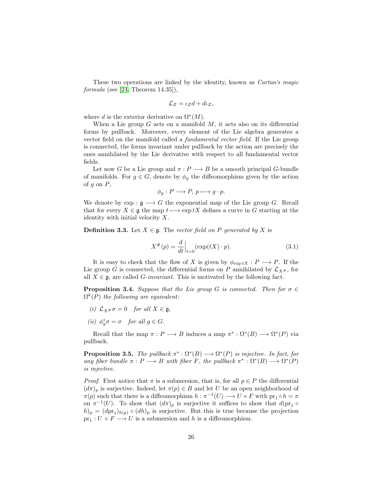These two operations are linked by the identity, known as *Cartan's magic*  $formula (see [24, Theorem 14.35]),$  $formula (see [24, Theorem 14.35]),$  $formula (see [24, Theorem 14.35]),$ 

$$
\mathcal{L}_Z = \iota_Z d + d\iota_Z,
$$

where d is the exterior derivative on  $\Omega^*(M)$ .

When a Lie group  $G$  acts on a manifold  $M$ , it acts also on its differential forms by pullback. Moreover, every element of the Lie algebra generates a vector field on the manifold called a fundamental vector field. If the Lie group is connected, the forms invariant under pullback by the action are precisely the ones annihilated by the Lie derivative with respect to all fundamental vector fields.

Let now G be a Lie group and  $\pi : P \longrightarrow B$  be a smooth principal G-bundle of manifolds. For  $g \in G$ , denote by  $\phi_g$  the diffeomorphism given by the action of  $g$  on  $P$ ,

$$
\phi_g: P \longrightarrow P, \ p \longmapsto g \cdot p.
$$

We denote by  $\exp: \mathfrak{g} \longrightarrow G$  the exponential map of the Lie group G. Recall that for every  $X \in \mathfrak{g}$  the map  $t \mapsto \exp tX$  defines a curve in G starting at the identity with initial velocity  $X$ .

**Definition 3.3.** Let  $X \in \mathfrak{g}$ . The vector field on P generated by X is

$$
X^{\#}(p) = \frac{d}{dt}\Big|_{t=0} (\exp(tX) \cdot p).
$$
 (3.1)

It is easy to check that the flow of X is given by  $\phi_{\exp tX} : P \longrightarrow P$ . If the Lie group G is connected, the differential forms on P annihilated by  $\mathcal{L}_{X^{\#}}$ , for all  $X \in \mathfrak{g}$ , are called *G-invariant*. This is motivated by the following fact.

**Proposition 3.4.** Suppose that the Lie group G is connected. Then for  $\sigma \in$  $\Omega^{k}(P)$  the following are equivalent:

- (i)  $\mathcal{L}_{X} * \sigma = 0$  for all  $X \in \mathfrak{g}$ ,
- (*ii*)  $\phi_g^* \sigma = \sigma$  for all  $g \in G$ .

Recall that the map  $\pi : P \longrightarrow B$  induces a map  $\pi^* : \Omega^*(B) \longrightarrow \Omega^*(P)$  via pullback.

<span id="page-27-0"></span>**Proposition 3.5.** The pullback  $\pi^*: \Omega^*(B) \longrightarrow \Omega^*(P)$  is injective. In fact, for any fiber bundle  $\pi : P \longrightarrow B$  with fiber F, the pullback  $\pi^* : \Omega^*(B) \longrightarrow \Omega^*(P)$ is injective.

*Proof.* First notice that  $\pi$  is a submersion, that is, for all  $p \in P$  the differential  $(d\pi)_p$  is surjective. Indeed, let  $\pi(p) \in B$  and let U be an open neighborhood of  $\pi(p)$  such that there is a diffeomorphism  $h : \pi^{-1}(U) \longrightarrow U \times F$  with  $\text{pr}_1 \circ h = \pi$ on  $\pi^{-1}(U)$ . To show that  $(d\pi)_p$  is surjective it suffices to show that  $d(\text{pr}_1 \circ$  $(h)_p = (dpr_1)_{h(p)} \circ (dh)_p$  is surjective. But this is true because the projection  $pr_1: U \times F \longrightarrow U$  is a submersion and h is a diffeomorphism.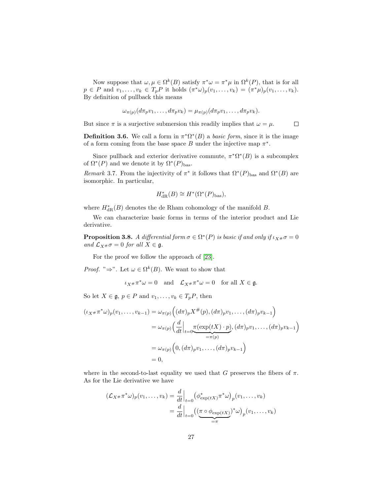Now suppose that  $\omega, \mu \in \Omega^k(B)$  satisfy  $\pi^* \omega = \pi^* \mu$  in  $\Omega^k(P)$ , that is for all  $p \in P$  and  $v_1, \ldots, v_k \in T_p P$  it holds  $(\pi^* \omega)_p(v_1, \ldots, v_k) = (\pi^* \mu)_p(v_1, \ldots, v_k)$ . By definition of pullback this means

$$
\omega_{\pi(p)}(d\pi_p v_1,\ldots,d\pi_p v_k)=\mu_{\pi(p)}(d\pi_p v_1,\ldots,d\pi_p v_k).
$$

But since  $\pi$  is a surjective submersion this readily implies that  $\omega = \mu$ .  $\Box$ 

**Definition 3.6.** We call a form in  $\pi^*\Omega^*(B)$  a *basic form*, since it is the image of a form coming from the base space  $B$  under the injective map  $\pi^*$ .

Since pullback and exterior derivative commute,  $\pi^* \Omega^* (B)$  is a subcomplex of  $\Omega^*(P)$  and we denote it by  $\Omega^*(P)_{\text{bas}}$ .

Remark 3.7. From the injectivity of  $\pi^*$  it follows that  $\Omega^*(P)_{\text{bas}}$  and  $\Omega^*(B)$  are isomorphic. In particular,

$$
H_{\rm dR}^*(B) \cong H^*(\Omega^*(P)_{\rm bas}),
$$

where  $H^*_{\text{dR}}(B)$  denotes the de Rham cohomology of the manifold B.

We can characterize basic forms in terms of the interior product and Lie derivative.

**Proposition 3.8.** A differential form  $\sigma \in \Omega^*(P)$  is basic if and only if  $\iota_{X^{\#}}\sigma = 0$ and  $\mathcal{L}_{X^{\#}}\sigma = 0$  for all  $X \in \mathfrak{g}$ .

For the proof we follow the approach of [\[23\]](#page-142-5).

*Proof.* " $\Rightarrow$ ". Let  $\omega \in \Omega^k(B)$ . We want to show that

$$
\iota_{X^{\#}} \pi^* \omega = 0
$$
 and  $\mathcal{L}_{X^{\#}} \pi^* \omega = 0$  for all  $X \in \mathfrak{g}$ .

So let  $X \in \mathfrak{g}, p \in P$  and  $v_1, \ldots, v_k \in T_pP$ , then

$$
(\iota_{X^{\#}} \pi^* \omega)_p(v_1, \dots, v_{k-1}) = \omega_{\pi(p)} ((d\pi)_p X^{\#}(p), (d\pi)_p v_1, \dots, (d\pi)_p v_{k-1})
$$
  

$$
= \omega_{\pi(p)} \left( \frac{d}{dt} \Big|_{t=0} \underbrace{\pi(\exp(tX) \cdot p)}_{=\pi(p)}, (d\pi)_p v_1, \dots, (d\pi)_p v_{k-1} \right)
$$
  

$$
= \omega_{\pi(p)} \left( 0, (d\pi)_p v_1, \dots, (d\pi)_p v_{k-1} \right)
$$
  

$$
= 0,
$$

where in the second-to-last equality we used that G preserves the fibers of  $\pi$ . As for the Lie derivative we have

$$
(\mathcal{L}_{X} * \pi^* \omega)_p(v_1, \dots, v_k) = \frac{d}{dt}\Big|_{t=0} \left(\phi_{\exp(tX)}^* \pi^* \omega\right)_p(v_1, \dots, v_k)
$$
  
= 
$$
\frac{d}{dt}\Big|_{t=0} \left(\underbrace{(\pi \circ \phi_{\exp(tX)})^* \omega}_{=\pi}\right)_p(v_1, \dots, v_k)
$$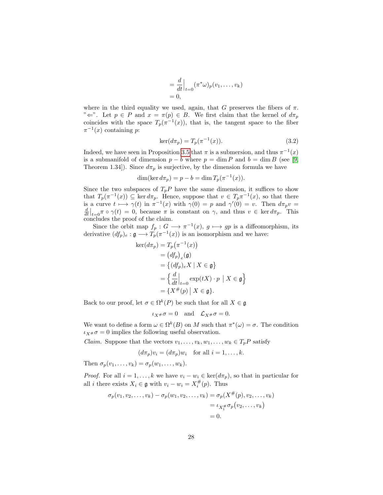$$
= \frac{d}{dt}\Big|_{t=0} (\pi^*\omega)_p(v_1,\ldots,v_k)
$$
  
= 0,

where in the third equality we used, again, that G preserves the fibers of  $\pi$ . " $\Leftarrow$ ". Let  $p \in P$  and  $x = \pi(p) \in B$ . We first claim that the kernel of  $d\pi_p$ coincides with the space  $T_p(\pi^{-1}(x))$ , that is, the tangent space to the fiber  $\pi^{-1}(x)$  containing p:

$$
\ker(d\pi_p) = T_p(\pi^{-1}(x)).
$$
\n(3.2)

Indeed, we have seen in Proposition [3.5](#page-27-0) that  $\pi$  is a submersion, and thus  $\pi^{-1}(x)$ is a submanifold of dimension  $p - b$  where  $p = \dim P$  and  $b = \dim B$  (see [\[9,](#page-141-5) Theorem 1.34]). Since  $d\pi_p$  is surjective, by the dimension formula we have

$$
\dim(\ker d\pi_p) = p - b = \dim T_p(\pi^{-1}(x)).
$$

Since the two subspaces of  $T_pP$  have the same dimension, it suffices to show that  $T_p(\pi^{-1}(x)) \subseteq \ker d\pi_p$ . Hence, suppose that  $v \in T_p\pi^{-1}(x)$ , so that there is a curve  $t \mapsto \gamma(t)$  in  $\pi^{-1}(x)$  with  $\gamma(0) = p$  and  $\gamma'(0) = v$ . Then  $d\pi_p v =$  $\frac{d}{dt}\Big|_{t=0}$   $\pi \circ \gamma(t) = 0$ , because  $\pi$  is constant on  $\gamma$ , and thus  $v \in \ker d\pi_p$ . This concludes the proof of the claim.

Since the orbit map  $f_p: G \longrightarrow \pi^{-1}(x)$ ,  $g \longmapsto gp$  is a diffeomorphism, its derivative  $(df_p)_e : \mathfrak{g} \longrightarrow T_p(\pi^{-1}(x))$  is an isomorphism and we have:

$$
\begin{aligned} \ker(d\pi_p) &= T_p(\pi^{-1}(x)) \\ &= (df_p)_e(\mathfrak{g}) \\ &= \left\{ (df_p)_e X \mid X \in \mathfrak{g} \right\} \\ &= \left\{ \frac{d}{dt} \Big|_{t=0} \exp(tX) \cdot p \mid X \in \mathfrak{g} \right\} \\ &= \left\{ X^\#(p) \mid X \in \mathfrak{g} \right\}. \end{aligned}
$$

Back to our proof, let  $\sigma \in \Omega^k(P)$  be such that for all  $X \in \mathfrak{g}$ 

 $\iota_X \ast \sigma = 0$  and  $\mathcal{L}_{X} \ast \sigma = 0$ .

We want to define a form  $\omega \in \Omega^k(B)$  on M such that  $\pi^*(\omega) = \sigma$ . The condition  $\iota_{X} \neq \sigma = 0$  implies the following useful observation.

*Claim.* Suppose that the vectors  $v_1, \ldots, v_k, w_1, \ldots, w_k \in T_pP$  satisfy

$$
(d\pi_p)v_i = (d\pi_p)w_i \quad \text{for all } i = 1, \dots, k.
$$

Then  $\sigma_p(v_1,\ldots,v_k)=\sigma_p(w_1,\ldots,w_k).$ 

*Proof.* For all  $i = 1, ..., k$  we have  $v_i - w_i \in \text{ker}(d\pi_p)$ , so that in particular for all *i* there exists  $X_i \in \mathfrak{g}$  with  $v_i - w_i = X_i^{\#}(p)$ . Thus

$$
\sigma_p(v_1, v_2, \dots, v_k) - \sigma_p(w_1, v_2, \dots, v_k) = \sigma_p(X^{\#}(p), v_2, \dots, v_k)
$$
  
=  $\iota_{X_1^{\#}} \sigma_p(v_2, \dots, v_k)$   
= 0.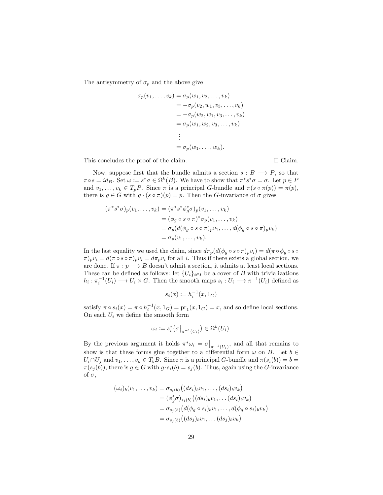The antisymmetry of  $\sigma_p$  and the above give

$$
\sigma_p(v_1, ..., v_k) = \sigma_p(w_1, v_2, ..., v_k)
$$
  
=  $-\sigma_p(v_2, w_1, v_3, ..., v_k)$   
=  $-\sigma_p(w_2, w_1, v_3, ..., v_k)$   
=  $\sigma_p(w_1, w_2, v_3, ..., v_k)$   
:  
=  $\sigma_p(w_1, ..., w_k)$ .

This concludes the proof of the claim.  $\square$  Claim.

Now, suppose first that the bundle admits a section  $s : B \longrightarrow P$ , so that  $\pi \circ s = id_B$ . Set  $\omega := s^* \sigma \in \Omega^k(B)$ . We have to show that  $\pi^* s^* \sigma = \sigma$ . Let  $p \in P$ and  $v_1, \ldots, v_k \in T_pP$ . Since  $\pi$  is a principal G-bundle and  $\pi(s \circ \pi(p)) = \pi(p)$ , there is  $g \in G$  with  $g \cdot (s \circ \pi)(p) = p$ . Then the G-invariance of  $\sigma$  gives

$$
(\pi^*s^*\sigma)_p(v_1,\ldots,v_k) = (\pi^*s^*\phi_g^*\sigma)_p(v_1,\ldots,v_k)
$$
  
\n
$$
= (\phi_g \circ s \circ \pi)^*\sigma_p(v_1,\ldots,v_k)
$$
  
\n
$$
= \sigma_p(d(\phi_g \circ s \circ \pi)_pv_1,\ldots,d(\phi_g \circ s \circ \pi)_pv_k)
$$
  
\n
$$
= \sigma_p(v_1,\ldots,v_k).
$$

In the last equality we used the claim, since  $d\pi_p(d(\phi_q \circ s \circ \pi)_p v_i) = d(\pi \circ \phi_q \circ s \circ$  $(\pi)_n v_i = d(\pi \circ s \circ \pi)_n v_i = d\pi_n v_i$  for all i. Thus if there exists a global section, we are done. If  $\pi : p \longrightarrow B$  doesn't admit a section, it admits at least local sections. These can be defined as follows: let  $\{U_i\}_{i\in I}$  be a cover of B with trivializations  $h_i: \pi_i^{-1}(U_i) \longrightarrow U_i \times G$ . Then the smooth maps  $s_i: U_i \longrightarrow \pi^{-1}(U_i)$  defined as

$$
s_i(x) \coloneqq h_i^{-1}(x, 1_G)
$$

satisfy  $\pi \circ s_i(x) = \pi \circ h_i^{-1}(x, 1_G) = \text{pr}_1(x, 1_G) = x$ , and so define local sections. On each  $U_i$  we define the smooth form

$$
\omega_i \coloneqq s_i^* \big( \sigma \big|_{\pi^{-1}(U_i)} \big) \in \Omega^k(U_i).
$$

By the previous argument it holds  $\pi^*\omega_i = \sigma\big|_{\pi^{-1}(U_i)}$ , and all that remains to show is that these forms glue together to a differential form  $\omega$  on B. Let  $b \in$  $U_i \cap U_j$  and  $v_1, \ldots, v_k \in T_b B$ . Since  $\pi$  is a principal G-bundle and  $\pi(s_i(b)) = b$  $\pi(s_j(b))$ , there is  $g \in G$  with  $g \cdot s_i(b) = s_j(b)$ . Thus, again using the G-invariance of  $\sigma$ ,

$$
(\omega_i)_b(v_1,\ldots,v_k) = \sigma_{s_i(b)}\big((ds_i)_b v_1,\ldots,(ds_i)_b v_k\big)
$$
  
\n
$$
= (\phi_g^* \sigma)_{s_i(b)}\big((ds_i)_b v_1,\ldots (ds_i)_b v_k\big)
$$
  
\n
$$
= \sigma_{s_j(b)}\big(d(\phi_g \circ s_i)_b v_1,\ldots, d(\phi_g \circ s_i)_b v_k\big)
$$
  
\n
$$
= \sigma_{s_j(b)}\big((ds_j)_b v_1,\ldots (ds_j)_b v_k\big)
$$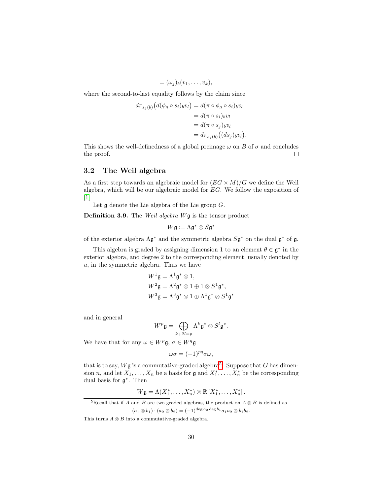$$
=(\omega_j)_b(v_1,\ldots,v_k),
$$

where the second-to-last equality follows by the claim since

$$
d\pi_{s_j(b)}(d(\phi_g \circ s_i)_b v_l) = d(\pi \circ \phi_g \circ s_i)_b v_l
$$
  
= 
$$
d(\pi \circ s_i)_b v_l
$$
  
= 
$$
d(\pi \circ s_j)_b v_l
$$
  
= 
$$
d\pi_{s_j(b)}((ds_j)_b v_l).
$$

This shows the well-definedness of a global preimage  $\omega$  on B of  $\sigma$  and concludes the proof.  $\Box$ 

#### <span id="page-31-0"></span>3.2 The Weil algebra

As a first step towards an algebraic model for  $(EG \times M)/G$  we define the Weil algebra, which will be our algebraic model for EG. We follow the exposition of [\[1\]](#page-141-2).

Let  $\mathfrak g$  denote the Lie algebra of the Lie group  $G$ .

**Definition 3.9.** The Weil algebra  $W$ **g** is the tensor product

$$
W\mathfrak{g}\coloneqq \Lambda\mathfrak{g}^*\otimes S\mathfrak{g}^*
$$

of the exterior algebra  $\Lambda$ g<sup>\*</sup> and the symmetric algebra  $S$ g<sup>\*</sup> on the dual g<sup>\*</sup> of g.

This algebra is graded by assigning dimension 1 to an element  $\theta \in \mathfrak{g}^*$  in the exterior algebra, and degree 2 to the corresponding element, usually denoted by  $u$ , in the symmetric algebra. Thus we have

$$
W^1 \mathfrak{g} = \Lambda^1 \mathfrak{g}^* \otimes 1,
$$
  
\n
$$
W^2 \mathfrak{g} = \Lambda^2 \mathfrak{g}^* \otimes 1 \oplus 1 \otimes S^1 \mathfrak{g}^*,
$$
  
\n
$$
W^3 \mathfrak{g} = \Lambda^3 \mathfrak{g}^* \otimes 1 \oplus \Lambda^1 \mathfrak{g}^* \otimes S^1 \mathfrak{g}^*
$$

and in general

$$
W^p \mathfrak{g} = \bigoplus_{k+2l=p} \Lambda^k \mathfrak{g}^* \otimes S^l \mathfrak{g}^*.
$$

We have that for any  $\omega \in W^p \mathfrak{g}, \sigma \in W^q \mathfrak{g}$ 

$$
\omega \sigma = (-1)^{pq} \sigma \omega,
$$

that is to say,  $W\mathfrak{g}$  is a commutative-graded algebra<sup>[5](#page-31-1)</sup>. Suppose that G has dimension n, and let  $X_1, \ldots, X_n$  be a basis for  $\mathfrak g$  and  $X_1^*, \ldots, X_n^*$  be the corresponding dual basis for g ∗ . Then

$$
W\mathfrak{g}=\Lambda(X_1^*,\ldots,X_n^*)\otimes\mathbb{R}\left[X_1^*,\ldots,X_n^*\right].
$$

<span id="page-31-1"></span><sup>&</sup>lt;sup>5</sup>Recall that if A and B are two graded algebras, the product on  $A \otimes B$  is defined as  $(a_1 \otimes b_1) \cdot (a_2 \otimes b_2) = (-1)^{\deg a_2 \deg b_1} a_1 a_2 \otimes b_1 b_2.$ 

This turns  $A \otimes B$  into a commutative-graded algebra.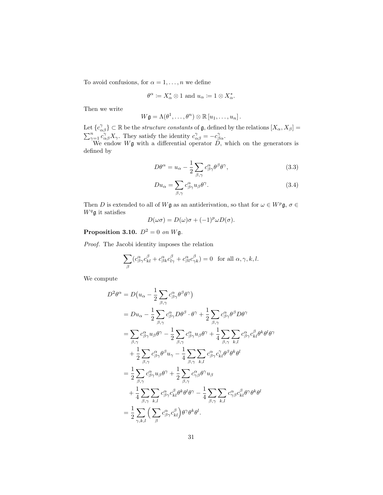To avoid confusions, for  $\alpha = 1, \ldots, n$  we define

$$
\theta^\alpha\coloneqq X_\alpha^*\otimes 1\text{ and }u_\alpha\coloneqq 1\otimes X_\alpha^*.
$$

Then we write

$$
W\mathfrak{g}=\Lambda(\theta^1,\ldots,\theta^n)\otimes\mathbb{R}\left[u_1,\ldots,u_n\right].
$$

Let  ${c^{\gamma}_{\alpha\beta}} \subset \mathbb{R}$  be the *structure constants* of  $\mathfrak{g}$ , defined by the relations  $[X_{\alpha}, X_{\beta}] =$  $\sum_{\gamma=1}^n c_{\alpha\beta}^{\gamma} X_{\gamma}$ . They satisfy the identity  $c_{\alpha\beta}^{\gamma} = -c_{\beta\alpha}^{\gamma}$ .

We endow  $W\mathfrak{g}$  with a differential operator  $D$ , which on the generators is defined by

$$
D\theta^{\alpha} = u_{\alpha} - \frac{1}{2} \sum_{\beta,\gamma} c^{\alpha}_{\beta\gamma} \theta^{\beta} \theta^{\gamma}, \qquad (3.3)
$$

$$
Du_{\alpha} = \sum_{\beta,\gamma} c^{\alpha}_{\beta\gamma} u_{\beta} \theta^{\gamma}.
$$
 (3.4)

Then D is extended to all of Wg as an antiderivation, so that for  $\omega \in W^p \mathfrak{g}, \sigma \in$  $W^q$ g it satisfies

$$
D(\omega \sigma) = D(\omega)\sigma + (-1)^p \omega D(\sigma).
$$

## **Proposition 3.10.**  $D^2 = 0$  on Wg.

Proof. The Jacobi identity imposes the relation

$$
\sum_{\beta} (c^{\alpha}_{\beta\gamma} c^{\beta}_{kl} + c^{\alpha}_{\beta k} c^{\beta}_{l\gamma} + c^{\alpha}_{\beta l} c^{\beta}_{\gamma k}) = 0 \text{ for all } \alpha, \gamma, k, l.
$$

We compute

$$
D^{2} \theta^{\alpha} = D(u_{\alpha} - \frac{1}{2} \sum_{\beta, \gamma} c^{\alpha}_{\beta \gamma} \theta^{\beta} \theta^{\gamma})
$$
  
\n
$$
= Du_{\alpha} - \frac{1}{2} \sum_{\beta, \gamma} c^{\alpha}_{\beta \gamma} D\theta^{\beta} \cdot \theta^{\gamma} + \frac{1}{2} \sum_{\beta, \gamma} c^{\alpha}_{\beta \gamma} \theta^{\beta} D\theta^{\gamma}
$$
  
\n
$$
= \sum_{\beta, \gamma} c^{\alpha}_{\beta \gamma} u_{\beta} \theta^{\gamma} - \frac{1}{2} \sum_{\beta, \gamma} c^{\alpha}_{\beta \gamma} u_{\beta} \theta^{\gamma} + \frac{1}{4} \sum_{\beta, \gamma} \sum_{k, l} c^{\alpha}_{\beta \gamma} c^{\beta}_{kl} \theta^k \theta^l \theta^{\gamma}
$$
  
\n
$$
+ \frac{1}{2} \sum_{\beta, \gamma} c^{\alpha}_{\beta \gamma} \theta^{\beta} u_{\gamma} - \frac{1}{4} \sum_{\beta, \gamma} \sum_{k, l} c^{\alpha}_{\beta \gamma} c^{\gamma}_{kl} \theta^{\beta} \theta^k \theta^l
$$
  
\n
$$
= \frac{1}{2} \sum_{\beta, \gamma} c^{\alpha}_{\beta \gamma} u_{\beta} \theta^{\gamma} + \frac{1}{2} \sum_{\beta, \gamma} c^{\alpha}_{\gamma \beta} \theta^{\gamma} u_{\beta}
$$
  
\n
$$
+ \frac{1}{4} \sum_{\beta, \gamma} \sum_{k, l} c^{\alpha}_{\beta \gamma} c^{\beta}_{kl} \theta^k \theta^l \theta^{\gamma} - \frac{1}{4} \sum_{\beta, \gamma} \sum_{k, l} c^{\alpha}_{\gamma \beta} c^{\beta}_{kl} \theta^{\gamma} \theta^k \theta^l
$$
  
\n
$$
= \frac{1}{2} \sum_{\gamma, k, l} \left( \sum_{\beta} c^{\alpha}_{\beta \gamma} c^{\beta}_{kl} \right) \theta^{\gamma} \theta^k \theta^l.
$$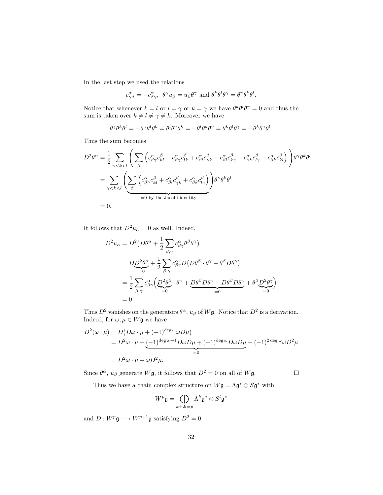In the last step we used the relations

$$
c_{\gamma\beta}^{\alpha} = -c_{\beta\gamma}^{\alpha}, \ \theta^{\gamma}u_{\beta} = u_{\beta}\theta^{\gamma} \text{ and } \theta^{k}\theta^{l}\theta^{\gamma} = \theta^{\gamma}\theta^{k}\theta^{l}.
$$

Notice that whenever  $k = l$  or  $l = \gamma$  or  $k = \gamma$  we have  $\theta^k \theta^l \theta^\gamma = 0$  and thus the sum is taken over  $k \neq l \neq \gamma \neq k$ . Moreover we have

$$
\theta^{\gamma}\theta^{k}\theta^{l} = -\theta^{\gamma}\theta^{l}\theta^{k} = \theta^{l}\theta^{\gamma}\theta^{k} = -\theta^{l}\theta^{k}\theta^{\gamma} = \theta^{k}\theta^{l}\theta^{\gamma} = -\theta^{k}\theta^{\gamma}\theta^{l}.
$$

Thus the sum becomes

$$
D^2 \theta^{\alpha} = \frac{1}{2} \sum_{\gamma < k < l} \left( \sum_{\beta} \left( c^{\alpha}_{\beta \gamma} c^{\beta}_{kl} - c^{\alpha}_{\beta \gamma} c^{\beta}_{lk} + c^{\alpha}_{\beta l} c^{\beta}_{\gamma k} - c^{\alpha}_{\beta l} c^{\beta}_{k \gamma} + c^{\alpha}_{\beta k} c^{\beta}_{l \gamma} - c^{\alpha}_{\beta k} c^{\beta}_{kl} \right) \right) \theta^{\gamma} \theta^k \theta^l
$$
\n
$$
= \sum_{\gamma < k < l} \left( \sum_{\beta} \left( c^{\alpha}_{\beta \gamma} c^{\beta}_{kl} + c^{\alpha}_{\beta l} c^{\beta}_{\gamma k} + c^{\alpha}_{\beta k} c^{\beta}_{l \gamma} \right) \right) \theta^{\gamma} \theta^k \theta^l
$$
\n
$$
= 0.
$$

It follows that  $D^2u_{\alpha}=0$  as well. Indeed,

$$
D^2 u_{\alpha} = D^2 (D\theta^{\alpha} + \frac{1}{2} \sum_{\beta, \gamma} c^{\alpha}_{\beta \gamma} \theta^{\beta} \theta^{\gamma})
$$
  
= 
$$
D\underline{D}^2 \theta^{\alpha} + \frac{1}{2} \sum_{\beta, \gamma} c^{\alpha}_{\beta \gamma} D (D\theta^{\beta} \cdot \theta^{\gamma} - \theta^{\beta} D\theta^{\gamma})
$$
  
= 
$$
\frac{1}{2} \sum_{\beta, \gamma} c^{\alpha}_{\beta \gamma} \left( \underline{D}^2 \theta^{\beta} \cdot \theta^{\gamma} + \underline{D} \theta^{\beta} D\theta^{\gamma} - D\theta^{\beta} D\theta^{\gamma} + \theta^{\beta} \underline{D}^2 \theta^{\gamma} \right)
$$
  
= 0.

Thus  $D^2$  vanishes on the generators  $\theta^{\alpha}$ ,  $u_{\beta}$  of  $W\mathfrak{g}$ . Notice that  $D^2$  is a derivation. Indeed, for  $\omega, \mu \in W$ **g** we have

$$
D^{2}(\omega \cdot \mu) = D(D\omega \cdot \mu + (-1)^{\deg \omega} \omega D\mu)
$$
  
=  $D^{2} \omega \cdot \mu + (-1)^{\deg \omega + 1} D\omega D\mu + (-1)^{\deg \omega} D\omega D\mu + (-1)^{2 \deg \omega} \omega D^{2} \mu$   
=  $D^{2} \omega \cdot \mu + \omega D^{2} \mu$ .

Since  $\theta^{\alpha}$ ,  $u_{\beta}$  generate  $W\mathfrak{g}$ , it follows that  $D^2 = 0$  on all of  $W\mathfrak{g}$ .

 $\Box$ 

Thus we have a chain complex structure on  $W\mathfrak{g} = \Lambda \mathfrak{g}^* \otimes S\mathfrak{g}^*$  with

$$
W^p\mathfrak{g}=\bigoplus_{k+2l=p}\Lambda^k\mathfrak{g}^*\otimes S^l\mathfrak{g}^*
$$

and  $D: W^p\mathfrak{g}\longrightarrow W^{p+1}\mathfrak{g}$  satisfying  $D^2=0.$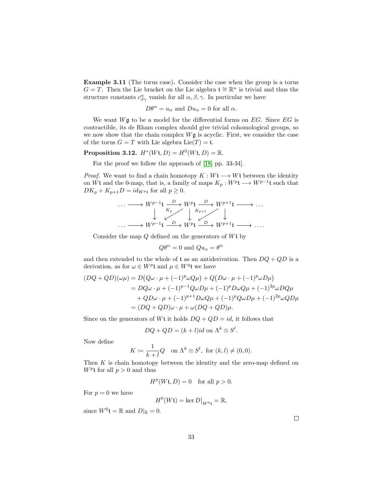Example 3.11 (The torus case). Consider the case when the group is a torus  $G = T$ . Then the Lie bracket on the Lie algebra  $\mathfrak{t} \cong \mathbb{R}^n$  is trivial and thus the structure constants  $c^{\alpha}_{\beta\gamma}$  vanish for all  $\alpha, \beta, \gamma$ . In particular we have

$$
D\theta^{\alpha} = u_{\alpha}
$$
 and  $Du_{\alpha} = 0$  for all  $\alpha$ .

We want  $W\mathfrak{g}$  to be a model for the differential forms on EG. Since EG is contractible, its de Rham complex should give trivial cohomological groups, so we now show that the chain complex  $W\mathfrak{g}$  is acyclic. First, we consider the case of the torus  $G = T$  with Lie algebra  $Lie(T) = t$ .

<span id="page-34-0"></span>**Proposition 3.12.**  $H^*(W_t, D) = H^0(W_t, D) = \mathbb{R}$ .

For the proof we follow the approach of [\[18,](#page-142-6) pp. 33-34].

*Proof.* We want to find a chain homotopy  $K : W \rightarrow W$ t between the identity on Wt and the 0-map, that is, a family of maps  $K_p: W^{p} \longrightarrow W^{p-1}$ t such that  $DK_p + K_{p+1}D = id_{W^p}$  for all  $p \geq 0$ .

$$
\cdots \longrightarrow W^{p-1} \mathfrak{t} \xrightarrow{D} W^{p} \mathfrak{t} \xrightarrow{D} W^{p+1} \mathfrak{t} \longrightarrow \cdots
$$
  

$$
\downarrow K_p \qquad \downarrow K_{p+1} \qquad \downarrow
$$
  

$$
\cdots \longrightarrow W^{p-1} \mathfrak{t} \xrightarrow{D} W^{p} \mathfrak{t} \xrightarrow{D} W^{p+1} \mathfrak{t} \longrightarrow \cdots
$$

Consider the map  $Q$  defined on the generators of  $Wt$  by

$$
Q\theta^{\alpha} = 0
$$
 and  $Qu_{\alpha} = \theta^{\alpha}$ 

and then extended to the whole of t as an antiderivation. Then  $DQ + QD$  is a derivation, as for  $\omega \in W^p$ t and  $\mu \in W^q$ t we have

$$
(DQ + QD)(\omega\mu) = D(Q\omega \cdot \mu + (-1)^p \omega Q\mu) + Q(D\omega \cdot \mu + (-1)^p \omega D\mu)
$$
  
=  $DQ\omega \cdot \mu + (-1)^{p-1}Q\omega D\mu + (-1)^p D\omega Q\mu + (-1)^{2p} \omega DQ\mu$   
+  $QD\omega \cdot \mu + (-1)^{p+1}D\omega Q\mu + (-1)^p Q\omega D\mu + (-1)^{2p} \omega QD\mu$   
=  $(DQ + QD)\omega \cdot \mu + \omega (DQ + QD)\mu$ .

Since on the generators of Wt it holds  $DQ + QD = id$ , it follows that

$$
DQ + QD = (k+l)id
$$
 on  $\Lambda^k \otimes S^l$ .

Now define

$$
K \coloneqq \frac{1}{k+l} Q \quad \text{on } \Lambda^k \otimes S^l, \text{ for } (k,l) \neq (0,0).
$$

Then  $K$  is chain homotopy between the identity and the zero-map defined on  $W^p$ t for all  $p > 0$  and thus

$$
H^p(Wt, D) = 0 \quad \text{for all } p > 0.
$$

For  $p = 0$  we have

$$
H^0(Wt) = \ker D\big|_{W^0t} = \mathbb{R},
$$

since  $W^0 \mathfrak{t} = \mathbb{R}$  and  $D|_{\mathbb{R}} = 0$ .

 $\Box$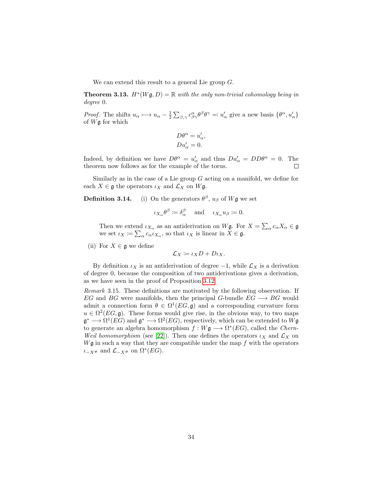We can extend this result to a general Lie group G.

**Theorem 3.13.**  $H^*(W\mathfrak{g}, D) = \mathbb{R}$  with the only non-trivial cohomology being in degree 0.

*Proof.* The shifts  $u_{\alpha} \mapsto u_{\alpha} - \frac{1}{2} \sum_{\beta, \gamma} c^{\alpha}_{\beta \gamma} \theta^{\beta} \theta^{\gamma} =: u_{\alpha}'$  give a new basis  $\{\theta^{\alpha}, u_{\alpha}'\}$ of  $W\mathfrak{g}$  for which

$$
D\theta^{\alpha} = u'_{\alpha},
$$
  

$$
Du'_{\alpha} = 0.
$$

Indeed, by definition we have  $D\theta^{\alpha} = u'_{\alpha}$  and thus  $Du'_{\alpha} = DD\theta^{\alpha} = 0$ . The theorem now follows as for the example of the torus.  $\Box$ 

Similarly as in the case of a Lie group  $G$  acting on a manifold, we define for each  $X \in \mathfrak{g}$  the operators  $\iota_X$  and  $\mathcal{L}_X$  on  $W\mathfrak{g}$ .

**Definition 3.14.** (i) On the generators  $\theta^{\beta}$ ,  $u_{\beta}$  of  $W\mathfrak{g}$  we set

$$
\iota_{X_{\alpha}}\theta^{\beta} \coloneqq \delta_{\alpha}^{\beta} \quad \text{ and } \quad \iota_{X_{\alpha}}u_{\beta} \coloneqq 0.
$$

Then we extend  $\iota_{X_\alpha}$  as an antiderivation on W $\mathfrak{g}$ . For  $X = \sum_\alpha c_\alpha X_\alpha \in \mathfrak{g}$ we set  $\iota_X \coloneqq \sum_{\alpha} c_{\alpha} \iota_{X_{\alpha}}$ , so that  $\iota_X$  is linear in  $X \in \mathfrak{g}$ .

(ii) For  $X \in \mathfrak{g}$  we define

$$
\mathcal{L}_X \coloneqq \iota_X D + D \iota_X.
$$

By definition  $\iota_X$  is an antiderivation of degree  $-1$ , while  $\mathcal{L}_X$  is a derivation of degree 0, because the composition of two antiderivations gives a derivation, as we have seen in the proof of Proposition [3.12.](#page-34-0)

Remark 3.15. These definitions are motivated by the following observation. If EG and BG were manifolds, then the principal G-bundle  $EG \longrightarrow BG$  would admit a connection form  $\theta \in \Omega^1(EG, \mathfrak{g})$  and a corresponding curvature form  $u \in \Omega^2(EG, \mathfrak{g})$ . These forms would give rise, in the obvious way, to two maps  $\mathfrak{g}^* \longrightarrow \Omega^1(EG)$  and  $\mathfrak{g}^* \longrightarrow \Omega^2(EG)$ , respectively, which can be extended to  $W\mathfrak{g}$ to generate an algebra homomorphism  $f: W\mathfrak{g} \longrightarrow \Omega^*(EG)$ , called the *Chern*-Weil homomorphism (see [\[22\]](#page-142-7)). Then one defines the operators  $\iota_X$  and  $\mathcal{L}_X$  on  $W\mathfrak{g}$  in such a way that they are compatible under the map  $f$  with the operators  $\iota_{-X^{\#}}$  and  $\mathcal{L}_{-X^{\#}}$  on  $\Omega^*(EG)$ .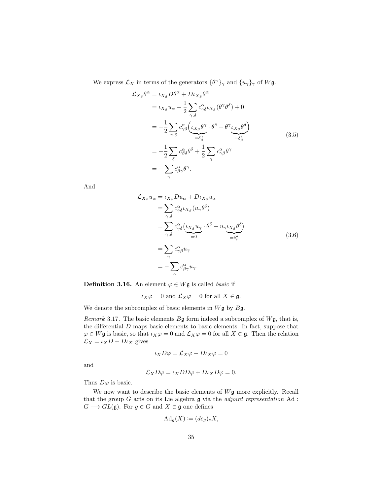We express  $\mathcal{L}_X$  in terms of the generators  $\{\theta^\gamma\}_{\gamma}$  and  $\{u_\gamma\}_{\gamma}$  of  $W\mathfrak{g}$ .

<span id="page-36-2"></span>
$$
\mathcal{L}_{X_{\beta}}\theta^{\alpha} = \iota_{X_{\beta}}D\theta^{\alpha} + D\iota_{X_{\beta}}\theta^{\alpha} \n= \iota_{X_{\beta}}\iota_{\alpha} - \frac{1}{2} \sum_{\gamma,\delta} c^{\alpha}_{\gamma\delta}\iota_{X_{\beta}}(\theta^{\gamma}\theta^{\delta}) + 0 \n= -\frac{1}{2} \sum_{\gamma,\delta} c^{\alpha}_{\gamma\delta} \left( \underbrace{\iota_{X_{\beta}}\theta^{\gamma}}_{=\delta^{\gamma}_{\beta}} \cdot \theta^{\delta} - \theta^{\gamma} \underbrace{\iota_{X_{\beta}}\theta^{\delta}}_{=\delta^{\delta}_{\beta}} \right) \n= -\frac{1}{2} \sum_{\delta} c^{\alpha}_{\beta\delta}\theta^{\delta} + \frac{1}{2} \sum_{\gamma} c^{\alpha}_{\gamma\beta}\theta^{\gamma} \n= -\sum_{\gamma} c^{\alpha}_{\beta\gamma}\theta^{\gamma}.
$$
\n(3.5)

And

<span id="page-36-0"></span>
$$
\mathcal{L}_{X_{\beta}} u_{\alpha} = \iota_{X_{\beta}} D u_{\alpha} + D \iota_{X_{\beta}} u_{\alpha} \n= \sum_{\gamma, \delta} c_{\gamma \delta}^{\alpha} \iota_{X_{\beta}} (u_{\gamma} \theta^{\delta}) \n= \sum_{\gamma, \delta} c_{\gamma \delta}^{\alpha} \left( \iota_{X_{\beta}} u_{\gamma} \cdot \theta^{\delta} + u_{\gamma} \iota_{X_{\beta}} \theta^{\delta} \right) \n= \sum_{\gamma} c_{\gamma \beta}^{\alpha} u_{\gamma} \n= - \sum_{\gamma} c_{\beta \gamma}^{\alpha} u_{\gamma}.
$$
\n(3.6)

**Definition 3.16.** An element  $\varphi \in W\mathfrak{g}$  is called *basic* if

$$
\iota_X \varphi = 0
$$
 and  $\mathcal{L}_X \varphi = 0$  for all  $X \in \mathfrak{g}$ .

We denote the subcomplex of basic elements in  $W\mathfrak{g}$  by  $B\mathfrak{g}$ .

<span id="page-36-1"></span>Remark 3.17. The basic elements  $B\mathfrak{g}$  form indeed a subcomplex of  $W\mathfrak{g}$ , that is, the differential  $D$  maps basic elements to basic elements. In fact, suppose that  $\varphi \in W\mathfrak{g}$  is basic, so that  $\iota_X\varphi = 0$  and  $\mathcal{L}_X\varphi = 0$  for all  $X \in \mathfrak{g}$ . Then the relation  $\mathcal{L}_X = \iota_X D + D \iota_X$  gives

$$
\iota_X D\varphi = \mathcal{L}_X \varphi - D\iota_X \varphi = 0
$$

and

$$
\mathcal{L}_X D\varphi = \iota_X DD\varphi + D\iota_X D\varphi = 0.
$$

Thus  $D\varphi$  is basic.

We now want to describe the basic elements of  $W\mathfrak{g}$  more explicitly. Recall that the group  $G$  acts on its Lie algebra  $\mathfrak g$  via the *adjoint representation*  $\operatorname{Ad}$  :  $G \longrightarrow GL(\mathfrak{g})$ . For  $g \in G$  and  $X \in \mathfrak{g}$  one defines

$$
\mathrm{Ad}_g(X) \coloneqq (dc_g)_e X,
$$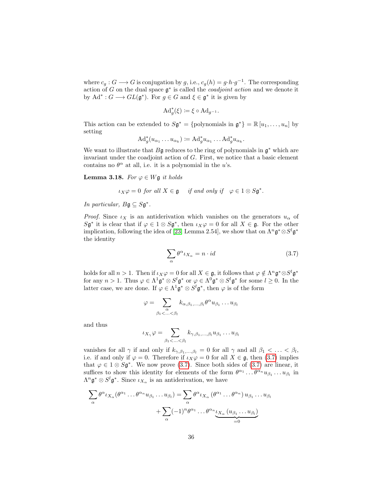where  $c_g : G \longrightarrow G$  is conjugation by g, i.e.,  $c_g(h) = g \cdot h \cdot g^{-1}$ . The corresponding action of G on the dual space  $\mathfrak{g}^*$  is called the *coadjoint action* and we denote it by  $\mathrm{Ad}^* : G \longrightarrow GL(\mathfrak{g}^*)$ . For  $g \in G$  and  $\xi \in \mathfrak{g}^*$  it is given by

$$
\mathrm{Ad}_g^*(\xi) \coloneqq \xi \circ \mathrm{Ad}_{g^{-1}}.
$$

This action can be extended to  $S\mathfrak{g}^* = \{$  polynomials in  $\mathfrak{g}^* = \mathbb{R} [u_1, \ldots, u_n]$  by setting

$$
\mathrm{Ad}^*_g(u_{\alpha_1}\ldots u_{\alpha_k}) \coloneqq \mathrm{Ad}^*_g u_{\alpha_1}\ldots \mathrm{Ad}^*_g u_{\alpha_k}.
$$

We want to illustrate that  $B\mathfrak{g}$  reduces to the ring of polynomials in  $\mathfrak{g}^*$  which are invariant under the coadjoint action of G. First, we notice that a basic element contains no  $\theta^{\alpha}$  at all, i.e. it is a polynomial in the u's.

<span id="page-37-1"></span>**Lemma 3.18.** For  $\varphi \in W\mathfrak{g}$  it holds

$$
\iota_X \varphi = 0 \text{ for all } X \in \mathfrak{g} \quad \text{ if and only if} \quad \varphi \in 1 \otimes S\mathfrak{g}^*.
$$

In particular,  $B\mathfrak{g} \subseteq S\mathfrak{g}^*$ .

*Proof.* Since  $\iota_X$  is an antiderivation which vanishes on the generators  $u_\alpha$  of  $S\mathfrak{g}^*$  it is clear that if  $\varphi \in 1 \otimes S\mathfrak{g}^*$ , then  $\iota_X \varphi = 0$  for all  $X \in \mathfrak{g}$ . For the other implication, following the idea of [\[23,](#page-142-0) Lemma 2.54], we show that on  $\Lambda^n \mathfrak{g}^* \otimes S^l \mathfrak{g}^*$ the identity

<span id="page-37-0"></span>
$$
\sum_{\alpha} \theta^{\alpha} \iota_{X_{\alpha}} = n \cdot id \tag{3.7}
$$

holds for all  $n > 1$ . Then if  $\iota_X \varphi = 0$  for all  $X \in \mathfrak{g}$ , it follows that  $\varphi \notin \Lambda^n \mathfrak{g}^* \otimes S^l \mathfrak{g}^*$ for any  $n > 1$ . Thus  $\varphi \in \Lambda^1 \mathfrak{g}^* \otimes S^l \mathfrak{g}^*$  or  $\varphi \in \Lambda^0 \mathfrak{g}^* \otimes S^l \mathfrak{g}^*$  for some  $l \geq 0$ . In the latter case, we are done. If  $\varphi \in \Lambda^1 \mathfrak{g}^* \otimes S^l \mathfrak{g}^*$ , then  $\varphi$  is of the form

$$
\varphi = \sum_{\substack{\alpha \\ \beta_1 < \ldots < \beta_l}} k_{\alpha,\beta_1,\ldots,\beta_l} \theta^{\alpha} u_{\beta_1} \ldots u_{\beta_l}
$$

and thus

$$
\iota_{X_{\gamma}}\varphi=\sum_{\beta_1<\ldots<\beta_l}k_{\gamma,\beta_1,\ldots,\beta_l}u_{\beta_1}\ldots u_{\beta_l}
$$

vanishes for all  $\gamma$  if and only if  $k_{\gamma,\beta_1,...,\beta_l} = 0$  for all  $\gamma$  and all  $\beta_1 < ... < \beta_l$ , i.e. if and only if  $\varphi = 0$ . Therefore if  $\iota_X \varphi = 0$  for all  $X \in \mathfrak{g}$ , then [\(3.7\)](#page-37-0) implies that  $\varphi \in 1 \otimes S\mathfrak{g}^*$ . We now prove [\(3.7\)](#page-37-0). Since both sides of (3.7) are linear, it suffices to show this identity for elements of the form  $\theta^{\alpha_1} \dots \theta^{\alpha_n} u_{\beta_1} \dots u_{\beta_l}$  in  $\Lambda^n \mathfrak{g}^* \otimes S^l \mathfrak{g}^*$ . Since  $\iota_{X_\alpha}$  is an antiderivation, we have

$$
\sum_{\alpha} \theta^{\alpha} \iota_{X_{\alpha}}(\theta^{\alpha_1} \dots \theta^{\alpha_n} u_{\beta_1} \dots u_{\beta_l}) = \sum_{\alpha} \theta^{\alpha} \iota_{X_{\alpha}}(\theta^{\alpha_1} \dots \theta^{\alpha_n}) u_{\beta_1} \dots u_{\beta_l}
$$

$$
+ \sum_{\alpha} (-1)^n \theta^{\alpha_1} \dots \theta^{\alpha_n} \underbrace{\iota_{X_{\alpha}}(u_{\beta_1} \dots u_{\beta_l})}_{=0}
$$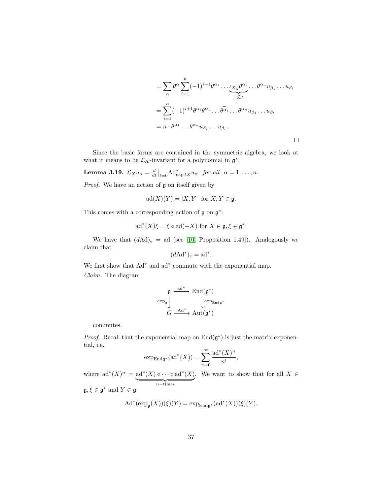$$
= \sum_{\alpha} \theta^{\alpha} \sum_{i=1}^{n} (-1)^{i+1} \theta^{\alpha_1} \cdots \underbrace{\iota_{X_{\alpha}} \theta^{\alpha_i}}_{=\delta_{\alpha}^{\alpha_i}} \cdots \theta^{\alpha_n} u_{\beta_1} \cdots u_{\beta_l}
$$
  

$$
= \sum_{i=1}^{n} (-1)^{i+1} \theta^{\alpha_i} \theta^{\alpha_1} \cdots \widehat{\theta^{\alpha_i}} \cdots \theta^{\alpha_n} u_{\beta_1} \cdots u_{\beta_l}
$$
  

$$
= n \cdot \theta^{\alpha_1} \cdots \theta^{\alpha_n} u_{\beta_1} \cdots u_{\beta_l}.
$$

 $\Box$ 

Since the basic forms are contained in the symmetric algebra, we look at what it means to be  $\mathcal{L}_X$ -invariant for a polynomial in  $\mathfrak{g}^*$ .

<span id="page-38-0"></span>**Lemma 3.19.**  $\mathcal{L}_X u_\alpha = \frac{d}{dt}\big|_{t=0} A d^*_{\exp tX} u_\alpha$  for all  $\alpha = 1, \ldots, n$ .

*Proof.* We have an action of  $\mathfrak g$  on itself given by

$$
ad(X)(Y) = [X, Y] \text{ for } X, Y \in \mathfrak{g}.
$$

This comes with a corresponding action of  $\mathfrak g$  on  $\mathfrak g^*$ :

$$
\mathrm{ad}^*(X)\xi = \xi \circ \mathrm{ad}(-X) \text{ for } X \in \mathfrak{g}, \xi \in \mathfrak{g}^*.
$$

We have that  $(d\text{Ad})_e = \text{ad}$  (see [\[10,](#page-141-0) Proposition 1.49]). Analogously we claim that

$$
(d\mathrm{Ad}^*)_e = \mathrm{ad}^*.
$$

We first show that  $Ad^*$  and  $ad^*$  commute with the exponential map. Claim. The diagram

$$
\mathfrak{g} \xrightarrow{\mathrm{ad}^*} \mathrm{End}(\mathfrak{g}^*) \\ \downarrow^{\exp_{\mathfrak{g}}\mathfrak{g}} \downarrow^{\exp_{\mathrm{End} \mathfrak{g}^*}} \\ G \xrightarrow{\mathrm{Ad}^*} \mathrm{Aut}(\mathfrak{g}^*)
$$

commutes.

*Proof.* Recall that the exponential map on  $\text{End}(\mathfrak{g}^*)$  is just the matrix exponential, i.e.

$$
\exp_{\mathrm{End}\mathfrak{g}^*}(\mathrm{ad}^*(X)) = \sum_{n=0}^{\infty} \frac{\mathrm{ad}^*(X)^n}{n!},
$$

where  $ad^*(X)^n = ad^*(X) \circ \cdots \circ ad^*(X)$  $n$ −times . We want to show that for all  $X \in$ 

 $\mathfrak{g}, \xi \in \mathfrak{g}^*$  and  $Y \in \mathfrak{g}$ :

$$
\mathrm{Ad}^*(\exp_{\mathfrak{g}}(X))(\xi)(Y)=\exp_{\mathrm{End}\mathfrak{g}^*}(\mathrm{ad}^*(X))(\xi)(Y).
$$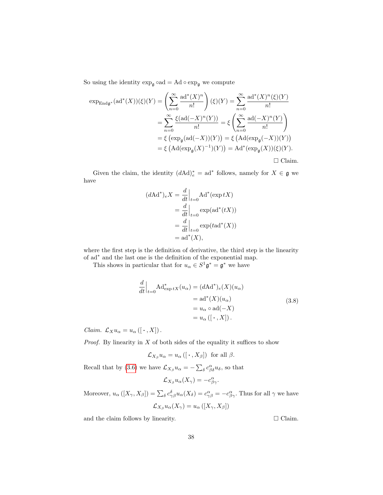So using the identity  $\exp_{\mathfrak{g}} \circ \mathrm{ad} = \mathrm{Ad} \circ \exp_{\mathfrak{g}}$  we compute

$$
\exp_{\text{End}\mathfrak{g}^*}(\text{ad}^*(X))(\xi)(Y) = \left(\sum_{n=0}^{\infty} \frac{\text{ad}^*(X)^n}{n!} \right)(\xi)(Y) = \sum_{n=0}^{\infty} \frac{\text{ad}^*(X)^n(\xi)(Y)}{n!}
$$

$$
= \sum_{n=0}^{\infty} \frac{\xi(\text{ad}(-X)^n(Y))}{n!} = \xi \left(\sum_{n=0}^{\infty} \frac{\text{ad}(-X)^n(Y)}{n!} \right)
$$

$$
= \xi \left(\exp_{\mathfrak{g}}(\text{ad}(-X))(Y)\right) = \xi \left(\text{Ad}(\exp_{\mathfrak{g}}(-X))(Y)\right)
$$

$$
= \xi \left(\text{Ad}(\exp_{\mathfrak{g}}(X)^{-1})(Y)\right) = \text{Ad}^*(\exp_{\mathfrak{g}}(X))(\xi)(Y).
$$

Given the claim, the identity  $(d\text{Ad})_e^* = \text{ad}^*$  follows, namely for  $X \in \mathfrak{g}$  we have

$$
(d\mathrm{Ad}^*)_e X = \frac{d}{dt}\Big|_{t=0} \mathrm{Ad}^*(\exp tX)
$$
  
= 
$$
\frac{d}{dt}\Big|_{t=0} \exp(\mathrm{ad}^*(tX))
$$
  
= 
$$
\frac{d}{dt}\Big|_{t=0} \exp(t\mathrm{ad}^*(X))
$$
  
= 
$$
\mathrm{ad}^*(X),
$$

where the first step is the definition of derivative, the third step is the linearity of ad<sup>∗</sup> and the last one is the definition of the exponential map.

This shows in particular that for  $u_{\alpha} \in S^1 \mathfrak{g}^* = \mathfrak{g}^*$  we have

$$
\frac{d}{dt}\Big|_{t=0} \text{Ad}^*_{\exp tX}(u_{\alpha}) = (d\text{Ad}^*)_e(X)(u_{\alpha})
$$
\n
$$
= \text{ad}^*(X)(u_{\alpha})
$$
\n
$$
= u_{\alpha} \circ \text{ad}(-X)
$$
\n
$$
= u_{\alpha}([{\cdot}, X]).
$$
\n(3.8)

Claim.  $\mathcal{L}_X u_\alpha = u_\alpha ([\cdot , X])$ .

*Proof.* By linearity in  $X$  of both sides of the equality it suffices to show

$$
\mathcal{L}_{X_{\beta}}u_{\alpha} = u_{\alpha}\left(\left[\cdot \right], X_{\beta}\right] \text{ for all } \beta.
$$

Recall that by [\(3.6\)](#page-36-0) we have  $\mathcal{L}_{X_{\beta}} u_{\alpha} = -\sum_{\delta} c^{\alpha}_{\beta \delta} u_{\delta}$ , so that

$$
\mathcal{L}_{X_{\beta}}u_{\alpha}(X_{\gamma})=-c^{\alpha}_{\beta\gamma}.
$$

Moreover,  $u_{\alpha}([X_{\gamma}, X_{\beta}]) = \sum_{\delta} c_{\gamma\beta}^{\delta} u_{\alpha}(X_{\delta}) = c_{\gamma\beta}^{\alpha} = -c_{\beta\gamma}^{\alpha}$ . Thus for all  $\gamma$  we have  $\mathcal{L}_{X_{\beta}} u_{\alpha}(X_{\gamma}) = u_{\alpha}([X_{\gamma}, X_{\beta}])$ 

and the claim follows by linearity.  $\Box$  Claim.

<span id="page-39-0"></span>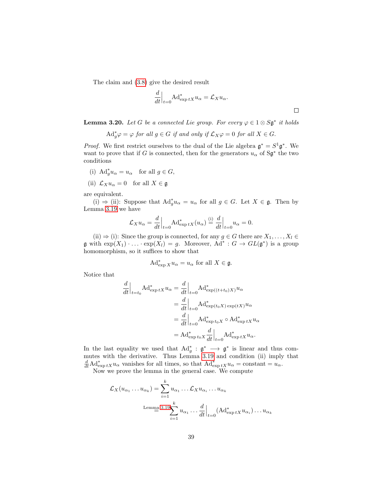The claim and [\(3.8\)](#page-39-0) give the desired result

$$
\frac{d}{dt}\Big|_{t=0} \text{Ad}^*_{\exp tX} u_{\alpha} = \mathcal{L}_X u_{\alpha}.
$$

<span id="page-40-0"></span>**Lemma 3.20.** Let G be a connected Lie group. For every  $\varphi \in 1 \otimes S\mathfrak{g}^*$  it holds

$$
\mathrm{Ad}_g^*\varphi = \varphi \text{ for all } g \in G \text{ if and only if } \mathcal{L}_X \varphi = 0 \text{ for all } X \in G.
$$

*Proof.* We first restrict ourselves to the dual of the Lie algebra  $\mathfrak{g}^* = S^1 \mathfrak{g}^*$ . We want to prove that if G is connected, then for the generators  $u_{\alpha}$  of  $S\mathfrak{g}^*$  the two conditions

- (i)  $\text{Ad}_{g}^{*} u_{\alpha} = u_{\alpha} \text{ for all } g \in G,$
- (ii)  $\mathcal{L}_X u_\alpha = 0$  for all  $X \in \mathfrak{g}$

are equivalent.

(i)  $\Rightarrow$  (ii): Suppose that  $\mathrm{Ad}^*_g u_\alpha = u_\alpha$  for all  $g \in G$ . Let  $X \in \mathfrak{g}$ . Then by Lemma [3.19](#page-38-0) we have

$$
\mathcal{L}_X u_\alpha = \frac{d}{dt}\Big|_{t=0} \mathrm{Ad}^*_{\exp tX}(u_\alpha) \stackrel{\text{(i)}}{=} \frac{d}{dt}\Big|_{t=0} u_\alpha = 0.
$$

(ii)  $\Rightarrow$  (i): Since the group is connected, for any  $g \in G$  there are  $X_1, \ldots, X_l \in$  $\mathfrak g$  with  $\exp(X_1) \cdot \ldots \cdot \exp(X_l) = g$ . Moreover,  $\text{Ad}^* : G \to GL(\mathfrak g^*)$  is a group homomorphism, so it suffices to show that

$$
\operatorname{Ad}^*_{\exp X} u_\alpha = u_\alpha \text{ for all } X \in \mathfrak{g}.
$$

Notice that

$$
\frac{d}{dt}\Big|_{t=t_0} \text{Ad}^*_{\exp tX} u_{\alpha} = \frac{d}{dt}\Big|_{t=0} \text{Ad}^*_{\exp((t+t_0)X)} u_{\alpha}
$$
\n
$$
= \frac{d}{dt}\Big|_{t=0} \text{Ad}^*_{\exp(t_0 X) \exp(tX)} u_{\alpha}
$$
\n
$$
= \frac{d}{dt}\Big|_{t=0} \text{Ad}^*_{\exp t_0 X} \circ \text{Ad}^*_{\exp tX} u_{\alpha}
$$
\n
$$
= \text{Ad}^*_{\exp t_0 X} \frac{d}{dt}\Big|_{t=0} \text{Ad}^*_{\exp tX} u_{\alpha}.
$$

In the last equality we used that  $\operatorname{Ad}^*_g : \mathfrak{g}^* \longrightarrow \mathfrak{g}^*$  is linear and thus commutes with the derivative. Thus Lemma [3.19](#page-38-0) and condition (ii) imply that  $\frac{d}{dt} \text{Ad}^*_{\exp tX} u_\alpha$  vanishes for all times, so that  $\text{Ad}^*_{\exp tX} u_\alpha = \text{constant} = u_\alpha$ .

Now we prove the lemma in the general case. We compute

$$
\mathcal{L}_X(u_{\alpha_1}\dots u_{\alpha_k}) = \sum_{i=1}^k u_{\alpha_1}\dots \mathcal{L}_X u_{\alpha_i}\dots u_{\alpha_k}
$$
  
Lemma 3.19
$$
\sum_{i=1}^k u_{\alpha_1}\dots \frac{d}{dt}\Big|_{t=0} (Ad^*_{\exp tX}u_{\alpha_i})\dots u_{\alpha_k}
$$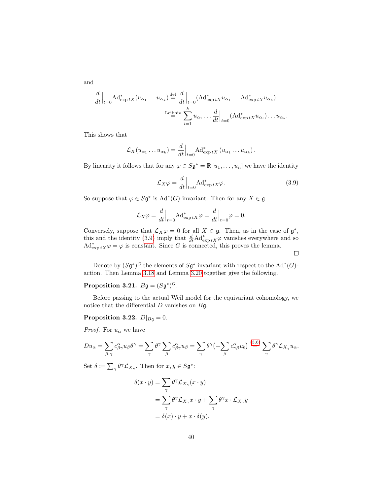and

$$
\frac{d}{dt}\Big|_{t=0} \text{Ad}^*_{\exp tX}(u_{\alpha_1}\dots u_{\alpha_k}) \stackrel{\text{def}}{=} \frac{d}{dt}\Big|_{t=0} (\text{Ad}^*_{\exp tX} u_{\alpha_1}\dots \text{Ad}^*_{\exp tX} u_{\alpha_k})
$$
\n
$$
\text{Leibniz } \sum_{i=1}^k u_{\alpha_1}\dots \frac{d}{dt}\Big|_{t=0} (\text{Ad}^*_{\exp tX} u_{\alpha_i})\dots u_{\alpha_k}.
$$

This shows that

$$
\mathcal{L}_X(u_{\alpha_1}\dots u_{\alpha_k})=\frac{d}{dt}\Big|_{t=0}A\mathrm{d}_{\exp tX}^*(u_{\alpha_1}\dots u_{\alpha_k}).
$$

By linearity it follows that for any  $\varphi \in S\mathfrak{g}^* = \mathbb{R} [u_1, \ldots, u_n]$  we have the identity

$$
\mathcal{L}_X \varphi = \frac{d}{dt} \Big|_{t=0} \text{Ad}^*_{\exp tX} \varphi.
$$
\n(3.9)

So suppose that  $\varphi \in S\mathfrak{g}^*$  is  $\text{Ad}^*(G)$ -invariant. Then for any  $X \in \mathfrak{g}$ 

$$
\mathcal{L}_X \varphi = \frac{d}{dt}\Big|_{t=0} \text{Ad}^*_{\exp tX} \varphi = \frac{d}{dt}\Big|_{t=0} \varphi = 0.
$$

Conversely, suppose that  $\mathcal{L}_X\varphi=0$  for all  $X\in\mathfrak{g}$ . Then, as in the case of  $\mathfrak{g}^*$ , this and the identity [\(3.9\)](#page-41-0) imply that  $\frac{d}{dt} \text{Ad}^*_{\text{exp} tX} \varphi$  vanishes everywhere and so  $\mathrm{Ad}^*_{\exp tX}\varphi=\varphi$  is constant. Since G is connected, this proves the lemma.

<span id="page-41-0"></span> $\Box$ 

Denote by  $(S\mathfrak{g}^*)^G$  the elements of  $S\mathfrak{g}^*$  invariant with respect to the  $\text{Ad}^*(G)$ action. Then Lemma [3.18](#page-37-1) and Lemma [3.20](#page-40-0) together give the following.

### Proposition 3.21.  $B\mathfrak{g} = (S\mathfrak{g}^*)^G$ .

Before passing to the actual Weil model for the equivariant cohomology, we notice that the differential  $D$  vanishes on  $B\mathfrak{g}$ .

Proposition 3.22.  $D|_{B\mathfrak{g}}=0$ .

*Proof.* For  $u_{\alpha}$  we have

$$
Du_{\alpha} = \sum_{\beta,\gamma} c^{\alpha}_{\beta\gamma} u_{\beta} \theta^{\gamma} = \sum_{\gamma} \theta^{\gamma} \sum_{\beta} c^{\alpha}_{\beta\gamma} u_{\beta} = \sum_{\gamma} \theta^{\gamma} \left( - \sum_{\beta} c^{\alpha}_{\gamma\beta} u_{b} \right) \stackrel{(3.6)}{=} \sum_{\gamma} \theta^{\gamma} \mathcal{L}_{X_{\gamma}} u_{\alpha}.
$$

Set  $\delta \coloneqq \sum_{\gamma} \theta^{\gamma} \mathcal{L}_{X_{\gamma}}$ . Then for  $x, y \in S \mathfrak{g}^*$ :

$$
\delta(x \cdot y) = \sum_{\gamma} \theta^{\gamma} \mathcal{L}_{X_{\gamma}}(x \cdot y)
$$
  
= 
$$
\sum_{\gamma} \theta^{\gamma} \mathcal{L}_{X_{\gamma}} x \cdot y + \sum_{\gamma} \theta^{\gamma} x \cdot \mathcal{L}_{X_{\gamma}} y
$$
  
= 
$$
\delta(x) \cdot y + x \cdot \delta(y).
$$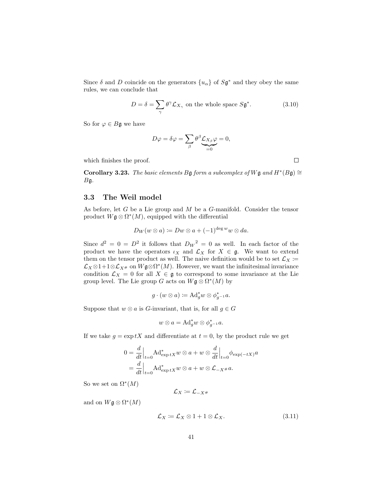Since  $\delta$  and D coincide on the generators  $\{u_{\alpha}\}\$  of  $S\mathfrak{g}^*$  and they obey the same rules, we can conclude that

$$
D = \delta = \sum_{\gamma} \theta^{\gamma} \mathcal{L}_{X_{\gamma}}
$$
 on the whole space  $S\mathfrak{g}^*$ . (3.10)

So for  $\varphi \in B\mathfrak{g}$  we have

$$
D\varphi = \delta\varphi = \sum_{\beta} \theta^{\beta} \underbrace{C_{X_{\beta}} \varphi}_{=0} = 0,
$$

which finishes the proof.

Corollary 3.23. The basic elements Bg form a subcomplex of Wg and  $H^*(B\mathfrak{g}) \cong$  $B\mathfrak{g}$ .

### 3.3 The Weil model

As before, let G be a Lie group and M be a G-manifold. Consider the tensor product  $W$ **g**  $\otimes \Omega^*(M)$ , equipped with the differential

$$
D_W(w\otimes a):=Dw\otimes a+(-1)^{\deg w}w\otimes da.
$$

Since  $d^2 = 0 = D^2$  it follows that  $D_W^2 = 0$  as well. In each factor of the product we have the operators  $\iota_X$  and  $\mathcal{L}_X$  for  $X \in \mathfrak{g}$ . We want to extend them on the tensor product as well. The naive definition would be to set  $\mathcal{L}_X \coloneqq$  $\mathcal{L}_X \otimes 1+1 \otimes \mathcal{L}_{X^{\#}}$  on  $W\mathfrak{g} \otimes \Omega^*(M)$ . However, we want the infinitesimal invariance condition  $\mathcal{L}_X = 0$  for all  $X \in \mathfrak{g}$  to correspond to some invariance at the Lie group level. The Lie group G acts on  $W\mathfrak{g}\otimes \Omega^*(M)$  by

$$
g \cdot (w \otimes a) \coloneqq \mathrm{Ad}^*_g w \otimes \phi^*_{g^{-1}} a.
$$

Suppose that  $w \otimes a$  is G-invariant, that is, for all  $g \in G$ 

$$
w \otimes a = \mathrm{Ad}^*_g w \otimes \phi_{g^{-1}}^* a.
$$

If we take  $g = \exp tX$  and differentiate at  $t = 0$ , by the product rule we get

$$
0 = \frac{d}{dt}\Big|_{t=0} \text{Ad}^*_{\exp tX} w \otimes a + w \otimes \frac{d}{dt}\Big|_{t=0} \phi_{\exp(-tX)} a
$$
  
= 
$$
\frac{d}{dt}\Big|_{t=0} \text{Ad}^*_{\exp tX} w \otimes a + w \otimes \mathcal{L}_{-X} \neq a.
$$

So we set on  $\Omega^*(M)$ 

<span id="page-42-0"></span>
$$
\mathcal{L}_X\coloneqq\mathcal{L}_{-X^\#}
$$

and on  $W\mathfrak{g}\otimes \Omega^*(M)$ 

$$
\mathcal{L}_X := \mathcal{L}_X \otimes 1 + 1 \otimes \mathcal{L}_X. \tag{3.11}
$$

<span id="page-42-1"></span> $\Box$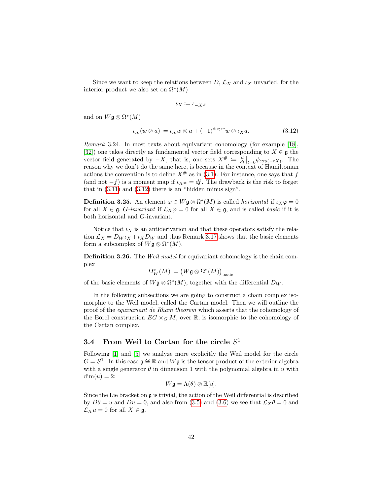Since we want to keep the relations between  $D, \mathcal{L}_X$  and  $\iota_X$  unvaried, for the interior product we also set on  $\Omega^*(M)$ 

<span id="page-43-0"></span>
$$
\iota_X\coloneqq \iota_{-X^\#}
$$

and on  $W\mathfrak{g}\otimes \Omega^*(M)$ 

$$
\iota_X(w \otimes a) \coloneqq \iota_X w \otimes a + (-1)^{\deg w} w \otimes \iota_X a. \tag{3.12}
$$

Remark 3.24. In most texts about equivariant cohomology (for example [\[18\]](#page-142-1), [\[32\]](#page-143-0)) one takes directly as fundamental vector field corresponding to  $X \in \mathfrak{g}$  the vector field generated by  $-X$ , that is, one sets  $X^{\#} := \frac{d}{dt}\Big|_{t=0} \phi_{\exp(-tX)}$ . The reason why we don't do the same here, is because in the context of Hamiltonian actions the convention is to define  $X^{\#}$  as in [\(3.1\)](#page-27-0). For instance, one says that f (and not  $-f$ ) is a moment map if  $\iota_{X^{\#}} = df$ . The drawback is the risk to forget that in [\(3.11\)](#page-42-0) and [\(3.12\)](#page-43-0) there is an "hidden minus sign".

**Definition 3.25.** An element  $\varphi \in W \mathfrak{g} \otimes \Omega^*(M)$  is called *horizontal* if  $\iota_X \varphi = 0$ for all  $X \in \mathfrak{g}$ , *G*-invariant if  $\mathcal{L}_X\varphi = 0$  for all  $X \in \mathfrak{g}$ , and is called basic if it is both horizontal and G-invariant.

Notice that  $\iota_X$  is an antiderivation and that these operators satisfy the relation  $\mathcal{L}_X = D_W \iota_X + \iota_X D_W$  and thus Remark [3.17](#page-36-1) shows that the basic elements form a subcomplex of  $W \mathfrak{g} \otimes \Omega^*(M)$ .

Definition 3.26. The Weil model for equivariant cohomology is the chain complex

$$
\Omega^*_W(M) \coloneqq \big( W\mathfrak{g} \otimes \Omega^*(M) \big)_{\text{basic}}
$$

of the basic elements of  $W\mathfrak{g} \otimes \Omega^*(M)$ , together with the differential  $D_W$ .

In the following subsections we are going to construct a chain complex isomorphic to the Weil model, called the Cartan model. Then we will outline the proof of the equivariant de Rham theorem which asserts that the cohomology of the Borel construction  $EG \times_G M$ , over  $\mathbb{R}$ , is isomorphic to the cohomology of the Cartan complex.

## <span id="page-43-1"></span>3.4 From Weil to Cartan for the circle  $S^1$

Following [\[1\]](#page-141-1) and [\[5\]](#page-141-2) we analyze more explicitly the Weil model for the circle  $G = S^1$ . In this case  $\mathfrak{g} \cong \mathbb{R}$  and  $W\mathfrak{g}$  is the tensor product of the exterior algebra with a single generator  $\theta$  in dimension 1 with the polynomial algebra in u with  $dim(u) = 2$ :

$$
W\mathfrak{g}=\Lambda(\theta)\otimes\mathbb{R}[u].
$$

Since the Lie bracket on g is trivial, the action of the Weil differential is described by  $D\theta = u$  and  $Du = 0$ , and also from [\(3.5\)](#page-36-2) and [\(3.6\)](#page-36-0) we see that  $\mathcal{L}_X\theta = 0$  and  $\mathcal{L}_X u = 0$  for all  $X \in \mathfrak{g}$ .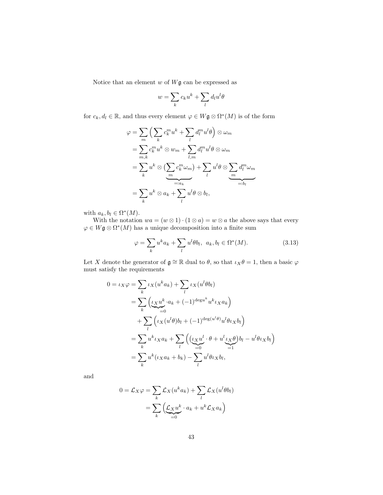Notice that an element  $w$  of  $W\mathfrak{g}$  can be expressed as

$$
w = \sum_{k} c_k u^k + \sum_{l} d_l u^l \theta
$$

for  $c_k, d_l \in \mathbb{R}$ , and thus every element  $\varphi \in W\mathfrak{g} \otimes \Omega^*(M)$  is of the form

$$
\varphi = \sum_{m} \left( \sum_{k} c_{k}^{m} u^{k} + \sum_{l} d_{l}^{m} u^{l} \theta \right) \otimes \omega_{m}
$$
  
\n
$$
= \sum_{m,k} c_{k}^{m} u^{k} \otimes w_{m} + \sum_{l,m} d_{l}^{m} u^{l} \theta \otimes \omega_{m}
$$
  
\n
$$
= \sum_{k} u^{k} \otimes \left( \sum_{m} c_{k}^{m} \omega_{m} \right) + \sum_{l} u^{l} \theta \otimes \sum_{m} d_{l}^{m} \omega_{m}
$$
  
\n
$$
= \sum_{k} u^{k} \otimes a_{k} + \sum_{l} u^{l} \theta \otimes b_{l},
$$

with  $a_k, b_l \in \Omega^*(M)$ .

With the notation  $wa = (w \otimes 1) \cdot (1 \otimes a) = w \otimes a$  the above says that every  $\varphi \in W$ **g**  $\otimes \Omega^*(M)$  has a unique decomposition into a finite sum

<span id="page-44-0"></span>
$$
\varphi = \sum_{k} u^{k} a_{k} + \sum_{l} u^{l} \theta b_{l}, \ a_{k}, b_{l} \in \Omega^{*}(M). \tag{3.13}
$$

Let X denote the generator of  $\mathfrak{g} \cong \mathbb{R}$  dual to  $\theta$ , so that  $\iota_X \theta = 1$ , then a basic  $\varphi$ must satisfy the requirements

$$
0 = \iota_X \varphi = \sum_k \iota_X(u^k a_k) + \sum_l \iota_X(u^l \theta b_l)
$$
  
= 
$$
\sum_k \left( \underbrace{\iota_X u^k}_{=0} \cdot a_k + (-1)^{\deg u^k} u^k \iota_X a_k \right)
$$
  
+ 
$$
\sum_l \left( \iota_X(u^l \theta) b_l + (-1)^{\deg(u^l \theta)} u^l \theta \iota_X b_l \right)
$$
  
= 
$$
\sum_k u^k \iota_X a_k + \sum_l \left( \underbrace{\iota_X u^l}_{=0} \cdot \theta + u^l \underbrace{\iota_X \theta}_{=1} b_l - u^l \theta \iota_X b_l \right)
$$
  
= 
$$
\sum_k u^k (\iota_X a_k + b_k) - \sum_l u^l \theta \iota_X b_l,
$$

and

$$
0 = \mathcal{L}_X \varphi = \sum_k \mathcal{L}_X (u^k a_k) + \sum_l \mathcal{L}_X (u^l \theta b_l)
$$

$$
= \sum_k \left( \underbrace{\mathcal{L}_X u^k}_{=0} \cdot a_k + u^k \mathcal{L}_X a_k \right)
$$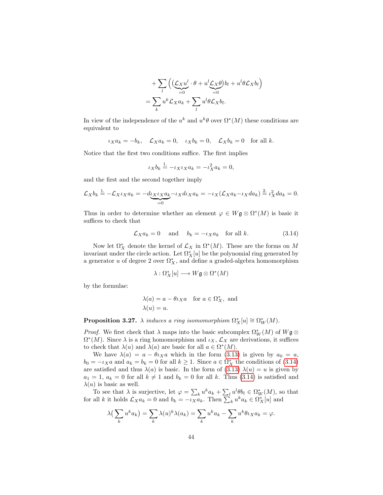$$
+\sum_{l}\left(\underbrace{(\mathcal{L}_{X}u^{l}}_{=0}\cdot\theta+u^{l}\underbrace{\mathcal{L}_{X}\theta}_{=0})b_{l}+u^{l}\theta\mathcal{L}_{X}b_{l}\right)
$$

$$
=\sum_{k}u^{k}\mathcal{L}_{X}a_{k}+\sum_{l}u^{l}\theta\mathcal{L}_{X}b_{l}.
$$

In view of the independence of the  $u^k$  and  $u^k\theta$  over  $\Omega^*(M)$  these conditions are equivalent to

$$
\iota_X a_k = -b_k, \quad \mathcal{L}_X a_k = 0, \quad \iota_X b_k = 0, \quad \mathcal{L}_X b_k = 0 \quad \text{for all } k.
$$

Notice that the first two conditions suffice. The first implies

$$
\iota_X b_k \stackrel{1}{=} -\iota_X \iota_X a_k = -\iota_X^2 a_k = 0,
$$

and the first and the second together imply

$$
\mathcal{L}_X b_k \stackrel{1}{=} -\mathcal{L}_X \iota_X a_k = -\underset{=0}{\underbrace{d_X \iota_X a_k}} - \iota_X d \iota_X a_k = -\iota_X (\mathcal{L}_X a_k - \iota_X d a_k) \stackrel{2}{=} \iota_X^2 d a_k = 0.
$$

Thus in order to determine whether an element  $\varphi \in W \mathfrak{g} \otimes \Omega^*(M)$  is basic it suffices to check that

$$
\mathcal{L}_X a_k = 0 \quad \text{and} \quad b_k = -\iota_X a_k \quad \text{for all } k. \tag{3.14}
$$

Now let  $\Omega^*_{X}$  denote the kernel of  $\mathcal{L}_{X}$  in  $\Omega^*(M)$ . These are the forms on M invariant under the circle action. Let  $\Omega^*_X[u]$  be the polynomial ring generated by a generator  $u$  of degree  $2$  over  $\Omega^*_X,$  and define a graded-algebra homomorphism

<span id="page-45-0"></span>
$$
\lambda:\Omega^*_{X}[u]\longrightarrow W\mathfrak{g}\otimes \Omega^*(M)
$$

by the formulae:

$$
\lambda(a) = a - \theta \iota_X a \quad \text{for } a \in \Omega_X^*, \text{ and}
$$

$$
\lambda(u) = u.
$$

**Proposition 3.27.**  $\lambda$  induces a ring isomomorphism  $\Omega_X^*[u] \cong \Omega_W^*(M)$ .

*Proof.* We first check that  $\lambda$  maps into the basic subcomplex  $\Omega^*_W(M)$  of  $W\mathfrak{g} \otimes$  $\Omega^*(M)$ . Since  $\lambda$  is a ring homomorphism and  $\iota_X, \mathcal{L}_X$  are derivations, it suffices to check that  $\lambda(u)$  and  $\lambda(a)$  are basic for all  $a \in \Omega^*(M)$ .

We have  $\lambda(a) = a - \theta \iota_X a$  which in the form [\(3.13\)](#page-44-0) is given by  $a_0 = a$ ,  $b_0 = -\iota_X a$  and  $a_k = b_k = 0$  for all  $k \ge 1$ . Since  $a \in \Omega^*_X$  the conditions of  $(3.14)$ are satisfied and thus  $\lambda(a)$  is basic. In the form of [\(3.13\)](#page-44-0)  $\lambda(u) = u$  is given by  $a_1 = 1, a_k = 0$  for all  $k \neq 1$  and  $b_k = 0$  for all k. Thus [\(3.14\)](#page-45-0) is satisfied and  $\lambda(u)$  is basic as well.

To see that  $\lambda$  is surjective, let  $\varphi = \sum_k u^k a_k + \sum_l u^l \theta b_l \in \Omega^*_W(M)$ , so that for all k it holds  $\mathcal{L}_X a_k = 0$  and  $b_k = -\overline{\iota_X} \overline{a}_k$ . Then  $\sum_k u^k a_k \in \Omega_X^*[u]$  and

$$
\lambda\left(\sum_{k} u^{k} a_{k}\right) = \sum_{k} \lambda(u)^{k} \lambda(a_{k}) = \sum_{k} u^{k} a_{k} - \sum_{k} u^{k} \theta_{k} a_{k} = \varphi.
$$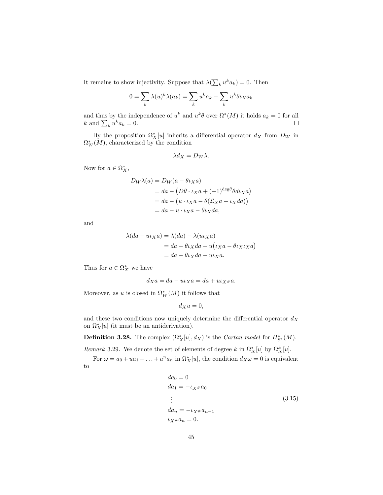It remains to show injectivity. Suppose that  $\lambda(\sum_k u^k a_k) = 0$ . Then

$$
0 = \sum_{k} \lambda(u)^{k} \lambda(a_{k}) = \sum_{k} u^{k} a_{k} - \sum_{k} u^{k} \theta \iota_{X} a_{k}
$$

and thus by the independence of  $u^k$  and  $u^k\theta$  over  $\Omega^*(M)$  it holds  $a_k = 0$  for all k and  $\sum_k u^k a_k = 0$ .  $\Box$ 

By the proposition  $\Omega^*_{X}[u]$  inherits a differential operator  $d_X$  from  $D_W$  in  $\Omega^*_W(M)$ , characterized by the condition

$$
\lambda d_X = D_W \lambda.
$$

Now for  $a \in \Omega_X^*$ ,

$$
D_W \lambda(a) = D_W(a - \theta \iota_X a)
$$
  
=  $da - (D\theta \cdot \iota_X a + (-1)^{\deg \theta} \theta d \iota_X a)$   
=  $da - (u \cdot \iota_X a - \theta (\mathcal{L}_X a - \iota_X da))$   
=  $da - u \cdot \iota_X a - \theta \iota_X da$ ,

and

$$
\lambda(da - uxa) = \lambda(da) - \lambda(uxxa)
$$
  
= da - \theta \iota\_X da - u(\iota\_X a - \theta \iota\_X \iota\_X a)  
= da - \theta \iota\_X da - uxa.

Thus for  $a \in \Omega_X^*$  we have

$$
d_X a = da - u \iota_X a = da + u \iota_{X^\#} a.
$$

Moreover, as u is closed in  $\Omega^*_{W}(M)$  it follows that

$$
d_Xu=0,
$$

and these two conditions now uniquely determine the differential operator  $d_X$ on  $\Omega_X^*[u]$  (it must be an antiderivation).

**Definition 3.28.** The complex  $(\Omega_X^*[u], d_X)$  is the *Cartan model* for  $H_{S^1}^*(M)$ .

Remark 3.29. We denote the set of elements of degree k in  $\Omega^*_{X}[u]$  by  $\Omega^k_{X}[u]$ .

For  $\omega = a_0 + ua_1 + ... + u^n a_n$  in  $\Omega_X^*[u]$ , the condition  $d_X \omega = 0$  is equivalent to

<span id="page-46-0"></span>
$$
da_0 = 0\nda_1 = -\iota_{X} * a_0\n\vdots\nda_n = -\iota_{X} * a_{n-1}\n\iota_{X} * a_n = 0.
$$
\n(3.15)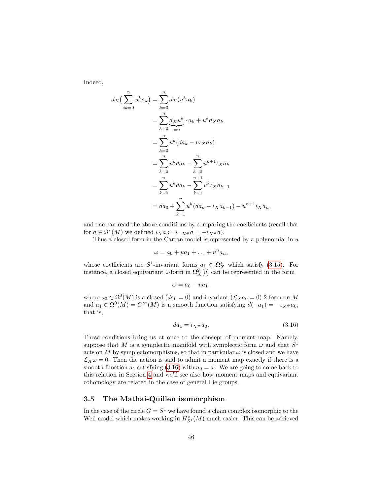Indeed,

$$
d_X\left(\sum_{ik=0}^n u^k a_k\right) = \sum_{k=0}^n d_X(u^k a_k)
$$
  
= 
$$
\sum_{k=0}^n \underbrace{d_X u^k}_{=0} \cdot a_k + u^k d_X a_k
$$
  
= 
$$
\sum_{k=0}^n u^k (da_k - u_k a_k)
$$
  
= 
$$
\sum_{k=0}^n u^k da_k - \sum_{k=0}^n u^{k+1} u_k a_k
$$
  
= 
$$
\sum_{k=0}^n u^k da_k - \sum_{k=1}^{n+1} u^k u_k a_{k-1}
$$
  
= 
$$
da_0 + \sum_{k=1}^n u^k (da_k - u_k a_{k-1}) - u^{n+1} u_k a_n,
$$

and one can read the above conditions by comparing the coefficients (recall that for  $a \in \Omega^*(M)$  we defined  $\iota_X a \coloneqq \iota_{-X^*} a = -\iota_{X^*} a$ .

Thus a closed form in the Cartan model is represented by a polynomial in  $u$ 

$$
\omega = a_0 + ua_1 + \ldots + u^n a_n,
$$

whose coefficients are  $S^1$ -invariant forms  $a_i \in \Omega^*_X$  which satisfy [\(3.15\)](#page-46-0). For instance, a closed equivariant 2-form in  $\Omega_X^2[u]$  can be represented in the form

$$
\omega = a_0 - ua_1,
$$

where  $a_0 \in \Omega^2(M)$  is a closed  $(da_0 = 0)$  and invariant  $(\mathcal{L}_X a_0 = 0)$  2-form on M and  $a_1 \in \Omega^0(M) = C^\infty(M)$  is a smooth function satisfying  $d(-a_1) = -\iota_{X^*} a_0$ , that is,

<span id="page-47-0"></span>
$$
da_1 = \iota_{X^{\#}} a_0. \tag{3.16}
$$

These conditions bring us at once to the concept of moment map. Namely, suppose that M is a symplectic manifold with symplectic form  $\omega$  and that  $S^1$ acts on M by symplectomorphisms, so that in particular  $\omega$  is closed and we have  $\mathcal{L}_X \omega = 0$ . Then the action is said to admit a moment map exactly if there is a smooth function  $a_1$  satisfying [\(3.16\)](#page-47-0) with  $a_0 = \omega$ . We are going to come back to this relation in Section [4](#page-57-0) and we'll see also how moment maps and equivariant cohomology are related in the case of general Lie groups.

### 3.5 The Mathai-Quillen isomorphism

In the case of the circle  $G = S^1$  we have found a chain complex isomorphic to the Weil model which makes working in  $H_{S^1}^*(M)$  much easier. This can be achieved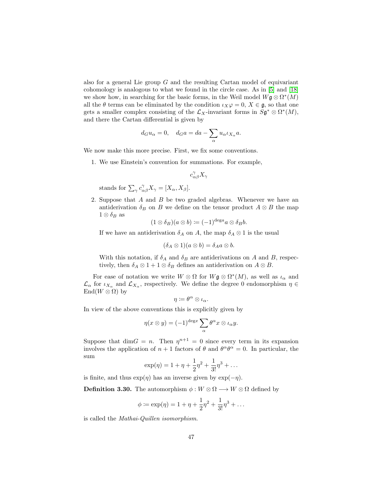also for a general Lie group  $G$  and the resulting Cartan model of equivariant cohomology is analogous to what we found in the circle case. As in [\[5\]](#page-141-2) and [\[18\]](#page-142-1) we show how, in searching for the basic forms, in the Weil model  $W\mathfrak{g}\otimes \Omega^*(M)$ all the  $\theta$  terms can be eliminated by the condition  $\iota_X\varphi=0, X \in \mathfrak{g}$ , so that one gets a smaller complex consisting of the  $\mathcal{L}_X$ -invariant forms in  $S\mathfrak{g}^* \otimes \Omega^*(M)$ , and there the Cartan differential is given by

$$
d_G u_\alpha = 0
$$
,  $d_G a = da - \sum_\alpha u_\alpha \iota_{X_\alpha} a$ .

We now make this more precise. First, we fix some conventions.

1. We use Einstein's convention for summations. For example,

$$
c_{\alpha\beta}^{\gamma}X_{\gamma}
$$

stands for  $\sum_{\gamma} c_{\alpha\beta}^{\gamma} X_{\gamma} = [X_{\alpha}, X_{\beta}].$ 

2. Suppose that A and B be two graded algebras. Whenever we have an antiderivation  $\delta_B$  on B we define on the tensor product  $A \otimes B$  the map  $1 \otimes \delta_B$  as

$$
(1 \otimes \delta_B)(a \otimes b) \coloneqq (-1)^{\deg a} a \otimes \delta_B b.
$$

If we have an antiderivation  $\delta_A$  on A, the map  $\delta_A \otimes 1$  is the usual

$$
(\delta_A \otimes 1)(a \otimes b) = \delta_A a \otimes b.
$$

With this notation, if  $\delta_A$  and  $\delta_B$  are antiderivations on A and B, respectively, then  $\delta_A \otimes 1 + 1 \otimes \delta_B$  defines an antiderivation on  $A \otimes B$ .

For ease of notation we write  $W \otimes \Omega$  for  $W \mathfrak{g} \otimes \Omega^*(M)$ , as well as  $\iota_{\alpha}$  and  $\mathcal{L}_{\alpha}$  for  $\iota_{X_{\alpha}}$  and  $\mathcal{L}_{X_{\alpha}}$ , respectively. We define the degree 0 endomorphism  $\eta \in$  $\text{End}(W \otimes \Omega)$  by

$$
\eta \coloneqq \theta^\alpha \otimes \iota_\alpha.
$$

In view of the above conventions this is explicitly given by

$$
\eta(x \otimes y) = (-1)^{\deg x} \sum_{\alpha} \theta^{\alpha} x \otimes \iota_{\alpha} y.
$$

Suppose that  $\dim G = n$ . Then  $\eta^{n+1} = 0$  since every term in its expansion involves the application of  $n + 1$  factors of  $\theta$  and  $\theta^{\alpha} \theta^{\alpha} = 0$ . In particular, the sum

$$
\exp(\eta) = 1 + \eta + \frac{1}{2}\eta^2 + \frac{1}{3!}\eta^3 + \dots
$$

is finite, and thus  $\exp(\eta)$  has an inverse given by  $\exp(-\eta)$ .

**Definition 3.30.** The automorphism  $\phi : W \otimes \Omega \longrightarrow W \otimes \Omega$  defined by

$$
\phi \coloneqq \exp(\eta) = 1 + \eta + \frac{1}{2}\eta^2 + \frac{1}{3!}\eta^3 + \dots
$$

is called the Mathai-Quillen isomorphism.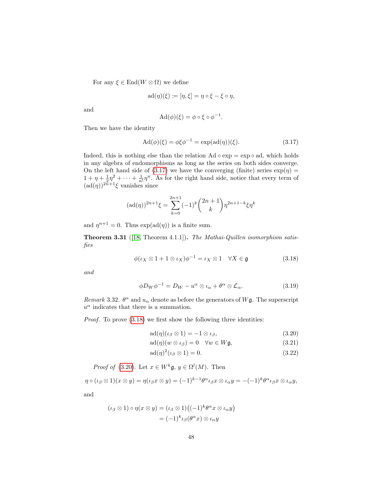For any  $\xi \in \text{End}(W \otimes \Omega)$  we define

$$
ad(\eta)(\xi) \coloneqq [\eta, \xi] = \eta \circ \xi - \xi \circ \eta,
$$

and

<span id="page-49-0"></span>
$$
\mathrm{Ad}(\phi)(\xi) = \phi \circ \xi \circ \phi^{-1}.
$$

Then we have the identity

$$
\operatorname{Ad}(\phi)(\xi) = \phi \xi \phi^{-1} = \exp(\operatorname{ad}(\eta))(\xi). \tag{3.17}
$$

Indeed, this is nothing else than the relation  $Ad \circ exp = exp \circ ad$ , which holds in any algebra of endomorphisms as long as the series on both sides converge. On the left hand side of [\(3.17\)](#page-49-0) we have the converging (finite) series  $\exp(\eta)$  =  $1 + \eta + \frac{1}{2}\eta^2 + \cdots + \frac{1}{n!}\eta^n$ . As for the right hand side, notice that every term of  $(\text{ad}(\eta))^{2n+1}\xi$  vanishes since

$$
(\mathrm{ad}(\eta))^{2n+1}\xi = \sum_{k=0}^{2n+1} (-1)^k {2n+1 \choose k} \eta^{2n+1-k} \xi \eta^k
$$

and  $\eta^{n+1} = 0$ . Thus  $\exp(\text{ad}(\eta))$  is a finite sum.

Theorem 3.31 ([\[18,](#page-142-1) Theorem 4.1.1]). The Mathai-Quillen isomorphism satisfies

$$
\phi(\iota_X \otimes 1 + 1 \otimes \iota_X)\phi^{-1} = \iota_X \otimes 1 \quad \forall X \in \mathfrak{g} \tag{3.18}
$$

and

<span id="page-49-1"></span>
$$
\phi D_W \phi^{-1} = D_W - u^{\alpha} \otimes \iota_{\alpha} + \theta^{\alpha} \otimes \mathcal{L}_{\alpha}.
$$
 (3.19)

Remark 3.32.  $\theta^{\alpha}$  and  $u_{\alpha}$  denote as before the generators of W $\mathfrak{g}$ . The superscript  $u^{\alpha}$  indicates that there is a summation.

Proof. To prove [\(3.18\)](#page-49-1) we first show the following three identities:

<span id="page-49-5"></span><span id="page-49-3"></span><span id="page-49-2"></span>
$$
ad(\eta)(\iota_{\beta} \otimes 1) = -1 \otimes \iota_{\beta},\tag{3.20}
$$

$$
ad(\eta)(w \otimes \iota_{\beta}) = 0 \quad \forall w \in W\mathfrak{g},\tag{3.21}
$$

<span id="page-49-4"></span>
$$
ad(\eta)^2(\iota_\beta \otimes 1) = 0. \tag{3.22}
$$

*Proof of* [\(3.20\)](#page-49-2). Let  $x \in W^k \mathfrak{g}, y \in \Omega^l(M)$ . Then

$$
\eta \circ (\iota_{\beta} \otimes 1)(x \otimes y) = \eta(\iota_{\beta} x \otimes y) = (-1)^{k-1} \theta^{\alpha} \iota_{\beta} x \otimes \iota_{\alpha} y = -(-1)^{k} \theta^{\alpha} \iota_{\beta} x \otimes \iota_{\alpha} y,
$$

and

$$
(\iota_{\beta} \otimes 1) \circ \eta(x \otimes y) = (\iota_{\beta} \otimes 1) ((-1)^{k} \theta^{\alpha} x \otimes \iota_{\alpha} y)
$$
  
= 
$$
(-1)^{k} \iota_{\beta}(\theta^{\alpha} x) \otimes \iota_{\alpha} y
$$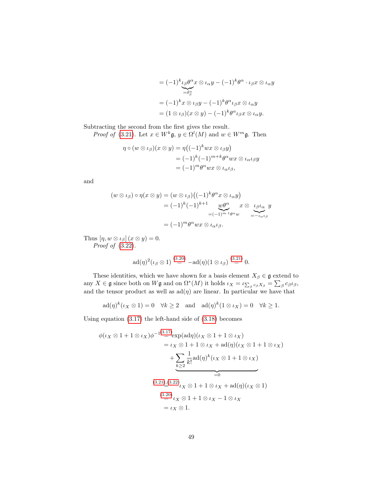$$
= (-1)^{k} \iota_{\beta} \theta^{\alpha} x \otimes \iota_{\alpha} y - (-1)^{k} \theta^{\alpha} \cdot \iota_{\beta} x \otimes \iota_{\alpha} y
$$

$$
= (-1)^{k} x \otimes \iota_{\beta} y - (-1)^{k} \theta^{\alpha} \iota_{\beta} x \otimes \iota_{\alpha} y
$$

$$
= (1 \otimes \iota_{\beta})(x \otimes y) - (-1)^{k} \theta^{\alpha} \iota_{\beta} x \otimes \iota_{\alpha} y.
$$

Subtracting the second from the first gives the result.

*Proof of* [\(3.21\)](#page-49-3). Let  $x \in W^k \mathfrak{g}, y \in \Omega^l(M)$  and  $w \in W^m \mathfrak{g}$ . Then

$$
\eta \circ (w \otimes \iota_{\beta})(x \otimes y) = \eta ((-1)^{k}wx \otimes \iota_{\beta}y)
$$
  
=  $(-1)^{k}(-1)^{m+k}\theta^{\alpha}wx \otimes \iota_{\alpha}\iota_{\beta}y$   
=  $(-1)^{m}\theta^{\alpha}wx \otimes \iota_{\alpha}\iota_{\beta},$ 

and

$$
(w \otimes \iota_{\beta}) \circ \eta(x \otimes y) = (w \otimes \iota_{\beta})\left((-1)^{k} \theta^{\alpha} x \otimes \iota_{\alpha} y\right)
$$
  

$$
= (-1)^{k} (-1)^{k+1} \underbrace{w \theta^{\alpha}}_{=(-1)^{m+1} \theta^{\alpha} w} x \otimes \underbrace{\iota_{\beta} \iota_{\alpha}}_{=-\iota_{\alpha} \iota_{\beta}}
$$
  

$$
= (-1)^{m} \theta^{\alpha} wx \otimes \iota_{\alpha} \iota_{\beta}.
$$

Thus  $[\eta, w \otimes \iota_{\beta}](x \otimes y) = 0.$ Proof of [\(3.22\)](#page-49-4).

$$
\mathrm{ad}(\eta)^2(\iota_{\beta} \otimes 1) \stackrel{(3.20)}{=} -\mathrm{ad}(\eta)(1 \otimes \iota_{\beta}) \stackrel{(3.21)}{=} 0.
$$

These identities, which we have shown for a basis element  $X_\beta\in\mathfrak{g}$  extend to any  $X \in \mathfrak{g}$  since both on  $W\mathfrak{g}$  and on  $\Omega^*(M)$  it holds  $\iota_X = \iota_{\sum_\beta c_\beta X_\beta} = \sum_\beta c_\beta \iota_\beta$ , and the tensor product as well as  $ad(\eta)$  are linear. In particular we have that

$$
ad(\eta)^k(\iota_X \otimes 1) = 0 \quad \forall k \ge 2 \quad \text{and} \quad ad(\eta)^k(1 \otimes \iota_X) = 0 \quad \forall k \ge 1.
$$

Using equation [\(3.17\)](#page-49-0) the left-hand side of [\(3.18\)](#page-49-1) becomes

$$
\phi(\iota_X \otimes 1 + 1 \otimes \iota_X)\phi^{-1} \stackrel{(3.17)}{=} \exp(\text{ad}\eta)(\iota_X \otimes 1 + 1 \otimes \iota_X)
$$
  
\n
$$
= \iota_X \otimes 1 + 1 \otimes \iota_X + \text{ad}(\eta)(\iota_X \otimes 1 + 1 \otimes \iota_X)
$$
  
\n
$$
+ \underbrace{\sum_{k=2}^{n} \frac{1}{k!} \text{ad}(\eta)^k (\iota_X \otimes 1 + 1 \otimes \iota_X)}_{=0}
$$
  
\n
$$
\xrightarrow{(3.21),(3.22)} \iota_X \otimes 1 + 1 \otimes \iota_X + \text{ad}(\eta)(\iota_X \otimes 1)
$$
  
\n
$$
\xrightarrow{(3.20)} \iota_X \otimes 1 + 1 \otimes \iota_X - 1 \otimes \iota_X
$$
  
\n
$$
= \iota_X \otimes 1.
$$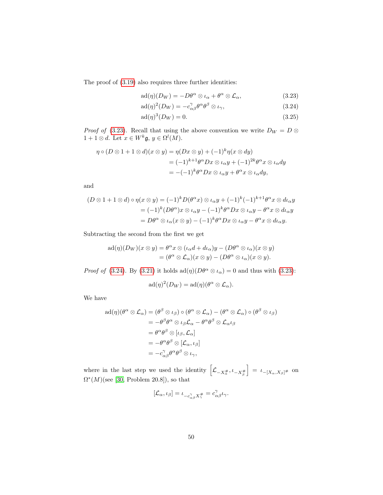The proof of [\(3.19\)](#page-49-5) also requires three further identities:

<span id="page-51-1"></span><span id="page-51-0"></span>
$$
ad(\eta)(D_W) = -D\theta^{\alpha} \otimes \iota_{\alpha} + \theta^{\alpha} \otimes \mathcal{L}_{\alpha}, \qquad (3.23)
$$

$$
ad(\eta)^{2}(D_{W}) = -c_{\alpha\beta}^{\gamma}\theta^{\alpha}\theta^{\beta} \otimes \iota_{\gamma}, \qquad (3.24)
$$

<span id="page-51-2"></span>
$$
ad(\eta)^3(D_W) = 0.
$$
 (3.25)

*Proof of* [\(3.23\)](#page-51-0). Recall that using the above convention we write  $D_W = D \otimes$  $1+1\otimes d$ . Let  $x\in W^k\mathfrak{g}, y\in \Omega^l(M)$ .

$$
\eta \circ (D \otimes 1 + 1 \otimes d)(x \otimes y) = \eta(Dx \otimes y) + (-1)^{k} \eta(x \otimes dy)
$$
  
=  $(-1)^{k+1} \theta^{\alpha} Dx \otimes \iota_{\alpha} y + (-1)^{2k} \theta^{\alpha} x \otimes \iota_{\alpha} dy$   
=  $-(-1)^{k} \theta^{\alpha} Dx \otimes \iota_{\alpha} y + \theta^{\alpha} x \otimes \iota_{\alpha} dy$ ,

and

$$
(D \otimes 1 + 1 \otimes d) \circ \eta(x \otimes y) = (-1)^k D(\theta^{\alpha} x) \otimes \iota_{\alpha} y + (-1)^k (-1)^{k+1} \theta^{\alpha} x \otimes d\iota_{\alpha} y
$$
  

$$
= (-1)^k (D\theta^{\alpha}) x \otimes \iota_{\alpha} y - (-1)^k \theta^{\alpha} Dx \otimes \iota_{\alpha} y - \theta^{\alpha} x \otimes d\iota_{\alpha} y
$$
  

$$
= D\theta^{\alpha} \otimes \iota_{\alpha} (x \otimes y) - (-1)^k \theta^{\alpha} Dx \otimes \iota_{\alpha} y - \theta^{\alpha} x \otimes d\iota_{\alpha} y.
$$

Subtracting the second from the first we get

$$
ad(\eta)(D_W)(x \otimes y) = \theta^{\alpha} x \otimes (\iota_{\alpha} d + d\iota_{\alpha})y - (D\theta^{\alpha} \otimes \iota_{\alpha})(x \otimes y)
$$
  
=  $(\theta^{\alpha} \otimes \mathcal{L}_{\alpha})(x \otimes y) - (D\theta^{\alpha} \otimes \iota_{\alpha})(x \otimes y).$ 

*Proof of* [\(3.24\)](#page-51-1). By [\(3.21\)](#page-49-3) it holds  $ad(\eta)(D\theta^{\alpha} \otimes \iota_{\alpha}) = 0$  and thus with [\(3.23\)](#page-51-0):

$$
ad(\eta)^2(D_W) = ad(\eta)(\theta^{\alpha} \otimes \mathcal{L}_{\alpha}).
$$

We have

$$
ad(\eta)(\theta^{\alpha} \otimes \mathcal{L}_{\alpha}) = (\theta^{\beta} \otimes \iota_{\beta}) \circ (\theta^{\alpha} \otimes \mathcal{L}_{\alpha}) - (\theta^{\alpha} \otimes \mathcal{L}_{\alpha}) \circ (\theta^{\beta} \otimes \iota_{\beta})
$$
  
\n
$$
= -\theta^{\beta} \theta^{\alpha} \otimes \iota_{\beta} \mathcal{L}_{\alpha} - \theta^{\alpha} \theta^{\beta} \otimes \mathcal{L}_{\alpha} \iota_{\beta}
$$
  
\n
$$
= \theta^{\alpha} \theta^{\beta} \otimes [\iota_{\beta}, \mathcal{L}_{\alpha}]
$$
  
\n
$$
= -\theta^{\alpha} \theta^{\beta} \otimes [\mathcal{L}_{\alpha}, \iota_{\beta}]
$$
  
\n
$$
= -c_{\alpha\beta}^{\gamma} \theta^{\alpha} \theta^{\beta} \otimes \iota_{\gamma},
$$

where in the last step we used the identity  $\left[\mathcal{L}_{-X^{\#}_{\alpha}}, \iota_{-X^{\#}_{\beta}}\right]$  $\Big] = \iota_{-[X_\alpha, X_\beta]^\#}$  on  $\Omega^*(M)$ (see [\[30,](#page-143-1) Problem 20.8]), so that

$$
[\mathcal{L}_{\alpha}, \iota_{\beta}] = \iota_{-c_{\alpha\beta}^{\gamma}X_{\gamma}^{\#}} = c_{\alpha\beta}^{\gamma}\iota_{\gamma}.
$$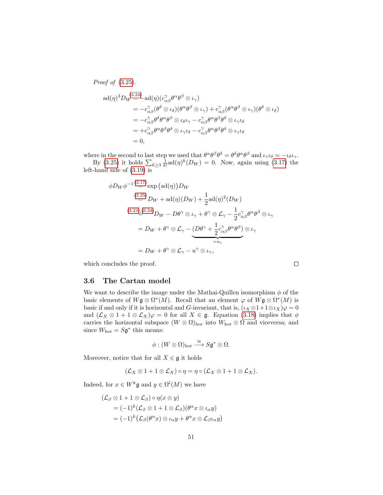Proof of [\(3.25\)](#page-51-2).  $\text{ad}(\eta)^3 D_W \mathop{=} \limits^{(3.24)} - \text{ad}(\eta) (c_{\alpha\beta}^{\gamma} \theta^{\alpha} \theta^{\beta} \otimes \iota_{\gamma})$  $\text{ad}(\eta)^3 D_W \mathop{=} \limits^{(3.24)} - \text{ad}(\eta) (c_{\alpha\beta}^{\gamma} \theta^{\alpha} \theta^{\beta} \otimes \iota_{\gamma})$  $\text{ad}(\eta)^3 D_W \mathop{=} \limits^{(3.24)} - \text{ad}(\eta) (c_{\alpha\beta}^{\gamma} \theta^{\alpha} \theta^{\beta} \otimes \iota_{\gamma})$  $= -c_{\alpha\beta}^{\gamma}(\theta^{\delta}\otimes\iota_{\delta})(\theta^{\alpha}\theta^{\beta}\otimes\iota_{\gamma}) + c_{\alpha\beta}^{\gamma}(\theta^{\alpha}\theta^{\beta}\otimes\iota_{\gamma})(\theta^{\delta}\otimes\iota_{\delta})$  $= -c^\gamma_{\alpha\beta}\theta^\delta\theta^\alpha\theta^\beta\otimes\iota_\delta\iota_\gamma -c^\gamma_{\alpha\beta}\theta^\alpha\theta^\beta\theta^\delta\otimes\iota_\gamma\iota_\delta$  $=+c_{\alpha\beta}^\gamma\theta^\alpha\theta^\beta\theta^\delta\otimes\iota_\gamma\iota_\delta-c_{\alpha\beta}^\gamma\theta^\alpha\theta^\beta\theta^\delta\otimes\iota_\gamma\iota_\delta$  $= 0,$ 

where in the second to last step we used that  $\theta^{\alpha} \theta^{\beta} \theta^{\delta} = \theta^{\delta} \theta^{\alpha} \theta^{\beta}$  and  $\iota_{\gamma} \iota_{\delta} = -\iota_{\delta} \iota_{\gamma}$ .

By [\(3.25\)](#page-51-2) it holds  $\sum_{k\geq 3} \frac{1}{k!} \text{ad}(\eta)^k(D_W) = 0$ . Now, again using [\(3.17\)](#page-49-0) the left-hand side of [\(3.19\)](#page-49-5) is

$$
\phi D_W \phi^{-1} \stackrel{(3.17)}{=} \exp \left( \text{ad}(\eta) \right) D_W
$$
  
\n
$$
\stackrel{(3.25)}{=} D_W + \text{ad}(\eta) (D_W) + \frac{1}{2} \text{ad}(\eta)^2 (D_W)
$$
  
\n
$$
\stackrel{(3.23),(3.24)}{=} D_W - D\theta^\gamma \otimes \iota_\gamma + \theta^\gamma \otimes \mathcal{L}_\gamma - \frac{1}{2} c_{\alpha\beta}^\gamma \theta^\alpha \theta^\beta \otimes \iota_\gamma
$$
  
\n
$$
= D_W + \theta^\gamma \otimes \mathcal{L}_\gamma - \underbrace{(D\theta^\gamma + \frac{1}{2} c_{\alpha\beta}^\gamma \theta^\alpha \theta^\beta)}_{= u_\gamma} \otimes \iota_\gamma
$$
  
\n
$$
= D_W + \theta^\gamma \otimes \mathcal{L}_\gamma - u^\gamma \otimes \iota_\gamma,
$$

 $\Box$ 

which concludes the proof.

### 3.6 The Cartan model

We want to describe the image under the Mathai-Quillen isomorphism  $\phi$  of the basic elements of  $W$ **g**  $\otimes \Omega^*(M)$ . Recall that an element  $\varphi$  of  $W$ **g**  $\otimes \Omega^*(M)$  is basic if and only if it is horizontal and G-invariant, that is,  $(\iota_X \otimes 1 + 1 \otimes \iota_X)\varphi = 0$ and  $(\mathcal{L}_X \otimes 1 + 1 \otimes \mathcal{L}_X)\varphi = 0$  for all  $X \in \mathfrak{g}$ . Equation [\(3.18\)](#page-49-1) implies that  $\phi$ carries the horizontal subspace  $(W \otimes \Omega)_{\text{hor}}$  into  $W_{\text{hor}} \otimes \Omega$  and viceversa; and since  $W_{\text{hor}} = S\mathfrak{g}^*$  this means:

$$
\phi: (W\otimes\Omega)_{\rm hor}\stackrel{\cong}{\longrightarrow} S{\mathfrak g}^*\otimes\Omega.
$$

Moreover, notice that for all  $X \in \mathfrak{g}$  it holds

$$
(\mathcal{L}_X \otimes 1 + 1 \otimes \mathcal{L}_X) \circ \eta = \eta \circ (\mathcal{L}_X \otimes 1 + 1 \otimes \mathcal{L}_X).
$$

Indeed, for  $x \in W^k \mathfrak{g}$  and  $y \in \Omega^l(M)$  we have

$$
(\mathcal{L}_{\beta} \otimes 1 + 1 \otimes \mathcal{L}_{\beta}) \circ \eta(x \otimes y)
$$
  
=  $(-1)^{k} (\mathcal{L}_{\beta} \otimes 1 + 1 \otimes \mathcal{L}_{\beta}) (\theta^{\alpha} x \otimes \iota_{\alpha} y)$   
=  $(-1)^{k} (\mathcal{L}_{\beta} (\theta^{\alpha} x) \otimes \iota_{\alpha} y + \theta^{\alpha} x \otimes \mathcal{L}_{\beta} \iota_{\alpha} y)$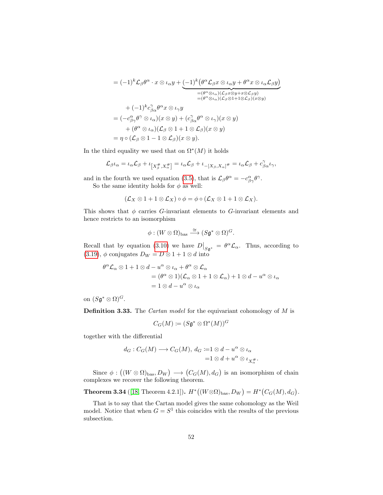$$
= (-1)^{k} \mathcal{L}_{\beta} \theta^{\alpha} \cdot x \otimes \iota_{\alpha} y + \underbrace{(-1)^{k} (\theta^{\alpha} \mathcal{L}_{\beta} x \otimes \iota_{\alpha} y + \theta^{\alpha} x \otimes \iota_{\alpha} \mathcal{L}_{\beta} y)}_{= (\theta^{\alpha} \otimes \iota_{\alpha})(\mathcal{L}_{\beta} x \otimes y + x \otimes \mathcal{L}_{\beta} y)}_{= (\theta^{\alpha} \otimes \iota_{\alpha})(\mathcal{L}_{\beta} x \otimes y + x \otimes \mathcal{L}_{\beta} y)} + (-1)^{k} c_{\beta \alpha}^{\gamma} \theta^{\alpha} x \otimes \iota_{\gamma} y
$$
  
\n
$$
= (-c_{\beta \gamma}^{\alpha} \theta^{\gamma} \otimes \iota_{\alpha})(x \otimes y) + (c_{\beta \alpha}^{\gamma} \theta^{\alpha} \otimes \iota_{\gamma})(x \otimes y)
$$
  
\n
$$
+ (\theta^{\alpha} \otimes \iota_{\alpha})(\mathcal{L}_{\beta} \otimes 1 + 1 \otimes \mathcal{L}_{\beta})(x \otimes y)
$$
  
\n
$$
= \eta \circ (\mathcal{L}_{\beta} \otimes 1 - 1 \otimes \mathcal{L}_{\beta})(x \otimes y).
$$

In the third equality we used that on  $\Omega^*(M)$  it holds

$$
\mathcal{L}_{\beta}\iota_{\alpha}=\iota_{\alpha}\mathcal{L}_{\beta}+\iota_{\left[X_{\beta}^{\#},X_{\alpha}^{\#}\right]}=\iota_{\alpha}\mathcal{L}_{\beta}+\iota_{-\left[X_{\beta},X_{\alpha}\right]^{\#}}=\iota_{\alpha}\mathcal{L}_{\beta}+c_{\beta\alpha}^{\gamma}\iota_{\gamma},
$$

and in the fourth we used equation [\(3.5\)](#page-36-2), that is  $\mathcal{L}_{\beta}\theta^{\alpha} = -c^{\alpha}_{\beta\gamma}\theta^{\gamma}$ . So the same identity holds for  $\phi$  as well:

 $(\mathcal{L}_X \otimes 1 + 1 \otimes \mathcal{L}_X) \circ \phi = \phi \circ (\mathcal{L}_X \otimes 1 + 1 \otimes \mathcal{L}_X).$ 

This shows that  $\phi$  carries G-invariant elements to G-invariant elements and hence restricts to an isomorphism

$$
\phi: (W\otimes\Omega)_{\text{bas}}\stackrel{\cong}{\longrightarrow} (S\mathfrak{g}^*\otimes\Omega)^G.
$$

Recall that by equation [\(3.10\)](#page-42-1) we have  $D|_{S_{\mathfrak{g}^*}} = \theta^{\alpha} \mathcal{L}_{\alpha}$ . Thus, according to [\(3.19\)](#page-49-5),  $\phi$  conjugates  $D_W = D \otimes 1 + 1 \otimes d$  into

$$
\theta^{\alpha} \mathcal{L}_{\alpha} \otimes 1 + 1 \otimes d - u^{\alpha} \otimes \iota_{\alpha} + \theta^{\alpha} \otimes \mathcal{L}_{\alpha}
$$
  
=  $(\theta^{\alpha} \otimes 1)(\mathcal{L}_{\alpha} \otimes 1 + 1 \otimes \mathcal{L}_{\alpha}) + 1 \otimes d - u^{\alpha} \otimes \iota_{\alpha}$   
=  $1 \otimes d - u^{\alpha} \otimes \iota_{\alpha}$ 

on  $(S\mathfrak{g}^* \otimes \Omega)^G$ .

**Definition 3.33.** The *Cartan model* for the equivariant cohomology of M is

$$
C_G(M)\coloneqq (S\mathfrak{g}^*\otimes \Omega^*(M))^G
$$

together with the differential

$$
d_G: C_G(M) \longrightarrow C_G(M), d_G := 1 \otimes d - u^{\alpha} \otimes \iota_{\alpha}
$$
  
=1  $\otimes d + u^{\alpha} \otimes \iota_{X_{\alpha}^{\#}}$ 

.

Since  $\phi: ((W \otimes \Omega)_{\text{bas}}, D_W) \longrightarrow (C_G(M), d_G)$  is an isomorphism of chain complexes we recover the following theorem.

**Theorem 3.34** ([\[18,](#page-142-1) Theorem 4.2.1]).  $H^*\big((W \otimes \Omega)_{\text{bas}}, D_W\big) = H^*\big(C_G(M), d_G\big)$ .

That is to say that the Cartan model gives the same cohomology as the Weil model. Notice that when  $G = S<sup>1</sup>$  this coincides with the results of the previous subsection.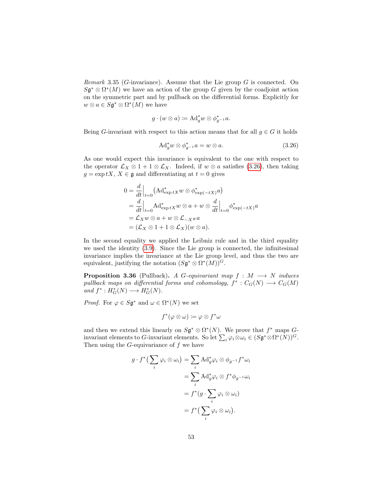Remark 3.35 (G-invariance). Assume that the Lie group  $G$  is connected. On  $S\mathfrak{g}^* \otimes \Omega^*(M)$  we have an action of the group G given by the coadjoint action on the symmetric part and by pullback on the differential forms. Explicitly for  $w \otimes a \in S\mathfrak{g}^* \otimes \Omega^*(M)$  we have

$$
g \cdot (w \otimes a) \coloneqq \mathrm{Ad}^*_g w \otimes \phi^*_{g^{-1}} a.
$$

Being G-invariant with respect to this action means that for all  $q \in G$  it holds

<span id="page-54-0"></span>
$$
\mathrm{Ad}^*_{g} w \otimes \phi^*_{g^{-1}} a = w \otimes a. \tag{3.26}
$$

As one would expect this invariance is equivalent to the one with respect to the operator  $\mathcal{L}_X \otimes 1 + 1 \otimes \mathcal{L}_X$ . Indeed, if  $w \otimes a$  satisfies [\(3.26\)](#page-54-0), then taking  $g = \exp tX$ ,  $X \in \mathfrak{g}$  and differentiating at  $t = 0$  gives

$$
0 = \frac{d}{dt}\Big|_{t=0} (\mathrm{Ad}^*_{\exp tX} w \otimes \phi^*_{\exp(-tX)} a)
$$
  
=  $\frac{d}{dt}\Big|_{t=0} \mathrm{Ad}^*_{\exp tX} w \otimes a + w \otimes \frac{d}{dt}\Big|_{t=0} \phi^*_{\exp(-tX)} a$   
=  $\mathcal{L}_X w \otimes a + w \otimes \mathcal{L}_{-X} a$   
=  $(\mathcal{L}_X \otimes 1 + 1 \otimes \mathcal{L}_X)(w \otimes a).$ 

In the second equality we applied the Leibniz rule and in the third equality we used the identity [\(3.9\)](#page-41-0). Since the Lie group is connected, the infinitesimal invariance implies the invariance at the Lie group level, and thus the two are equivalent, justifying the notation  $(S\mathfrak{g}^* \otimes \Omega^*(M))$ <sup>G</sup>.

**Proposition 3.36** (Pullback). A G-equivariant map  $f : M \longrightarrow N$  induces pullback maps on differential forms and cohomology,  $f^* : C_G(N) \longrightarrow C_G(M)$ and  $f^*: H^*_G(N) \longrightarrow H^*_G(N)$ .

*Proof.* For  $\varphi \in S\mathfrak{g}^*$  and  $\omega \in \Omega^*(N)$  we set

$$
f^*(\varphi \otimes \omega) \coloneqq \varphi \otimes f^* \omega
$$

and then we extend this linearly on  $S\mathfrak{g}^* \otimes \Omega^*(N)$ . We prove that  $f^*$  maps  $G$ invariant elements to G-invariant elements. So let  $\sum_i \varphi_i \otimes \omega_i \in (S\mathfrak{g}^* \otimes \Omega^*(N))^G$ . Then using the  $G$ -equivariance of  $f$  we have

$$
g \cdot f^* \left( \sum_i \varphi_i \otimes \omega_i \right) = \sum_i \mathrm{Ad}_g^* \varphi_i \otimes \phi_{g^{-1}} f^* \omega_i
$$
  
= 
$$
\sum_i \mathrm{Ad}_g^* \varphi_i \otimes f^* \phi_{g^{-1}} \omega_i
$$
  
= 
$$
f^* \left( g \cdot \sum_i \varphi_i \otimes \omega_i \right)
$$
  
= 
$$
f^* \left( \sum_i \varphi_i \otimes \omega_i \right).
$$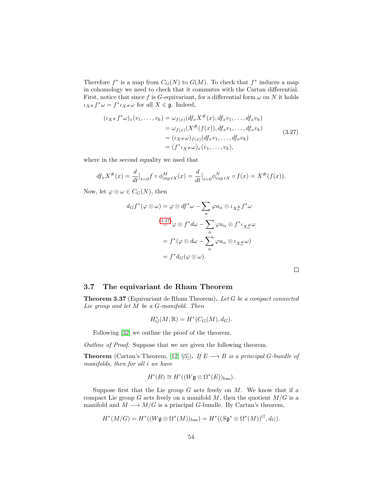Therefore  $f^*$  is a map from  $C_G(N)$  to  $G(M)$ . To check that  $f^*$  induces a map in cohomology we need to check that it commutes with the Cartan differential. First, notice that since f is G-equivariant, for a differential form  $\omega$  on N it holds  $\iota_{X^{\#}} f^* \omega = f^* \iota_{X^{\#}} \omega$  for all  $X \in \mathfrak{g}$ . Indeed,

$$
(\iota_{X^{\#}}f^*\omega)_x(v_1,\ldots,v_k) = \omega_{f(x)}(df_x X^{\#}(x), df_x v_1, \ldots, df_x v_k)
$$
  
\n
$$
= \omega_{f(x)}(X^{\#}(f(x)), df_x v_1, \ldots, df_x v_k)
$$
  
\n
$$
= (\iota_{X^{\#}}\omega)_{f(x)}(df_x v_1, \ldots, df_x v_k)
$$
  
\n
$$
= (f^* \iota_{X^{\#}}\omega)_x(v_1, \ldots, v_k),
$$
\n(3.27)

where in the second equality we used that

$$
df_x X^{\#}(x) = \frac{d}{dt}\Big|_{t=0} f \circ \phi_{\exp tX}^M(x) = \frac{d}{dt}\Big|_{t=0} \phi_{\exp tX}^N \circ f(x) = X^{\#}(f(x)).
$$

Now, let  $\varphi \otimes \omega \in C_G(N)$ , then

$$
d_G f^*(\varphi \otimes \omega) = \varphi \otimes df^* \omega - \sum_{\alpha} \varphi u_{\alpha} \otimes \iota_{X_{\alpha}^{\#}} f^* \omega
$$
  

$$
\stackrel{(3.27)}{=} \varphi \otimes f^* d\omega - \sum_{\alpha} \varphi u_{\alpha} \otimes f^* \iota_{X_{\alpha}^{\#}} \omega
$$
  

$$
= f^*(\varphi \otimes d\omega - \sum_{\alpha} \varphi u_{\alpha} \otimes \iota_{X_{\alpha}^{\#}} \omega)
$$
  

$$
= f^* d_G(\varphi \otimes \omega).
$$

<span id="page-55-0"></span> $\Box$ 

### 3.7 The equivariant de Rham Theorem

Theorem 3.37 (Equivariant de Rham Theorem). Let G be a compact connected Lie group and let M be a G-manifold. Then

$$
H^*_G(M; \mathbb{R}) = H^*(C_G(M), d_G).
$$

Following [\[32\]](#page-143-0) we outline the proof of the theorem.

Outline of Proof. Suppose that we are given the following theorem.

**Theorem** (Cartan's Theorem, [\[12,](#page-141-3) §5]). If  $E \longrightarrow B$  is a principal G-bundle of manifolds, then for all i we have

$$
H^i(B) \cong H^i((W\mathfrak{g} \otimes \Omega^*(E))_{\text{bas}}).
$$

Suppose first that the Lie group  $G$  acts freely on  $M$ . We know that if a compact Lie group G acts freely on a manifold  $M$ , then the quotient  $M/G$  is a manifold and  $M \longrightarrow M/G$  is a principal G-bundle. By Cartan's theorem,

$$
H^*(M/G)=H^*((W\mathfrak{g}\otimes \Omega^*(M))_{\text{bas}})=H^*((S\mathfrak{g}^*\otimes \Omega^*(M))^G, d_G).
$$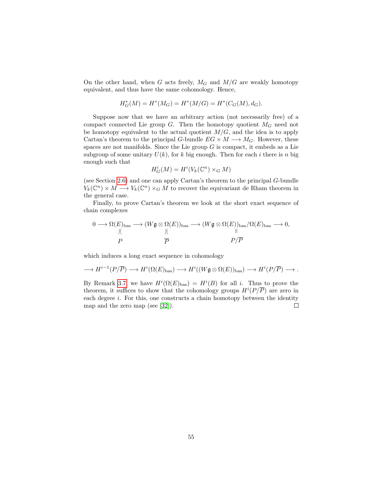On the other hand, when G acts freely,  $M_G$  and  $M/G$  are weakly homotopy equivalent, and thus have the same cohomology. Hence,

$$
H_G^*(M) = H^*(M_G) = H^*(M/G) = H^*(C_G(M), d_G).
$$

Suppose now that we have an arbitrary action (not necessarily free) of a compact connected Lie group  $G$ . Then the homotopy quotient  $M_G$  need not be homotopy equivalent to the actual quotient  $M/G$ , and the idea is to apply Cartan's theorem to the principal G-bundle  $EG \times M \longrightarrow M_G$ . However, these spaces are not manifolds. Since the Lie group  $G$  is compact, it embeds as a Lie subgroup of some unitary  $U(k)$ , for k big enough. Then for each i there is n big enough such that

$$
H^i_G(M) = H^i(V_k(\mathbb C^n) \times_G M)
$$

(see Section [2.6\)](#page-22-0) and one can apply Cartan's theorem to the principal G-bundle  $V_k(\mathbb{C}^n) \times M \longrightarrow V_k(\mathbb{C}^n) \times_G M$  to recover the equivariant de Rham theorem in the general case.

Finally, to prove Cartan's theorem we look at the short exact sequence of chain complexes

$$
0 \longrightarrow \Omega(E)_{\text{bas}} \longrightarrow (W\mathfrak{g} \otimes \Omega(E))_{\text{bas}} \longrightarrow (W\mathfrak{g} \otimes \Omega(E))_{\text{bas}}/\Omega(E)_{\text{bas}} \longrightarrow 0,
$$
  
\n
$$
\xrightarrow{\parallel} P \qquad \qquad \overline{P} \qquad \qquad P/\overline{P}
$$

which induces a long exact sequence in cohomology

$$
\longrightarrow H^{i-1}(P/\overline{P}) \longrightarrow H^{i}(\Omega(E)_{\text{bas}}) \longrightarrow H^{i}((W\mathfrak{g} \otimes \Omega(E))_{\text{bas}}) \longrightarrow H^{i}(P/\overline{P}) \longrightarrow.
$$

By Remark [3.7,](#page-28-0) we have  $H^{i}(\Omega(E)_{\text{bas}}) = H^{i}(B)$  for all i. Thus to prove the theorem, it suffices to show that the cohomology groups  $H^{i}(P/\overline{P})$  are zero in each degree *i*. For this, one constructs a chain homotopy between the identity map and the zero map (see [\[32\]](#page-143-0)).  $\Box$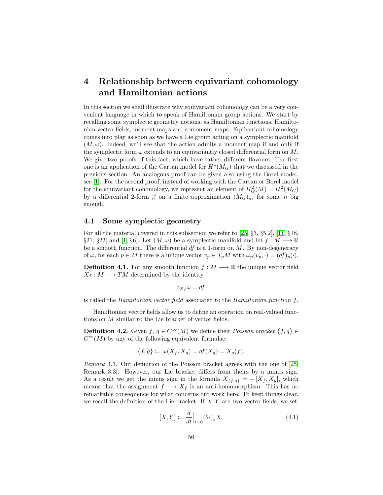# <span id="page-57-0"></span>4 Relationship between equivariant cohomology and Hamiltonian actions

In this section we shall illustrate why equivariant cohomology can be a very convenient language in which to speak of Hamiltonian group actions. We start by recalling some symplectic geometry notions, as Hamiltonian functions, Hamiltonian vector fields, moment maps and comoment maps. Equivariant cohomology comes into play as soon as we have a Lie group acting on a symplectic manifold  $(M, \omega)$ . Indeed, we'll see that the action admits a moment map if and only if the symplectic form  $\omega$  extends to an equivariantly closed differential form on M. We give two proofs of this fact, which have rather different flavours. The first one is an application of the Cartan model for  $H^*(M_G)$  that we discussed in the previous section. An analogous proof can be given also using the Borel model, see [\[1\]](#page-141-1). For the second proof, instead of working with the Cartan or Borel model for the equivariant cohomology, we represent an element of  $H_G^2(M) = H^2(M_G)$ by a differential 2-form  $\beta$  on a finite approximation  $(M_G)_n$ , for some n big enough.

### 4.1 Some symplectic geometry

For all the material covered in this subsection we refer to [\[25,](#page-143-2) §3, §5.2], [\[11,](#page-141-4) §18, §21, §22] and [\[1,](#page-141-1) §6]. Let  $(M, \omega)$  be a symplectic manifold and let  $f : M \longrightarrow \mathbb{R}$ be a smooth function. The differential  $df$  is a 1-form on  $M$ . By non-degeneracy of  $\omega$ , for each  $p \in M$  there is a unique vector  $v_p \in T_pM$  with  $\omega_p(v_p, \cdot) = (df)_p(\cdot)$ .

**Definition 4.1.** For any smooth function  $f : M \longrightarrow \mathbb{R}$  the unique vector field  $X_f : M \longrightarrow TM$  determined by the identity

$$
\iota_{X_f}\omega = df
$$

is called the *Hamiltonian vector field* associated to the *Hamiltonian function f.* 

Hamiltonian vector fields allow us to define an operation on real-valued functions on M similar to the Lie bracket of vector fields.

**Definition 4.2.** Given  $f, g \in C^{\infty}(M)$  we define their *Poisson bracket*  $\{f, g\} \in$  $C^{\infty}(M)$  by any of the following equivalent formulae:

$$
\{f,g\} \coloneqq \omega(X_f, X_g) = df(X_g) = X_g(f).
$$

Remark 4.3. Our definition of the Poisson bracket agrees with the one of [\[25,](#page-143-2) Remark 3.3]. However, our Lie bracket differs from theirs by a minus sign. As a result we get the minus sign in the formula  $X_{\{f,g\}} = -[X_f, X_g]$ , which means that the assignment  $f \longrightarrow X_f$  is an anti-homomorphism. This has no remarkable consequence for what concerns our work here. To keep things clear, we recall the definition of the Lie bracket. If  $X, Y$  are two vector fields, we set

$$
[X,Y] := \frac{d}{dt} \Big|_{t=0} (\theta_t)_* X,\tag{4.1}
$$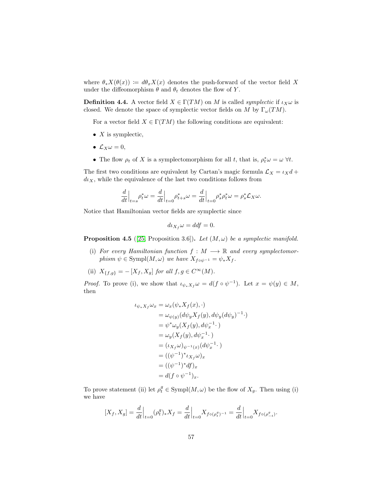where  $\theta_* X(\theta(x)) := d\theta_x X(x)$  denotes the push-forward of the vector field X under the diffeomorphism  $\theta$  and  $\theta_t$  denotes the flow of Y.

**Definition 4.4.** A vector field  $X \in \Gamma(TM)$  on M is called *symplectic* if  $\iota_X \omega$  is closed. We denote the space of symplectic vector fields on M by  $\Gamma_{\omega}(TM)$ .

For a vector field  $X \in \Gamma(TM)$  the following conditions are equivalent:

- $X$  is symplectic,
- $\mathcal{L}_X \omega = 0$ ,
- The flow  $\rho_t$  of X is a symplectomorphism for all t, that is,  $\rho_t^* \omega = \omega \ \forall t$ .

The first two conditions are equivalent by Cartan's magic formula  $\mathcal{L}_X = \iota_X d +$  $d\iota_X$ , while the equivalence of the last two conditions follows from

$$
\frac{d}{dt}\Big|_{t=s}\rho_t^*\omega = \frac{d}{dt}\Big|_{t=0}\rho_{t+s}^*\omega = \frac{d}{dt}\Big|_{t=0}\rho_s^*\rho_t^*\omega = \rho_s^*\mathcal{L}_X\omega.
$$

Notice that Hamiltonian vector fields are symplectic since

$$
d\iota_{X_f}\omega = ddf = 0.
$$

<span id="page-58-0"></span>**Proposition 4.5** ([\[25,](#page-143-2) Proposition 3.6]). Let  $(M, \omega)$  be a symplectic manifold.

(i) For every Hamiltonian function  $f : M \longrightarrow \mathbb{R}$  and every symplectomorphism  $\psi \in \text{Sympl}(M, \omega)$  we have  $X_{f \circ \psi^{-1}} = \psi_* X_f$ .

(ii)  $X_{\{f,g\}} = -[X_f,X_g]$  for all  $f,g \in C^{\infty}(M)$ .

*Proof.* To prove (i), we show that  $\iota_{\psi_* X_f} \omega = d(f \circ \psi^{-1})$ . Let  $x = \psi(y) \in M$ , then

$$
\iota_{\psi_* X_f} \omega_x = \omega_x (\psi_* X_f(x), \cdot)
$$
  
\n
$$
= \omega_{\psi(y)} (d\psi_y X_f(y), d\psi_y (d\psi_y)^{-1} \cdot)
$$
  
\n
$$
= \psi^* \omega_y (X_f(y), d\psi_x^{-1} \cdot)
$$
  
\n
$$
= \omega_y (X_f(y), d\psi_x^{-1} \cdot)
$$
  
\n
$$
= (\iota_{X_f} \omega)_{\psi^{-1}(x)} (d\psi_x^{-1} \cdot)
$$
  
\n
$$
= ((\psi^{-1})^* \iota_{X_f} \omega)_x
$$
  
\n
$$
= ((\psi^{-1})^* df)_x
$$
  
\n
$$
= d(f \circ \psi^{-1})_x.
$$

To prove statement (ii) let  $\rho_t^g \in \text{Sympl}(M, \omega)$  be the flow of  $X_g$ . Then using (i) we have

$$
[X_f, X_g] = \frac{d}{dt}\Big|_{t=0} (\rho_t^g)_* X_f = \frac{d}{dt}\Big|_{t=0} X_{f \circ (\rho_t^g)^{-1}} = \frac{d}{dt}\Big|_{t=0} X_{f \circ (\rho_{-t}^g)^{-1}}.
$$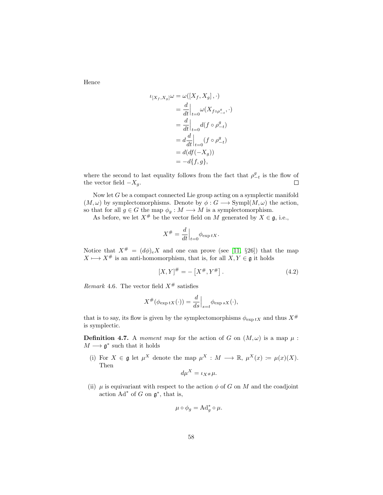Hence

$$
\begin{aligned} \iota_{[X_f, X_g]} \omega &= \omega([X_f, X_g], \cdot) \\ &= \frac{d}{dt} \Big|_{t=0} \omega(X_{f \circ \rho_{-t}^g}, \cdot) \\ &= \frac{d}{dt} \Big|_{t=0} d(f \circ \rho_{-t}^g) \\ &= d \frac{d}{dt} \Big|_{t=0} (f \circ \rho_{-t}^g) \\ &= d(df(-X_g)) \\ &= -d\{f, g\}, \end{aligned}
$$

where the second to last equality follows from the fact that  $\rho_{-t}^g$  is the flow of the vector field  $-X_g$ .  $\Box$ 

Now let  $G$  be a compact connected Lie group acting on a symplectic manifold  $(M, \omega)$  by symplectomorphisms. Denote by  $\phi : G \longrightarrow \text{Sympl}(M, \omega)$  the action, so that for all  $g \in G$  the map  $\phi_g : M \longrightarrow M$  is a symplectomorphism.

As before, we let  $X^{\#}$  be the vector field on M generated by  $X \in \mathfrak{g}$ , i.e.,

$$
X^{\#} = \frac{d}{dt}\Big|_{t=0} \phi_{\exp tX}.
$$

Notice that  $X^{\#} = (d\phi)_e X$  and one can prove (see [\[11,](#page-141-4) §26]) that the map  $X \longmapsto X^{\#}$  is an anti-homomorphism, that is, for all  $X, Y \in \mathfrak{g}$  it holds

$$
[X,Y]^\# = -[X^\#, Y^\#].\tag{4.2}
$$

Remark 4.6. The vector field  $X^{\#}$  satisfies

$$
X^{\#}(\phi_{\exp tX}(\cdot)) = \frac{d}{ds}\Big|_{s=t} \phi_{\exp sX}(\cdot),
$$

that is to say, its flow is given by the symplectomorphisms  $\phi_{\exp tX}$  and thus  $X^{\#}$ is symplectic.

<span id="page-59-0"></span>**Definition 4.7.** A moment map for the action of G on  $(M,\omega)$  is a map  $\mu$ :  $M \longrightarrow \mathfrak{g}^*$  such that it holds

(i) For  $X \in \mathfrak{g}$  let  $\mu^X$  denote the map  $\mu^X : M \longrightarrow \mathbb{R}, \mu^X(x) := \mu(x)(X)$ . Then

$$
d\mu^X = \iota_X \mu \mu.
$$

(ii)  $\mu$  is equivariant with respect to the action  $\phi$  of G on M and the coadjoint action  $\mathrm{Ad}^*$  of G on  $\mathfrak{g}^*$ , that is,

$$
\mu \circ \phi_g = \mathrm{Ad}_g^* \circ \mu.
$$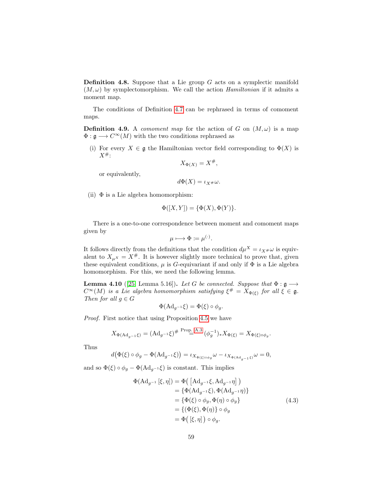**Definition 4.8.** Suppose that a Lie group  $G$  acts on a symplectic manifold  $(M, \omega)$  by symplectomorphism. We call the action *Hamiltonian* if it admits a moment map.

The conditions of Definition [4.7](#page-59-0) can be rephrased in terms of comoment maps.

**Definition 4.9.** A *comoment map* for the action of G on  $(M, \omega)$  is a map  $\Phi : \mathfrak{g} \longrightarrow C^{\infty}(M)$  with the two conditions rephrased as

(i) For every  $X \in \mathfrak{g}$  the Hamiltonian vector field corresponding to  $\Phi(X)$  is  $X^{\#}$ :

$$
X_{\Phi(X)} = X^{\#},
$$

or equivalently,

$$
d\Phi(X)=\iota_X{}_{\#}\omega.
$$

(ii)  $\Phi$  is a Lie algebra homomorphism:

$$
\Phi([X,Y]) = \{\Phi(X), \Phi(Y)\}.
$$

There is a one-to-one correspondence between moment and comoment maps given by

$$
\mu \longmapsto \Phi \coloneqq \mu^{(\cdot)}.
$$

It follows directly from the definitions that the condition  $d\mu^X = \iota_{X^{\#}}\omega$  is equivalent to  $X_{\mu}x = X^{\#}$ . It is however slightly more technical to prove that, given these equivalent conditions,  $\mu$  is G-equivariant if and only if  $\Phi$  is a Lie algebra homomorphism. For this, we need the following lemma.

<span id="page-60-1"></span>**Lemma 4.10** ([\[25,](#page-143-2) Lemma 5.16]). Let G be connected. Suppose that  $\Phi : \mathfrak{g} \longrightarrow$  $C^{\infty}(M)$  is a Lie algebra homomorphism satisfying  $\xi^{\#} = X_{\Phi(\xi)}$  for all  $\xi \in \mathfrak{g}$ . Then for all  $g \in G$ 

$$
\Phi(\mathrm{Ad}_{g^{-1}}\xi)=\Phi(\xi)\circ\phi_g.
$$

Proof. First notice that using Proposition [4.5](#page-58-0) we have

$$
X_{\Phi(\mathrm{Ad}_{g^{-1}}\xi)} = (\mathrm{Ad}_{g^{-1}}\xi)^{\# \text{ Prop. A.3}} (\phi_g^{-1})_* X_{\Phi(\xi)} = X_{\Phi(\xi)\circ\phi_g}.
$$

Thus

$$
d(\Phi(\xi) \circ \phi_g - \Phi(\mathrm{Ad}_{g^{-1}} \xi)) = \iota_{X_{\Phi(\xi) \circ \phi_g}} \omega - \iota_{X_{\Phi(\mathrm{Ad}_{g^{-1}} \xi)}} \omega = 0,
$$

and so  $\Phi(\xi) \circ \phi_g - \Phi(\text{Ad}_{g^{-1}} \xi)$  is constant. This implies

<span id="page-60-0"></span>
$$
\Phi(\mathrm{Ad}_{g^{-1}}[\xi,\eta]) = \Phi\left(\left[\mathrm{Ad}_{g^{-1}}\xi,\mathrm{Ad}_{g^{-1}}\eta\right]\right)
$$
  
\n
$$
= \{\Phi(\mathrm{Ad}_{g^{-1}}\xi),\Phi(\mathrm{Ad}_{g^{-1}}\eta)\}
$$
  
\n
$$
= \{\Phi(\xi)\circ\phi_g,\Phi(\eta)\circ\phi_g\}
$$
  
\n
$$
= \{(\Phi(\xi),\Phi(\eta)\}\circ\phi_g
$$
  
\n
$$
= \Phi\left([\xi,\eta]\right)\circ\phi_g.
$$
\n(4.3)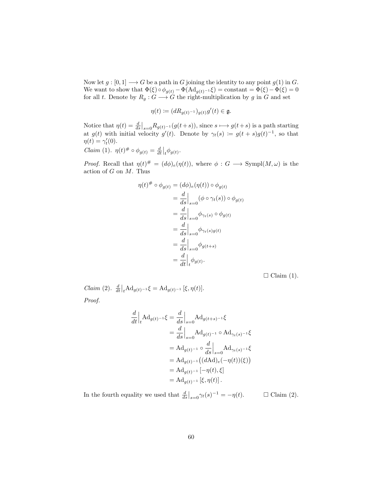Now let  $g: [0,1] \longrightarrow G$  be a path in G joining the identity to any point  $g(1)$  in G. We want to show that  $\Phi(\xi) \circ \phi_{g(t)} - \Phi(\mathrm{Ad}_{g(t)^{-1}} \xi) = \text{constant} = \Phi(\xi) - \Phi(\xi) = 0$ for all t. Denote by  $R_g: G \longrightarrow G$  the right-multiplication by g in G and set

$$
\eta(t) := (dR_{g(t)^{-1}})_{g(t)}g'(t) \in \mathfrak{g}.
$$

Notice that  $\eta(t) = \frac{d}{ds}\big|_{s=0} R_{g(t)-1}(g(t+s))$ , since  $s \mapsto g(t+s)$  is a path starting at  $g(t)$  with initial velocity  $g'(t)$ . Denote by  $\gamma_t(s) := g(t+s)g(t)^{-1}$ , so that  $\eta(t) = \gamma'_t(0).$ 

$$
Claim (1). \ \eta(t)^{\#} \circ \phi_{g(t)} = \frac{d}{dt} \Big|_{t} \phi_{g(t)}.
$$

*Proof.* Recall that  $\eta(t)^{\#} = (d\phi)_{e}(\eta(t))$ , where  $\phi : G \longrightarrow \text{Sympl}(M, \omega)$  is the action of  $G$  on  $M$ . Thus

$$
\eta(t)^{\#} \circ \phi_{g(t)} = (d\phi)_e(\eta(t)) \circ \phi_{g(t)}
$$
  
=  $\frac{d}{ds}\Big|_{s=0} (\phi \circ \gamma_t(s)) \circ \phi_{g(t)}$   
=  $\frac{d}{ds}\Big|_{s=0} \phi_{\gamma_t(s)} \circ \phi_{g(t)}$   
=  $\frac{d}{ds}\Big|_{s=0} \phi_{\gamma_t(s)g(t)}$   
=  $\frac{d}{ds}\Big|_{s=0} \phi_{g(t+s)}$   
=  $\frac{d}{dt}\Big|_{t} \phi_{g(t)}.$ 

 $\Box$  Claim (1).

*Claim* (2).  $\frac{d}{dt}\Big|_{t}Ad_{g(t)^{-1}}\xi = Ad_{g(t)^{-1}}[\xi, \eta(t)].$ Proof.

$$
\frac{d}{dt}\Big|_{t}Ad_{g(t)^{-1}}\xi = \frac{d}{ds}\Big|_{s=0}Ad_{g(t+s)^{-1}}\xi
$$
\n
$$
= \frac{d}{ds}\Big|_{s=0}Ad_{g(t)^{-1}} \circ Ad_{\gamma_t(s)^{-1}}\xi
$$
\n
$$
= Ad_{g(t)^{-1}} \circ \frac{d}{ds}\Big|_{s=0}Ad_{\gamma_t(s)^{-1}}\xi
$$
\n
$$
= Ad_{g(t)^{-1}}((dAd)_e(-\eta(t))(\xi))
$$
\n
$$
= Ad_{g(t)^{-1}}[-\eta(t), \xi]
$$
\n
$$
= Ad_{g(t)^{-1}}[\xi, \eta(t)].
$$

In the fourth equality we used that  $\frac{d}{ds}\big|_{s=0} \gamma_t(s)^{-1} = -\eta(t)$ .  $\Box$  Claim (2).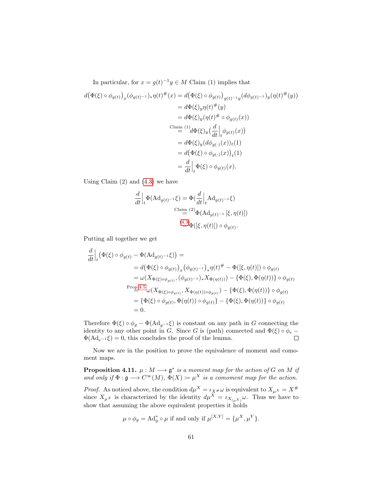In particular, for  $x = g(t)^{-1}y \in M$  Claim (1) implies that

$$
d(\Phi(\xi) \circ \phi_{g(t)})_x (\phi_{g(t)^{-1}})_* \eta(t)^{\#}(x) = d(\Phi(\xi) \circ \phi_{g(t)})_{g(t)^{-1}y} (d\phi_{g(t)^{-1}})_y (\eta(t)^{\#}(y))
$$
  
\n
$$
= d\Phi(\xi)_y \eta(t)^{\#}(y)
$$
  
\n
$$
= d\Phi(\xi)_y (\eta(t)^{\#} \circ \phi_{g(t)}(x))
$$
  
\n
$$
\stackrel{\text{Claim } (1)}{=} \frac{d\Phi(\xi)_y (\frac{d}{dt}\big|_t \phi_{g(t)}(x))}{d\Phi(\xi)_y (d\phi_{g(\cdot)}(x))_t (1)}
$$
  
\n
$$
= d(\Phi(\xi) \circ \phi_{g(\cdot)}(x))_t (1)
$$
  
\n
$$
= \frac{d}{dt}\big|_t \Phi(\xi) \circ \phi_{g(t)}(x).
$$

Using Claim  $(2)$  and  $(4.3)$  we have

$$
\frac{d}{dt}\Big|_{t} \Phi(\mathrm{Ad}_{g(t)^{-1}}\xi) = \Phi(\frac{d}{dt}\Big|_{t} \mathrm{Ad}_{g(t)^{-1}}\xi)
$$
  
\n
$$
\stackrel{\text{Claim } (2)}{=} \Phi(\mathrm{Ad}_{g(t)^{-1}}[\xi, \eta(t)])
$$
  
\n
$$
\stackrel{(4.3)}{=} \Phi([\xi, \eta(t)]) \circ \phi_{g(t)}.
$$

Putting all together we get

$$
\frac{d}{dt}\Big|_{t} \left(\Phi(\xi) \circ \phi_{g(t)} - \Phi(\mathrm{Ad}_{g(t)^{-1}}\xi)\right) =
$$
\n
$$
= d\big(\Phi(\xi) \circ \phi_{g(t)}\big)_{x} \left(\phi_{g(t)^{-1}}\right)_{*} \eta(t)^{\#} - \Phi([\xi, \eta(t)]) \circ \phi_{g(t)}
$$
\n
$$
= \omega(X_{\Phi(\xi) \circ \phi_{g(t)}}, (\phi_{g(t)^{-1}})_{*} X_{\Phi(\eta(t))}) - \{\Phi(\xi), \Phi(\eta(t))\} \circ \phi_{g(t)}
$$
\n
$$
\xrightarrow{\mathrm{Prop} 4.5} \omega(X_{\Phi(\xi) \circ \phi_{g(t)}}, X_{\Phi(\eta(t)) \circ \phi_{g(t)}}) - \{\Phi(\xi), \Phi(\eta(t))\} \circ \phi_{g(t)}
$$
\n
$$
= \{\Phi(\xi) \circ \phi_{g(t)}, \Phi(\eta(t)) \circ \phi_{g(t)}\} - \{\Phi(\xi), \Phi(\eta(t))\} \circ \phi_{g(t)}
$$
\n
$$
= 0.
$$

Therefore  $\Phi(\xi) \circ \phi_g - \Phi(\text{Ad}_{g^{-1}} \xi)$  is constant on any path in G connecting the identity to any other point in G. Since G is (path) connected and  $\Phi(\xi) \circ \phi_e$  –  $\Box$  $\Phi(\text{Ad}_{e^{-1}}\xi) = 0$ , this concludes the proof of the lemma.

Now we are in the position to prove the equivalence of moment and comoment maps.

**Proposition 4.11.**  $\mu : M \longrightarrow \mathfrak{g}^*$  is a moment map for the action of G on M if and only if  $\Phi : \mathfrak{g} \longrightarrow C^{\infty}(M)$ ,  $\Phi(X) := \mu^X$  is a comoment map for the action.

*Proof.* As noticed above, the condition  $d\mu^X = \iota_{X^{\#}}\omega$  is equivalent to  $X_{\mu^X} = X^{\#}$ since  $X_{\mu}$ <sup>x</sup> is characterized by the identity  $d\mu^{X} = \iota_{X_{(\mu}X)}\omega$ . Thus we have to show that assuming the above equivalent properties it holds

$$
\mu \circ \phi_g = \text{Ad}^*_g \circ \mu
$$
 if and only if  $\mu^{[X,Y]} = {\mu^X, \mu^Y}.$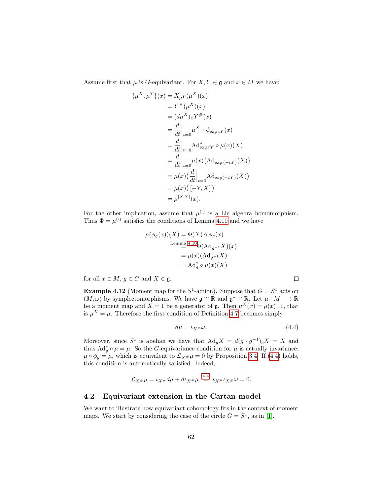Assume first that  $\mu$  is G-equivariant. For  $X, Y \in \mathfrak{g}$  and  $x \in M$  we have:

$$
\{\mu^{X}, \mu^{Y}\}(x) = X_{\mu^{Y}}(\mu^{X})(x)
$$
  
\n
$$
= Y^{\#}(\mu^{X})(x)
$$
  
\n
$$
= (d\mu^{X})_{x}Y^{\#}(x)
$$
  
\n
$$
= \frac{d}{dt}\Big|_{t=0} \mu^{X} \circ \phi_{\exp tY}(x)
$$
  
\n
$$
= \frac{d}{dt}\Big|_{t=0} \text{Ad}^{*}_{\exp tY} \circ \mu(x)(X)
$$
  
\n
$$
= \frac{d}{dt}\Big|_{t=0} \mu(x) \big(\text{Ad}_{\exp(-tY)}(X)\big)
$$
  
\n
$$
= \mu(x) \big(\frac{d}{dt}\Big|_{t=0} \text{Ad}_{\exp(-tY)}(X)\big)
$$
  
\n
$$
= \mu(x) \big([-Y, X]\big)
$$
  
\n
$$
= \mu^{[X,Y]}(x).
$$

For the other implication, assume that  $\mu^{(\cdot)}$  is a Lie algebra homomorphism. Thus  $\Phi = \mu^{(\cdot)}$  satisfies the conditions of Lemma [4.10](#page-60-1) and we have

$$
\mu(\phi_g(x))(X) = \Phi(X) \circ \phi_g(x)
$$
  
\nLemma 4.10
$$
\Phi(\text{Ad}_{g^{-1}}X)(x)
$$

$$
= \mu(x)(\text{Ad}_{g^{-1}}X)
$$

$$
= \text{Ad}_g^* \circ \mu(x)(X)
$$

for all  $x \in M$ ,  $g \in G$  and  $X \in \mathfrak{g}$ .

**Example 4.12** (Moment map for the  $S^1$ -action). Suppose that  $G = S^1$  acts on  $(M, \omega)$  by symplectomorphisms. We have  $\mathfrak{g} \cong \mathbb{R}$  and  $\mathfrak{g}^* \cong \mathbb{R}$ . Let  $\mu : M \longrightarrow \mathbb{R}$ be a moment map and  $X = 1$  be a generator of g. Then  $\mu^{X}(x) = \mu(x) \cdot 1$ , that is  $\mu^X = \mu$ . Therefore the first condition of Definition [4.7](#page-59-0) becomes simply

$$
d\mu = \iota_{X^{\#}}\omega. \tag{4.4}
$$

Moreover, since  $S^1$  is abelian we have that  $\text{Ad}_g X = d(g \cdot g^{-1})_e X = X$  and thus  $\mathrm{Ad}^*_g \circ \mu = \mu$ . So the G-equivariance condition for  $\mu$  is actually invariance:  $\mu \circ \phi_g = \mu$ , which is equivalent to  $\mathcal{L}_{X^{\#}} \mu = 0$  by Proposition [3.4.](#page-27-1) If [\(4.4\)](#page-63-0) holds, this condition is automatically satisfied. Indeed,

$$
\mathcal{L}_{X^{\#}}\mu = \iota_{X^{\#}}d\mu + d\iota_{X^{\#}}\mu \stackrel{(4.4)}{=} \iota_{X^{\#}}\iota_{X^{\#}}\omega = 0.
$$

### 4.2 Equivariant extension in the Cartan model

We want to illustrate how equivariant cohomology fits in the context of moment maps. We start by considering the case of the circle  $G = S^1$ , as in [\[1\]](#page-141-1).

<span id="page-63-0"></span> $\Box$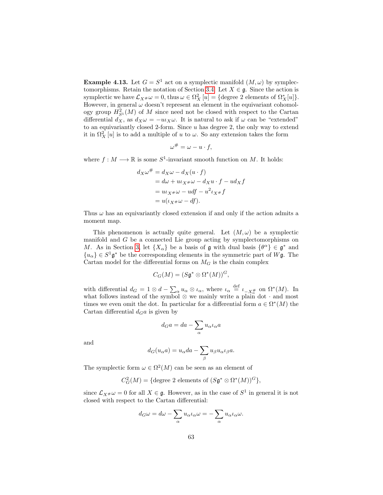**Example 4.13.** Let  $G = S^1$  act on a symplectic manifold  $(M, \omega)$  by symplec-tomorphisms. Retain the notation of Section [3.4.](#page-43-1) Let  $X \in \mathfrak{g}$ . Since the action is symplectic we have  $\mathcal{L}_{X^{\#}}\omega = 0$ , thus  $\omega \in \Omega_X^2[u] = \{\text{degree 2 elements of } \Omega_X^*[u] \}.$ However, in general  $\omega$  doesn't represent an element in the equivariant cohomology group  $H_{S^1}^2(M)$  of M since need not be closed with respect to the Cartan differential  $d_X$ , as  $d_X \omega = -u_X \omega$ . It is natural to ask if  $\omega$  can be "extended" to an equivariantly closed 2-form. Since  $u$  has degree 2, the only way to extend it in  $\Omega_X^2[u]$  is to add a multiple of u to  $\omega$ . So any extension takes the form

$$
\omega^{\#} = \omega - u \cdot f,
$$

where  $f: M \longrightarrow \mathbb{R}$  is some  $S^1$ -invariant smooth function on M. It holds:

$$
d_X \omega^{\#} = d_X \omega - d_X (u \cdot f)
$$
  
=  $d\omega + u \omega_x \omega - d_X u \cdot f - u \omega_x f$   
=  $u \omega_x \omega - u \omega_x f - u^2 \omega_x f$   
=  $u(\omega_x \omega - d f)$ .

Thus  $\omega$  has an equivariantly closed extension if and only if the action admits a moment map.

This phenomenon is actually quite general. Let  $(M, \omega)$  be a symplectic manifold and G be a connected Lie group acting by symplectomorphisms on M. As in Section [3,](#page-26-0) let  $\{X_{\alpha}\}\$ be a basis of g with dual basis  $\{\theta^{\alpha}\}\in\mathfrak{g}^*$  and  ${u_{\alpha}} \in S^1 \mathfrak{g}^*$  be the corresponding elements in the symmetric part of  $W\mathfrak{g}$ . The Cartan model for the differential forms on  $M_G$  is the chain complex

$$
C_G(M) = (S\mathfrak{g}^* \otimes \Omega^*(M))^G,
$$

with differential  $d_G = 1 \otimes d - \sum_{\alpha} u_{\alpha} \otimes \iota_{\alpha}$ , where  $\iota_{\alpha} \stackrel{\text{def}}{=} \iota_{-X_{\alpha}^{\#}}$  on  $\Omega^*(M)$ . In what follows instead of the symbol  $\otimes$  we mainly write a plain dot  $\cdot$  and most times we even omit the dot. In particular for a differential form  $a \in \Omega^*(M)$  the Cartan differential  $d_G a$  is given by

$$
d_G a = da - \sum_{\alpha} u_{\alpha} \iota_{\alpha} a
$$

and

$$
d_G(u_{\alpha}a) = u_{\alpha}da - \sum_{\beta} u_{\beta}u_{\alpha}u_{\beta}a.
$$

The symplectic form  $\omega \in \Omega^2(M)$  can be seen as an element of

$$
C_G^2(M) = \{ \text{degree 2 elements of } (S\mathfrak{g}^* \otimes \Omega^*(M))^G \},
$$

since  $\mathcal{L}_{X^{\#}}\omega = 0$  for all  $X \in \mathfrak{g}$ . However, as in the case of  $S^1$  in general it is not closed with respect to the Cartan differential:

$$
d_G\omega = d\omega - \sum_{\alpha} u_{\alpha} \iota_{\alpha} \omega = -\sum_{\alpha} u_{\alpha} \iota_{\alpha} \omega.
$$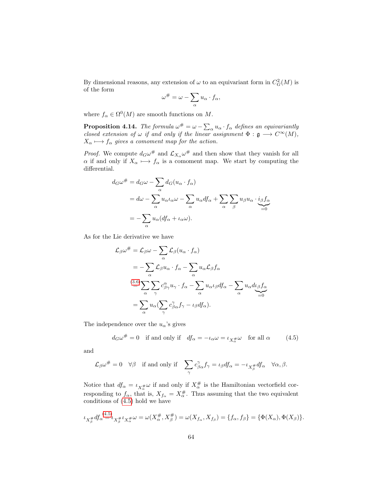By dimensional reasons, any extension of  $\omega$  to an equivariant form in  $C_G^2(M)$  is of the form

$$
\omega^{\#} = \omega - \sum_{\alpha} u_{\alpha} \cdot f_{\alpha},
$$

where  $f_{\alpha} \in \Omega^{0}(M)$  are smooth functions on M.

<span id="page-65-1"></span>**Proposition 4.14.** The formula  $\omega^{\#} = \omega - \sum_{\alpha} u_{\alpha} \cdot f_{\alpha}$  defines an equivariantly closed extension of  $\omega$  if and only if the linear assignment  $\Phi : \mathfrak{g} \longrightarrow C^{\infty}(M)$ ,  $X_{\alpha} \longmapsto f_{\alpha}$  gives a comoment map for the action.

*Proof.* We compute  $d_G\omega^{\#}$  and  $\mathcal{L}_{X_{\alpha}}\omega^{\#}$  and then show that they vanish for all  $\alpha$  if and only if  $X_{\alpha} \longmapsto f_{\alpha}$  is a comoment map. We start by computing the differential.

$$
d_G\omega^{\#} = d_G\omega - \sum_{\alpha} d_G(u_{\alpha} \cdot f_{\alpha})
$$
  
=  $d\omega - \sum_{\alpha} u_{\alpha} \iota_{\alpha} \omega - \sum_{\alpha} u_{\alpha} df_{\alpha} + \sum_{\alpha} \sum_{\beta} u_{\beta} u_{\alpha} \cdot i_{\beta} f_{\alpha}$   
=  $-\sum_{\alpha} u_{\alpha} (df_{\alpha} + \iota_{\alpha} \omega).$ 

As for the Lie derivative we have

$$
\mathcal{L}_{\beta}\omega^{\#} = \mathcal{L}_{\beta}\omega - \sum_{\alpha} \mathcal{L}_{\beta}(u_{\alpha} \cdot f_{\alpha})
$$
  
=  $-\sum_{\alpha} \mathcal{L}_{\beta}u_{\alpha} \cdot f_{\alpha} - \sum_{\alpha} u_{\alpha} \mathcal{L}_{\beta}f_{\alpha}$   

$$
\stackrel{(3.6)}{=} \sum_{\alpha} \sum_{\gamma} c_{\beta\gamma}^{\alpha} u_{\gamma} \cdot f_{\alpha} - \sum_{\alpha} u_{\alpha} \iota_{\beta} df_{\alpha} - \sum_{\alpha} u_{\alpha} d_{\beta} f_{\alpha}
$$
  
=  $\sum_{\alpha} u_{\alpha} (\sum_{\gamma} c_{\beta\alpha}^{\gamma} f_{\gamma} - \iota_{\beta} df_{\alpha}).$ 

The independence over the  $u_{\alpha}$ 's gives

<span id="page-65-0"></span>
$$
d_G\omega^{\#} = 0
$$
 if and only if  $df_{\alpha} = -\iota_{\alpha}\omega = \iota_{X_{\alpha}^{\#}}\omega$  for all  $\alpha$  (4.5)

and

$$
\mathcal{L}_{\beta}\omega^{\#}=0 \quad \forall \beta \quad \text{if and only if} \quad \sum_{\gamma}c_{\beta\alpha}^{\gamma}f_{\gamma}=\iota_{\beta}df_{\alpha}=-\iota_{X_{\beta}^{\#}}df_{\alpha}\quad \forall \alpha,\beta.
$$

Notice that  $df_{\alpha} = \iota_{X_{\alpha}^{\#}}\omega$  if and only if  $X_{\alpha}^{\#}$  is the Hamiltonian vectorfield corresponding to  $f_{\alpha}$ , that is,  $X_{f_{\alpha}} = X_{\alpha}^{\#}$ . Thus assuming that the two equivalent conditions of [\(4.5\)](#page-65-0) hold we have

$$
\iota_{X_{\beta}^{\#}}df_{\alpha}^{(4.5)} = \iota_{X_{\beta}^{\#}}\iota_{X_{\alpha}^{\#}}\omega = \omega(X_{\alpha}^{\#}, X_{\beta}^{\#}) = \omega(X_{f_{\alpha}}, X_{f_{\beta}}) = \{f_{\alpha}, f_{\beta}\} = \{\Phi(X_{\alpha}), \Phi(X_{\beta})\}.
$$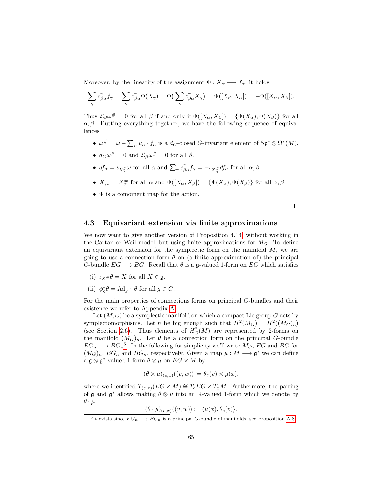Moreover, by the linearity of the assignment  $\Phi: X_{\alpha} \longmapsto f_{\alpha}$ , it holds

$$
\sum_{\gamma} c_{\beta\alpha}^{\gamma} f_{\gamma} = \sum_{\gamma} c_{\beta\alpha}^{\gamma} \Phi(X_{\gamma}) = \Phi\left(\sum_{\gamma} c_{\beta\alpha}^{\gamma} X_{\gamma}\right) = \Phi([X_{\beta}, X_{\alpha}]) = -\Phi([X_{\alpha}, X_{\beta}]).
$$

Thus  $\mathcal{L}_{\beta}\omega^{\#}=0$  for all  $\beta$  if and only if  $\Phi([X_{\alpha},X_{\beta}])=\{\Phi(X_{\alpha}),\Phi(X_{\beta})\}$  for all  $\alpha, \beta$ . Putting everything together, we have the following sequence of equivalences

- $\omega^{\#} = \omega \sum_{\alpha} u_{\alpha} \cdot f_{\alpha}$  is a  $d_G$ -closed G-invariant element of  $S \mathfrak{g}^* \otimes \Omega^*(M)$ .
- $d_G\omega^{\#} = 0$  and  $\mathcal{L}_{\beta}\omega^{\#} = 0$  for all  $\beta$ .
- $df_{\alpha} = \iota_{X_{\alpha}^{\#}} \omega$  for all  $\alpha$  and  $\sum_{\gamma} c_{\beta \alpha}^{\gamma} f_{\gamma} = -\iota_{X_{\beta}^{\#}} df_{\alpha}$  for all  $\alpha, \beta$ .
- $X_{f_{\alpha}} = X_{\alpha}^{\#}$  for all  $\alpha$  and  $\Phi([X_{\alpha}, X_{\beta}]) = {\Phi(X_{\alpha}), \Phi(X_{\beta}) }$  for all  $\alpha, \beta$ .
- Φ is a comoment map for the action.

 $\Box$ 

### 4.3 Equivariant extension via finite approximations

We now want to give another version of Proposition [4.14,](#page-65-1) without working in the Cartan or Weil model, but using finite approximations for  $M_G$ . To define an equivariant extension for the symplectic form on the manifold  $M$ , we are going to use a connection form  $\theta$  on (a finite approximation of) the principal G-bundle  $EG \longrightarrow BG$ . Recall that  $\theta$  is a g-valued 1-form on EG which satisfies

- (i)  $\iota_{X} \# \theta = X$  for all  $X \in \mathfrak{g}$ .
- (ii)  $\phi_g^* \theta = \text{Ad}_g \circ \theta$  for all  $g \in G$ .

For the main properties of connections forms on principal G-bundles and their existence we refer to Appendix [A.](#page-109-0)

Let  $(M, \omega)$  be a symplectic manifold on which a compact Lie group G acts by symplectomorphisms. Let *n* be big enough such that  $H^2(M_G) = H^2((M_G)_n)$ (see Section [2.6\)](#page-22-0). Thus elements of  $H_G^2(M)$  are represented by 2-forms on the manifold  $(M_G)_n$ . Let  $\theta$  be a connection form on the principal G-bundle  $EG_n \longrightarrow BG_n^6$  $EG_n \longrightarrow BG_n^6$ . In the following for simplicity we'll write  $M_G$ , EG and BG for  $(M_G)_n$ ,  $EG_n$  and  $BG_n$ , respectively. Given a map  $\mu : M \longrightarrow \mathfrak{g}^*$  we can define a  $\mathfrak{g} \otimes \mathfrak{g}^*$ -valued 1-form  $\theta \otimes \mu$  on  $EG \times M$  by

$$
(\theta \otimes \mu)_{(e,x)}((v,w)) := \theta_e(v) \otimes \mu(x),
$$

where we identified  $T_{(e,x)}(EG \times M) \cong T_e EG \times T_xM$ . Furthermore, the pairing of g and  $g^*$  allows making  $\theta \otimes \mu$  into an R-valued 1-form which we denote by  $\theta \cdot \mu$ :

$$
(\theta \cdot \mu)_{(e,x)}((v,w)) \coloneqq \langle \mu(x), \theta_e(v) \rangle.
$$

<span id="page-66-0"></span><sup>&</sup>lt;sup>6</sup>It exists since  $EG_n \longrightarrow BG_n$  is a principal G-bundle of manifolds, see Proposition [A.8.](#page-112-0)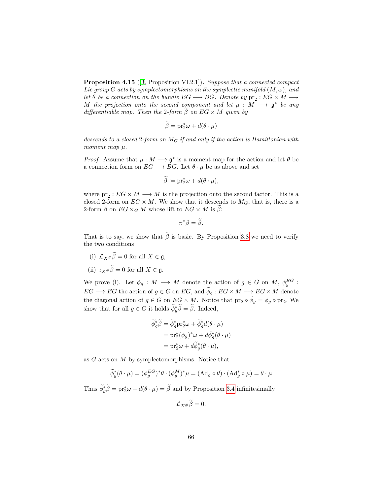Proposition 4.15 ([\[3,](#page-141-5) Proposition VI.2.1]). Suppose that a connected compact Lie group G acts by symplectomorphisms on the symplectic manifold  $(M, \omega)$ , and let  $\theta$  be a connection on the bundle  $EG \longrightarrow BG$ . Denote by  $pr_2 : EG \times M \longrightarrow$ M the projection onto the second component and let  $\mu : M \longrightarrow \mathfrak{g}^*$  be any differentiable map. Then the 2-form  $\beta$  on  $EG \times M$  given by

$$
\widetilde{\beta} = \mathrm{pr}_2^* \omega + d(\theta \cdot \mu)
$$

descends to a closed 2-form on  $M_G$  if and only if the action is Hamiltonian with moment map  $\mu$ .

*Proof.* Assume that  $\mu : M \longrightarrow \mathfrak{g}^*$  is a moment map for the action and let  $\theta$  be a connection form on  $EG \longrightarrow BG$ . Let  $\theta \cdot \mu$  be as above and set

$$
\widetilde{\beta} \coloneqq \mathrm{pr}_2^*\omega + d(\theta \cdot \mu),
$$

where  $pr_2: EG \times M \longrightarrow M$  is the projection onto the second factor. This is a closed 2-form on  $EG \times M$ . We show that it descends to  $M_G$ , that is, there is a 2-form  $\beta$  on  $EG \times_G M$  whose lift to  $EG \times M$  is  $\beta$ :

$$
\pi^*\beta=\widetilde{\beta}.
$$

That is to say, we show that  $\tilde{\beta}$  is basic. By Proposition [3.8](#page-28-1) we need to verify the two conditions

- (i)  $\mathcal{L}_{X^{\#}}\widetilde{\beta} = 0$  for all  $X \in \mathfrak{g}$ ,
- (ii)  $\iota_{X} \widetilde{\beta} = 0$  for all  $X \in \mathfrak{g}$ .

We prove (i). Let  $\phi_g : M \longrightarrow M$  denote the action of  $g \in G$  on M,  $\phi_g^{EG}$ :  $EG \longrightarrow EG$  the action of  $g \in G$  on  $EG$ , and  $\widetilde{\phi}_g : EG \times M \longrightarrow EG \times M$  denote the diagonal action of  $g \in G$  on  $EG \times M$ . Notice that  $\text{pr}_2 \circ \phi_g = \phi_g \circ \text{pr}_2$ . We show that for all  $g \in G$  it holds  $\widetilde{\phi}_g^* \widetilde{\beta} = \widetilde{\beta}$ . Indeed,

$$
\widetilde{\phi}_{g}^{*}\widetilde{\beta} = \widetilde{\phi}_{g}^{*} \mathrm{pr}_{2}^{*} \omega + \widetilde{\phi}_{g}^{*} d(\theta \cdot \mu)
$$

$$
= \mathrm{pr}_{2}^{*} (\phi_{g})^{*} \omega + d \widetilde{\phi}_{g}^{*} (\theta \cdot \mu)
$$

$$
= \mathrm{pr}_{2}^{*} \omega + d \widetilde{\phi}_{g}^{*} (\theta \cdot \mu),
$$

as  $G$  acts on  $M$  by symplectomorphisms. Notice that

$$
\widetilde{\phi}_{g}^{*}(\theta \cdot \mu) = (\phi_{g}^{EG})^{*}\theta \cdot (\phi_{g}^{M})^{*}\mu = (\mathrm{Ad}_{g} \circ \theta) \cdot (\mathrm{Ad}_{g}^{*} \circ \mu) = \theta \cdot \mu
$$

Thus  $\widetilde{\phi}_{g}^{*}\widetilde{\beta} = \text{pr}_{2}^{*}\omega + d(\theta \cdot \mu) = \widetilde{\beta}$  and by Proposition [3.4](#page-27-1) infinitesimally

$$
\mathcal{L}_{X^{\#}}\tilde{\beta}=0.
$$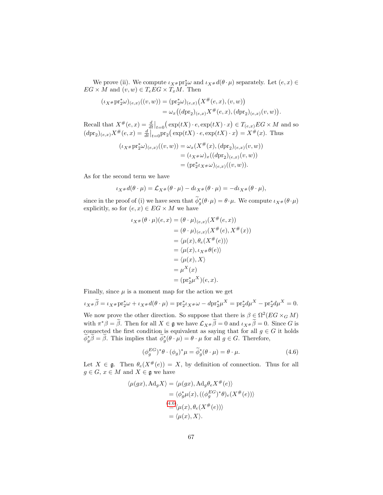We prove (ii). We compute  $\iota_{X}$ # $\mathrm{pr}_2^*\omega$  and  $\iota_{X}$ # $d(\theta \cdot \mu)$  separately. Let  $(e, x) \in$  $EG \times M$  and  $(v, w) \in T_e EG \times T_xM$ . Then

$$
(\iota_{X} * \mathrm{pr}_2^* \omega)_{(e,x)}((v,w)) = (\mathrm{pr}_2^* \omega)_{(e,x)} (X^{\#}(e,x), (v,w))
$$
  

$$
= \omega_x ((d \mathrm{pr}_2)_{(e,x)} X^{\#}(e,x), (d \mathrm{pr}_2)_{(e,x)} (v,w)).
$$

Recall that  $X^{\#}(e,x) = \frac{d}{dt}\big|_{t=0} (\exp(tX) \cdot e, \exp(tX) \cdot x) \in T_{(e,x)}EG \times M$  and so  $(dpr_2)_{(e,x)}X^{\#}(e,x) = \frac{d}{dt}\Big|_{t=0}pr_2(\exp(tX)\cdot e, \exp(tX)\cdot x) = X^{\#}(x)$ . Thus

$$
(\iota_{X^{\#}}\mathrm{pr}_2^*\omega)_{(e,x)}((v,w)) = \omega_x(X^{\#}(x),(\mathrm{dpr}_2)_{(e,x)}(v,w))
$$
  
=  $(\iota_{X^{\#}}\omega)_x((\mathrm{dpr}_2)_{(e,x)}(v,w))$   
=  $(\mathrm{pr}_2^*\iota_{X^{\#}}\omega)_{(e,x)}((v,w)).$ 

As for the second term we have

$$
\iota_{X^{\#}}d(\theta \cdot \mu) = \mathcal{L}_{X^{\#}}(\theta \cdot \mu) - d\iota_{X^{\#}}(\theta \cdot \mu) = -d\iota_{X^{\#}}(\theta \cdot \mu),
$$

since in the proof of (i) we have seen that  $\phi_g^*(\theta \cdot \mu) = \theta \cdot \mu$ . We compute  $\iota_{X^*}(\theta \cdot \mu)$ explicitly, so for  $(e, x) \in EG \times M$  we have

$$
\iota_{X^{\#}}(\theta \cdot \mu)(e, x) = (\theta \cdot \mu)_{(e,x)}(X^{\#}(e, x))
$$
  
\n
$$
= (\theta \cdot \mu)_{(e,x)}(X^{\#}(e), X^{\#}(x))
$$
  
\n
$$
= \langle \mu(x), \theta_e(X^{\#}(e)) \rangle
$$
  
\n
$$
= \langle \mu(x), \iota_{X^{\#}}\theta(e) \rangle
$$
  
\n
$$
= \langle \mu(x), X \rangle
$$
  
\n
$$
= \mu^X(x)
$$
  
\n
$$
= (\text{pr}_2^* \mu^X)(e, x).
$$

Finally, since  $\mu$  is a moment map for the action we get

$$
\iota_{X} * \widetilde{\beta} = \iota_{X} * \operatorname{pr}_{2}^{*} \omega + \iota_{X} * d(\theta \cdot \mu) = \operatorname{pr}_{2}^{*} \iota_{X} * \omega - d \operatorname{pr}_{2}^{*} \mu^{X} = \operatorname{pr}_{2}^{*} d \mu^{X} - \operatorname{pr}_{2}^{*} d \mu^{X} = 0.
$$

We now prove the other direction. So suppose that there is  $\beta \in \Omega^2(EG \times_G M)$ with  $\pi^* \beta = \tilde{\beta}$ . Then for all  $X \in \mathfrak{g}$  we have  $\mathcal{L}_{X} \# \tilde{\beta} = 0$  and  $\iota_{X} \# \tilde{\beta} = 0$ . Since G is connected the first condition is equivalent as saying that for all  $g \in G$  it holds  $\widetilde{\phi}_{g}^{*}\widetilde{\beta} = \widetilde{\beta}$ . This implies that  $\widetilde{\phi}_{g}^{*}(\theta \cdot \mu) = \theta \cdot \mu$  for all  $g \in G$ . Therefore,

<span id="page-68-0"></span>
$$
(\phi_g^{EG})^* \theta \cdot (\phi_g)^* \mu = \widetilde{\phi}_g^* (\theta \cdot \mu) = \theta \cdot \mu. \tag{4.6}
$$

Let  $X \in \mathfrak{g}$ . Then  $\theta_e(X^{\#}(e)) = X$ , by definition of connection. Thus for all  $g \in G$ ,  $x \in M$  and  $X \in \mathfrak{g}$  we have

$$
\langle \mu(gx), \mathrm{Ad}_g X \rangle = \langle \mu(gx), \mathrm{Ad}_g \theta_e X^{\#}(e) \rangle
$$
  

$$
= \langle \phi_g^* \mu(x), ((\phi_g^{EG})^* \theta)_e(X^{\#}(e)) \rangle
$$
  

$$
\stackrel{(4.6)}{=} \langle \mu(x), \theta_e(X^{\#}(e)) \rangle
$$
  

$$
= \langle \mu(x), X \rangle.
$$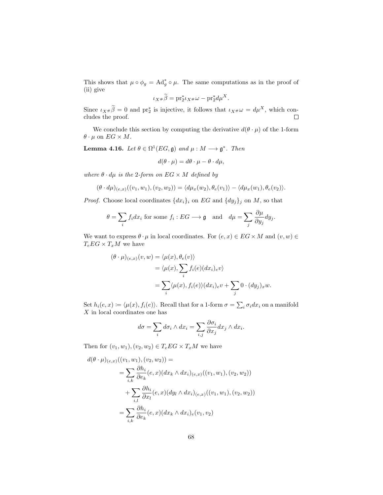This shows that  $\mu \circ \phi_g = \mathrm{Ad}^*_g \circ \mu$ . The same computations as in the proof of (ii) give

$$
\iota_{X^{\#}}\widetilde{\beta} = \mathrm{pr}_{2}^{\ast}\iota_{X^{\#}}\omega - \mathrm{pr}_{2}^{\ast}d\mu^{X}.
$$

Since  $\iota_{X} \widetilde{\beta} = 0$  and  $\operatorname{pr}_{2}^{*}$  is injective, it follows that  $\iota_{X} \ast \omega = d\mu^{X}$ , which concludes the proof.  $\Box$ 

We conclude this section by computing the derivative  $d(\theta \cdot \mu)$  of the 1-form  $\theta \cdot \mu$  on  $EG \times M$ .

**Lemma 4.16.** Let  $\theta \in \Omega^1(EG, \mathfrak{g})$  and  $\mu : M \longrightarrow \mathfrak{g}^*$ . Then

$$
d(\theta \cdot \mu) = d\theta \cdot \mu - \theta \cdot d\mu,
$$

where  $\theta \cdot d\mu$  is the 2-form on  $EG \times M$  defined by

$$
(\theta \cdot d\mu)_{(e,x)}((v_1,w_1),(v_2,w_2)) = \langle d\mu_x(w_2), \theta_e(v_1) \rangle - \langle d\mu_x(w_1), \theta_e(v_2) \rangle.
$$

*Proof.* Choose local coordinates  $\{dx_i\}_i$  on  $EG$  and  $\{dy_j\}_j$  on  $M$ , so that

$$
\theta = \sum_{i} f_i dx_i \text{ for some } f_i : EG \longrightarrow \mathfrak{g} \quad \text{and} \quad d\mu = \sum_{j} \frac{\partial \mu}{\partial y_j} dy_j.
$$

We want to express  $\theta \cdot \mu$  in local coordinates. For  $(e, x) \in EG \times M$  and  $(v, w) \in$  $T_eEG \times T_xM$  we have

$$
(\theta \cdot \mu)_{(e,x)}(v,w) = \langle \mu(x), \theta_e(v) \rangle
$$
  
=  $\langle \mu(x), \sum_i f_i(e)(dx_i)_e v \rangle$   
=  $\sum_i \langle \mu(x), f_i(e) \rangle (dx_i)_e v + \sum_j 0 \cdot (dy_j)_x w.$ 

Set  $h_i(e, x) \coloneqq \langle \mu(x), f_i(e) \rangle$ . Recall that for a 1-form  $\sigma = \sum_i \sigma_i dx_i$  on a manifold X in local coordinates one has

$$
d\sigma = \sum_{i} d\sigma_i \wedge dx_i = \sum_{i,j} \frac{\partial \sigma_i}{\partial x_j} dx_j \wedge dx_i.
$$

Then for  $(v_1, w_1), (v_2, w_2) \in T_eEG \times T_xM$  we have

$$
d(\theta \cdot \mu)_{(e,x)}((v_1, w_1), (v_2, w_2)) =
$$
  
= 
$$
\sum_{i,k} \frac{\partial h_i}{\partial e_k}(e, x) (dx_k \wedge dx_i)_{(e,x)}((v_1, w_1), (v_2, w_2))
$$
  
+ 
$$
\sum_{i,l} \frac{\partial h_i}{\partial x_l}(e, x) (dy_l \wedge dx_i)_{(e,x)}((v_1, w_1), (v_2, w_2))
$$
  
= 
$$
\sum_{i,k} \frac{\partial h_i}{\partial e_k}(e, x) (dx_k \wedge dx_i)_e(v_1, v_2)
$$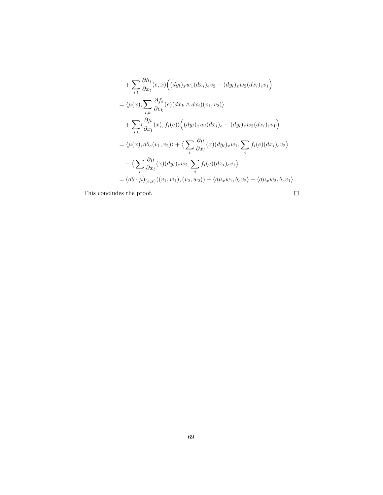+
$$
\sum_{i,l} \frac{\partial h_i}{\partial x_l}(e, x) \Big( (dy_l)_x w_1(dx_i)_e v_2 - (dy_l)_x w_2(dx_i)_e v_1 \Big)
$$
  
\n=  $\langle \mu(x), \sum_{i,k} \frac{\partial f_i}{\partial e_k}(e) (dx_k \wedge dx_i)(v_1, v_2) \rangle$   
\n+
$$
\sum_{i,l} \langle \frac{\partial \mu}{\partial x_l}(x), f_i(e) \rangle \Big( (dy_l)_x w_i(dx_i)_e - (dy_l)_x w_2(dx_i)_e v_1 \Big)
$$
  
\n=  $\langle \mu(x), d\theta_e(v_1, v_2) \rangle + \langle \sum_l \frac{\partial \mu}{\partial x_l}(x) (dy_l)_x w_1, \sum_i f_i(e) (dx_i)_e v_2 \rangle$   
\n- $\langle \sum_l \frac{\partial \mu}{\partial x_l}(x) (dy_l)_x w_2, \sum_i f_i(e) (dx_i)_e v_1 \rangle$   
\n=  $(d\theta \cdot \mu)_{(e,x)}((v_1, w_1), (v_2, w_2)) + \langle d\mu_x w_1, \theta_e v_2 \rangle - \langle d\mu_x w_2, \theta_e v_1 \rangle$ .

This concludes the proof.

 $\Box$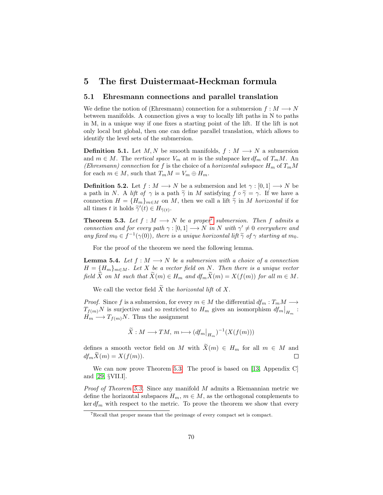## 5 The first Duistermaat-Heckman formula

#### 5.1 Ehresmann connections and parallel translation

We define the notion of (Ehresmann) connection for a submersion  $f : M \longrightarrow N$ between manifolds. A connection gives a way to locally lift paths in N to paths in M, in a unique way if one fixes a starting point of the lift. If the lift is not only local but global, then one can define parallel translation, which allows to identify the level sets of the submersion.

**Definition 5.1.** Let  $M, N$  be smooth manifolds,  $f : M \longrightarrow N$  a submersion and  $m \in M$ . The vertical space  $V_m$  at m is the subspace ker  $df_m$  of  $T_mM$ . An (Ehresmann) connection for f is the choice of a horizontal subspace  $H_m$  of  $T_mM$ for each  $m \in M$ , such that  $T_m M = V_m \oplus H_m$ .

**Definition 5.2.** Let  $f : M \longrightarrow N$  be a submersion and let  $\gamma : [0, 1] \longrightarrow N$  be a path in N. A lift of  $\gamma$  is a path  $\tilde{\gamma}$  in M satisfying  $f \circ \tilde{\gamma} = \gamma$ . If we have a connection  $H = \{H_m\}_{m \in M}$  on M, then we call a lift  $\tilde{\gamma}$  in M horizontal if for all times t it holds  $\widetilde{\gamma}'(t) \in H_{\widetilde{\gamma}(t)}$ .

<span id="page-71-1"></span>**Theorem 5.3.** Let  $f : M \longrightarrow N$  be a proper<sup>[7](#page-71-0)</sup> submersion. Then f admits a connection and for every path  $\gamma : [0,1] \longrightarrow N$  in N with  $\gamma' \neq 0$  everywhere and any fixed  $m_0 \in f^{-1}(\gamma(0))$ , there is a unique horizontal lift  $\tilde{\gamma}$  of  $\gamma$  starting at  $m_0$ .

For the proof of the theorem we need the following lemma.

**Lemma 5.4.** Let  $f : M \longrightarrow N$  be a submersion with a choice of a connection  $H = \{H_m\}_{m \in M}$ . Let X be a vector field on N. Then there is a unique vector field  $\widetilde{X}$  on M such that  $\widetilde{X}(m) \in H_m$  and  $df_m \widetilde{X}(m) = X(f(m))$  for all  $m \in M$ .

We call the vector field  $\widetilde{X}$  the *horizontal lift* of X.

*Proof.* Since f is a submersion, for every  $m \in M$  the differential  $df_m : T_m M \longrightarrow$  $T_{f(m)}N$  is surjective and so restricted to  $H_m$  gives an isomorphism  $df_m|_{H_m}$ :  $H_m \longrightarrow T_{f(m)}N$ . Thus the assignment

$$
\widetilde{X}: M \longrightarrow TM, m \longmapsto (df_m|_{H_m})^{-1}(X(f(m)))
$$

defines a smooth vector field on M with  $\widetilde{X}(m) \in H_m$  for all  $m \in M$  and  $df_m \widetilde{X}(m) = X(f(m)).$  $df_m\widetilde{X}(m) = X(f(m)).$ 

We can now prove Theorem [5.3.](#page-71-1) The proof is based on [\[13,](#page-142-2) Appendix C] and [\[29,](#page-143-3) §VII.I].

*Proof of Theorem [5.3.](#page-71-1)* Since any manifold  $M$  admits a Riemannian metric we define the horizontal subspaces  $H_m$ ,  $m \in M$ , as the orthogonal complements to  $\ker df_m$  with respect to the metric. To prove the theorem we show that every

<span id="page-71-0"></span><sup>7</sup>Recall that proper means that the preimage of every compact set is compact.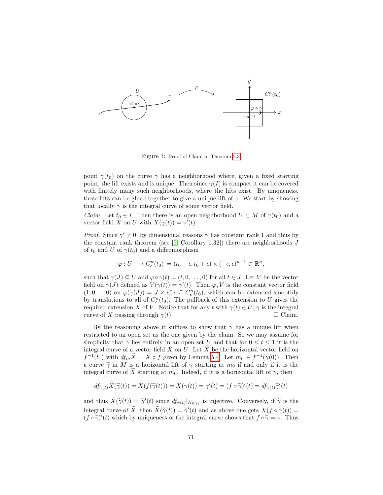

Figure 1: Proof of Claim in Theorem [5.3.](#page-71-0)

point  $\gamma(t_0)$  on the curve  $\gamma$  has a neighborhood where, given a fixed starting point, the lift exists and is unique. Then since  $\gamma(I)$  is compact it can be covered with finitely many such neighborhoods, where the lifts exist. By uniqueness, these lifts can be glued together to give a unique lift of  $\gamma$ . We start by showing that locally  $\gamma$  is the integral curve of some vector field.

*Claim.* Let  $t_0 \in I$ . Then there is an open neighborhood  $U \subset M$  of  $\gamma(t_0)$  and a vector field X on U with  $X(\gamma(t)) = \gamma'(t)$ .

*Proof.* Since  $\gamma' \neq 0$ , by dimensional reasons  $\gamma$  has constant rank 1 and thus by the constant rank theorem (see  $[9,$  Corollary 1.32]) there are neighborhoods  $J$ of  $t_0$  and U of  $\gamma(t_0)$  and a diffeomorphism

$$
\varphi: U \longrightarrow C^n_{\epsilon}(t_0) \coloneqq (t_0 - \epsilon, t_0 + \epsilon) \times (-\epsilon, \epsilon)^{n-1} \subset \mathbb{R}^n,
$$

such that  $\gamma(J) \subseteq U$  and  $\varphi \circ \gamma(t) = (t, 0, \ldots, 0)$  for all  $t \in J$ . Let V be the vector field on  $\gamma(J)$  defined as  $V(\gamma(t)) = \gamma'(t)$ . Then  $\varphi_* V$  is the constant vector field  $(1,0,\ldots 0)$  on  $\varphi(\gamma(J)) = J \times \{0\} \subseteq C_{\epsilon}^{n}(t_0)$ , which can be extended smoothly by translations to all of  $C_{\epsilon}^{n}(t_0)$ . The pullback of this extension to U gives the required extension X of V. Notice that for any t with  $\gamma(t) \in U$ ,  $\gamma$  is the integral curve of X passing through  $\gamma(t)$ .  $\Box$  Claim.

By the reasoning above it suffices to show that  $\gamma$  has a unique lift when restricted to an open set as the one given by the claim. So we may assume for simplicity that  $\gamma$  lies entirely in an open set U and that for  $0 \le t \le 1$  it is the integral curve of a vector field X on U. Let  $\widetilde{X}$  be the horizontal vector field on  $f^{-1}(U)$  with  $df_m\tilde{X}=X \circ f$  given by Lemma [5.4.](#page-71-1) Let  $m_0 \in f^{-1}(\gamma(0))$ . Then a curve  $\tilde{\gamma}$  in M is a horizontal lift of  $\gamma$  starting at  $m_0$  if and only if it is the integral curve of  $\tilde{X}$  starting at  $m_0$ . Indeed, if it is a horizontal lift of  $\gamma$ , then

$$
df_{\widetilde{\gamma}(t)}\widetilde{X}(\widetilde{\gamma}(t)) = X(f(\widetilde{\gamma}(t))) = X(\gamma(t)) = \gamma'(t) = (f \circ \widetilde{\gamma})'(t) = df_{\widetilde{\gamma}(t)}\widetilde{\gamma}'(t)
$$

and thus  $\widetilde{X}(\widetilde{\gamma}(t)) = \widetilde{\gamma}'(t)$  since  $df_{\widetilde{\gamma}(t)}|_{H_{\widetilde{\gamma}(t)}}$  is injective. Conversely, if  $\widetilde{\gamma}$  is the integral curve of  $\widetilde{X}$ , then  $\widetilde{X}(\widetilde{\gamma}(t)) = \widetilde{\gamma}'(t)$  and as above one gets  $X(f \circ \widetilde{\gamma}(t)) =$ <br>(f  $\circ \widetilde{\gamma}'(t)$  which by uniqueness of the integral curve shows that  $f \circ \widetilde{\gamma} = \gamma$ . Thus  $(f \circ \tilde{\gamma})'(t)$  which by uniqueness of the integral curve shows that  $f \circ \tilde{\gamma} = \gamma$ . Thus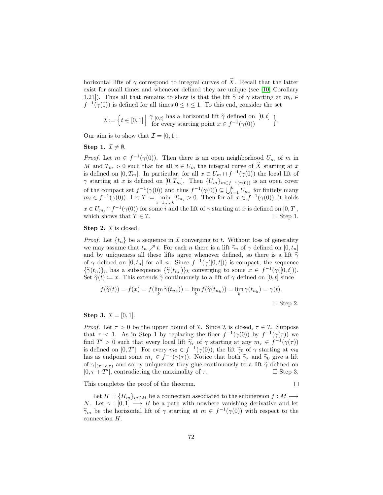horizontal lifts of  $\gamma$  correspond to integral curves of  $\widetilde{X}$ . Recall that the latter exist for small times and whenever defined they are unique (see [\[10,](#page-141-1) Corollary 1.21]). Thus all that remains to show is that the lift  $\tilde{\gamma}$  of  $\gamma$  starting at  $m_0 \in$  $f^{-1}(\gamma(0))$  is defined for all times  $0 \le t \le 1$ . To this end, consider the set

$$
\mathcal{I} \coloneqq \left\{ t \in [0,1] \middle| \begin{array}{c} \gamma|_{[0,t]} \text{ has a horizontal lift } \widetilde{\gamma} \text{ defined on } [0,t] \\ \text{for every starting point } x \in f^{-1}(\gamma(0)) \end{array} \right\}.
$$

Our aim is to show that  $\mathcal{I} = [0, 1]$ .

#### Step 1.  $\mathcal{I} \neq \emptyset$ .

*Proof.* Let  $m \in f^{-1}(\gamma(0))$ . Then there is an open neighborhood  $U_m$  of m in M and  $T_m > 0$  such that for all  $x \in U_m$  the integral curve of X starting at x is defined on  $[0, T_m]$ . In particular, for all  $x \in U_m \cap f^{-1}(\gamma(0))$  the local lift of  $\gamma$  starting at x is defined on  $[0, T_m]$ . Then  $\{U_m\}_{m \in f^{-1}(\gamma(0))}$  is an open cover of the compact set  $f^{-1}(\gamma(0))$  and thus  $f^{-1}(\gamma(0)) \subseteq \bigcup_{i=1}^{k} U_{m_i}$  for finitely many  $m_i \in f^{-1}(\gamma(0))$ . Let  $T := \min_{i=1,\dots,k} T_{m_i} > 0$ . Then for all  $x \in f^{-1}(\gamma(0))$ , it holds  $x \in U_{m_i} \cap f^{-1}(\gamma(0))$  for some i and the lift of  $\gamma$  starting at x is defined on  $[0, T]$ , which shows that  $T \in \mathcal{I}$ .  $\Box$  Step 1.

#### **Step 2.**  $\mathcal{I}$  is closed.

*Proof.* Let  $\{t_n\}$  be a sequence in  $\mathcal I$  converging to  $t$ . Without loss of generality we may assume that  $t_n \nearrow t$ . For each n there is a lift  $\widetilde{\gamma}_n$  of  $\gamma$  defined on  $[0, t_n]$ and by uniqueness all these lifts agree whenever defined, so there is a lift  $\tilde{\gamma}$ of  $\gamma$  defined on  $[0, t_n]$  for all n. Since  $f^{-1}(\gamma([0, t]))$  is compact, the sequence  ${\{\widetilde{\gamma}(t_n)\}_n}$  has a subsequence  ${\{\widetilde{\gamma}(t_{n_k})\}_k}$  converging to some  $x \in f^{-1}(\gamma([0,t]))$ .<br>Set  $\widetilde{\gamma}(t) := x$ . This extends  $\widetilde{\gamma}$  continuously to a lift of  $\alpha$  defined on [0, t] since. Set  $\tilde{\gamma}(t) \coloneqq x$ . This extends  $\tilde{\gamma}$  continuously to a lift of  $\gamma$  defined on [0, t] since

$$
f(\widetilde{\gamma}(t)) = f(x) = f(\lim_{k} \widetilde{\gamma}(t_{n_k})) = \lim_{k} f(\widetilde{\gamma}(t_{n_k})) = \lim_{k} \gamma(t_{n_k}) = \gamma(t).
$$

 $\Box$  Step 2.

### **Step 3.**  $\mathcal{I} = [0, 1].$

*Proof.* Let  $\tau > 0$  be the upper bound of *I*. Since *I* is closed,  $\tau \in I$ . Suppose that  $\tau$  < 1. As in Step 1 by replacing the fiber  $f^{-1}(\gamma(0))$  by  $f^{-1}(\gamma(\tau))$  we find  $T' > 0$  such that every local lift  $\tilde{\gamma}_{\tau}$  of  $\gamma$  starting at any  $m_{\tau} \in f^{-1}(\gamma(\tau))$ <br>is defined on [0, T']. For overy  $m_{\tau} \in f^{-1}(\gamma(\tau))$ , the lift  $\tilde{\gamma}_{\tau}$  of  $\gamma$  starting at  $m_{\tau}$ . is defined on  $[0, T']$ . For every  $m_0 \in f^{-1}(\gamma(0))$ , the lift  $\tilde{\gamma}_0$  of  $\gamma$  starting at  $m_0$ <br>has as ordinaint some  $m_0 \in f^{-1}(\gamma(\tau))$ . Notice that both  $\tilde{\gamma}_0$  and  $\tilde{\gamma}_2$  give a lift has as endpoint some  $m_{\tau} \in f^{-1}(\gamma(\tau))$ . Notice that both  $\tilde{\gamma}_{\tau}$  and  $\tilde{\gamma}_0$  give a lift  $\tilde{\gamma}_0$  and so by uniqueness they glue continuously to a lift  $\tilde{\gamma}_0$  defined on of  $\gamma|_{(\tau-\epsilon,\tau)}$  and so by uniqueness they glue continuously to a lift  $\tilde{\gamma}$  defined on  $[0, \tau+T']$ , contradicting the maximality of  $\tau$ .  $\square$  Step 3.  $[0, \tau + T']$ , contradicting the maximality of  $\tau$ .  $\square$  Step 3.

This completes the proof of the theorem.

 $\Box$ 

Let  $H = \{H_m\}_{m \in M}$  be a connection associated to the submersion  $f : M \longrightarrow$ N. Let  $\gamma : [0,1] \longrightarrow B$  be a path with nowhere vanishing derivative and let  $\widetilde{\gamma}_m$  be the horizontal lift of  $\gamma$  starting at  $m \in f^{-1}(\gamma(0))$  with respect to the connection H connection H.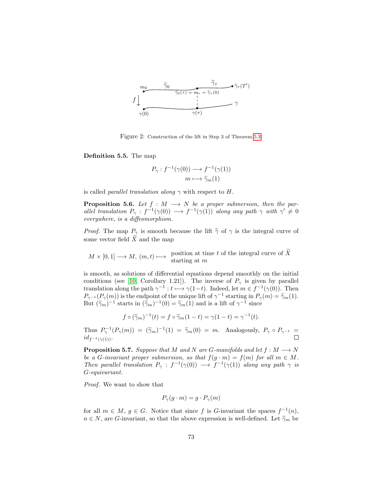

Figure 2: Construction of the lift in Step 3 of Theorem [5.3.](#page-71-0)

Definition 5.5. The map

$$
P_{\gamma}: f^{-1}(\gamma(0)) \longrightarrow f^{-1}(\gamma(1))
$$

$$
m \longmapsto \widetilde{\gamma}_m(1)
$$

is called *parallel translation along*  $\gamma$  with respect to H.

**Proposition 5.6.** Let  $f : M \longrightarrow N$  be a proper submersion, then the parallel translation  $P_\gamma : f^{-1}(\gamma(0)) \longrightarrow f^{-1}(\gamma(1))$  along any path  $\gamma$  with  $\gamma' \neq 0$ everywhere, is a diffeomorphism.

*Proof.* The map  $P_{\gamma}$  is smooth because the lift  $\tilde{\gamma}$  of  $\gamma$  is the integral curve of some vector field  $\widetilde{X}$  and the map

 $M \times [0,1] \longrightarrow M$ ,  $(m,t) \longmapsto$  position at time t of the integral curve of X<br>starting at m

is smooth, as solutions of differential equations depend smoothly on the initial conditions (see [\[10,](#page-141-1) Corollary 1.21]). The inverse of  $P_{\gamma}$  is given by parallel translation along the path  $\gamma^{-1}: t \longmapsto \gamma(1-t)$ . Indeed, let  $m \in f^{-1}(\gamma(0))$ . Then  $P_{\gamma^{-1}}(P_{\gamma}(m))$  is the endpoint of the unique lift of  $\gamma^{-1}$  starting in  $P_{\gamma}(m) = \tilde{\gamma}_m(1)$ .<br>But  $(\tilde{\kappa})^{-1}$  starts in  $(\tilde{\kappa})^{-1}(0) = \tilde{\kappa}$  (1) and is a lift of  $\kappa^{-1}$  since But  $(\tilde{\gamma}_m)^{-1}$  starts in  $(\tilde{\gamma}_m)^{-1}(0) = \tilde{\gamma}_m(1)$  and is a lift of  $\gamma^{-1}$  since

$$
f \circ (\widetilde{\gamma}_m)^{-1}(t) = f \circ \widetilde{\gamma}_m(1-t) = \gamma(1-t) = \gamma^{-1}(t).
$$

Thus  $P_{\gamma}^{-1}(P_{\gamma}(m)) = (\tilde{\gamma}_m)^{-1}(1) = \tilde{\gamma}_m(0) = m$ . Analogously,  $P_{\gamma} \circ P_{\gamma^{-1}} =$  $id_{f^{-1}(\gamma(1))}$ .

<span id="page-74-0"></span>**Proposition 5.7.** Suppose that M and N are G-manifolds and let  $f : M \longrightarrow N$ be a G-invariant proper submersion, so that  $f(g \cdot m) = f(m)$  for all  $m \in M$ . Then parallel translation  $P_{\gamma} : f^{-1}(\gamma(0)) \longrightarrow f^{-1}(\gamma(1))$  along any path  $\gamma$  is G-equivariant.

Proof. We want to show that

$$
P_{\gamma}(g \cdot m) = g \cdot P_{\gamma}(m)
$$

for all  $m \in M$ ,  $g \in G$ . Notice that since f is G-invariant the spaces  $f^{-1}(n)$ ,  $n \in N$ , are G-invariant, so that the above expression is well-defined. Let  $\widetilde{\gamma}_m$  be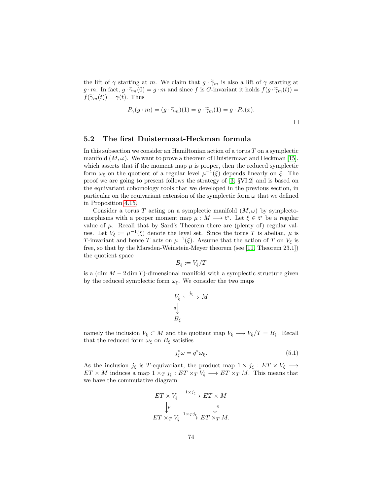the lift of  $\gamma$  starting at m. We claim that  $g \cdot \tilde{\gamma}_m$  is also a lift of  $\gamma$  starting at g · m. In fact,  $g \cdot \tilde{\gamma}_m(0) = g \cdot m$  and since f is G-invariant it holds  $f(g \cdot \tilde{\gamma}_m(t)) =$  $f(\widetilde{\gamma}_m(t)) = \gamma(t)$ . Thus

$$
P_{\gamma}(g \cdot m) = (g \cdot \widetilde{\gamma}_m)(1) = g \cdot \widetilde{\gamma}_m(1) = g \cdot P_{\gamma}(x).
$$

 $\Box$ 

## 5.2 The first Duistermaat-Heckman formula

In this subsection we consider an Hamiltonian action of a torus  $T$  on a symplectic manifold  $(M, \omega)$ . We want to prove a theorem of Duistermaat and Heckman [\[15\]](#page-142-0), which asserts that if the moment map  $\mu$  is proper, then the reduced symplectic form  $\omega_{\xi}$  on the quotient of a regular level  $\mu^{-1}(\xi)$  depends linearly on  $\xi$ . The proof we are going to present follows the strategy of [\[3,](#page-141-2) §VI.2] and is based on the equivariant cohomology tools that we developed in the previous section, in particular on the equivariant extension of the symplectic form  $\omega$  that we defined in Proposition [4.15.](#page-67-0)

Consider a torus T acting on a symplectic manifold  $(M, \omega)$  by symplectomorphisms with a proper moment map  $\mu : M \longrightarrow \mathfrak{t}^*$ . Let  $\xi \in \mathfrak{t}^*$  be a regular value of  $\mu$ . Recall that by Sard's Theorem there are (plenty of) regular values. Let  $V_{\xi} := \mu^{-1}(\xi)$  denote the level set. Since the torus T is abelian,  $\mu$  is T-invariant and hence T acts on  $\mu^{-1}(\xi)$ . Assume that the action of T on  $V_{\xi}$  is free, so that by the Marsden-Weinstein-Meyer theorem (see [\[11,](#page-141-3) Theorem 23.1]) the quotient space

$$
B_{\xi} \coloneqq V_{\xi}/T
$$

is a  $(\dim M - 2 \dim T)$ -dimensional manifold with a symplectic structure given by the reduced symplectic form  $\omega_{\xi}$ . We consider the two maps

$$
V_{\xi} \xrightarrow{j_{\xi}} M
$$
  

$$
q \downarrow
$$
  

$$
B_{\xi}
$$

namely the inclusion  $V_{\xi} \subset M$  and the quotient map  $V_{\xi} \longrightarrow V_{\xi}/T = B_{\xi}$ . Recall that the reduced form  $\omega_{\xi}$  on  $B_{\xi}$  satisfies

<span id="page-75-0"></span>
$$
j_{\xi}^* \omega = q^* \omega_{\xi}.
$$
\n(5.1)

As the inclusion  $j_{\xi}$  is T-equivariant, the product map  $1 \times j_{\xi} : ET \times V_{\xi} \longrightarrow$  $ET \times M$  induces a map  $1 \times_T j_{\xi}: ET \times_T V_{\xi} \longrightarrow ET \times_T M$ . This means that we have the commutative diagram

$$
ET \times V_{\xi} \xrightarrow{1 \times j_{\xi}} ET \times M
$$
  

$$
\downarrow p
$$
  

$$
ET \times_T V_{\xi} \xrightarrow{1 \times T j_{\xi}} ET \times_T M.
$$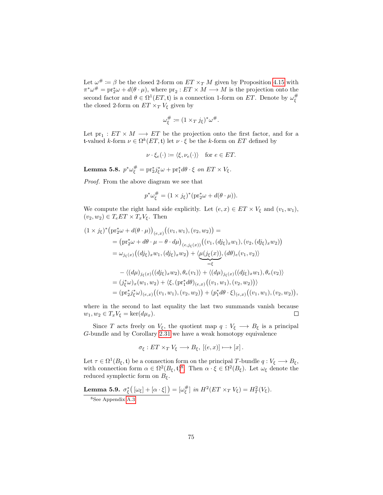Let  $\omega^{\#} \coloneqq \beta$  be the closed 2-form on  $ET \times_T M$  given by Proposition [4.15](#page-67-0) with  $\pi^*\omega^{\#} = \text{pr}_2^*\omega + d(\theta \cdot \mu)$ , where  $\text{pr}_2 : ET \times M \longrightarrow M$  is the projection onto the second factor and  $\theta \in \Omega^1(ET, \mathfrak{t})$  is a connection 1-form on ET. Denote by  $\omega_{\xi}^{\#}$ the closed 2-form on  $ET\times_T V_\xi$  given by

$$
\omega_{\xi}^{\#} \coloneqq (1 \times_T j_{\xi})^* \omega^{\#}.
$$

Let  $pr_1: ET \times M \longrightarrow ET$  be the projection onto the first factor, and for a t-valued k-form  $\nu \in \Omega^k(ET, \mathfrak{t})$  let  $\nu \cdot \xi$  be the k-form on ET defined by

$$
\nu \cdot \xi_e(\cdot) \coloneqq \langle \xi, \nu_e(\cdot) \rangle \quad \text{for } e \in ET.
$$

<span id="page-76-1"></span>Lemma 5.8.  $p^*\omega_{\xi}^{\#} = \text{pr}_2^* j_{\xi}^* \omega + \text{pr}_1^* d\theta \cdot \xi$  on  $ET \times V_{\xi}$ .

Proof. From the above diagram we see that

$$
p^*\omega_{\xi}^{\#} = (1 \times j_{\xi})^* (\text{pr}_2^*\omega + d(\theta \cdot \mu)).
$$

We compute the right hand side explicitly. Let  $(e, x) \in ET \times V_{\xi}$  and  $(v_1, w_1)$ ,  $(v_2, w_2) \in T_eET \times T_xV_{\xi}$ . Then

$$
(1 \times j_{\xi})^{*} \left(\mathrm{pr}_{2}^{*}\omega+d(\theta \cdot \mu)\right)_{(e,x)} \left((v_{1}, w_{1}), (v_{2}, w_{2})\right) =
$$
\n
$$
= \left(\mathrm{pr}_{2}^{*}\omega+d\theta \cdot \mu-\theta \cdot d\mu\right)_{(e,j_{\xi}(x))} \left((v_{1}, (dj_{\xi})_{x}w_{1}), (v_{2}, (dj_{\xi})_{x}w_{2})\right)
$$
\n
$$
= \omega_{j_{\xi}(x)} \left((dj_{\xi})_{x}w_{1}, (dj_{\xi})_{x}w_{2}\right) + \langle \mu(j_{\xi}(x))_{x} (d\theta)_{e}(v_{1}, v_{2}) \rangle
$$
\n
$$
- \langle (d\mu)_{j_{\xi}(x)} ((dj_{\xi})_{x}w_{2}), \theta_{e}(v_{1}) \rangle + \langle (d\mu)_{j_{\xi}(x)} ((dj_{\xi})_{x}w_{1}), \theta_{e}(v_{2}) \rangle
$$
\n
$$
= (j_{\xi}^{*}\omega)_{x}(w_{1}, w_{2}) + \langle \xi, (\mathrm{pr}_{1}^{*}d\theta)_{(e,x)} \left((v_{1}, w_{1}), (v_{2}, w_{2})\right) \rangle
$$
\n
$$
= (\mathrm{pr}_{2}^{*}j_{\xi}^{*}\omega)_{(e,x)} \left((v_{1}, w_{1}), (v_{2}, w_{2})\right) + (\mathrm{pr}_{1}^{*}d\theta \cdot \xi)_{(e,x)} \left((v_{1}, w_{1}), (v_{2}, w_{2})\right),
$$

where in the second to last equality the last two summands vanish because  $w_1, w_2 \in T_x V_{\xi} = \ker(d\mu_x).$  $\Box$ 

Since T acts freely on  $V_{\xi}$ , the quotient map  $q: V_{\xi} \longrightarrow B_{\xi}$  is a principal G-bundle and by Corollary [2.31](#page-19-0) we have a weak homotopy equivalence

$$
\sigma_{\xi}: ET \times_T V_{\xi} \longrightarrow B_{\xi}, [(e, x)] \longmapsto [x].
$$

Let  $\tau \in \Omega^1(B_\xi, \mathfrak{t})$  be a connection form on the principal T-bundle  $q: V_\xi \longrightarrow B_\xi$ , with connection form  $\alpha \in \Omega^2(B_\xi, \mathfrak{t})^8$  $\alpha \in \Omega^2(B_\xi, \mathfrak{t})^8$ . Then  $\alpha \cdot \xi \in \Omega^2(B_\xi)$ . Let  $\omega_\xi$  denote the reduced symplectic form on  $B_{\xi}$ .

<span id="page-76-2"></span>**Lemma 5.9.**  $\sigma_{\xi}^{*}([\omega_{\xi}] + [\alpha \cdot \xi]) = [\omega_{\xi}^{\#}]$  in  $H^{2}(ET \times_{T} V_{\xi}) = H_{T}^{2}(V_{\xi})$ .

<span id="page-76-0"></span><sup>8</sup>See Appendix [A.3.](#page-116-0)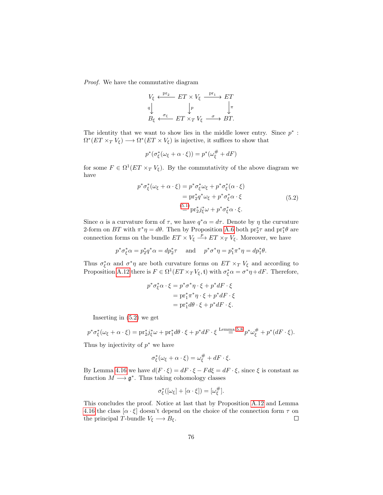Proof. We have the commutative diagram

$$
V_{\xi} \xleftarrow{\text{pr}_2} ET \times V_{\xi} \xrightarrow{\text{pr}_1} ET
$$
  
\n
$$
q \downarrow \qquad \qquad \downarrow p \qquad \qquad \downarrow \pi
$$
  
\n
$$
B_{\xi} \xleftarrow{\sigma_{\xi}} ET \times_{T} V_{\xi} \xrightarrow{\sigma} BT.
$$

The identity that we want to show lies in the middle lower entry. Since  $p^*$ :  $\Omega^*(ET \times_T V_{\xi}) \longrightarrow \Omega^*(ET \times V_{\xi})$  is injective, it suffices to show that

<span id="page-77-0"></span>
$$
p^*(\sigma_{\xi}^*(\omega_{\xi} + \alpha \cdot \xi)) = p^*(\omega_{\xi}^{\#} + dF)
$$

for some  $F \in \Omega^1(ET \times_T V_{\xi})$ . By the commutativity of the above diagram we have

$$
p^* \sigma_{\xi}^* (\omega_{\xi} + \alpha \cdot \xi) = p^* \sigma_{\xi}^* \omega_{\xi} + p^* \sigma_{\xi}^* (\alpha \cdot \xi)
$$
  
= 
$$
\text{pr}_2^* q^* \omega_{\xi} + p^* \sigma_{\xi}^* \alpha \cdot \xi
$$
  
= 
$$
\text{pr}_2^* j_{\xi}^* \omega + p^* \sigma_{\xi}^* \alpha \cdot \xi.
$$
 (5.2)

Since  $\alpha$  is a curvature form of  $\tau$ , we have  $q^* \alpha = d\tau$ . Denote by  $\eta$  the curvature 2-form on BT with  $\pi^*\eta = d\theta$ . Then by Proposition [A.6](#page-112-0) both  $\mathrm{pr}_2^*\tau$  and  $\mathrm{pr}_1^*\theta$  are connection forms on the bundle  $ET \times V_{\xi} \stackrel{p}{\longrightarrow} ET \times_T V_{\xi}$ . Moreover, we have

$$
p^*\sigma_{\xi}^*\alpha = p_2^*q^*\alpha = dp_2^*\tau \quad \text{ and } \quad p^*\sigma^*\eta = p_1^*\pi^*\eta = dp_1^*\theta.
$$

Thus  $\sigma_{\xi}^* \alpha$  and  $\sigma^* \eta$  are both curvature forms on  $ET \times_T V_{\xi}$  and according to Proposition [A.12](#page-116-1) there is  $F \in \Omega^1(ET \times_T V_{\xi}, \mathfrak{t})$  with  $\sigma_{\xi}^* \alpha = \sigma^* \eta + dF$ . Therefore,

$$
p^* \sigma_{\xi}^* \alpha \cdot \xi = p^* \sigma^* \eta \cdot \xi + p^* dF \cdot \xi
$$
  
= 
$$
pr_1^* \pi^* \eta \cdot \xi + p^* dF \cdot \xi
$$
  
= 
$$
pr_1^* d\theta \cdot \xi + p^* dF \cdot \xi.
$$

Inserting in [\(5.2\)](#page-77-0) we get

$$
p^*\sigma_{\xi}^*(\omega_{\xi} + \alpha \cdot \xi) = \text{pr}_{2}^*j_{\xi}^*\omega + \text{pr}_{1}^*d\theta \cdot \xi + p^*dF \cdot \xi \stackrel{\text{Lemma 5.8}}{=} p^*\omega_{\xi}^{\#} + p^*(dF \cdot \xi).
$$

Thus by injectivity of  $p^*$  we have

$$
\sigma_{\xi}^*(\omega_{\xi} + \alpha \cdot \xi) = \omega_{\xi}^{\#} + dF \cdot \xi.
$$

By Lemma [4.16](#page-69-0) we have  $d(F \cdot \xi) = dF \cdot \xi - F d\xi = dF \cdot \xi$ , since  $\xi$  is constant as function  $M \longrightarrow \mathfrak{g}^*$ . Thus taking cohomology classes

$$
\sigma_{\xi}^*([\omega_{\xi}]+[\alpha\cdot\xi])=[\omega_{\xi}^\#].
$$

This concludes the proof. Notice at last that by Proposition [A.12](#page-116-1) and Lemma [4.16](#page-69-0) the class  $\alpha \cdot \xi$  doesn't depend on the choice of the connection form  $\tau$  on the principal T-bundle  $V_{\xi} \longrightarrow B_{\xi}$ .  $\Box$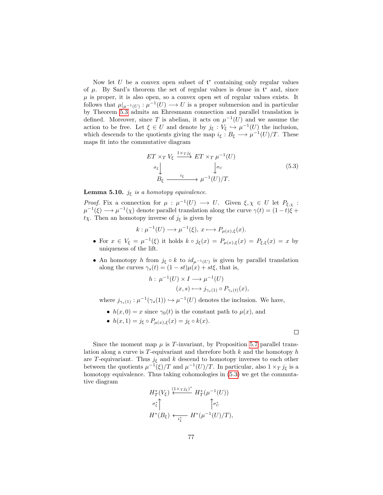Now let  $U$  be a convex open subset of  $\mathfrak{t}^*$  containing only regular values of  $\mu$ . By Sard's theorem the set of regular values is dense in  $\mathfrak{t}^*$  and, since  $\mu$  is proper, it is also open, so a convex open set of regular values exists. It follows that  $\mu|_{\mu^{-1}(U)} : \mu^{-1}(U) \longrightarrow U$  is a proper submersion and in particular by Theorem [5.3](#page-71-0) admits an Ehresmann connection and parallel translation is defined. Moreover, since T is abelian, it acts on  $\mu^{-1}(U)$  and we assume the action to be free. Let  $\xi \in U$  and denote by  $j_{\xi}: V_{\xi} \hookrightarrow \mu^{-1}(U)$  the inclusion, which descends to the quotients giving the map  $i_{\xi}: B_{\xi} \longrightarrow \mu^{-1}(U)/T$ . These maps fit into the commutative diagram

<span id="page-78-0"></span>
$$
ET \times_T V_{\xi} \xrightarrow{1 \times T j_{\xi}} ET \times_T \mu^{-1}(U)
$$
  
\n
$$
\sigma_{\xi} \downarrow \qquad \qquad \downarrow \sigma_U
$$
  
\n
$$
B_{\xi} \xrightarrow{i_{\xi}} \mu^{-1}(U)/T.
$$
\n(5.3)

**Lemma 5.10.**  $j_{\xi}$  is a homotopy equivalence.

*Proof.* Fix a connection for  $\mu : \mu^{-1}(U) \longrightarrow U$ . Given  $\xi, \chi \in U$  let  $P_{\xi, \chi}$ :  $\mu^{-1}(\xi) \longrightarrow \mu^{-1}(\chi)$  denote parallel translation along the curve  $\gamma(t) = (1-t)\tilde{\xi} +$  $t\chi$ . Then an homotopy inverse of  $j_{\xi}$  is given by

$$
k: \mu^{-1}(U) \longrightarrow \mu^{-1}(\xi), \ x \longmapsto P_{\mu(x),\xi}(x).
$$

- For  $x \in V_{\xi} = \mu^{-1}(\xi)$  it holds  $k \circ j_{\xi}(x) = P_{\mu(x),\xi}(x) = P_{\xi,\xi}(x) = x$  by uniqueness of the lift.
- An homotopy h from  $j_{\xi} \circ k$  to  $id_{\mu^{-1}(U)}$  is given by parallel translation along the curves  $\gamma_s(t) = (1 - st)\mu(x) + st\xi$ , that is,

$$
h: \mu^{-1}(U) \times I \longrightarrow \mu^{-1}(U)
$$

$$
(x, s) \longmapsto j_{\gamma_s(1)} \circ P_{\gamma_s(t)}(x),
$$

where  $j_{\gamma_s(1)} : \mu^{-1}(\gamma_s(1)) \hookrightarrow \mu^{-1}(U)$  denotes the inclusion. We have,

- $h(x, 0) = x$  since  $\gamma_0(t)$  is the constant path to  $\mu(x)$ , and
- $h(x, 1) = j_{\xi} \circ P_{\mu(x), \xi}(x) = j_{\xi} \circ k(x).$

 $\Box$ 

Since the moment map  $\mu$  is T-invariant, by Proposition [5.7](#page-74-0) parallel translation along a curve is  $T$ -equivariant and therefore both  $k$  and the homotopy  $h$ are T-equivariant. Thus  $j_{\xi}$  and k descend to homotopy inverses to each other between the quotients  $\mu^{-1}(\xi)/T$  and  $\mu^{-1}(U)/T$ . In particular, also  $1 \times_T j_{\xi}$  is a homotopy equivalence. Thus taking cohomologies in  $(5.3)$  we get the commutative diagram

$$
H_T^*(V_{\xi}) \stackrel{(1 \times_T j_{\xi})^*}{\longleftrightarrow} H_T^*(\mu^{-1}(U))
$$
  

$$
\sigma_{\xi}^* \uparrow \qquad \qquad \uparrow \sigma_U^*
$$
  

$$
H^*(B_{\xi}) \stackrel{\longleftarrow}{\longleftrightarrow} H^*(\mu^{-1}(U)/T),
$$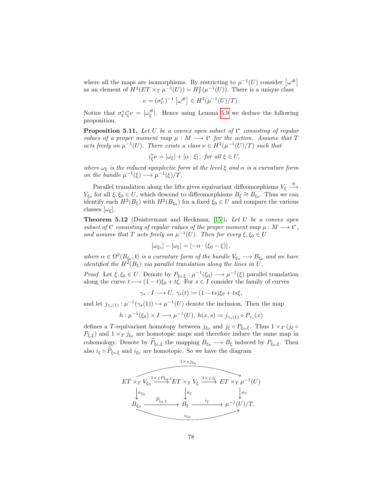where all the maps are isomorphisms. By restricting to  $\mu^{-1}(U)$  consider  $\left[\omega^{\#}\right]$ as an element of  $H^2(ET \times_T \mu^{-1}(U)) = H^2_T(\mu^{-1}(U))$ . There is a unique class

$$
\nu = (\sigma_U^*)^{-1} [\omega^\#] \in H^2(\mu^{-1}(U)/T).
$$

Notice that  $\sigma_{\xi}^* i_{\xi}^* \nu = [\omega_{\xi}^{\#}]$ . Hence using Lemma [5.9](#page-76-2) we deduce the following proposition.

<span id="page-79-0"></span>**Proposition 5.11.** Let  $U$  be a convex open subset of  $\mathfrak{t}^*$  consisting of regular values of a proper moment map  $\mu : M \longrightarrow \mathfrak{t}^*$  for the action. Assume that T acts freely on  $\mu^{-1}(U)$ . There exists a class  $\nu \in H^2(\mu^{-1}(U)/T)$  such that

$$
i_{\xi}^* \nu = [\omega_{\xi}] + [\alpha \cdot \xi], \text{ for all } \xi \in U,
$$

where  $\omega_{\xi}$  is the reduced symplectic form at the level  $\xi$  and  $\alpha$  is a curvature form on the bundle  $\mu^{-1}(\xi) \longrightarrow \mu^{-1}(\xi)/T$ .

Parallel translation along the lifts gives equivariant diffeomorphisms  $V_{\xi} \stackrel{\cong}{\longrightarrow}$  $V_{\xi_0}$  for all  $\xi, \xi_0 \in U$ , which descend to diffeomorphisms  $B_{\xi} \cong B_{\xi_0}$ . Thus we can identify each  $H^2(B_\xi)$  with  $H^2(B_{\xi_0})$  for a fixed  $\xi_0 \in U$  and compare the various classes  $[\omega_{\xi}]$ .

<span id="page-79-1"></span>**Theorem 5.12** (Duistermaat and Heckman, [\[15\]](#page-142-0)). Let  $U$  be a convex open subset of  $\mathfrak{t}^*$  consisting of regular values of the proper moment map  $\mu : M \longrightarrow \mathfrak{t}^*$ , and assume that T acts freely on  $\mu^{-1}(U)$ . Then for every  $\xi, \xi_0 \in U$ 

$$
[\omega_{\xi_0}] - [\omega_{\xi}] = [-\alpha \cdot (\xi_0 - \xi)],
$$

where  $\alpha \in \Omega^2(B_{\xi_0}, \mathfrak{t})$  is a curvature form of the bundle  $V_{\xi_0} \longrightarrow B_{\xi_0}$  and we have identified the  $H^2(B_{\xi})$  via parallel translation along the lines in U.

*Proof.* Let  $\xi, \xi_0 \in U$ . Denote by  $P_{\xi_0,\xi}: \mu^{-1}(\xi_0) \longrightarrow \mu^{-1}(\xi)$  parallel translation along the curve  $t \mapsto (1-t)\xi_0 + t\xi$ . For  $s \in I$  consider the family of curves

$$
\gamma_s: I \longrightarrow U, \ \gamma_s(t) \coloneqq (1 - ts)\xi_0 + ts\xi,
$$

and let  $j_{\gamma_s(1)} : \mu^{-1}(\gamma_s(1)) \hookrightarrow \mu^{-1}(U)$  denote the inclusion. Then the map

$$
h: \mu^{-1}(\xi_0) \times I \longrightarrow \mu^{-1}(U), \ h(x, s) \coloneqq j_{\gamma_s(1)} \circ P_{\gamma_s}(x)
$$

defines a T-equivariant homotopy between  $j_{\xi_0}$  and  $j_{\xi} \circ P_{\xi_0,\xi}$ . Thus  $1 \times_T (j_{\xi} \circ P_{\xi_0,\xi})$  $P_{\xi,\xi}$ ) and  $1 \times_T j_{\xi_0}$  are homotopic maps and therefore induce the same map in cohomology. Denote by  $\widetilde{P}_{\xi_0,\xi}$  the mapping  $B_{\xi_0} \longrightarrow B_{\xi}$  induced by  $P_{\xi_0,\xi}$ . Then also  $i_{\xi} \circ P_{\xi_0, \xi}$  and  $i_{\xi_0}$  are homotopic. So we have the diagram

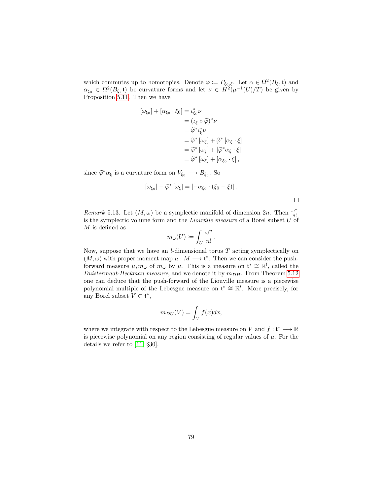which commutes up to homotopies. Denote  $\varphi := P_{\xi_0,\xi}$ . Let  $\alpha \in \Omega^2(B_{\xi}, \mathfrak{t})$  and  $\alpha_{\xi_0} \in \Omega^2(B_{\xi}, \mathfrak{t})$  be curvature forms and let  $\nu \in H^2(\mu^{-1}(U)/T)$  be given by Proposition [5.11.](#page-79-0) Then we have

$$
[\omega_{\xi_0}] + [\alpha_{\xi_0} \cdot \xi_0] = \iota_{\xi_0}^* \nu
$$
  
\n
$$
= (\iota_{\xi} \circ \widetilde{\varphi})^* \nu
$$
  
\n
$$
= \widetilde{\varphi}^* i_{\xi}^* \nu
$$
  
\n
$$
= \widetilde{\varphi}^* [\omega_{\xi}] + \widetilde{\varphi}^* [\alpha_{\xi} \cdot \xi]
$$
  
\n
$$
= \widetilde{\varphi}^* [\omega_{\xi}] + [\widetilde{\varphi}^* \alpha_{\xi} \cdot \xi]
$$
  
\n
$$
= \widetilde{\varphi}^* [\omega_{\xi}] + [\alpha_{\xi_0} \cdot \xi],
$$

since  $\tilde{\varphi}^* \alpha_{\xi}$  is a curvature form on  $V_{\xi_0} \longrightarrow B_{\xi_0}$ . So

$$
[\omega_{\xi_0}] - \widetilde{\varphi}^* [\omega_{\xi}] = [-\alpha_{\xi_0} \cdot (\xi_0 - \xi)].
$$

 $\Box$ 

Remark 5.13. Let  $(M, \omega)$  be a symplectic manifold of dimension  $2n$ . Then  $\frac{\omega^n}{n!}$ n! is the symplectic volume form and the *Liouville measure* of a Borel subset  $U$  of  $M$  is defined as

$$
m_\omega(U):=\int_U \frac{\omega^n}{n!}.
$$

Now, suppose that we have an  $l$ -dimensional torus  $T$  acting symplectically on  $(M, \omega)$  with proper moment map  $\mu : M \longrightarrow \mathfrak{t}^*$ . Then we can consider the pushforward measure  $\mu_* m_\omega$  of  $m_\omega$  by  $\mu$ . This is a measure on  $\mathfrak{t}^* \cong \mathbb{R}^l$ , called the Duistermaat-Heckman measure, and we denote it by  $m_{DH}$ . From Theorem [5.12](#page-79-1) one can deduce that the push-forward of the Liouville measure is a piecewise polynomial multiple of the Lebesgue measure on  $\mathfrak{t}^* \cong \mathbb{R}^l$ . More precisely, for any Borel subset  $V \subset \mathfrak{t}^*$ ,

$$
m_{DU}(V) = \int_V f(x)dx,
$$

where we integrate with respect to the Lebesgue measure on V and  $f: \mathfrak{t}^* \longrightarrow \mathbb{R}$ is piecewise polynomial on any region consisting of regular values of  $\mu$ . For the details we refer to [\[11,](#page-141-3) §30].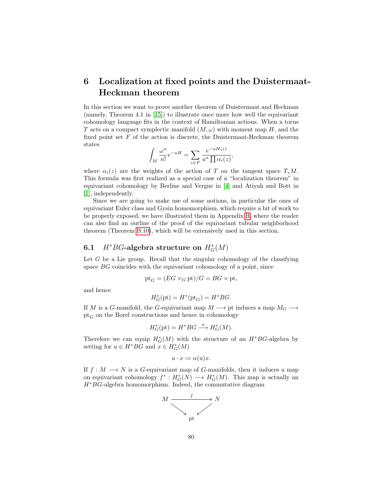# 6 Localization at fixed points and the Duistermaat-Heckman theorem

In this section we want to prove another theorem of Duistermaat and Heckman (namely, Theorem 4.1 in [\[15\]](#page-142-0)) to illustrate once more how well the equivariant cohomology language fits in the context of Hamiltonian actions. When a torus T acts on a compact symplectic manifold  $(M, \omega)$  with moment map H, and the fixed point set  $F$  of the action is discrete, the Duistermaat-Heckman theorem states

$$
\int_M \frac{\omega^n}{n!} e^{-uH} = \sum_{z \in F} \frac{e^{-uH(z)}}{u^n \prod \alpha_i(z)},
$$

where  $\alpha_i(z)$  are the weights of the action of T on the tangent space  $T_zM$ . This formula was first realized as a special case of a "localization theorem" in equivariant cohomology by Berline and Vergne in [\[4\]](#page-141-4) and Atiyah and Bott in [\[1\]](#page-141-5), independently.

Since we are going to make use of some notions, in particular the ones of equivariant Euler class and Gysin homomorphism, which require a bit of work to be properly exposed, we have illustrated them in Appendix [B,](#page-118-0) where the reader can also find an outline of the proof of the equivariant tubular neighborhood theorem (Theorem [B.10\)](#page-124-0), which will be extensively used in this section.

# 6.1 *H*<sup>\*</sup>*BG*-algebra structure on  $H_G^*(M)$

Let  $G$  be a Lie group. Recall that the singular cohomology of the classifying space BG coincides with the equivariant cohomology of a point, since

$$
\text{pt}_G = (EG \times_G \text{pt})/G = BG \times \text{pt},
$$

and hence

$$
H_G^*(\text{pt}) = H^*(\text{pt}_G) = H^*BG.
$$

If M is a G-manifold, the G-equivariant map  $M \longrightarrow$  pt induces a map  $M_G \longrightarrow$  $pt_G$  on the Borel constructions and hence in cohomology

$$
H_G^*(\text{pt}) = H^*BG \xrightarrow{\alpha} H_G^*(M).
$$

Therefore we can equip  $H^*_G(M)$  with the structure of an  $H^*BG$ -algebra by setting for  $u \in H^*BG$  and  $x \in H^*_G(M)$ 

$$
u \cdot x \coloneqq \alpha(u)x.
$$

If  $f : M \longrightarrow N$  is a G-equivariant map of G-manifolds, then it induces a map on equivariant cohomology  $f^*: H^*_G(N) \longrightarrow H^*_G(M)$ . This map is actually an  $H^*BG$ -algebra homomorphism. Indeed, the commutative diagram

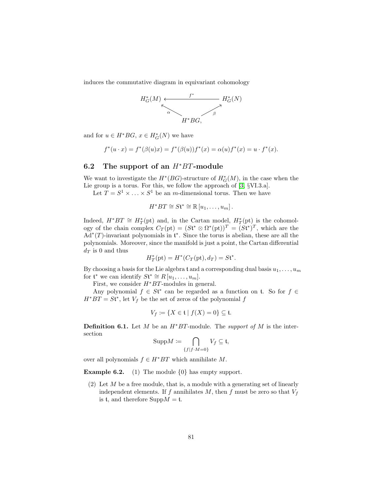induces the commutative diagram in equivariant cohomology



and for  $u \in H^*BG$ ,  $x \in H^*_G(N)$  we have

$$
f^*(u \cdot x) = f^*(\beta(u)x) = f^*(\beta(u))f^*(x) = \alpha(u)f^*(x) = u \cdot f^*(x).
$$

#### 6.2 The support of an  $H^*BT$ -module

We want to investigate the  $H^*(BG)$ -structure of  $H^*_G(M)$ , in the case when the Lie group is a torus. For this, we follow the approach of [\[3,](#page-141-2) §VI.3.a].

Let  $T = S^1 \times \ldots \times S^1$  be an *m*-dimensional torus. Then we have

$$
H^*BT\cong St^*\cong \mathbb{R}\left[u_1,\ldots,u_m\right].
$$

Indeed,  $H^*BT \cong H^*_T(\text{pt})$  and, in the Cartan model,  $H^*_T(\text{pt})$  is the cohomology of the chain complex  $C_T(pt) = (St^* \otimes \Omega^*(pt))^T = (St^*)^T$ , which are the  $\overrightarrow{Ad}^*(T)$ -invariant polynomials in  $\mathfrak{t}^*$ . Since the torus is abelian, these are all the polynomials. Moreover, since the manifold is just a point, the Cartan differential  $d_T$  is 0 and thus

$$
H_T^*(\text{pt}) = H^*(C_T(\text{pt}), d_T) = S\mathfrak{t}^*.
$$

By choosing a basis for the Lie algebra t and a corresponding dual basis  $u_1, \ldots, u_m$ for  $\mathfrak{t}^*$  we can identify  $S\mathfrak{t}^* \cong R[u_1,\ldots,u_m].$ 

First, we consider  $H^*BT$ -modules in general.

Any polynomial  $f \in St^*$  can be regarded as a function on t. So for  $f \in$  $H^*BT = St^*$ , let  $V_f$  be the set of zeros of the polynomial f

$$
V_f := \{ X \in \mathfrak{t} \mid f(X) = 0 \} \subseteq \mathfrak{t}.
$$

**Definition 6.1.** Let M be an  $H^*BT$ -module. The *support of* M is the intersection

$$
\mathrm{Supp}M:=\bigcap_{\{f\mid f\cdot M=0\}}V_f\subseteq\mathfrak{t},
$$

over all polynomials  $f \in H^*BT$  which annihilate M.

**Example 6.2.** (1) The module  $\{0\}$  has empty support.

(2) Let  $M$  be a free module, that is, a module with a generating set of linearly independent elements. If f annihilates  $M$ , then f must be zero so that  $V_f$ is t, and therefore  $\text{Supp}M = \mathfrak{t}$ .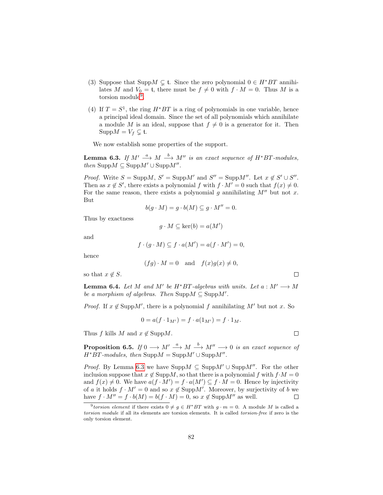- (3) Suppose that Supp $M \subsetneq t$ . Since the zero polynomial  $0 \in H^*BT$  annihilates M and  $V_0 = \mathfrak{t}$ , there must be  $f \neq 0$  with  $f \cdot M = 0$ . Thus M is a torsion module<sup>[9](#page-83-0)</sup>.
- (4) If  $T = S^1$ , the ring  $H^*BT$  is a ring of polynomials in one variable, hence a principal ideal domain. Since the set of all polynomials which annihilate a module M is an ideal, suppose that  $f \neq 0$  is a generator for it. Then  $\text{Supp}M = V_f \subsetneq \mathfrak{t}.$

We now establish some properties of the support.

<span id="page-83-1"></span>**Lemma 6.3.** If  $M' \stackrel{a}{\longrightarrow} M \stackrel{b}{\longrightarrow} M''$  is an exact sequence of  $H^*BT$ -modules, then Supp $M \subseteq \text{Supp}M' \cup \text{Supp}M''$ .

*Proof.* Write  $S = \text{Supp}M$ ,  $S' = \text{Supp}M'$  and  $S'' = \text{Supp}M''$ . Let  $x \notin S' \cup S''$ . Then as  $x \notin S'$ , there exists a polynomial f with  $f \cdot M' = 0$  such that  $f(x) \neq 0$ . For the same reason, there exists a polynomial g annihilating  $M''$  but not x. But

$$
b(g \cdot M) = g \cdot b(M) \subseteq g \cdot M'' = 0.
$$

Thus by exactness

$$
g \cdot M \subseteq \ker(b) = a(M')
$$

and

$$
f \cdot (g \cdot M) \subseteq f \cdot a(M') = a(f \cdot M') = 0,
$$

hence

$$
(fg) \cdot M = 0
$$
 and  $f(x)g(x) \neq 0$ ,

so that  $x \notin S$ .

<span id="page-83-2"></span>**Lemma 6.4.** Let M and M' be  $H^*BT$ -algebras with units. Let  $a : M' \longrightarrow M$ be a morphism of algebras. Then  $\text{Supp}M \subseteq \text{Supp}M'$ .

*Proof.* If  $x \notin \text{Supp}M'$ , there is a polynomial f annihilating M' but not x. So

$$
0 = a(f \cdot 1_{M'}) = f \cdot a(1_{M'}) = f \cdot 1_M.
$$

Thus f kills M and  $x \notin \text{Supp}M$ .

<span id="page-83-3"></span>**Proposition 6.5.** If  $0 \longrightarrow M' \stackrel{a}{\longrightarrow} M \stackrel{b}{\longrightarrow} M'' \longrightarrow 0$  is an exact sequence of  $H^*BT\text{-}modules, then \text{Supp}M = \text{Supp}M' \cup \text{Supp}M''$ .

*Proof.* By Lemma [6.3](#page-83-1) we have  $\text{Supp}M \subseteq \text{Supp}M' \cup \text{Supp}M''$ . For the other inclusion suppose that  $x \notin \text{Supp}M$ , so that there is a polynomial f with  $f \cdot M = 0$ and  $f(x) \neq 0$ . We have  $a(f \cdot M') = f \cdot a(M') \subseteq f \cdot M = 0$ . Hence by injectivity of a it holds  $f \cdot M' = 0$  and so  $x \notin \text{Supp}M'$ . Moreover, by surjectivity of b we have  $f \cdot M'' = f \cdot b(M) = b(f \cdot M) = 0$ , so  $x \notin \text{Supp}M''$  as well.  $\Box$ 

 $\Box$ 

 $\Box$ 

<span id="page-83-0"></span><sup>&</sup>lt;sup>9</sup>torsion element if there exists  $0 \neq g \in H^*BT$  with  $g \cdot m = 0$ . A module M is called a torsion module if all its elements are torsion elements. It is called torsion-free if zero is the only torsion element.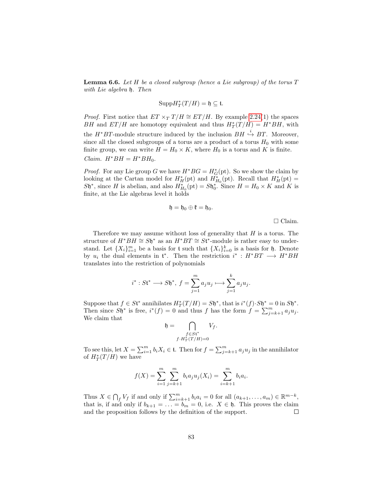<span id="page-84-0"></span>**Lemma 6.6.** Let H be a closed subgroup (hence a Lie subgroup) of the torus  $T$ with Lie algebra h. Then

$$
\mathrm{Supp}\, H_T^*(T/H) = \mathfrak{h} \subseteq \mathfrak{t}.
$$

*Proof.* First notice that  $ET \times_T T/H \cong ET/H$ . By example [2.24\(](#page-0-0)1) the spaces BH and  $ET/H$  are homotopy equivalent and thus  $H^*_T(T/H) = H^*BH$ , with the  $H^*BT$ -module structure induced by the inclusion  $BH \stackrel{i}{\hookrightarrow} BT$ . Moreover, since all the closed subgroups of a torus are a product of a torus  $H_0$  with some finite group, we can write  $H = H_0 \times K$ , where  $H_0$  is a torus and K is finite. Claim.  $H^*BH = H^*BH_0$ .

*Proof.* For any Lie group G we have  $H^*BG = H^*_{G}(\text{pt})$ . So we show the claim by looking at the Cartan model for  $H_H^*(pt)$  and  $H_{H_0}^*(pt)$ . Recall that  $H_H^*(pt)$  =  $S\mathfrak{h}^*$ , since H is abelian, and also  $H_{H_0}^*(\text{pt}) = S\mathfrak{h}_0^*$ . Since  $H = H_0 \times K$  and K is finite, at the Lie algebras level it holds

$$
\mathfrak{h}=\mathfrak{h}_0\oplus\mathfrak{k}=\mathfrak{h}_0.
$$

 $\Box$  Claim.

Therefore we may assume without loss of generality that  $H$  is a torus. The structure of  $H^*BH \cong S\mathfrak{h}^*$  as an  $H^*BT \cong S\mathfrak{t}^*$ -module is rather easy to understand. Let  $\{X_i\}_{i=1}^m$  be a basis for t such that  $\{X_i\}_{i=0}^k$  is a basis for h. Denote by  $u_i$  the dual elements in  $\mathfrak{t}^*$ . Then the restriction  $i^* : H^*BT \longrightarrow H^*BH$ translates into the restriction of polynomials

$$
i^*: S\mathfrak{t}^* \longrightarrow S\mathfrak{h}^*, f = \sum_{j=1}^m a_j u_j \longmapsto \sum_{j=1}^k a_j u_j.
$$

Suppose that  $f \in S \mathfrak{t}^*$  annihilates  $H^*_T(T/H) = S \mathfrak{h}^*$ , that is  $i^*(f) \cdot S \mathfrak{h}^* = 0$  in  $S \mathfrak{h}^*$ . Then since  $S\mathfrak{h}^*$  is free,  $i^*(f) = 0$  and thus f has the form  $f = \sum_{j=k+1}^m a_j u_j$ . We claim that

$$
\mathfrak{h} = \bigcap_{\substack{f \in St^* \\ f \cdot H_T^*(T/H) = 0}} V_f.
$$

To see this, let  $X = \sum_{i=1}^{m} b_i X_i \in \mathfrak{t}$ . Then for  $f = \sum_{j=k+1}^{m} a_j u_j$  in the annihilator of  $H^*_T(T/H)$  we have

$$
f(X) = \sum_{i=1}^{m} \sum_{j=k+1}^{m} b_i a_j u_j(X_i) = \sum_{i=k+1}^{m} b_i a_i.
$$

Thus  $X \in \bigcap_f V_f$  if and only if  $\sum_{i=k+1}^m b_i a_i = 0$  for all  $(a_{k+1}, \ldots, a_m) \in \mathbb{R}^{m-k}$ , that is, if and only if  $b_{k+1} = \ldots = b_m = 0$ , i.e.  $X \in \mathfrak{h}$ . This proves the claim and the proposition follows by the definition of the support.  $\Box$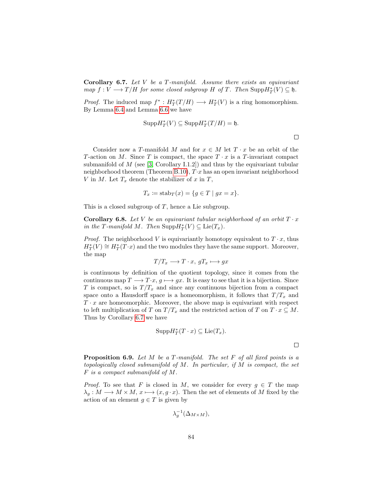<span id="page-85-0"></span>**Corollary 6.7.** Let  $V$  be a  $T$ -manifold. Assume there exists an equivariant  $map f: V \longrightarrow T/H$  for some closed subgroup H of T. Then  $\text{Supp}H^*_T(V) \subseteq \mathfrak{h}$ .

*Proof.* The induced map  $f^* : H^*_T(T/H) \longrightarrow H^*_T(V)$  is a ring homomorphism. By Lemma [6.4](#page-83-2) and Lemma [6.6](#page-84-0) we have

$$
\mathrm{Supp}\, H^*_T(V) \subseteq \mathrm{Supp}\, H^*_T(T/H) = \mathfrak{h}.
$$

 $\Box$ 

Consider now a T-manifold M and for  $x \in M$  let  $T \cdot x$  be an orbit of the T-action on M. Since T is compact, the space  $T \cdot x$  is a T-invariant compact submanifold of  $M$  (see [\[3,](#page-141-2) Corollary I.1.2]) and thus by the equivariant tubular neighborhood theorem (Theorem [B.10\)](#page-124-0),  $T \cdot x$  has an open invariant neighborhood V in M. Let  $T_x$  denote the stabilizer of x in T,

$$
T_x \coloneqq \text{stab}_T(x) = \{ g \in T \mid gx = x \}.
$$

This is a closed subgroup of  $T$ , hence a Lie subgroup.

<span id="page-85-1"></span>**Corollary 6.8.** Let V be an equivariant tubular neighborhood of an orbit  $T \cdot x$ in the T-manifold M. Then  $\text{Supp}H^*_T(V) \subseteq \text{Lie}(T_x)$ .

*Proof.* The neighborhood V is equivariantly homotopy equivalent to  $T \cdot x$ , thus  $H^*_T(V) \cong H^*_T(T \cdot x)$  and the two modules they have the same support. Moreover, the map

$$
T/T_x \longrightarrow T \cdot x, \, gT_x \longmapsto gx
$$

is continuous by definition of the quotient topology, since it comes from the continuous map  $T \longrightarrow T \cdot x$ ,  $g \longmapsto gx$ . It is easy to see that it is a bijection. Since T is compact, so is  $T/T_x$  and since any continuous bijection from a compact space onto a Hausdorff space is a homeomorphism, it follows that  $T/T_x$  and  $T \cdot x$  are homeomorphic. Moreover, the above map is equivariant with respect to left multiplication of T on  $T/T_x$  and the restricted action of T on  $T \cdot x \subseteq M$ . Thus by Corollary [6.7](#page-85-0) we have

$$
Supp H^*_T(T \cdot x) \subseteq \mathrm{Lie}(T_x).
$$

 $\Box$ 

<span id="page-85-2"></span>**Proposition 6.9.** Let  $M$  be a  $T$ -manifold. The set  $F$  of all fixed points is a topologically closed submanifold of M. In particular, if M is compact, the set F is a compact submanifold of M.

*Proof.* To see that F is closed in M, we consider for every  $g \in T$  the map  $\lambda_q : M \longrightarrow M \times M$ ,  $x \longmapsto (x, q \cdot x)$ . Then the set of elements of M fixed by the action of an element  $g \in T$  is given by

$$
\lambda_g^{-1}(\Delta_{M\times M}),
$$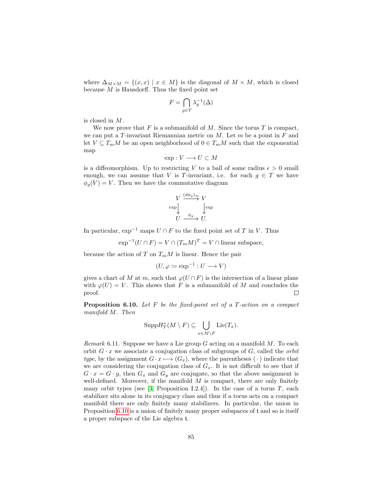where  $\Delta_{M\times M} = \{(x,x) \mid x \in M\}$  is the diagonal of  $M \times M$ , which is closed because  $M$  is Hausdorff. Thus the fixed point set

$$
F = \bigcap_{g \in T} \lambda_g^{-1}(\Delta)
$$

is closed in M.

We now prove that  $F$  is a submanifold of  $M$ . Since the torus  $T$  is compact, we can put a T-invariant Riemannian metric on  $M$ . Let  $m$  be a point in  $F$  and let  $V \subseteq T_mM$  be an open neighborhood of  $0 \in T_mM$  such that the exponential map

$$
\exp: V \longrightarrow U \subset M
$$

is a diffeomorphism. Up to restricting V to a ball of some radius  $\epsilon > 0$  small enough, we can assume that V is T-invariant, i.e. for each  $g \in T$  we have  $\phi_q(V) = V$ . Then we have the commutative diagram

$$
V \xrightarrow{\left(\frac{d\phi_g\right)_m}{\phi_g}} V
$$
  
\n
$$
U \xrightarrow{\phi_g} U.
$$

In particular,  $\exp^{-1}$  maps  $U \cap F$  to the fixed point set of T in V. Thus

$$
\exp^{-1}(U \cap F) = V \cap (T_m M)^T = V \cap \text{linear subspace},
$$

because the action of T on  $T_mM$  is linear. Hence the pair

$$
(U, \varphi \coloneqq \exp^{-1} : U \longrightarrow V)
$$

gives a chart of M at m, such that  $\varphi(U \cap F)$  is the intersection of a linear plane with  $\varphi(U) = V$ . This shows that F is a submanifold of M and concludes the proof.  $\Box$ 

<span id="page-86-0"></span>**Proposition 6.10.** Let  $F$  be the fixed-point set of a  $T$ -action on a compact manifold M. Then

$$
\mathrm{Supp}H_{T}^{*}(M\setminus F)\subseteq\bigcup_{x\in M\setminus F}\mathrm{Lie}(T_{x}).
$$

Remark 6.11. Suppose we have a Lie group  $G$  acting on a manifold  $M$ . To each orbit  $G \cdot x$  we associate a conjugation class of subgroups of G, called the *orbit* type, by the assignment  $G \cdot x \longmapsto (G_x)$ , where the parentheses ( $\cdot$ ) indicate that we are considering the conjugation class of  $G_x$ . It is not difficult to see that if  $G \cdot x = G \cdot y$ , then  $G_x$  and  $G_y$  are conjugate, so that the above assignment is well-defined. Moreover, if the manifold  $M$  is compact, there are only finitely many orbit types (see  $[3,$  Proposition I.2.4]). In the case of a torus  $T$ , each stabilizer sits alone in its conjugacy class and thus if a torus acts on a compact manifold there are only finitely many stabilizers. In particular, the union in Proposition [6.10](#page-86-0) is a union of finitely many proper subspaces of t and so is itself a proper subspace of the Lie algebra t.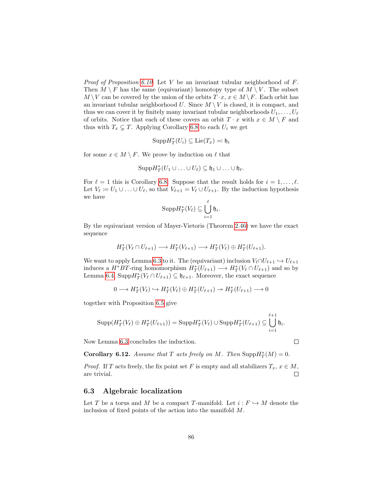*Proof of Proposition [6.10.](#page-86-0)* Let  $V$  be an invariant tubular neighborhood of  $F$ . Then  $M \setminus F$  has the same (equivariant) homotopy type of  $M \setminus V$ . The subset  $M \setminus V$  can be covered by the union of the orbits  $T \cdot x$ ,  $x \in M \setminus F$ . Each orbit has an invariant tubular neighborhood  $U$ . Since  $M \setminus V$  is closed, it is compact, and thus we can cover it by finitely many invariant tubular neighborhoods  $U_1, \ldots, U_\ell$ of orbits. Notice that each of these covers an orbit  $T \cdot x$  with  $x \in M \setminus F$  and thus with  $T_x \subsetneq T$ . Applying Corollary [6.8](#page-85-1) to each  $U_i$  we get

$$
\mathrm{Supp}\, H^*_T(U_i) \subseteq \mathrm{Lie}(T_x) =: \mathfrak{h}_i
$$

for some  $x \in M \setminus F$ . We prove by induction on  $\ell$  that

$$
\mathrm{Supp}H_{T}^{*}(U_{1}\cup\ldots\cup U_{\ell})\subseteq\mathfrak{h}_{1}\cup\ldots\cup\mathfrak{h}_{\ell}.
$$

For  $\ell = 1$  this is Corollary [6.8.](#page-85-1) Suppose that the result holds for  $i = 1, \ldots, \ell$ . Let  $V_{\ell} := U_1 \cup \ldots \cup U_{\ell}$ , so that  $V_{\ell+1} = V_{\ell} \cup U_{\ell+1}$ . By the induction hypothesis we have

$$
\mathrm{Supp}\, H^*_T(V_\ell)\subseteq \bigcup_{i=1}^\ell \mathfrak{h}_i.
$$

By the equivariant version of Mayer-Vietoris (Theorem [2.46\)](#page-24-0) we have the exact sequence

$$
H_T^*(V_{\ell} \cap U_{\ell+1}) \longrightarrow H_T^*(V_{\ell+1}) \longrightarrow H_T^*(V_{\ell}) \oplus H_T^*(U_{\ell+1}).
$$

We want to apply Lemma [6.3](#page-83-1) to it. The (equivariant) inclusion  $V_{\ell} \cap U_{\ell+1} \hookrightarrow U_{\ell+1}$ induces a  $H^*BT$ -ring homomorphism  $H^*_T(U_{\ell+1}) \longrightarrow H^*_T(V_{\ell} \cap U_{\ell+1})$  and so by Lemma [6.4,](#page-83-2)  $\text{Supp} H_T^*(V_\ell \cap U_{\ell+1}) \subseteq \mathfrak{h}_{\ell+1}$ . Moreover, the exact sequence

$$
0 \longrightarrow H^*_T(V_{\ell}) \hookrightarrow H^*_T(V_{\ell}) \oplus H^*_T(U_{\ell+1}) \longrightarrow H^*_T(U_{\ell+1}) \longrightarrow 0
$$

together with Proposition [6.5](#page-83-3) give

$$
\mathrm{Supp}(H^*_T(V_{\ell})\oplus H^*_T(U_{\ell+1}))=\mathrm{Supp}H^*_T(V_{\ell})\cup \mathrm{Supp}H^*_T(U_{\ell+1})\subseteq\bigcup_{i=1}^{\ell+1}\mathfrak{h}_i.
$$

Now Lemma [6.3](#page-83-1) concludes the induction.

**Corollary 6.12.** Assume that T acts freely on M. Then  $\text{Supp}H^*_T(M) = 0$ .

*Proof.* If T acts freely, the fix point set F is empty and all stabilizers  $T_x, x \in M$ , are trivial.  $\Box$ 

### 6.3 Algebraic localization

Let T be a torus and M be a compact T-manifold. Let  $i : F \hookrightarrow M$  denote the inclusion of fixed points of the action into the manifold M.

 $\Box$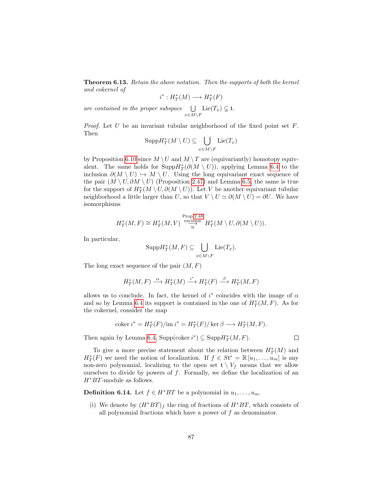<span id="page-88-0"></span>**Theorem 6.13.** Retain the above notation. Then the supports of both the kernel and cokernel of

$$
i^*: H^*_T(M) \longrightarrow H^*_T(F)
$$

are contained in the proper subspace  $\bigcup$  $\bigcup_{x \in M \setminus F} \mathrm{Lie}(T_x) \subsetneq \mathfrak{t}.$ 

*Proof.* Let  $U$  be an invariant tubular neighborhood of the fixed point set  $F$ . Then

$$
\mathrm{Supp}H^*_T(M\setminus U)\subseteq\bigcup_{x\in M\setminus F}\mathrm{Lie}(T_x)
$$

by Proposition [6.10](#page-86-0) since  $M \setminus U$  and  $M \setminus T$  are (equivariantly) homotopy equivalent. The same holds for  $\text{Supp}\, H^*_T(\partial(M \setminus U))$ , applying Lemma [6.4](#page-83-2) to the inclusion  $\partial(M \setminus U) \hookrightarrow M \setminus U$ . Using the long equivariant exact sequence of the pair  $(M \setminus U, \partial M \setminus U)$  (Proposition [2.47\)](#page-25-0) and Lemma [6.5,](#page-83-3) the same is true for the support of  $H^*_T(M \setminus U, \partial(M \setminus U))$ . Let V be another equivariant tubular neighborhood a little larger than U, so that  $V \setminus U \simeq \partial(M \setminus U) = \partial U$ . We have isomorphisms

$$
H_T^*(M,F) \cong H_T^*(M,V) \stackrel{\text{Prop.2.48}}{\underset{\cong}{\simeq}} H_T^*(M \setminus U, \partial(M \setminus U)).
$$

In particular,

$$
\mathrm{Supp}H_T^*(M,F)\subseteq \bigcup_{x\in M\setminus F}\mathrm{Lie}(T_x).
$$

The long exact sequence of the pair  $(M, F)$ 

$$
H^*_T(M,F) \stackrel{\alpha}{\longrightarrow} H^*_T(M) \stackrel{i^*}{\longrightarrow} H^*_T(F) \stackrel{\beta}{\longrightarrow} H^*_T(M,F)
$$

allows us to conclude. In fact, the kernel of  $i^*$  coincides with the image of  $\alpha$ and so by Lemma [6.4](#page-83-2) its support is contained in the one of  $H^*_T(M, F)$ . As for the cokernel, consider the map

$$
\operatorname{coker} i^* = H^*_T(F)/\mathrm{im}\, i^* = H^*_T(F)/\ker \beta \longrightarrow H^*_T(M,F).
$$

Then again by Lemma [6.4,](#page-83-2) Supp(coker  $i^*$ )  $\subseteq$  Supp $H^*_T(M, F)$ .

To give a more precise statement about the relation between  $H^*_T(M)$  and  $H^*_T(F)$  we need the notion of localization. If  $f \in St^* = \mathbb{R} [u_1, \ldots, u_m]$  is any non-zero polynomial, localizing to the open set  $\mathfrak{t} \setminus V_f$  means that we allow ourselves to divide by powers of  $f$ . Formally, we define the localization of an  $H^*BT$ -module as follows.

**Definition 6.14.** Let  $f \in H^*BT$  be a polynomial in  $u_1, \ldots, u_m$ .

(i) We denote by  $(H^*BT)_f$  the ring of fractions of  $H^*BT$ , which consists of all polynomial fractions which have a power of  $f$  as denominator.

 $\Box$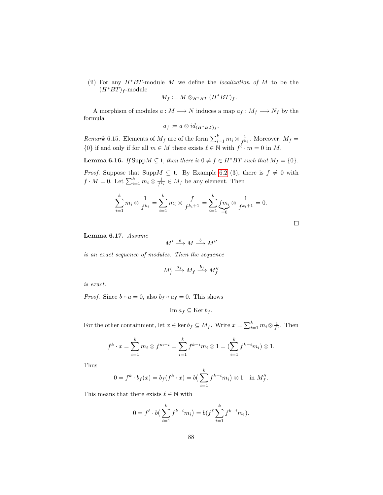(ii) For any  $H^*BT$ -module M we define the *localization of* M to be the  $(H^*BT)_f$ -module

$$
M_f \coloneqq M \otimes_{H^*BT} (H^*BT)_f.
$$

A morphism of modules  $a : M \longrightarrow N$  induces a map  $a_f : M_f \longrightarrow N_f$  by the formula

$$
a_f \coloneqq a \otimes id_{(H^*BT)_f}.
$$

*Remark* 6.15. Elements of  $M_f$  are of the form  $\sum_{i=1}^k m_i \otimes \frac{1}{f^{k_i}}$ . Moreover,  $M_f =$  $\{0\}$  if and only if for all  $m \in M$  there exists  $\ell \in \mathbb{N}$  with  $f^{\ell} \cdot m = 0$  in M.

<span id="page-89-1"></span>**Lemma 6.16.** If Supp $M \subsetneq t$ , then there is  $0 \neq f \in H^*BT$  such that  $M_f = \{0\}$ .

*Proof.* Suppose that Supp $M \subsetneq$  t. By Example [6.2](#page-0-0) (3), there is  $f \neq 0$  with  $f \cdot M = 0$ . Let  $\sum_{i=1}^{k} m_i \otimes \frac{1}{f^{k_i}} \in M_f$  be any element. Then

$$
\sum_{i=1}^{k} m_i \otimes \frac{1}{f^{k_i}} = \sum_{i=1}^{k} m_i \otimes \frac{f}{f^{k_i+1}} = \sum_{i=1}^{k} \underbrace{f m_i}_{=0} \otimes \frac{1}{f^{k_i+1}} = 0.
$$

<span id="page-89-0"></span>Lemma 6.17. Assume

$$
M' \stackrel{a}{\longrightarrow} M \stackrel{b}{\longrightarrow} M''
$$

is an exact sequence of modules. Then the sequence

$$
M'_f \stackrel{a_f}{\longrightarrow} M_f \stackrel{b_f}{\longrightarrow} M''_f
$$

is exact.

*Proof.* Since  $b \circ a = 0$ , also  $b_f \circ a_f = 0$ . This shows

$$
\operatorname{Im} a_f \subseteq \operatorname{Ker} b_f.
$$

For the other containment, let  $x \in \ker b_f \subseteq M_f$ . Write  $x = \sum_{i=1}^k m_i \otimes \frac{1}{f^i}$ . Then

$$
f^k \cdot x = \sum_{i=1}^k m_i \otimes f^{m-i} = \sum_{i=1}^k f^{k-i} m_i \otimes 1 = (\sum_{i=1}^k f^{k-i} m_i) \otimes 1.
$$

Thus

$$
0 = f^{k} \cdot b_{f}(x) = b_{f}(f^{k} \cdot x) = b\left(\sum_{i=1}^{k} f^{k-i} m_{i}\right) \otimes 1 \text{ in } M''_{f}.
$$

This means that there exists  $\ell \in \mathbb{N}$  with

$$
0 = f^{\ell} \cdot b\left(\sum_{i=1}^{k} f^{k-i} m_i\right) = b(f^{\ell} \sum_{i=1}^{k} f^{k-i} m_i).
$$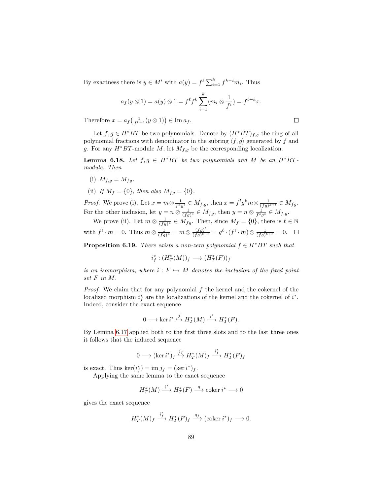By exactness there is  $y \in M'$  with  $a(y) = f^{\ell} \sum_{i=1}^{k} f^{k-i} m_i$ . Thus

$$
a_f(y \otimes 1) = a(y) \otimes 1 = f^{\ell} f^k \sum_{i=1}^k (m_i \otimes \frac{1}{f^i}) = f^{\ell+k} x.
$$

Therefore  $x = a_f\left(\frac{1}{f^{k+\ell}}(y \otimes 1)\right) \in \text{Im } a_f$ .

Let  $f, g \in H^*BT$  be two polynomials. Denote by  $(H^*BT)_{f,g}$  the ring of all polynomial fractions with denominator in the subring  $\langle f, g \rangle$  generated by f and g. For any  $H^*BT$ -module M, let  $M_{f,g}$  be the corresponding localization.

<span id="page-90-0"></span>**Lemma 6.18.** Let  $f, g \in H^*BT$  be two polynomials and M be an  $H^*BT$ module. Then

- (i)  $M_{f,q} = M_{fq}$ .
- (ii) If  $M_f = \{0\}$ , then also  $M_{fg} = \{0\}$ .

*Proof.* We prove (i). Let  $x = m \otimes \frac{1}{f^k g^l} \in M_{f,g}$ , then  $x = f^l g^k m \otimes \frac{1}{(fg)^{k+l}} \in M_{fg}$ . For the other inclusion, let  $y = n \otimes \frac{1}{(fg)^s} \in M_{fg}$ , then  $y = n \otimes \frac{1}{f^s g^s} \in M_{f,g}$ .

We prove (ii). Let  $m \otimes \frac{1}{(fg)^k} \in M_{fg}$ . Then, since  $M_f = \{0\}$ , there is  $\ell \in \mathbb{N}$ with  $f^{\ell} \cdot m = 0$ . Thus  $m \otimes \frac{1}{(fg)^k} = m \otimes \frac{(fg)^{\ell}}{(fg)^{k+1}}$  $\frac{(fg)^{k}}{(fg)^{k+\ell}} = g^{\ell} \cdot (f^{\ell} \cdot m) \otimes \frac{1}{(fg)^{k+\ell}} = 0.$ 

<span id="page-90-1"></span>**Proposition 6.19.** There exists a non-zero polynomial  $f \in H^*BT$  such that

$$
i_f^*: (H^*_T(M))_f \longrightarrow (H^*_T(F))_f
$$

is an isomorphism, where  $i : F \hookrightarrow M$  denotes the inclusion of the fixed point set F in M.

*Proof.* We claim that for any polynomial  $f$  the kernel and the cokernel of the localized morphism  $i_f^*$  are the localizations of the kernel and the cokernel of  $i^*$ . Indeed, consider the exact sequence

$$
0 \longrightarrow \ker i^* \stackrel{j}{\hookrightarrow} H^*_T(M) \stackrel{i^*}{\longrightarrow} H^*_T(F).
$$

By Lemma [6.17](#page-89-0) applied both to the first three slots and to the last three ones it follows that the induced sequence

$$
0 \longrightarrow (\ker i^*)_f \stackrel{j_f}{\hookrightarrow} H^*_T(M)_f \stackrel{i_f^*}{\longrightarrow} H^*_T(F)_f
$$

is exact. Thus  $\ker(i_f^*) = \text{im } j_f = (\ker i^*)_f$ .

Applying the same lemma to the exact sequence

$$
H_T^*(M) \xrightarrow{i^*} H_T^*(F) \xrightarrow{q} \text{coker } i^* \longrightarrow 0
$$

gives the exact sequence

$$
H^*_T(M)_f \stackrel{i^*_f}{\longrightarrow} H^*_T(F)_f \stackrel{q_f}{\longrightarrow} (\text{coker } i^*)_f \longrightarrow 0.
$$

 $\Box$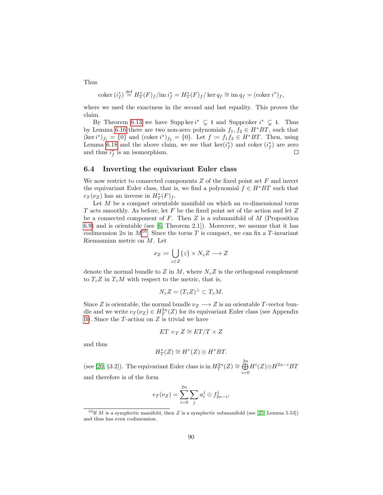Thus

$$
coker (i_f^*) \stackrel{\text{def}}{=} H_T^*(F)_f / \text{im } i_f^* = H_T^*(F)_f / \ker q_f \cong \text{im } q_f = (\text{coker } i^*)_f,
$$

where we used the exactness in the second and last equality. This proves the claim.

By Theorem [6.13](#page-88-0) we have Supp ker  $i^* \subsetneq \mathfrak{t}$  and Suppcoker  $i^* \subsetneq \mathfrak{t}$ . Thus by Lemma [6.16](#page-89-1) there are two non-zero polynomials  $f_1, f_2 \in H^*BT$ , such that  $(\ker i^*)_{{f_1}} = \{0\}$  and  $(\operatorname{coker} i^*)_{{f_2}} = \{0\}$ . Let  $f \coloneqq f_1 f_2 \in H^*BT$ . Then, using Lemma [6.18](#page-90-0) and the above claim, we see that  $\ker(i_f^*)$  and coker  $(i_f^*)$  are zero and thus  $i_f^*$  is an isomorphism.  $\Box$ 

# <span id="page-91-1"></span>6.4 Inverting the equivariant Euler class

We now restrict to connected components  $Z$  of the fixed point set  $F$  and invert the equivariant Euler class, that is, we find a polynomial  $f \in H^*BT$  such that  $e_T(\nu_Z)$  has an inverse in  $H^*_T(F)_f$ .

Let  $M$  be a compact orientable manifold on which an  $m$ -dimensional torus T acts smoothly. As before, let F be the fixed point set of the action and let  $Z$ be a connected component of  $F$ . Then  $Z$  is a submanifold of  $M$  (Proposition [6.9\)](#page-85-2) and is orientable (see [\[6,](#page-141-6) Theorem 2.1]). Moreover, we assume that it has codimension  $2n$  in  $M^{10}$  $M^{10}$  $M^{10}$ . Since the torus T is compact, we can fix a T-invariant Riemannian metric on M. Let

$$
\nu_Z \coloneqq \bigcup_{z \in Z} \{z\} \times N_z Z \longrightarrow Z
$$

denote the normal bundle to Z in M, where  $N_z Z$  is the orthogonal complement to  $T_z Z$  in  $T_z M$  with respect to the metric, that is,

$$
N_z Z = (T_z Z)^{\perp} \subset T_z M.
$$

Since Z is orientable, the normal bundle  $\nu_Z \longrightarrow Z$  is an orientable T-vector bundle and we write  $e_T(\nu_Z) \in H_T^{2n}(Z)$  for its equivariant Euler class (see Appendix [B\)](#page-118-0). Since the  $T$ -action on  $Z$  is trivial we have

$$
ET \times_T Z \cong ET/T \times Z
$$

and thus

$$
H^*_T(Z) \cong H^*(Z) \otimes H^*BT.
$$

(see [\[20,](#page-142-1) §3.2]). The equivariant Euler class is in  $H_T^{2n}(Z) \cong \bigoplus^{2n}$  $i=0$  $H^i(Z){\otimes} H^{2n-i}BT$ and therefore is of the form

$$
e_T(\nu_Z) = \sum_{i=0}^{2n} \sum_j a_i^j \otimes f_{2n-i}^j,
$$

<span id="page-91-0"></span><sup>&</sup>lt;sup>10</sup>If *M* is a symplectic manifold, then *Z* is a symplectic submanifold (see [\[25,](#page-143-0) Lemma 5.53]) and thus has even codimension.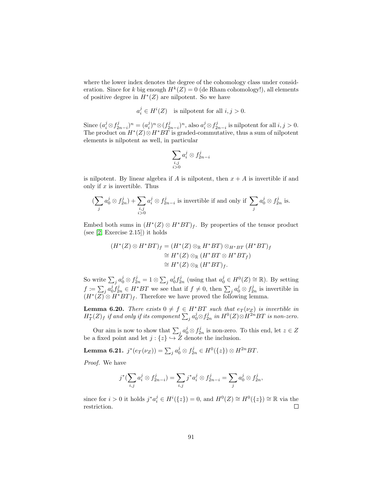where the lower index denotes the degree of the cohomology class under consideration. Since for k big enough  $H^k(Z) = 0$  (de Rham cohomology!), all elements of positive degree in  $H^*(Z)$  are nilpotent. So we have

$$
a_i^j \in H^i(Z) \quad \text{is nilpotent for all } i, j > 0.
$$

Since  $(a_i^j \otimes f_{2n-i}^j)^n = (a_i^j)^n \otimes (f_{2n-i}^j)^n$ , also  $a_i^j \otimes f_{2n-i}^j$  is nilpotent for all  $i, j > 0$ . The product on  $H^*(Z) \otimes H^*BT$  is graded-commutative, thus a sum of nilpotent elements is nilpotent as well, in particular

$$
\sum_{\substack{i,j\\i>0}}a_i^j\otimes f^j_{2n-i}
$$

is nilpotent. By linear algebra if A is nilpotent, then  $x + A$  is invertible if and only if  $x$  is invertible. Thus

$$
(\sum_j a_0^j \otimes f_{2n}^j) + \sum_{\substack{i,j \\ i>0}} a_i^j \otimes f_{2n-i}^j \text{ is invertible if and only if } \sum_j a_0^j \otimes f_{2n}^j \text{ is.}
$$

Embed both sums in  $(H^*(Z) \otimes H^*BT)_f$ . By properties of the tensor product (see [\[2,](#page-141-7) Exercise 2.15]) it holds

$$
(H^*(Z) \otimes H^*BT)_f = (H^*(Z) \otimes_{\mathbb{R}} H^*BT) \otimes_{H^*BT} (H^*BT)_f
$$
  
\n
$$
\cong H^*(Z) \otimes_{\mathbb{R}} (H^*BT \otimes H^*BT_f)
$$
  
\n
$$
\cong H^*(Z) \otimes_{\mathbb{R}} (H^*BT)_f.
$$

So write  $\sum_j a_0^j \otimes f_{2n}^j = 1 \otimes \sum_j a_0^j f_{2n}^j$  (using that  $a_0^j \in H^0(Z) \cong \mathbb{R}$ ). By setting  $f \coloneqq \sum_j a_0^j f_{2n}^j \in H^*BT$  we see that if  $f \neq 0$ , then  $\sum_j a_0^j \otimes f_{2n}^j$  is invertible in  $(H^*(Z) \otimes H^*BT)_f$ . Therefore we have proved the following lemma.

**Lemma 6.20.** There exists  $0 \neq f \in H^*BT$  such that  $e_T(\nu_Z)$  is invertible in  $H_{T}^{*}(Z)_{f}$  if and only if its component  $\sum_{j}a_{0}^{j}\otimes f_{2n}^{j}$  in  $H^{0}(Z)\otimes H^{2n}BT$  is non-zero.

Our aim is now to show that  $\sum_j a_0^j \otimes f_{2n}^j$  is non-zero. To this end, let  $z \in Z$ be a fixed point and let  $j : \{z\} \hookrightarrow \check{Z}$  denote the inclusion.

Lemma 6.21.  $j^*(e_T(\nu_Z)) = \sum_j a^j_0 \otimes f^j_{2n} \in H^0(\{z\}) \otimes H^{2n}BT$ .

Proof. We have

$$
j^*(\sum_{i,j} a_i^j \otimes f_{2n-i}^j) = \sum_{i,j} j^* a_i^j \otimes f_{2n-i}^j = \sum_j a_0^j \otimes f_{2n}^j,
$$

since for  $i > 0$  it holds  $j^* a_i^j \in H^i({z}) = 0$ , and  $H^0(Z) \cong H^0({z}) \cong \mathbb{R}$  via the restriction.  $\Box$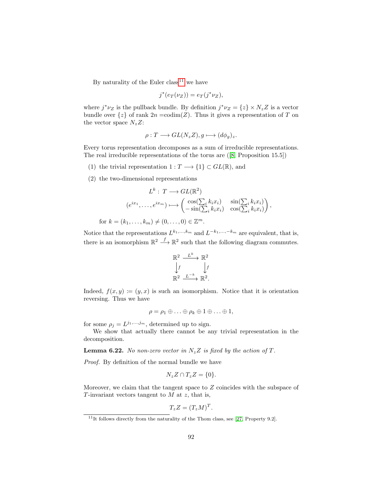By naturality of the Euler class<sup>[11](#page-93-0)</sup> we have

$$
j^*(e_T(\nu_Z)) = e_T(j^*\nu_Z),
$$

where  $j^*\nu_Z$  is the pullback bundle. By definition  $j^*\nu_Z = \{z\} \times N_z Z$  is a vector bundle over  $\{z\}$  of rank  $2n = \text{codim}(Z)$ . Thus it gives a representation of T on the vector space  $N_zZ$ :

$$
\rho: T \longrightarrow GL(N_z Z), g \longmapsto (d\phi_g)_z.
$$

Every torus representation decomposes as a sum of irreducible representations. The real irreducible representations of the torus are([\[8,](#page-141-8) Proposition 15.5])

- (1) the trivial representation  $1: T \longrightarrow \{1\} \subset GL(\mathbb{R})$ , and
- (2) the two-dimensional representations

$$
L^k: T \longrightarrow GL(\mathbb{R}^2)
$$

$$
(e^{ix_1}, \dots, e^{ix_m}) \longmapsto \begin{pmatrix} \cos(\sum_i k_i x_i) & \sin(\sum_i k_i x_i) \\ -\sin(\sum_i k_i x_i) & \cos(\sum_i k_i x_i) \end{pmatrix},
$$

for  $k = (k_1, ..., k_m) \neq (0, ..., 0) \in \mathbb{Z}^m$ .

Notice that the representations  $L^{k_1,...,k_m}$  and  $L^{-k_1,...,-k_m}$  are equivalent, that is, there is an isomorphism  $\mathbb{R}^2 \longrightarrow \mathbb{R}^2$  such that the following diagram commutes.

$$
\mathbb{R}^2 \xrightarrow{L^k} \mathbb{R}^2
$$

$$
\downarrow f \qquad \qquad \downarrow f
$$

$$
\mathbb{R}^2 \xrightarrow{L^{-k}} \mathbb{R}^2.
$$

Indeed,  $f(x, y) := (y, x)$  is such an isomorphism. Notice that it is orientation reversing. Thus we have

$$
\rho = \rho_1 \oplus \ldots \oplus \rho_k \oplus 1 \oplus \ldots \oplus 1,
$$

for some  $\rho_j = L^{j_1,...,j_m}$ , determined up to sign.

We show that actually there cannot be any trivial representation in the decomposition.

<span id="page-93-1"></span>**Lemma 6.22.** No non-zero vector in  $N_z Z$  is fixed by the action of T.

Proof. By definition of the normal bundle we have

$$
N_z Z \cap T_z Z = \{0\}.
$$

Moreover, we claim that the tangent space to  $Z$  coincides with the subspace of T-invariant vectors tangent to  $M$  at  $z$ , that is,

$$
T_z Z = (T_z M)^T.
$$

<span id="page-93-0"></span> $11$ It follows directly from the naturality of the Thom class, see [\[27,](#page-143-1) Property 9.2].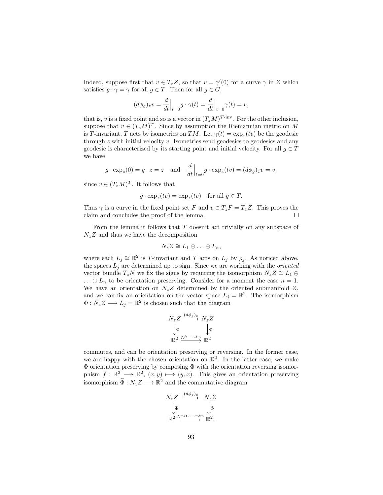Indeed, suppose first that  $v \in T_z Z$ , so that  $v = \gamma'(0)$  for a curve  $\gamma$  in Z which satisfies  $g \cdot \gamma = \gamma$  for all  $g \in T$ . Then for all  $g \in G$ ,

$$
(d\phi_g)_z v = \frac{d}{dt}\Big|_{t=0} g \cdot \gamma(t) = \frac{d}{dt}\Big|_{t=0} \gamma(t) = v,
$$

that is, v is a fixed point and so is a vector in  $(T_zM)^{T\text{-inv}}$ . For the other inclusion, suppose that  $v \in (T_z M)^T$ . Since by assumption the Riemannian metric on M is T-invariant, T acts by isometries on TM. Let  $\gamma(t) = \exp_z(tv)$  be the geodesic through z with initial velocity v. Isometries send geodesics to geodesics and any geodesic is characterized by its starting point and initial velocity. For all  $g \in T$ we have

$$
g \cdot \exp_z(0) = g \cdot z = z
$$
 and  $\frac{d}{dt}\Big|_{t=0} g \cdot \exp_z(tv) = (d\phi_g)_z v = v$ ,

since  $v \in (T_zM)^T$ . It follows that

$$
g \cdot \exp_z(tv) = \exp_z(tv)
$$
 for all  $g \in T$ .

Thus  $\gamma$  is a curve in the fixed point set F and  $v \in T_zF = T_zZ$ . This proves the claim and concludes the proof of the lemma.  $\Box$ 

From the lemma it follows that  $T$  doesn't act trivially on any subspace of  $N_zZ$  and thus we have the decomposition

$$
N_z Z \cong L_1 \oplus \ldots \oplus L_n,
$$

where each  $L_j \cong \mathbb{R}^2$  is T-invariant and T acts on  $L_j$  by  $\rho_j$ . As noticed above, the spaces  $L_j$  are determined up to sign. Since we are working with the *oriented* vector bundle  $T_zN$  we fix the signs by requiring the isomorphism  $N_zZ \cong L_1 \oplus$  $\ldots \oplus L_n$  to be orientation preserving. Consider for a moment the case  $n = 1$ . We have an orientation on  $N_z Z$  determined by the oriented submanifold  $Z$ , and we can fix an orientation on the vector space  $L_j = \mathbb{R}^2$ . The isomorphism  $\Phi: N_z Z \longrightarrow L_j = \mathbb{R}^2$  is chosen such that the diagram

$$
N_z Z \xrightarrow{(d\phi_g)_z} N_z Z
$$
  

$$
\downarrow \Phi \qquad \qquad \downarrow \Phi
$$
  

$$
\mathbb{R}^2 \xrightarrow{L^{j_1,...,j_m}} \mathbb{R}^2
$$

commutes, and can be orientation preserving or reversing. In the former case, we are happy with the chosen orientation on  $\mathbb{R}^2$ . In the latter case, we make Φ orientation preserving by composing Φ with the orientation reversing isomorphism  $f : \mathbb{R}^2 \longrightarrow \mathbb{R}^2$ ,  $(x, y) \longmapsto (y, x)$ . This gives an orientation preserving isomorphism  $\widetilde{\Phi}: N_z Z \longrightarrow \mathbb{R}^2$  and the commutative diagram

$$
N_z Z \xrightarrow{(d\phi_g)_z} N_z Z
$$
  

$$
\downarrow \tilde{\Phi} \qquad \downarrow \tilde{\Phi}
$$
  

$$
\mathbb{R}^2 L \xrightarrow{j_1, \dots, -j_m} \mathbb{R}^2.
$$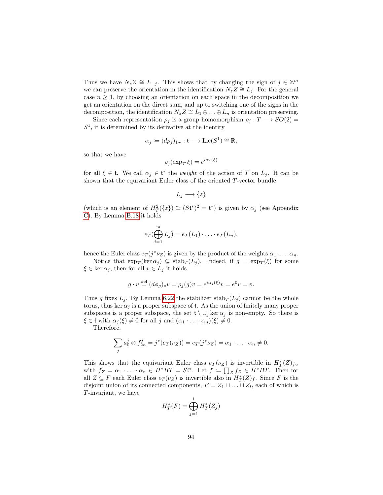Thus we have  $N_z Z \cong L_{-j}$ . This shows that by changing the sign of  $j \in \mathbb{Z}^m$ we can preserve the orientation in the identification  $N_zZ \cong L_i$ . For the general case  $n \geq 1$ , by choosing an orientation on each space in the decomposition we get an orientation on the direct sum, and up to switching one of the signs in the decomposition, the identification  $N_z Z \cong L_1 \oplus \ldots \oplus L_n$  is orientation preserving.

Since each representation  $\rho_i$  is a group homomorphism  $\rho_i : T \longrightarrow SO(2) =$  $S<sup>1</sup>$ , it is determined by its derivative at the identity

$$
\alpha_j := (d\rho_j)_{1_T} : \mathfrak{t} \longrightarrow \text{Lie}(S^1) \cong \mathbb{R},
$$

so that we have

$$
\rho_j(\exp_T \xi) = e^{i\alpha_j(\xi)}
$$

for all  $\xi \in \mathfrak{t}$ . We call  $\alpha_j \in \mathfrak{t}^*$  the weight of the action of T on  $L_j$ . It can be shown that the equivariant Euler class of the oriented T-vector bundle

$$
L_j \longrightarrow \{z\}
$$

(which is an element of  $H_T^2({z}) \cong (St^*)^2 = \mathfrak{t}^*$ ) is given by  $\alpha_j$  (see Appendix [C\)](#page-130-0). By Lemma [B.18](#page-127-0) it holds

$$
e_T(\bigoplus_{i=1}^m L_j) = e_T(L_1) \cdot \ldots \cdot e_T(L_n),
$$

hence the Euler class  $e_T(j^*\nu_Z)$  is given by the product of the weights  $\alpha_1 \cdot \ldots \cdot \alpha_n$ .

Notice that  $\exp_T(\ker \alpha_j) \subseteq \operatorname{stab}_T(L_j)$ . Indeed, if  $g = \exp_T(\xi)$  for some  $\xi \in \ker \alpha_j$ , then for all  $v \in L_j$  it holds

$$
g \cdot v \stackrel{\text{def}}{=} (d\phi_g)_z v = \rho_j(g)v = e^{i\alpha_j(\xi)}v = e^0v = v.
$$

Thus g fixes  $L_j$ . By Lemma [6.22](#page-93-1) the stabilizer  $\text{stab}_T(L_j)$  cannot be the whole torus, thus ker  $\alpha_j$  is a proper subspace of t. As the union of finitely many proper subspaces is a proper subspace, the set  $\mathfrak{t} \setminus \cup_j \ker \alpha_j$  is non-empty. So there is  $\xi \in \mathfrak{t}$  with  $\alpha_j(\xi) \neq 0$  for all j and  $(\alpha_1 \cdot \ldots \cdot \alpha_n)(\xi) \neq 0$ .

Therefore,

$$
\sum_j a_0^j \otimes f_{2n}^j = j^*(e_T(\nu_Z)) = e_T(j^*\nu_Z) = \alpha_1 \cdot \ldots \cdot \alpha_n \neq 0.
$$

This shows that the equivariant Euler class  $e_T(\nu_z)$  is invertible in  $H^*_T(Z)_{f_z}$ with  $f_Z = \alpha_1 \cdot \ldots \cdot \alpha_n \in H^*BT = St^*$ . Let  $f := \prod_Z f_Z \in H^*BT$ . Then for all  $Z \subseteq F$  each Euler class  $e_T(\nu_Z)$  is invertible also in  $H^*_T(Z)_f$ . Since F is the disjoint union of its connected components,  $F = Z_1 \sqcup \ldots \sqcup Z_l$ , each of which is T-invariant, we have

$$
H_T^*(F) = \bigoplus_{j=1}^l H_T^*(Z_j)
$$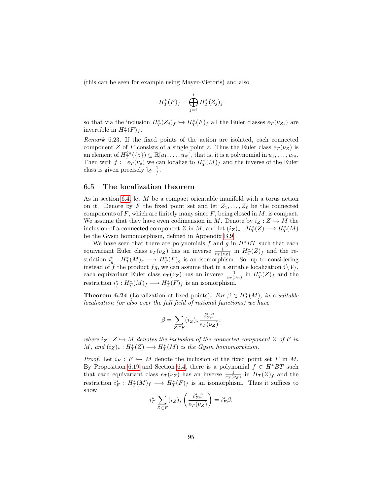(this can be seen for example using Mayer-Vietoris) and also

$$
H_T^*(F)_f = \bigoplus_{j=1}^l H_T^*(Z_j)_f
$$

so that via the inclusion  $H^*_T(Z_j)_f \hookrightarrow H^*_T(F)_f$  all the Euler classes  $e_T(\nu_{Z_j})$  are invertible in  $H^*_T(F)_f$ .

Remark 6.23. If the fixed points of the action are isolated, each connected component Z of F consists of a single point z. Thus the Euler class  $e_T(\nu_z)$  is an element of  $H_T^{2n}(\{z\}) \subseteq \mathbb{R}[u_1,\ldots,u_m]$ , that is, it is a polynomial in  $u_1,\ldots,u_m$ . Then with  $f \coloneqq e_T(\nu_z)$  we can localize to  $H^*_T(M)_f$  and the inverse of the Euler class is given precisely by  $\frac{1}{f}$ .

#### 6.5 The localization theorem

As in section [6.4,](#page-91-1) let M be a compact orientable manifold with a torus action on it. Denote by F the fixed point set and let  $Z_1, \ldots, Z_\ell$  be the connected components of  $F$ , which are finitely many since  $F$ , being closed in  $M$ , is compact. We assume that they have even codimension in M. Denote by  $i_Z : Z \hookrightarrow M$  the inclusion of a connected component Z in M, and let  $(i_Z)_*: H^*_T(Z) \longrightarrow H^*_T(M)$ be the Gysin homomorphism, defined in Appendix [B.9.](#page-128-0)

We have seen that there are polynomials  $f$  and  $g$  in  $H^*BT$  such that each equivariant Euler class  $e_T(\nu_Z)$  has an inverse  $\frac{1}{e_T(\nu_Z)}$  in  $H^*_T(Z)_f$  and the restriction  $i_g^*: H^*_T(M)_g \longrightarrow H^*_T(F)_g$  is an isomorphism. So, up to considering instead of f the product fg, we can assume that in a suitable localization  $\mathfrak{t} \setminus V_f$ , each equivariant Euler class  $e_T(\nu_Z)$  has an inverse  $\frac{1}{e_T(\nu_Z)}$  in  $H^*_T(Z)_f$  and the restriction  $i_f^*: H^*_T(M)_f \longrightarrow H^*_T(F)_f$  is an isomorphism.

<span id="page-96-0"></span>**Theorem 6.24** (Localization at fixed points). For  $\beta \in H_T^*(M)$ , in a suitable localization (or also over the full field of rational functions) we have

$$
\beta = \sum_{Z \subset F} (i_Z)_* \frac{i_Z^* \beta}{e_T(\nu_Z)},
$$

where  $i_Z : Z \hookrightarrow M$  denotes the inclusion of the connected component Z of F in M, and  $(i_Z)_*: H^*_T(Z) \longrightarrow H^*_T(M)$  is the Gysin homomorphism.

*Proof.* Let  $i_F : F \hookrightarrow M$  denote the inclusion of the fixed point set F in M. By Proposition [6.19](#page-90-1) and Section [6.4,](#page-91-1) there is a polynomial  $f \in H^*BT$  such that each equivariant class  $e_T(\nu_Z)$  has an inverse  $\frac{1}{e_T(\nu_Z)}$  in  $H_T(Z)_f$  and the restriction  $i_F^*: H^*_T(M)_f \longrightarrow H^*_T(F)_f$  is an isomorphism. Thus it suffices to show

$$
i_F^* \sum_{Z \subset F} (i_Z)_* \left( \frac{i_Z^* \beta}{e_T(\nu_Z)} \right) = i_F^* \beta.
$$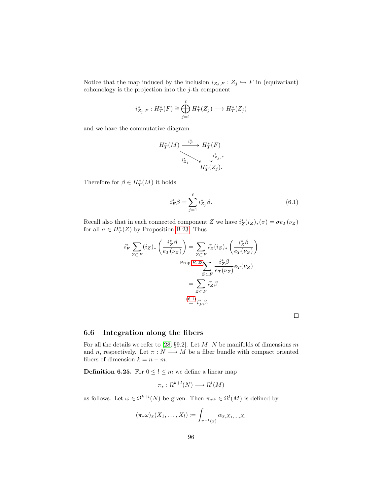Notice that the map induced by the inclusion  $i_{Z_j, F} : Z_j \hookrightarrow F$  in (equivariant) cohomology is the projection into the  $j$ -th component

$$
i_{Z_j,F}^* : H^*_T(F) \cong \bigoplus_{j=1}^{\ell} H^*_T(Z_j) \longrightarrow H^*_T(Z_j)
$$

and we have the commutative diagram

$$
H^*_T(M) \xrightarrow{\phantom{a}i_F^*} H^*_T(F) \xrightarrow{\phantom{a}i_{\mathbb{Z}_j^*}} H^*_T(F) \xrightarrow{\phantom{a}i_{\mathbb{Z}_j, F}} H^*_{T}(Z_j).
$$

Therefore for  $\beta \in H^*_T(M)$  it holds

<span id="page-97-0"></span>
$$
i_F^* \beta = \sum_{j=1}^{\ell} i_{Z_j}^* \beta.
$$
\n(6.1)

Recall also that in each connected component Z we have  $i_Z^*(i_Z)_*(\sigma) = \sigma e_T(\nu_Z)$ for all  $\sigma \in H^*_T(Z)$  by Proposition [B.23.](#page-128-1) Thus

$$
i_{F}^{*} \sum_{Z \subset F} (i_{Z})_{*} \left( \frac{i_{Z}^{*} \beta}{e_{T}(\nu_{Z})} \right) = \sum_{Z \subset F} i_{Z}^{*} (i_{Z})_{*} \left( \frac{i_{Z}^{*} \beta}{e_{T}(\nu_{Z})} \right)
$$

$$
= \sum_{Z \subset F} \frac{i_{Z}^{*} \beta}{e_{T}(\nu_{Z})} e_{T}(\nu_{Z})
$$

$$
= \sum_{Z \subset F} i_{Z}^{*} \beta
$$

$$
\stackrel{(6.1)}{=} i_{F}^{*} \beta.
$$

 $\Box$ 

## 6.6 Integration along the fibers

For all the details we refer to [\[28,](#page-143-2) §9.2]. Let  $M$ ,  $N$  be manifolds of dimensions  $m$ and n, respectively. Let  $\pi : N \longrightarrow M$  be a fiber bundle with compact oriented fibers of dimension  $k = n - m$ .

**Definition 6.25.** For  $0 \leq l \leq m$  we define a linear map

$$
\pi_*: \Omega^{k+l}(N) \longrightarrow \Omega^l(M)
$$

as follows. Let  $\omega \in \Omega^{k+l}(N)$  be given. Then  $\pi_* \omega \in \Omega^l(M)$  is defined by

$$
(\pi_*\omega)_x(X_1,\ldots,X_l):=\int_{\pi^{-1}(x)}\alpha_{x,X_1,\ldots,X_l}
$$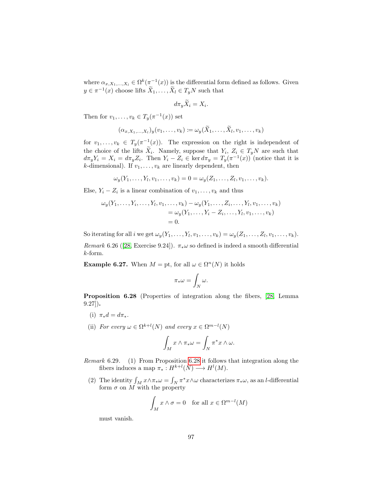where  $\alpha_{x,X_1,\dots,X_l} \in \Omega^k(\pi^{-1}(x))$  is the differential form defined as follows. Given  $y \in \pi^{-1}(x)$  choose lifts  $\widetilde{X}_1, \ldots, \widetilde{X}_l \in T_yN$  such that

$$
d\pi_y X_i = X_i.
$$

Then for  $v_1, \ldots, v_k \in T_y(\pi^{-1}(x))$  set

$$
(\alpha_{x,X_1,\ldots,X_l})_y(v_1,\ldots,v_k) \coloneqq \omega_y(\widetilde{X}_1,\ldots,\widetilde{X}_l,v_1,\ldots,v_k)
$$

for  $v_1, \ldots, v_k \in T_y(\pi^{-1}(x))$ . The expression on the right is independent of the choice of the lifts  $X_i$ . Namely, suppose that  $Y_i$ ,  $Z_i \in T_yN$  are such that  $d\pi_y Y_i = X_i = d\pi_y Z_i$ . Then  $Y_i - Z_i \in \ker d\pi_y = T_y(\pi^{-1}(x))$  (notice that it is *k*-dimensional). If  $v_1, \ldots, v_k$  are linearly dependent, then

$$
\omega_y(Y_1, \ldots, Y_l, v_1, \ldots, v_k) = 0 = \omega_y(Z_1, \ldots, Z_l, v_1, \ldots, v_k).
$$

Else,  $Y_i - Z_i$  is a linear combination of  $v_1, \ldots, v_k$  and thus

$$
\omega_y(Y_1, ..., Y_i, ..., Y_l, v_1, ..., v_k) - \omega_y(Y_1, ..., Z_i, ..., Y_l, v_1, ..., v_k) = \omega_y(Y_1, ..., Y_i - Z_i, ..., Y_l, v_1, ..., v_k) = 0.
$$

So iterating for all *i* we get  $\omega_y(Y_1, \ldots, Y_l, v_1, \ldots, v_k) = \omega_y(Z_1, \ldots, Z_l, v_1, \ldots, v_k)$ .

Remark6.26 ([\[28,](#page-143-2) Exercise 9.24]).  $\pi_*\omega$  so defined is indeed a smooth differential k-form.

<span id="page-98-1"></span>**Example 6.27.** When  $M = pt$ , for all  $\omega \in \Omega^n(N)$  it holds

$$
\pi_*\omega = \int_N \omega.
$$

<span id="page-98-0"></span>Proposition 6.28 (Properties of integration along the fibers, [\[28,](#page-143-2) Lemma 9.27]).

- (i)  $\pi_* d = d \pi_*$ .
- (ii) For every  $\omega \in \Omega^{k+l}(N)$  and every  $x \in \Omega^{m-l}(N)$

$$
\int_M x \wedge \pi_* \omega = \int_N \pi^* x \wedge \omega.
$$

Remark 6.29. (1) From Proposition [6.28](#page-98-0) it follows that integration along the fibers induces a map  $\pi_*: H^{k+l}(N) \longrightarrow H^l(M)$ .

(2) The identity  $\int_M x \wedge \pi_* \omega = \int_N \pi^* x \wedge \omega$  characterizes  $\pi_* \omega$ , as an l-differential form  $\sigma$  on M with the property

$$
\int_M x \wedge \sigma = 0 \quad \text{for all } x \in \Omega^{m-l}(M)
$$

must vanish.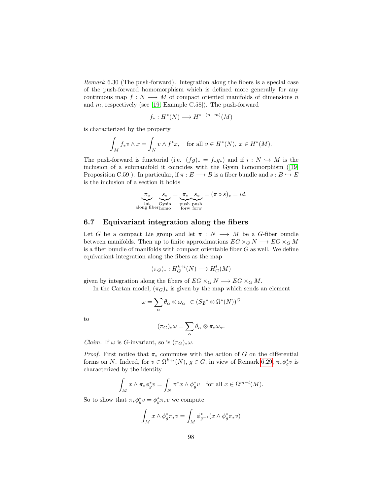<span id="page-99-0"></span>Remark 6.30 (The push-forward). Integration along the fibers is a special case of the push-forward homomorphism which is defined more generally for any continuous map  $f: N \longrightarrow M$  of compact oriented manifolds of dimensions n and m, respectively (see [\[19,](#page-142-2) Example C.58]). The push-forward

$$
f_*: H^*(N) \longrightarrow H^{*-(n-m)}(M)
$$

is characterized by the property

$$
\int_M f_* v \wedge x = \int_N v \wedge f^* x, \quad \text{for all } v \in H^*(N), \ x \in H^*(M).
$$

The push-forward is functorial (i.e.  $(fg)_* = f_*g_*$ ) and if  $i : N \hookrightarrow M$  is the inclusion of a submanifold it coincides with the Gysin homomorphism([\[19,](#page-142-2) Proposition C.59]). In particular, if  $\pi : E \longrightarrow B$  is a fiber bundle and  $s : B \longrightarrow E$ is the inclusion of a section it holds

$$
\underbrace{\pi_*}_{\text{int}} \underbrace{s_*}_{\text{Gysin}} = \underbrace{\pi_*}_{\text{push push push}} s_* = (\pi \circ s)_* = id.
$$
  
along fiberhom

## 6.7 Equivariant integration along the fibers

Let G be a compact Lie group and let  $\pi : N \longrightarrow M$  be a G-fiber bundle between manifolds. Then up to finite approximations  $EG \times_G N \longrightarrow EG \times_G M$ is a fiber bundle of manifolds with compact orientable fiber  $G$  as well. We define equivariant integration along the fibers as the map

$$
(\pi_G)_*: H_G^{k+l}(N) \longrightarrow H_G^l(M)
$$

given by integration along the fibers of  $EG \times_G N \longrightarrow EG \times_G M$ .

In the Cartan model,  $(\pi_G)_*$  is given by the map which sends an element

$$
\omega = \sum_{\alpha} \theta_{\alpha} \otimes \omega_{\alpha} \in (S\mathfrak{g}^* \otimes \Omega^*(N))^G
$$

to

$$
(\pi_G)_*\omega = \sum_\alpha \theta_\alpha \otimes \pi_*\omega_\alpha.
$$

*Claim.* If  $\omega$  is *G*-invariant, so is  $(\pi_G)_*\omega$ .

*Proof.* First notice that  $\pi_*$  commutes with the action of G on the differential forms on N. Indeed, for  $v \in \Omega^{k+l}(N)$ ,  $g \in G$ , in view of Remark [6.29,](#page-0-0)  $\pi_* \phi_g^* v$  is characterized by the identity

$$
\int_M x \wedge \pi_* \phi_g^* v = \int_N \pi^* x \wedge \phi_g^* v \quad \text{for all } x \in \Omega^{m-l}(M).
$$

So to show that  $\pi_* \phi_g^* v = \phi_g^* \pi_* v$  we compute

$$
\int_M x \wedge \phi_g^* \pi_* v = \int_M \phi_{g^{-1}}^*(x \wedge \phi_g^* \pi_* v)
$$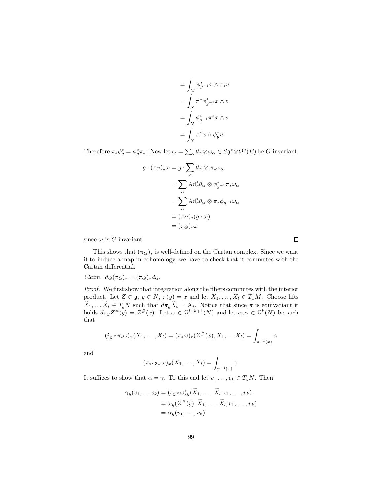$$
= \int_M \phi_{g^{-1}}^* x \wedge \pi_* v
$$
  
= 
$$
\int_N \pi^* \phi_{g^{-1}}^* x \wedge v
$$
  
= 
$$
\int_N \phi_{g^{-1}}^* \pi^* x \wedge v
$$
  
= 
$$
\int_N \pi^* x \wedge \phi_g^* v.
$$

Therefore  $\pi_* \phi_g^* = \phi_g^* \pi_*$ . Now let  $\omega = \sum_{\alpha} \theta_{\alpha} \otimes \omega_{\alpha} \in S \mathfrak{g}^* \otimes \Omega^*(E)$  be *G*-invariant.

$$
g \cdot (\pi_G)_* \omega = g \cdot \sum_{\alpha} \theta_{\alpha} \otimes \pi_* \omega_{\alpha}
$$

$$
= \sum_{\alpha} \text{Ad}^*_{g} \theta_{\alpha} \otimes \phi^*_{g^{-1}} \pi_* \omega_{\alpha}
$$

$$
= \sum_{\alpha} \text{Ad}^*_{g} \theta_{\alpha} \otimes \pi_* \phi_{g^{-1}} \omega_{\alpha}
$$

$$
= (\pi_G)_* (g \cdot \omega)
$$

$$
= (\pi_G)_* \omega
$$

since  $\omega$  is *G*-invariant.

This shows that  $(\pi_G)_*$  is well-defined on the Cartan complex. Since we want it to induce a map in cohomology, we have to check that it commutes with the Cartan differential.

Claim.  $d_G(\pi_G)_* = (\pi_G)_* d_G$ .

Proof. We first show that integration along the fibers commutes with the interior product. Let  $Z \in \mathfrak{g}, y \in N, \pi(y) = x$  and let  $X_1, \ldots, X_l \in T_xM$ . Choose lifts  $X_1, \ldots, X_l \in T_yN$  such that  $d\pi_y X_i = X_i$ . Notice that since  $\pi$  is equivariant it holds  $d\pi_y Z^{\#}(y) = Z^{\#}(x)$ . Let  $\omega \in \Omega^{l+k+1}(N)$  and let  $\alpha, \gamma \in \Omega^k(N)$  be such that

$$
(i_{Z^{\#}}\pi_{*}\omega)_{x}(X_{1},\ldots,X_{l})=(\pi_{*}\omega)_{x}(Z^{\#}(x),X_{1},\ldots X_{l})=\int_{\pi^{-1}(x)}\alpha
$$

and

$$
(\pi_* \iota_{Z^{\#}} \omega)_x(X_1,\ldots,X_l) = \int_{\pi^{-1}(x)} \gamma.
$$

It suffices to show that  $\alpha = \gamma$ . To this end let  $v_1 \dots, v_k \in T_yN$ . Then

$$
\gamma_y(v_1, \dots v_k) = (\iota_{Z^{\#}} \omega)_y(\widetilde{X}_1, \dots, \widetilde{X}_l, v_1, \dots, v_k)
$$
  
=  $\omega_y(Z^{\#}(y), \widetilde{X}_1, \dots, \widetilde{X}_l, v_1, \dots, v_k)$   
=  $\alpha_y(v_1, \dots, v_k)$ 

 $\Box$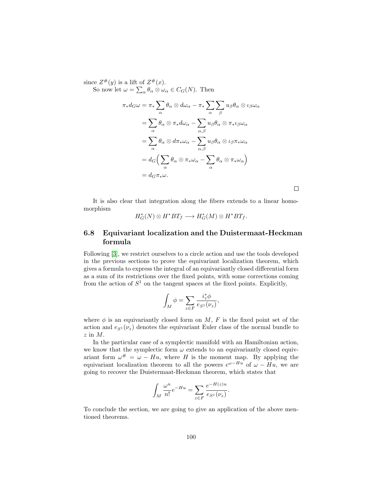since  $Z^{\#}(y)$  is a lift of  $Z^{\#}(x)$ . So now let  $\omega = \sum_{\alpha} \theta_{\alpha} \otimes \omega_{\alpha} \in C_G(N)$ . Then

$$
\pi_* d_G \omega = \pi_* \sum_{\alpha} \theta_{\alpha} \otimes d\omega_{\alpha} - \pi_* \sum_{\alpha} \sum_{\beta} u_{\beta} \theta_{\alpha} \otimes \iota_{\beta} \omega_{\alpha}
$$

$$
= \sum_{\alpha} \theta_{\alpha} \otimes \pi_* d\omega_{\alpha} - \sum_{\alpha, \beta} u_{\beta} \theta_{\alpha} \otimes \pi_* \iota_{\beta} \omega_{\alpha}
$$

$$
= \sum_{\alpha} \theta_{\alpha} \otimes d\pi_* \omega_{\alpha} - \sum_{\alpha, \beta} u_{\beta} \theta_{\alpha} \otimes \iota_{\beta} \pi_* \omega_{\alpha}
$$

$$
= d_G \Big( \sum_{\alpha} \theta_{\alpha} \otimes \pi_* \omega_{\alpha} - \sum_{\alpha} \theta_{\alpha} \otimes \pi_* \omega_{\alpha} \Big)
$$

$$
= d_G \pi_* \omega.
$$

It is also clear that integration along the fibers extends to a linear homomorphism

 $\Box$ 

$$
H^*_G(N)\otimes H^*BT_f\longrightarrow H^*_G(M)\otimes H^*BT_f.
$$

# 6.8 Equivariant localization and the Duistermaat-Heckman formula

Following [\[3\]](#page-141-2), we restrict ourselves to a circle action and use the tools developed in the previous sections to prove the equivariant localization theorem, which gives a formula to express the integral of an equivariantly closed differential form as a sum of its restrictions over the fixed points, with some corrections coming from the action of  $S^1$  on the tangent spaces at the fixed points. Explicitly,

$$
\int_M \phi = \sum_{z \in F} \frac{i_z^* \phi}{e_{S^1}(\nu_z)},
$$

where  $\phi$  is an equivariantly closed form on M, F is the fixed point set of the action and  $e_{S^1}(\nu_z)$  denotes the equivariant Euler class of the normal bundle to z in M.

In the particular case of a symplectic manifold with an Hamiltonian action, we know that the symplectic form  $\omega$  extends to an equivariantly closed equivariant form  $\omega^{\#} = \omega - Hu$ , where H is the moment map. By applying the equivariant localization theorem to all the powers  $e^{\omega - Hu}$  of  $\omega - Hu$ , we are going to recover the Duistermaat-Heckman theorem, which states that

$$
\int_M \frac{\omega^n}{n!} e^{-Hu} = \sum_{z \in F} \frac{e^{-H(z)u}}{e_{S^1}(\nu_z)}.
$$

To conclude the section, we are going to give an application of the above mentioned theorems.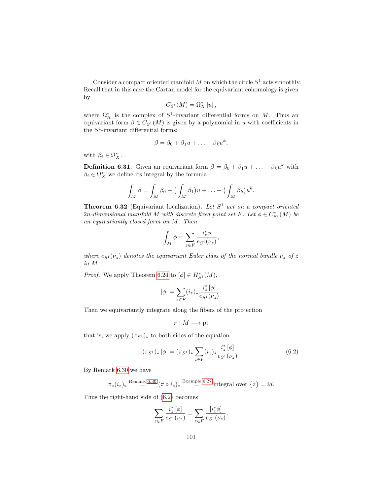Consider a compact oriented manifold  $M$  on which the circle  $S<sup>1</sup>$  acts smoothly. Recall that in this case the Cartan model for the equivariant cohomology is given by

$$
C_{S^1}(M) = \Omega^*_{X}[u],
$$

where  $\Omega^*_X$  is the complex of  $S^1$ -invariant differential forms on M. Thus an equivariant form  $\beta \in C_{S^1}(M)$  is given by a polynomial in u with coefficients in the  $S^1$ -invariant differential forms:

$$
\beta = \beta_0 + \beta_1 u + \ldots + \beta_k u^k,
$$

with  $\beta_i \in \Omega^*_X$ .

**Definition 6.31.** Given an equivariant form  $\beta = \beta_0 + \beta_1 u + \ldots + \beta_k u^k$  with  $\beta_i \in \Omega^*_X$  we define its integral by the formula

$$
\int_M \beta = \int_M \beta_0 + \big(\int_M \beta_1\big)u + \ldots + \big(\int_M \beta_k\big)u^k.
$$

<span id="page-102-1"></span>**Theorem 6.32** (Equivariant localization). Let  $S<sup>1</sup>$  act on a compact oriented 2n-dimensional manifold M with discrete fixed point set F. Let  $\phi \in C_{S^1}^*(M)$  be an equivariantly closed form on M. Then

$$
\int_M \phi = \sum_{z\in F} \frac{i_z^*\phi}{e_{S^1}(\nu_z)},
$$

where  $e_{S^1}(\nu_z)$  denotes the equivariant Euler class of the normal bundle  $\nu_z$  of z in M.

*Proof.* We apply Theorem [6.24](#page-96-0) to  $[\phi] \in H_{S^1}^*(M)$ ,

$$
[\phi] = \sum_{z \in F} (i_z)_* \frac{i_z^* [\phi]}{e_{S^1}(\nu_z)}
$$

Then we equivariantly integrate along the fibers of the projection

$$
\pi:M\longrightarrow \mathrm{pt}
$$

that is, we apply  $(\pi_{S^1})_*$  to both sides of the equation:

$$
(\pi_{S^1})_*\left[\phi\right] = (\pi_{S^1})_* \sum_{z \in F} (i_z)_* \frac{i_z^* \left[\phi\right]}{e_{S^1}(\nu_z)}.
$$
\n
$$
(6.2)
$$

<span id="page-102-0"></span>.

By Remark [6.30](#page-99-0) we have

$$
\pi_*(i_z)_* \stackrel{\text{Remark 6.30}}{=} (\pi \circ i_z)_* \stackrel{\text{Example 6.27}}{=} \text{integral over } \{z\} = id.
$$

Thus the right-hand side of [\(6.2\)](#page-102-0) becomes

$$
\sum_{z \in F} \frac{i^*_z [\phi]}{e_{S^1} (\nu_z)} = \sum_{z \in F} \frac{[i^*_z \phi]}{e_{S^1} (\nu_z)}.
$$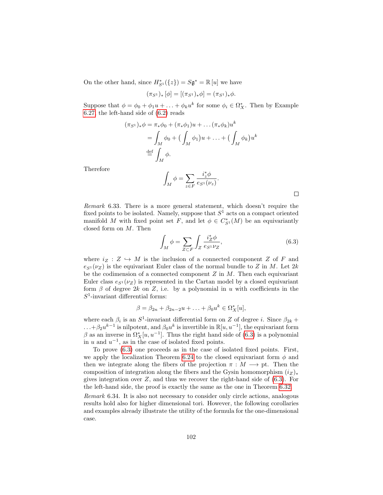On the other hand, since  $H_{S^1}^*(\{z\}) = S \mathfrak{g}^* = \mathbb{R} [u]$  we have

$$
(\pi_{S^1})_* [\phi] = [(\pi_{S^1})_* \phi] = (\pi_{S^1})_* \phi.
$$

Suppose that  $\phi = \phi_0 + \phi_1 u + \ldots + \phi_k u^k$  for some  $\phi_i \in \Omega_X^*$ . Then by Example [6.27,](#page-98-1) the left-hand side of [\(6.2\)](#page-102-0) reads

$$
(\pi_{S^1})_* \phi = \pi_* \phi_0 + (\pi_* \phi_1) u + \dots (\pi_* \phi_k) u^k
$$
  
= 
$$
\int_M \phi_0 + \left( \int_M \phi_1 \right) u + \dots + \left( \int_M \phi_k \right) u^k
$$
  

$$
\stackrel{\text{def}}{=} \int_M \phi.
$$

Therefore

$$
\int_M \phi = \sum_{z \in F} \frac{i_z^* \phi}{e_{S^1}(\nu_z)}.
$$

<span id="page-103-0"></span>

Remark 6.33. There is a more general statement, which doesn't require the fixed points to be isolated. Namely, suppose that  $S<sup>1</sup>$  acts on a compact oriented manifold M with fixed point set F, and let  $\phi \in C_{S^1}^*(M)$  be an equivariantly closed form on M. Then

$$
\int_M \phi = \sum_{Z \subset F} \int_Z \frac{i_Z^* \phi}{e_{S^1} \nu_Z},\tag{6.3}
$$

where  $i_Z : Z \hookrightarrow M$  is the inclusion of a connected component Z of F and  $e_{S^1}(\nu_Z)$  is the equivariant Euler class of the normal bundle to Z in M. Let 2k be the codimension of a connected component  $Z$  in  $M$ . Then each equivariant Euler class  $e_{S^1}(\nu_Z)$  is represented in the Cartan model by a closed equivariant form  $\beta$  of degree 2k on Z, i.e. by a polynomial in u with coefficients in the  $S^1$ -invariant differential forms:

$$
\beta = \beta_{2n} + \beta_{2n-2}u + \ldots + \beta_0u^k \in \Omega_X^*[u],
$$

where each  $\beta_i$  is an  $S^1$ -invariant differential form on Z of degree i. Since  $\beta_{2k}$  +  $\dots+\beta_2u^{k-1}$  is nilpotent, and  $\beta_0u^k$  is invertible in  $\mathbb{R}[u, u^{-1}]$ , the equivariant form  $\beta$  as an inverse in  $\Omega_X^*[u, u^{-1}]$ . Thus the right hand side of [\(6.3\)](#page-103-0) is a polynomial in u and  $u^{-1}$ , as in the case of isolated fixed points.

To prove [\(6.3\)](#page-103-0) one proceeds as in the case of isolated fixed points. First, we apply the localization Theorem [6.24](#page-96-0) to the closed equivariant form  $\phi$  and then we integrate along the fibers of the projection  $\pi : M \longrightarrow$  pt. Then the composition of integration along the fibers and the Gysin homomorphism  $(iz)_*$ gives integration over  $Z$ , and thus we recover the right-hand side of  $(6.3)$ . For the left-hand side, the proof is exactly the same as the one in Theorem [6.32.](#page-102-1)

Remark 6.34. It is also not necessary to consider only circle actions, analogous results hold also for higher dimensional tori. However, the following corollaries and examples already illustrate the utility of the formula for the one-dimensional case.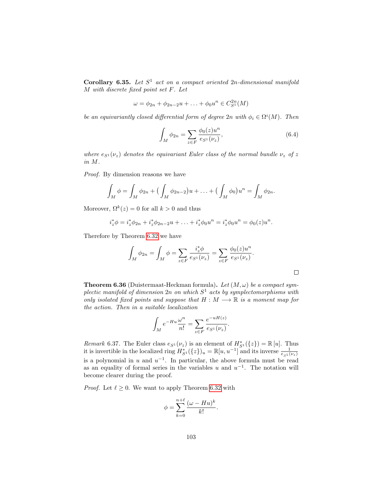Corollary 6.35. Let  $S^1$  act on a compact oriented  $2n$ -dimensional manifold M with discrete fixed point set F. Let

$$
\omega = \phi_{2n} + \phi_{2n-2}u + \ldots + \phi_0u^n \in C_{S^1}^{2n}(M)
$$

be an equivariantly closed differential form of degree  $2n$  with  $\phi_i \in \Omega^i(M)$ . Then

$$
\int_{M} \phi_{2n} = \sum_{z \in F} \frac{\phi_0(z)u^n}{e_{S^1}(\nu_z)},
$$
\n(6.4)

where  $e_{S^1}(\nu_z)$  denotes the equivariant Euler class of the normal bundle  $\nu_z$  of z in M.

Proof. By dimension reasons we have

$$
\int_M \phi = \int_M \phi_{2n} + \left( \int_M \phi_{2n-2} \right) u + \ldots + \left( \int_M \phi_0 \right) u^n = \int_M \phi_{2n}.
$$

Moreover,  $\Omega^k(z) = 0$  for all  $k > 0$  and thus

$$
i_z^*\phi = i_z^*\phi_{2n} + i_z^*\phi_{2n-2}u + \ldots + i_z^*\phi_0u^n = i_z^*\phi_0u^n = \phi_0(z)u^n.
$$

Therefore by Theorem [6.32](#page-102-1) we have

$$
\int_M \phi_{2n} = \int_M \phi = \sum_{z \in F} \frac{i_z^* \phi}{e_{S^1}(\nu_z)} = \sum_{z \in F} \frac{\phi_0(z) u^n}{e_{S^1}(\nu_z)}.
$$

<span id="page-104-0"></span>**Theorem 6.36** (Duistermaat-Heckman formula). Let  $(M, \omega)$  be a compact symplectic manifold of dimension  $2n$  on which  $S^1$  acts by symplectomorphisms with only isolated fixed points and suppose that  $H : M \longrightarrow \mathbb{R}$  is a moment map for the action. Then in a suitable localization

$$
\int_M e^{-Hu} \frac{\omega^n}{n!} = \sum_{z \in F} \frac{e^{-uH(z)}}{e_{S^1}(\nu_z)}.
$$

*Remark* 6.37. The Euler class  $e_{S^1}(\nu_z)$  is an element of  $H_{S^1}^*(\{z\}) = \mathbb{R} [u]$ . Thus it is invertible in the localized ring  $H_{S^1}^*(\{z\})_u = \mathbb{R}[u, u^{-1}]$  and its inverse  $\frac{1}{e_{S^1}(\nu_z)}$ is a polynomial in u and  $u^{-1}$ . In particular, the above formula must be read as an equality of formal series in the variables u and  $u^{-1}$ . The notation will become clearer during the proof.

*Proof.* Let  $\ell \geq 0$ . We want to apply Theorem [6.32](#page-102-1) with

$$
\phi = \sum_{k=0}^{n+\ell} \frac{(\omega - Hu)^k}{k!}.
$$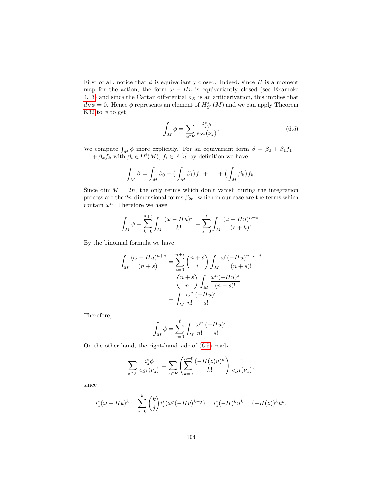First of all, notice that  $\phi$  is equivariantly closed. Indeed, since H is a moment map for the action, the form  $\omega - Hu$  is equivariantly closed (see Examoke [4.13\)](#page-64-0) and since the Cartan differential  $d_X$  is an antiderivation, this implies that  $d_X \phi = 0$ . Hence  $\phi$  represents an element of  $H_{S^1}^*(M)$  and we can apply Theorem [6.32](#page-102-1) to  $\phi$  to get

<span id="page-105-0"></span>
$$
\int_M \phi = \sum_{z \in F} \frac{i_z^* \phi}{e_{S^1}(\nu_z)}.
$$
\n(6.5)

We compute  $\int_M \phi$  more explicitly. For an equivariant form  $\beta = \beta_0 + \beta_1 f_1 +$  $\ldots + \beta_k f_k$  with  $\beta_i \in \Omega^i(M)$ ,  $f_i \in \mathbb{R} [u]$  by definition we have

$$
\int_M \beta = \int_M \beta_0 + \big(\int_M \beta_1\big) f_1 + \ldots + \big(\int_M \beta_k\big) f_k.
$$

Since dim  $M = 2n$ , the only terms which don't vanish during the integration process are the 2n-dimensional forms  $\beta_{2n}$ , which in our case are the terms which contain  $\omega^n$ . Therefore we have

$$
\int_{M} \phi = \sum_{k=0}^{n+\ell} \int_{M} \frac{(\omega - Hu)^{k}}{k!} = \sum_{s=0}^{\ell} \int_{M} \frac{(\omega - Hu)^{n+s}}{(s+k)!}.
$$

By the binomial formula we have

$$
\int_M \frac{(\omega - Hu)^{n+s}}{(n+s)!} = \sum_{i=0}^{n+s} {n+s \choose i} \int_M \frac{\omega^i (-Hu)^{n+s-i}}{(n+s)!}
$$

$$
= {n+s \choose n} \int_M \frac{\omega^n (-Hu)^s}{(n+s)!}
$$

$$
= \int_M \frac{\omega^n (-Hu)^s}{n!}.
$$

Therefore,

$$
\int_M \phi = \sum_{s=0}^{\ell} \int_M \frac{\omega^n}{n!} \frac{(-Hu)^s}{s!}.
$$

On the other hand, the right-hand side of [\(6.5\)](#page-105-0) reads

$$
\sum_{z \in F} \frac{i_z^* \phi}{e_{S^1}(\nu_z)} = \sum_{z \in F} \left( \sum_{k=0}^{n+\ell} \frac{(-H(z)u)^k}{k!} \right) \frac{1}{e_{S^1}(\nu_z)},
$$

since

$$
i_z^*(\omega - Hu)^k = \sum_{j=0}^k {k \choose j} i_z^*(\omega^j(-Hu)^{k-j}) = i_z^*(-H)^ku^k = (-H(z))^ku^k.
$$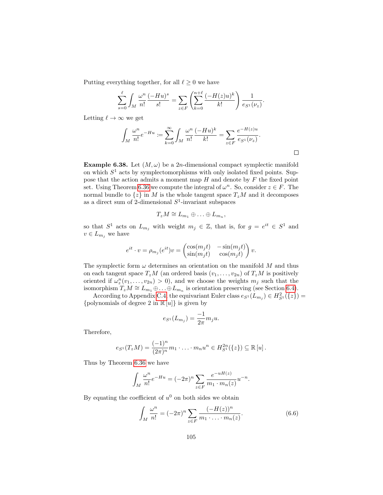Putting everything together, for all  $\ell \geq 0$  we have

$$
\sum_{s=0}^{\ell} \int_{M} \frac{\omega^{n}}{n!} \frac{(-Hu)^{s}}{s!} = \sum_{z \in F} \left( \sum_{k=0}^{n+\ell} \frac{(-H(z)u)^{k}}{k!} \right) \frac{1}{e_{S^{1}}(\nu_{z})}.
$$

Letting  $\ell \to \infty$  we get

$$
\int_M \frac{\omega^n}{n!} e^{-Hu} := \sum_{k=0}^{\infty} \int_M \frac{\omega^n}{n!} \frac{(-Hu)^k}{k!} = \sum_{z \in F} \frac{e^{-H(z)u}}{e_{S^1}(\nu_z)}.
$$

**Example 6.38.** Let  $(M, \omega)$  be a 2*n*-dimensional compact symplectic manifold on which  $S<sup>1</sup>$  acts by symplectomorphisms with only isolated fixed points. Suppose that the action admits a moment map  $H$  and denote by  $F$  the fixed point set. Using Theorem [6.36](#page-104-0) we compute the integral of  $\omega^n$ . So, consider  $z \in F$ . The normal bundle to  $\{z\}$  in M is the whole tangent space  $T_zM$  and it decomposes as a direct sum of 2-dimensional  $S^1$ -invariant subspaces

$$
T_zM\cong L_{m_1}\oplus\ldots\oplus L_{m_n},
$$

so that  $S^1$  acts on  $L_{m_j}$  with weight  $m_j \in \mathbb{Z}$ , that is, for  $g = e^{it} \in S^1$  and  $v \in L_{m_i}$  we have

$$
e^{it} \cdot v = \rho_{m_j}(e^{it})v = \begin{pmatrix} \cos(m_j t) & -\sin(m_j t) \\ \sin(m_j t) & \cos(m_j t) \end{pmatrix} v.
$$

The symplectic form  $\omega$  determines an orientation on the manifold M and thus on each tangent space  $T_zM$  (an ordered basis  $(v_1,\ldots,v_{2n})$  of  $T_zM$  is positively oriented if  $\omega_z^n(v_1,\ldots,v_{2n})>0$ , and we choose the weights  $m_j$  such that the isomorphism  $T_zM \cong L_{m_1}\oplus \ldots \oplus L_{m_n}$  is orientation preserving (see Section [6.4\)](#page-91-1).

According to Appendix [C.4,](#page-139-0) the equivariant Euler class  $e_{S^1}(L_{m_j}) \in H^2_{S^1}(\{z\}) =$ {polynomials of degree 2 in  $\mathbb{R}[u]$ } is given by

$$
e_{S^1}(L_{m_j}) = \frac{-1}{2\pi} m_j u.
$$

Therefore,

$$
e_{S^1}(T_zM) = \frac{(-1)^n}{(2\pi)^n}m_1\cdot \ldots \cdot m_nu^n \in H^{2n}_{S^1}(\{z\}) \subseteq \mathbb{R}[u].
$$

Thus by Theorem [6.36](#page-104-0) we have

$$
\int_M \frac{\omega^n}{n!} e^{-Hu} = (-2\pi)^n \sum_{z \in F} \frac{e^{-uH(z)}}{m_1 \cdot m_n(z)} u^{-n}.
$$

By equating the coefficient of  $u^0$  on both sides we obtain

$$
\int_{M} \frac{\omega^{n}}{n!} = (-2\pi)^{n} \sum_{z \in F} \frac{(-H(z))^{n}}{m_{1} \cdot \ldots \cdot m_{n}(z)}.
$$
\n(6.6)

 $\Box$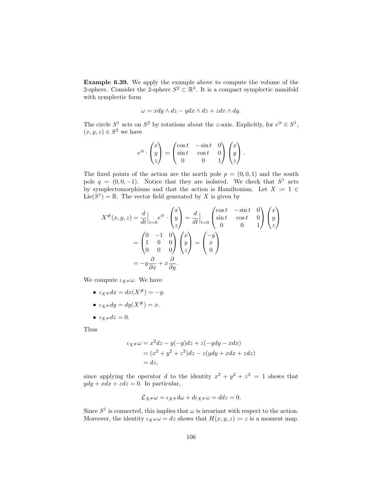Example 6.39. We apply the example above to compute the volume of the 2-sphere. Consider the 2-sphere  $S^2 \subset \mathbb{R}^3$ . It is a compact symplectic manifold with symplectic form

$$
\omega = x dy \wedge dz - y dx \wedge dz + z dx \wedge dy.
$$

The circle  $S^1$  acts on  $S^2$  by rotations about the z-axis. Explicitly, for  $e^{it} \in S^1$ ,  $(x, y, z) \in S^2$  we have

$$
e^{it} \cdot \begin{pmatrix} x \\ y \\ z \end{pmatrix} = \begin{pmatrix} \cos t & -\sin t & 0 \\ \sin t & \cos t & 0 \\ 0 & 0 & 1 \end{pmatrix} \begin{pmatrix} x \\ y \\ z \end{pmatrix}.
$$

The fixed points of the action are the north pole  $p = (0, 0, 1)$  and the south pole  $q = (0, 0, -1)$ . Notice that they are isolated. We check that  $S^1$  acts by symplectomorphisms and that the action is Hamiltonian. Let  $X := 1 \in$  $Lie(S^1) = \mathbb{R}$ . The vector field generated by X is given by

$$
X^{\#}(x, y, z) = \frac{d}{dt}\Big|_{t=0} e^{it} \cdot \begin{pmatrix} x \\ y \\ z \end{pmatrix} = \frac{d}{dt}\Big|_{t=0} \begin{pmatrix} \cos t & -\sin t & 0 \\ \sin t & \cos t & 0 \\ 0 & 0 & 1 \end{pmatrix} \begin{pmatrix} x \\ y \\ z \end{pmatrix}
$$

$$
= \begin{pmatrix} 0 & -1 & 0 \\ 1 & 0 & 0 \\ 0 & 0 & 0 \end{pmatrix} \begin{pmatrix} x \\ y \\ z \end{pmatrix} = \begin{pmatrix} -y \\ x \\ 0 \end{pmatrix}
$$

$$
= -y\frac{\partial}{\partial x} + x\frac{\partial}{\partial y}.
$$

We compute  $\iota_{X\#}\omega$ . We have

- $\iota_{X} * dx = dx(X^{\#}) = -y.$
- $\iota_{X} * dy = dy(X^{\#}) = x.$
- $\iota_{x \#} dz = 0.$

Thus

$$
\iota_X \ast \omega = x^2 dz - y(-y)dz + z(-ydy - xdx)
$$
  
=  $(x^2 + y^2 + z^2)dz - z(ydy + xdx + zdz)$   
=  $dz$ ,

since applying the operator d to the identity  $x^2 + y^2 + z^2 = 1$  shows that  $ydy + xdx + zdz = 0$ . In particular,

$$
\mathcal{L}_{X^{\#}}\omega = \iota_{X^{\#}}d\omega + d\iota_{X^{\#}}\omega = ddz = 0.
$$

Since  $S^1$  is connected, this implies that  $\omega$  is invariant with respect to the action. Moreover, the identity  $\iota_{X^{\#}}\omega = dz$  shows that  $H(x, y, z) \coloneqq z$  is a moment map.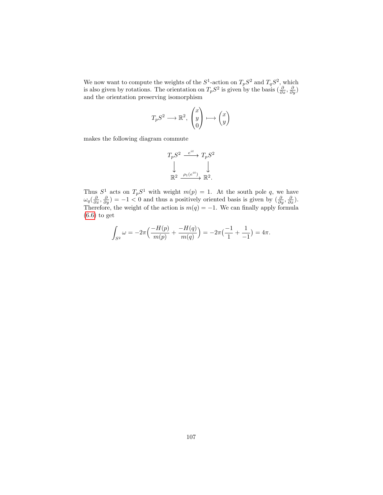We now want to compute the weights of the  $S^1$ -action on  $T_pS^2$  and  $T_qS^2$ , which is also given by rotations. The orientation on  $T_pS^2$  is given by the basis  $(\frac{\partial}{\partial x}, \frac{\partial}{\partial y})$ and the orientation preserving isomorphism

$$
T_pS^2\longrightarrow \mathbb{R}^2, \begin{pmatrix} x \\ y \\ 0 \end{pmatrix} \longmapsto \begin{pmatrix} x \\ y \end{pmatrix}
$$

makes the following diagram commute

$$
T_p S^2 \xrightarrow{e^{it}} T_p S^2
$$
  
\n
$$
\downarrow \qquad \qquad \downarrow
$$
  
\n
$$
\mathbb{R}^2 \xrightarrow{\rho_1(e^{it})} \mathbb{R}^2.
$$

Thus  $S^1$  acts on  $T_pS^1$  with weight  $m(p) = 1$ . At the south pole q, we have  $\omega_q(\frac{\partial}{\partial x}, \frac{\partial}{\partial y}) = -1 < 0$  and thus a positively oriented basis is given by  $(\frac{\partial}{\partial y}, \frac{\partial}{\partial x})$ . Therefore, the weight of the action is  $m(q) = -1$ . We can finally apply formula [\(6.6\)](#page-106-0) to get

$$
\int_{S^2} \omega = -2\pi \Big( \frac{-H(p)}{m(p)} + \frac{-H(q)}{m(q)} \Big) = -2\pi \Big( \frac{-1}{1} + \frac{1}{-1} \Big) = 4\pi.
$$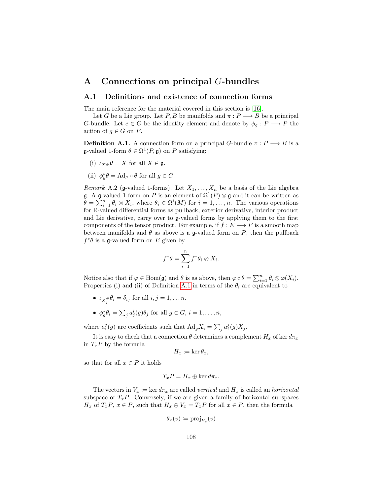## <span id="page-109-2"></span>A Connections on principal G-bundles

### A.1 Definitions and existence of connection forms

The main reference for the material covered in this section is [\[16\]](#page-142-0).

Let G be a Lie group. Let P, B be manifolds and  $\pi : P \longrightarrow B$  be a principal G-bundle. Let  $e \in G$  be the identity element and denote by  $\phi_g : P \longrightarrow P$  the action of  $q \in G$  on P.

<span id="page-109-0"></span>**Definition A.1.** A connection form on a principal G-bundle  $\pi : P \longrightarrow B$  is a **g**-valued 1-form  $\theta \in \Omega^1(P, \mathfrak{g})$  on P satisfying:

- (i)  $\iota_X \# \theta = X$  for all  $X \in \mathfrak{g}$ .
- (ii)  $\phi_g^* \theta = \text{Ad}_g \circ \theta$  for all  $g \in G$ .

<span id="page-109-1"></span>*Remark* A.2 (g-valued 1-forms). Let  $X_1, \ldots, X_n$  be a basis of the Lie algebra **g**. A **g**-valued 1-form on P is an element of  $\Omega^1(P) \otimes \mathfrak{g}$  and it can be written as  $\hat{\theta} = \sum_{i=1}^n \theta_i \otimes X_i$ , where  $\theta_i \in \Omega^i(M)$  for  $i = 1, \ldots, n$ . The various operations for R-valued differential forms as pullback, exterior derivative, interior product and Lie derivative, carry over to g-valued forms by applying them to the first components of the tensor product. For example, if  $f : E \longrightarrow P$  is a smooth map between manifolds and  $\theta$  as above is a g-valued form on P, then the pullback  $f^*\theta$  is a g-valued form on E given by

$$
f^*\theta = \sum_{i=1}^n f^*\theta_i \otimes X_i.
$$

Notice also that if  $\varphi \in \text{Hom}(\mathfrak{g})$  and  $\theta$  is as above, then  $\varphi \circ \theta = \sum_{i=1}^n \theta_i \otimes \varphi(X_i)$ . Properties (i) and (ii) of Definition [A.1](#page-109-0) in terms of the  $\theta_i$  are equivalent to

- $\iota_{X_j^{\#}} \theta_i = \delta_{ij}$  for all  $i, j = 1, \dots n$ .
- $\phi_g^* \theta_i = \sum_j a_j^i(g) \theta_j$  for all  $g \in G$ ,  $i = 1, \ldots, n$ ,

where  $a_i^j(g)$  are coefficients such that  $\text{Ad}_g X_i = \sum_j a_i^j(g) X_j$ .

It is easy to check that a connection  $\theta$  determines a complement  $H_x$  of ker  $d\pi_x$ in  $T_xP$  by the formula

$$
H_x \coloneqq \ker \theta_x,
$$

so that for all  $x \in P$  it holds

$$
T_xP = H_x \oplus \ker d\pi_x.
$$

The vectors in  $V_x \coloneqq \ker d\pi_x$  are called vertical and  $H_x$  is called an *horizontal* subspace of  $T_xP$ . Conversely, if we are given a family of horizontal subspaces  $H_x$  of  $T_xP$ ,  $x \in P$ , such that  $H_x \oplus V_x = T_xP$  for all  $x \in P$ , then the formula

$$
\theta_x(v) \coloneqq \text{proj}_{V_x}(v)
$$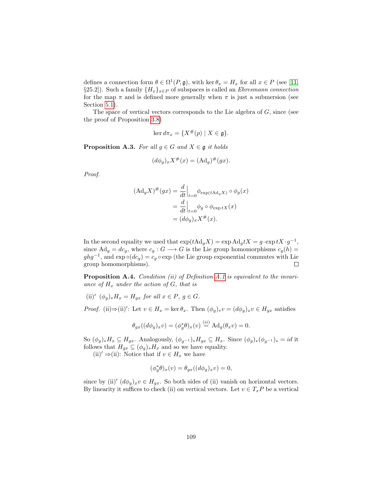defines a connection form  $\theta \in \Omega^1(P, \mathfrak{g})$ , with ker  $\theta_x = H_x$  for all  $x \in P$  (see [\[11,](#page-141-0) §25.2]). Such a family  $\{H_x\}_{x\in P}$  of subspaces is called an *Ehresmann connection* for the map  $\pi$  and is defined more generally when  $\pi$  is just a submersion (see Section [5.1\)](#page-71-0).

The space of vertical vectors corresponds to the Lie algebra of  $G$ , since (see the proof of Proposition [3.8\)](#page-28-0)

$$
\ker d\pi_x = \{ X^\#(p) \mid X \in \mathfrak{g} \}.
$$

<span id="page-110-0"></span>**Proposition A.3.** For all  $g \in G$  and  $X \in \mathfrak{g}$  it holds

$$
(d\phi_g)_x X^{\#}(x) = (\mathrm{Ad}_g)^{\#}(gx).
$$

Proof.

$$
(\mathrm{Ad}_g X)^\# (gx) = \frac{d}{dt} \Big|_{t=0} \phi_{\exp(t \mathrm{Ad}_g X)} \circ \phi_g(x)
$$
  
= 
$$
\frac{d}{dt} \Big|_{t=0} \phi_g \circ \phi_{\exp tX}(x)
$$
  
= 
$$
(d\phi_g)_x X^\#(x).
$$

In the second equality we used that  $\exp(t \text{Ad}_g X) = \exp \text{Ad}_g t X = g \cdot \exp t X \cdot g^{-1}$ , since  $\mathrm{Ad}_g = dc_g$ , where  $c_g : G \longrightarrow G$  is the Lie group homomorphisms  $c_g(h) =$  $ghg^{-1}$ , and  $\exp \circ (dc_g) = c_g \circ \exp$  (the Lie group exponential commutes with Lie group homomorphisms).  $\Box$ 

Proposition A.4. Condition (ii) of Definition [A.1](#page-109-0) is equivalent to the invariance of  $H_x$  under the action of G, that is

(ii)'  $(\phi_g)_* H_x = H_{gx}$  for all  $x \in P$ ,  $g \in G$ .

*Proof.* (ii) $\Rightarrow$ (ii)': Let  $v \in H_x = \ker \theta_x$ . Then  $(\phi_g)_* v = (d\phi_g)_x v \in H_{gx}$  satisfies

$$
\theta_{gx}((d\phi_g)_x v) = (\phi_g^*\theta)_x(v) \stackrel{(ii)}{=} \mathrm{Ad}_g(\theta_x v) = 0.
$$

So  $(\phi_g)_* H_x \subseteq H_{gx}$ . Analogously,  $(\phi_{g^{-1}})_* H_{gx} \subseteq H_x$ . Since  $(\phi_g)_*(\phi_{g^{-1}})_* = id$  it follows that  $H_{gx} \subseteq (\phi_g)_* H_x$  and so we have equality.

(ii)'  $\Rightarrow$  (ii): Notice that if  $v \in H_x$  we have

$$
(\phi_g^*\theta)_x(v) = \theta_{gx}((d\phi_g)_x v) = 0,
$$

since by (ii)'  $(d\phi_g)_x v \in H_{gx}$ . So both sides of (ii) vanish on horizontal vectors. By linearity it suffices to check (ii) on vertical vectors. Let  $v \in T_x P$  be a vertical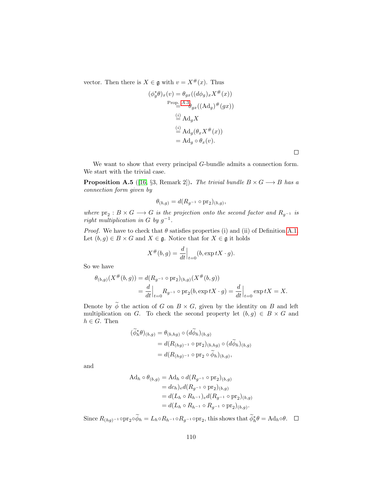vector. Then there is  $X \in \mathfrak{g}$  with  $v = X^{\#}(x)$ . Thus

$$
(\phi_g^*\theta)_x(v) = \theta_{gx}((d\phi_g)_x X^{\#}(x))
$$
  
Prop. A.3 $\theta_{gx}((\text{Ad}_g)^{\#}(gx))$   

$$
\stackrel{(i)}{=} \text{Ad}_g X
$$
  

$$
\stackrel{(j)}{=} \text{Ad}_g(\theta_x X^{\#}(x))
$$
  

$$
= \text{Ad}_g \circ \theta_x(v).
$$

 $\Box$ 

We want to show that every principal G-bundle admits a connection form. We start with the trivial case.

<span id="page-111-0"></span>**Proposition A.5** ([\[16,](#page-142-0) §3, Remark 2]). The trivial bundle  $B \times G \longrightarrow B$  has a connection form given by

$$
\theta_{(b,g)} = d(R_{g^{-1}} \circ \text{pr}_2)_{(b,g)},
$$

where  $pr_2: B \times G \longrightarrow G$  is the projection onto the second factor and  $R_{g^{-1}}$  is right multiplication in G by  $g^{-1}$ .

*Proof.* We have to check that  $\theta$  satisfies properties (i) and (ii) of Definition [A.1.](#page-109-0) Let  $(b, g) \in B \times G$  and  $X \in \mathfrak{g}$ . Notice that for  $X \in \mathfrak{g}$  it holds

$$
X^{\#}(b,g) = \frac{d}{dt}\Big|_{t=0} (b, \exp tX \cdot g).
$$

So we have

$$
\theta_{(b,g)}(X^{\#}(b,g)) = d(R_{g^{-1}} \circ \text{pr}_2)_{(b,g)}(X^{\#}(b,g))
$$
  
= 
$$
\frac{d}{dt}\Big|_{t=0} R_{g^{-1}} \circ \text{pr}_2(b, \exp tX \cdot g) = \frac{d}{dt}\Big|_{t=0} \exp tX = X.
$$

Denote by  $\widetilde{\phi}$  the action of G on  $B \times G$ , given by the identity on B and left multiplication on G. To check the second property let  $(b, g) \in B \times G$  and  $h \in G$ . Then

$$
\begin{aligned} (\widetilde{\phi}_h^* \theta)_{(b,g)} &= \theta_{(b,hg)} \circ (d \widetilde{\phi}_h)_{(b,g)} \\ &= d(R_{(hg)^{-1}} \circ \mathrm{pr}_2)_{(b,hg)} \circ (d \widetilde{\phi}_h)_{(b,g)} \\ &= d(R_{(hg)^{-1}} \circ \mathrm{pr}_2 \circ \widetilde{\phi}_h)_{(b,g)}, \end{aligned}
$$

and

$$
\begin{aligned} \n\mathrm{Ad}_h \circ \theta_{(b,g)} &= \mathrm{Ad}_h \circ d(R_{g^{-1}} \circ \mathrm{pr}_2)_{(b,g)} \\ \n&= dc_h)_e d(R_{g^{-1}} \circ \mathrm{pr}_2)_{(b,g)} \\ \n&= d(L_h \circ R_{h^{-1}})_e d(R_{g^{-1}} \circ \mathrm{pr}_2)_{(b,g)} \\ \n&= d(L_h \circ R_{h^{-1}} \circ R_{g^{-1}} \circ \mathrm{pr}_2)_{(b,g)}. \n\end{aligned}
$$

Since  $R_{(hg)^{-1}} \circ \text{pr}_2 \circ \phi_h = L_h \circ R_{h^{-1}} \circ R_{g^{-1}} \circ \text{pr}_2$ , this shows that  $\phi_h^* \theta = \text{Ad}_h \circ \theta$ .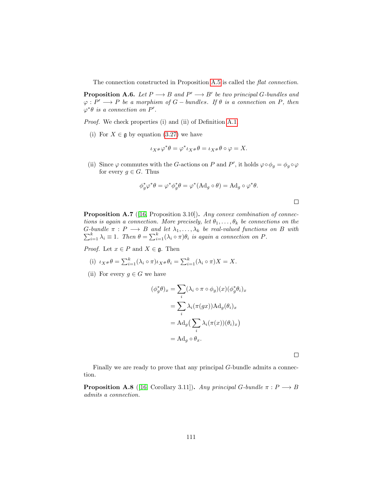The connection constructed in Proposition [A.5](#page-111-0) is called the flat connection.

**Proposition A.6.** Let  $P \longrightarrow B$  and  $P' \longrightarrow B'$  be two principal G-bundles and  $\varphi : P' \longrightarrow P$  be a morphism of  $G$  – bundles. If  $\theta$  is a connection on P, then  $\varphi^*\theta$  is a connection on P'.

Proof. We check properties (i) and (ii) of Definition [A.1.](#page-109-0)

(i) For  $X \in \mathfrak{g}$  by equation [\(3.27\)](#page-55-0) we have

$$
\iota_{X^{\#}}\varphi^*\theta = \varphi^*\iota_{X^{\#}}\theta = \iota_{X^{\#}}\theta \circ \varphi = X.
$$

(ii) Since  $\varphi$  commutes with the G-actions on P and P', it holds  $\varphi \circ \phi_g = \phi_g \circ \varphi$ for every  $g \in G$ . Thus

$$
\phi_g^* \varphi^* \theta = \varphi^* \phi_g^* \theta = \varphi^* (\text{Ad}_g \circ \theta) = \text{Ad}_g \circ \varphi^* \theta.
$$

<span id="page-112-0"></span>Proposition A.7 ([\[16,](#page-142-0) Proposition 3.10]). Any convex combination of connections is again a connection. More precisely, let  $\theta_1, \ldots, \theta_k$  be connections on the  $\sum$ G-bundle  $\pi: P \longrightarrow B$  and let  $\lambda_1, \ldots, \lambda_k$  be real-valued functions on B with  $\sum_{i=1}^k \lambda_i \equiv 1$ . Then  $\theta = \sum_{i=1}^k (\lambda_i \circ \pi) \theta_i$  is again a connection on P.

*Proof.* Let  $x \in P$  and  $X \in \mathfrak{g}$ . Then

- (i)  $\iota_{X^{\#}} \theta = \sum_{i=1}^{k} (\lambda_i \circ \pi) \iota_{X^{\#}} \theta_i = \sum_{i=1}^{k} (\lambda_i \circ \pi) X = X.$
- (ii) For every  $g \in G$  we have

$$
(\phi_g^*\theta)_x = \sum_i (\lambda_i \circ \pi \circ \phi_g)(x) (\phi_g^*\theta_i)_x
$$
  
= 
$$
\sum_i \lambda_i(\pi(gx)) \text{Ad}_g(\theta_i)_x
$$
  
= 
$$
\text{Ad}_g \left( \sum_i \lambda_i(\pi(x))(\theta_i)_x \right)
$$
  
= 
$$
\text{Ad}_g \circ \theta_x.
$$

 $\Box$ 

 $\Box$ 

Finally we are ready to prove that any principal G-bundle admits a connection.

<span id="page-112-1"></span>**Proposition A.8** ([\[16,](#page-142-0) Corollary 3.11]). Any principal G-bundle  $\pi : P \longrightarrow B$ admits a connection.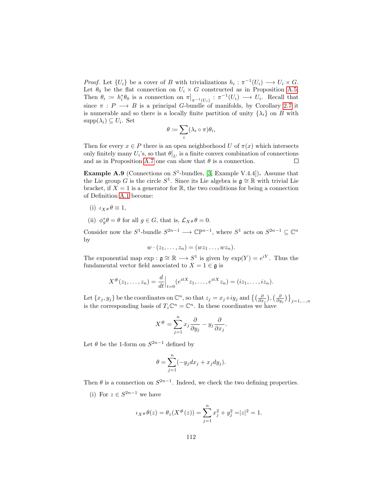*Proof.* Let  $\{U_i\}$  be a cover of B with trivializations  $h_i : \pi^{-1}(U_i) \longrightarrow U_i \times G$ . Let  $\theta_0$  be the flat connection on  $U_i \times G$  constructed as in Proposition [A.5.](#page-111-0) Then  $\theta_i := h_i^* \theta_0$  is a connection on  $\pi|_{\pi^{-1}(U_i)} : \pi^{-1}(U_i) \longrightarrow U_i$ . Recall that since  $\pi : P \longrightarrow B$  is a principal G-bundle of manifolds, by Corollary [2.7](#page-9-0) it is numerable and so there is a locally finite partition of unity  $\{\lambda_i\}$  on B with  $supp(\lambda_i) \subseteq U_i$ . Set

$$
\theta := \sum_i (\lambda_i \circ \pi) \theta_i,
$$

Then for every  $x \in P$  there is an open neighborhood U of  $\pi(x)$  which intersects only finitely many  $U_i$ 's, so that  $\theta|_U$  is a finite convex combination of connections and as in Proposition [A.7](#page-112-0) one can show that  $\theta$  is a connection.  $\Box$ 

**Example A.9** (Connections on  $S^1$ -bundles, [\[3,](#page-141-1) Example V.4.4]). Assume that the Lie group G is the circle  $S^1$ . Since its Lie algebra is  $\mathfrak{g} \cong \mathbb{R}$  with trivial Lie bracket, if  $X = 1$  is a generator for  $\mathbb{R}$ , the two conditions for being a connection of Definition [A.1](#page-109-0) become:

- (i)  $\iota_X \# \theta \equiv 1$ ,
- (ii)  $\phi_g^* \theta = \theta$  for all  $g \in G$ , that is,  $\mathcal{L}_{X^{\#}} \theta = 0$ .

Consider now the  $S^1$ -bundle  $S^{2n-1} \longrightarrow \mathbb{CP}^{n-1}$ , where  $S^1$  acts on  $S^{2n-1} \subseteq \mathbb{C}^n$ by

$$
w \cdot (z_1, \ldots, z_n) = (wz_1 \ldots, wz_n).
$$

The exponential map  $\exp : \mathfrak{g} \cong \mathbb{R} \longrightarrow S^1$  is given by  $\exp(Y) = e^{iY}$ . Thus the fundamental vector field associated to  $X = 1 \in \mathfrak{g}$  is

$$
X^{\#}(z_1,\ldots,z_n) = \frac{d}{dt}\Big|_{t=0} (e^{itX}z_1,\ldots,e^{itX}z_n) = (iz_1,\ldots,iz_n).
$$

Let  $\{x_j, y_j\}$  be the coordinates on  $\mathbb{C}^n$ , so that  $z_j = x_j + iy_j$  and  $\left\{\left(\frac{\partial}{\partial x_j}\right), \left(\frac{\partial}{\partial y_j}\right)\right\}_{j=1,\dots,n}$ is the corresponding basis of  $T_z \mathbb{C}^n = \mathbb{C}^n$ . In these coordinates we have

$$
X^{\#} = \sum_{j=1}^{n} x_j \frac{\partial}{\partial y_j} - y_j \frac{\partial}{\partial x_j}.
$$

Let  $\theta$  be the 1-form on  $S^{2n-1}$  defined by

$$
\theta = \sum_{j=1}^{n} (-y_j dx_j + x_j dy_j).
$$

Then  $\theta$  is a connection on  $S^{2n-1}$ . Indeed, we check the two defining properties.

(i) For  $z \in S^{2n-1}$  we have

$$
\iota_{X^{\#}}\theta(z) = \theta_z(X^{\#}(z)) = \sum_{j=1}^n x_j^2 + y_j^2 = |z|^2 = 1.
$$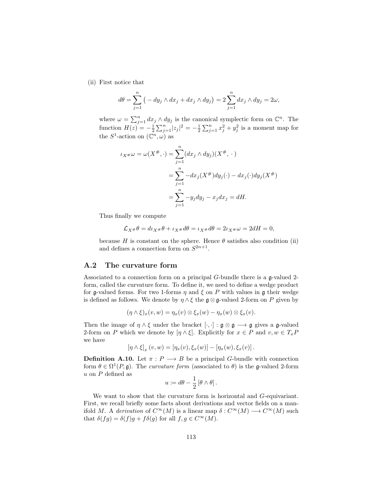(ii) First notice that

$$
d\theta = \sum_{j=1}^{n} \left( -dy_j \wedge dx_j + dx_j \wedge dy_j \right) = 2 \sum_{j=1}^{n} dx_j \wedge dy_j = 2\omega,
$$

where  $\omega = \sum_{j=1}^{n} dx_j \wedge dy_j$  is the canonical symplectic form on  $\mathbb{C}^n$ . The function  $H(z) = -\frac{1}{2} \sum_{j=1}^{n} |z_j|^2 = -\frac{1}{2} \sum_{j=1}^{n} x_j^2 + y_j^2$  is a moment map for the  $S^1$ -action on  $(\mathbb{C}^n, \omega)$  as

$$
\iota_{X^{\#}}\omega = \omega(X^{\#}, \cdot) = \sum_{j=1}^{n} (dx_j \wedge dy_j)(X^{\#}, \cdot)
$$
  
= 
$$
\sum_{j=1}^{n} -dx_j(X^{\#})dy_j(\cdot) - dx_j(\cdot)dy_j(X^{\#})
$$
  
= 
$$
\sum_{j=1}^{n} -y_j dy_j - x_j dx_j = dH.
$$

Thus finally we compute

$$
\mathcal{L}_{X^{\#}}\theta = d\iota_{X^{\#}}\theta + \iota_{X^{\#}}d\theta = \iota_{X^{\#}}d\theta = 2\iota_{X^{\#}}\omega = 2dH = 0,
$$

because H is constant on the sphere. Hence  $\theta$  satisfies also condition (ii) and defines a connection form on  $S^{2n+1}$ .

#### A.2 The curvature form

Associated to a connection form on a principal G-bundle there is a g-valued 2 form, called the curvature form. To define it, we need to define a wedge product for g-valued forms. For two 1-forms  $\eta$  and  $\xi$  on P with values in g their wedge is defined as follows. We denote by  $\eta \wedge \xi$  the  $\mathfrak{g} \otimes \mathfrak{g}\text{-valued } 2$ -form on P given by

$$
(\eta \wedge \xi)_x(v,w) = \eta_x(v) \otimes \xi_x(w) - \eta_x(w) \otimes \xi_x(v).
$$

Then the image of  $\eta \wedge \xi$  under the bracket  $[\cdot, \cdot] : \mathfrak{g} \otimes \mathfrak{g} \longrightarrow \mathfrak{g}$  gives a  $\mathfrak{g}\text{-valued}$ 2-form on P which we denote by  $[\eta \wedge \xi]$ . Explicitly for  $x \in P$  and  $v, w \in T_xP$ we have

$$
\left[\eta \wedge \xi\right]_x(v,w) = \left[\eta_x(v), \xi_x(w)\right] - \left[\eta_x(w), \xi_x(v)\right].
$$

**Definition A.10.** Let  $\pi$  :  $P \longrightarrow B$  be a principal G-bundle with connection form  $\theta \in \Omega^1(P, \mathfrak{g})$ . The *curvature form* (associated to  $\theta$ ) is the g-valued 2-form  $u$  on  $P$  defined as

$$
u \coloneqq d\theta - \frac{1}{2} \left[ \theta \wedge \theta \right].
$$

We want to show that the curvature form is horizontal and G-equivariant. First, we recall briefly some facts about derivations and vector fields on a manifold M. A derivation of  $C^{\infty}(M)$  is a linear map  $\delta: C^{\infty}(M) \longrightarrow C^{\infty}(M)$  such that  $\delta(fg) = \delta(f)g + f\delta(g)$  for all  $f, g \in C^{\infty}(M)$ .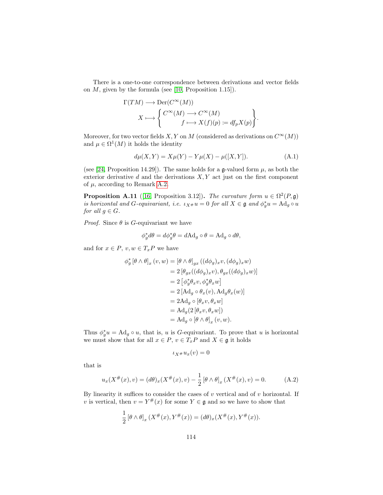There is a one-to-one correspondence between derivations and vector fields on  $M$ , given by the formula (see [\[10,](#page-141-2) Proposition 1.15]).

$$
\Gamma(TM) \longrightarrow \text{Der}(C^{\infty}(M))
$$
  

$$
X \longmapsto \begin{Bmatrix} C^{\infty}(M) \longrightarrow C^{\infty}(M) \\ f \longmapsto X(f)(p) := df_p X(p) \end{Bmatrix}.
$$

Moreover, for two vector fields X, Y on M (considered as derivations on  $C^{\infty}(M)$ ) and  $\mu \in \Omega^1(M)$  it holds the identity

<span id="page-115-0"></span>
$$
d\mu(X,Y) = X\mu(Y) - Y\mu(X) - \mu([X,Y]).
$$
 (A.1)

(see [\[24,](#page-142-1) Proposition 14.29]). The same holds for a  $\mathfrak{g}\text{-valued form }\mu$ , as both the exterior derivative  $d$  and the derivations  $X, Y$  act just on the first component of  $\mu$ , according to Remark [A.2.](#page-109-1)

**Proposition A.11** ([\[16,](#page-142-0) Proposition 3.12]). The curvature form  $u \in \Omega^2(P, \mathfrak{g})$ is horizontal and G-equivariant, i.e.  $\iota_{X^{\#}} u = 0$  for all  $X \in \mathfrak{g}$  and  $\phi_g^* u = \text{Ad}_g \circ u$ for all  $g \in G$ .

*Proof.* Since  $\theta$  is G-equivariant we have

$$
\phi_g^* d\theta = d\phi_g^* \theta = d\mathrm{Ad}_g \circ \theta = \mathrm{Ad}_g \circ d\theta,
$$

and for  $x \in P$ ,  $v, w \in T_x P$  we have

$$
\phi_g^* [\theta \wedge \theta]_x (v, w) = [\theta \wedge \theta]_{gx} ((d\phi_g)_x v, (d\phi_g)_x w)
$$
  
\n
$$
= 2 [\theta_{gx} ((d\phi_g)_x v), \theta_{gx} ((d\phi_g)_x w)]
$$
  
\n
$$
= 2 [\phi_g^* \theta_x v, \phi_g^* \theta_x w]
$$
  
\n
$$
= 2 [Ad_g \circ \theta_x (v), Ad_g \theta_x (w)]
$$
  
\n
$$
= 2 Ad_g \circ [\theta_x v, \theta_x w]
$$
  
\n
$$
= Ad_g (2 [\theta_x v, \theta_x w])
$$
  
\n
$$
= Ad_g \circ [\theta \wedge \theta]_x (v, w).
$$

Thus  $\phi_g^* u = \text{Ad}_g \circ u$ , that is, u is G-equivariant. To prove that u is horizontal we must show that for all  $x \in P$ ,  $v \in T_xP$  and  $X \in \mathfrak{g}$  it holds

<span id="page-115-1"></span>
$$
\iota_{X^{\#}} u_x(v) = 0
$$

that is

$$
u_x(X^{\#}(x), v) = (d\theta)_x(X^{\#}(x), v) - \frac{1}{2} [\theta \wedge \theta]_x(X^{\#}(x), v) = 0.
$$
 (A.2)

By linearity it suffices to consider the cases of  $v$  vertical and of  $v$  horizontal. If v is vertical, then  $v = Y^{\#}(x)$  for some  $Y \in \mathfrak{g}$  and so we have to show that

$$
\frac{1}{2} [\theta \wedge \theta]_x (X^{\#}(x), Y^{\#}(x)) = (d\theta)_x (X^{\#}(x), Y^{\#}(x)).
$$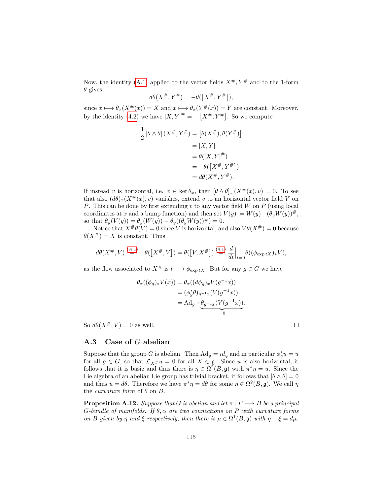Now, the identity [\(A.1\)](#page-115-0) applied to the vector fields  $X^{\#}, Y^{\#}$  and to the 1-form  $\theta$  gives

$$
d\theta(X^{\#}, Y^{\#}) = -\theta(\left[X^{\#}, Y^{\#}\right]),
$$

since  $x \mapsto \theta_x(X^{\#}(x)) = X$  and  $x \mapsto \theta_x(Y^{\#}(x)) = Y$  are constant. Moreover, by the identity [\(4.2\)](#page-59-0) we have  $[X, Y]^{\#} = -[X^{\#}, Y^{\#}]$ . So we compute

$$
\frac{1}{2} [\theta \wedge \theta] (X^{\#}, Y^{\#}) = [\theta(X^{\#}), \theta(Y^{\#})]
$$

$$
= [X, Y]
$$

$$
= \theta([X, Y]^{\#})
$$

$$
= -\theta([X^{\#}, Y^{\#}])
$$

$$
= d\theta(X^{\#}, Y^{\#}).
$$

If instead v is horizontal, i.e.  $v \in \ker \theta_x$ , then  $[\theta \wedge \theta]_x(X^{\#}(x), v) = 0$ . To see that also  $(d\theta)_x(X^{\#}(x), v)$  vanishes, extend v to an horizontal vector field V on P. This can be done by first extending  $v$  to any vector field  $W$  on  $P$  (using local coordinates at x and a bump function) and then set  $V(y) := W(y) - (\theta_y W(y))^{\#}$ , so that  $\theta_y(V(y)) = \theta_y(W(y)) - \theta_y((\theta_y W(y))^{\#}) = 0.$ 

Notice that  $X^{\#}\theta(V) = 0$  since V is horizontal, and also  $V\theta(X^{\#}) = 0$  because  $\theta(X^{\#}) = X$  is constant. Thus

$$
d\theta(X^\#,V)\stackrel{(A.1)}{=}-\theta(\left[X^\#,V\right])=\theta(\left[V,X^\# \right])\stackrel{(4.1)}{=}\frac{d}{dt}\Big|_{t=0}\theta((\phi_{\exp tX})_*V),
$$

as the flow associated to  $X^{\#}$  is  $t \longmapsto \phi_{\exp tX}$ . But for any  $g \in G$  we have

$$
\theta_x((\phi_g)_* V(x)) = \theta_x((d\phi_g)_x V(g^{-1}x))
$$
  
=  $(\phi_g^* \theta)_{g^{-1}x}(V(g^{-1}x))$   
=  $\mathrm{Ad}_g \circ \underbrace{\theta_{g^{-1}x}(V(g^{-1}x))}_{=0}.$ 

So  $d\theta(X^{\#}, V) = 0$  as well.

### <span id="page-116-0"></span>A.3 Case of G abelian

Suppose that the group G is abelian. Then  $\text{Ad}_g = id_{\mathfrak{g}}$  and in particular  $\phi_g^* u = u$ for all  $g \in G$ , so that  $\mathcal{L}_{X#} u = 0$  for all  $X \in \mathfrak{g}$ . Since u is also horizontal, it follows that it is basic and thus there is  $\eta \in \Omega^2(B, \mathfrak{g})$  with  $\pi^* \eta = u$ . Since the Lie algebra of an abelian Lie group has trivial bracket, it follows that  $[\theta \wedge \theta] = 0$ and thus  $u = d\theta$ . Therefore we have  $\pi^* \eta = d\theta$  for some  $\eta \in \Omega^2(B, \mathfrak{g})$ . We call  $\eta$ the *curvature form* of  $\theta$  on  $B$ .

**Proposition A.12.** Suppose that G is abelian and let  $\pi$  :  $P \longrightarrow B$  be a principal G-bundle of manifolds. If  $\theta$ ,  $\alpha$  are two connections on P with curvature forms on B given by  $\eta$  and  $\xi$  respectively, then there is  $\mu \in \Omega^1(B, \mathfrak{g})$  with  $\eta - \xi = d\mu$ .

 $\Box$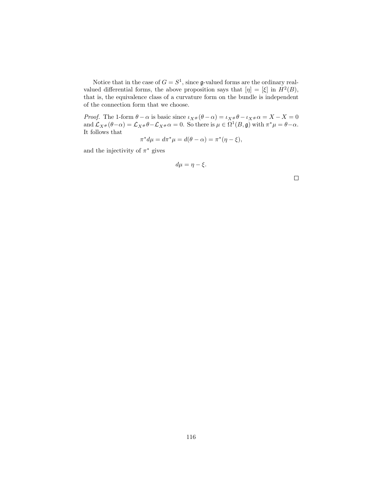Notice that in the case of  $G = S^1$ , since g-valued forms are the ordinary realvalued differential forms, the above proposition says that  $[\eta] = [\xi]$  in  $H^2(B)$ , that is, the equivalence class of a curvature form on the bundle is independent of the connection form that we choose.

*Proof.* The 1-form  $\theta - \alpha$  is basic since  $\iota_{X#}(\theta - \alpha) = \iota_{X#} \theta - \iota_{X#} \alpha = X - X = 0$ and  $\mathcal{L}_{X^{\#}}(\theta - \alpha) = \mathcal{L}_{X^{\#}}\theta - \mathcal{L}_{X^{\#}}\alpha = 0$ . So there is  $\mu \in \Omega^1(B, \mathfrak{g})$  with  $\pi^*\mu = \theta - \alpha$ . It follows that<br> $\pi^* d\mu = d\pi^* \mu = d(\theta - \alpha) = \pi^* (\eta - \xi),$ 

$$
\pi^* d\mu = d\pi^* \mu = d(\theta - \alpha) = \pi^* (\eta - \xi),
$$

and the injectivity of  $\pi^*$  gives

$$
d\mu = \eta - \xi.
$$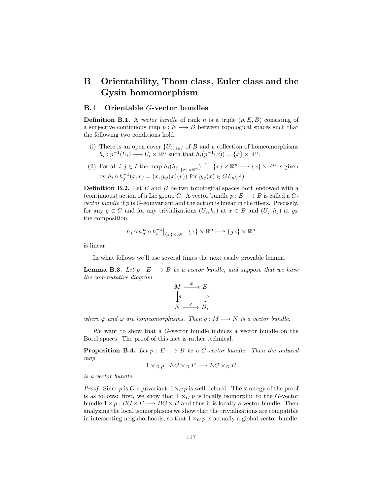# B Orientability, Thom class, Euler class and the Gysin homomorphism

### B.1 Orientable G-vector bundles

<span id="page-118-1"></span>**Definition B.1.** A vector bundle of rank n is a triple  $(p, E, B)$  consisting of a surjective continuous map  $p: E \longrightarrow B$  between topological spaces such that the following two conditions hold.

- (i) There is an open cover  $\{U_i\}_{i\in I}$  of B and a collection of homeomorphisms  $h_i: p^{-1}(U_i) \longrightarrow U_i \times \mathbb{R}^n$  such that  $h_i(p^{-1}(x)) = \{x\} \times \mathbb{R}^n$ .
- (ii) For all  $i, j \in I$  the map  $h_i(h_j|_{\{x\}\times\mathbb{R}^n})^{-1} : \{x\} \times \mathbb{R}^n \longrightarrow \{x\} \times \mathbb{R}^n$  is given by  $h_i \circ h_j^{-1}(x, v) = (x, g_{ij}(x)(v))$  for  $g_{ij}(x) \in GL_n(\mathbb{R})$ .

**Definition B.2.** Let  $E$  and  $B$  be two topological spaces both endowed with a (continuous) action of a Lie group G. A vector bundle  $p: E \longrightarrow B$  is called a Gvector bundle if  $p$  is  $G$ -equivariant and the action is linear in the fibers. Precisely, for any  $g \in G$  and for any trivializations  $(U_i, h_i)$  at  $x \in B$  and  $(U_j, h_j)$  at  $gx$ the composition

$$
h_j\circ\phi^E_g\circ {h_i^{-1}}\big|_{\{x\}\times{\Bbb R}^n}:\{x\}\times{\Bbb R}^n\longmapsto\{gx\}\times{\Bbb R}^n
$$

is linear.

In what follows we'll use several times the next easily provable lemma.

<span id="page-118-0"></span>**Lemma B.3.** Let  $p : E \longrightarrow B$  be a vector bundle, and suppose that we have the commutative diagram

$$
M \xrightarrow{\bar{\varphi}} E
$$
  

$$
\downarrow q \qquad \qquad \downarrow p
$$
  

$$
N \xrightarrow{\varphi} B,
$$

where  $\bar{\varphi}$  and  $\varphi$  are homeomorphisms. Then  $q : M \longrightarrow N$  is a vector bundle.

We want to show that a G-vector bundle induces a vector bundle on the Borel spaces. The proof of this fact is rather technical.

<span id="page-118-2"></span>**Proposition B.4.** Let  $p : E \longrightarrow B$  be a G-vector bundle. Then the induced map

$$
1 \times_G p : EG \times_G E \longrightarrow EG \times_G B
$$

is a vector bundle.

*Proof.* Since p is G-equivariant,  $1 \times G$  p is well-defined. The strategy of the proof is as follows: first, we show that  $1 \times_G p$  is locally isomorphic to the G-vector bundle  $1 \times p : BG \times E \longrightarrow BG \times B$  and thus it is locally a vector bundle. Then analyzing the local isomorphisms we show that the trivializations are compatible in intersecting neighborhoods, so that  $1 \times_G p$  is actually a global vector bundle.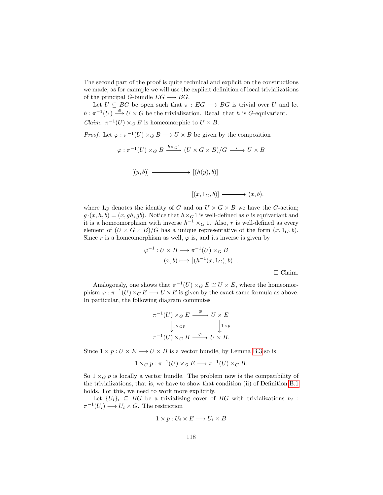The second part of the proof is quite technical and explicit on the constructions we made, as for example we will use the explicit definition of local trivializations of the principal G-bundle  $EG \longrightarrow BG$ .

Let  $U \subseteq BG$  be open such that  $\pi : EG \longrightarrow BG$  is trivial over U and let  $h : \pi^{-1}(U) \stackrel{\simeq}{\longrightarrow} U \times G$  be the trivialization. Recall that h is G-equivariant. *Claim.*  $\pi^{-1}(U) \times_G B$  is homeomorphic to  $U \times B$ .

*Proof.* Let  $\varphi : \pi^{-1}(U) \times_G B \longrightarrow U \times B$  be given by the composition

 $\varphi: \pi^{-1}(U) \times_G B \xrightarrow{h \times_G 1} (U \times G \times B)/G \xrightarrow{r} U \times B$  $[(y, b)] \longmapsto [(h(y), b)]$  $[(x, 1_G, b)] \longmapsto (x, b).$ 

where  $1_G$  denotes the identity of G and on  $U \times G \times B$  we have the G-action;  $g \cdot (x, h, b) = (x, gh, gb)$ . Notice that  $h \times_G 1$  is well-defined as h is equivariant and it is a homeomorphism with inverse  $h^{-1} \times_G 1$ . Also, r is well-defined as every element of  $(U \times G \times B)/G$  has a unique representative of the form  $(x, 1_G, b)$ .

Since r is a homeomorphism as well,  $\varphi$  is, and its inverse is given by

$$
\varphi^{-1}: U \times B \longrightarrow \pi^{-1}(U) \times_G B
$$

$$
(x, b) \longmapsto [(h^{-1}(x, 1_G), b)].
$$

 $\Box$  Claim.

Analogously, one shows that  $\pi^{-1}(U) \times_G E \cong U \times E$ , where the homeomorphism  $\overline{\varphi} : \pi^{-1}(U) \times_G E \longrightarrow U \times E$  is given by the exact same formula as above. In particular, the following diagram commutes

$$
\pi^{-1}(U) \times_G E \xrightarrow{\overline{\varphi}} U \times E
$$

$$
\downarrow 1 \times_{GP} \qquad \qquad \downarrow 1 \times_P
$$

$$
\pi^{-1}(U) \times_G B \xrightarrow{\varphi} U \times B.
$$

Since  $1 \times p : U \times E \longrightarrow U \times B$  is a vector bundle, by Lemma [B.3](#page-118-0) so is

$$
1 \times_G p : \pi^{-1}(U) \times_G E \longrightarrow \pi^{-1}(U) \times_G B.
$$

So  $1 \times_G p$  is locally a vector bundle. The problem now is the compatibility of the trivializations, that is, we have to show that condition (ii) of Definition [B.1](#page-118-1) holds. For this, we need to work more explicitly.

Let  $\{U_i\}_i \subseteq BG$  be a trivializing cover of BG with trivializations  $h_i$ :  $\pi^{-1}(U_i) \longrightarrow U_i \times G$ . The restriction

$$
1 \times p : U_i \times E \longrightarrow U_i \times B
$$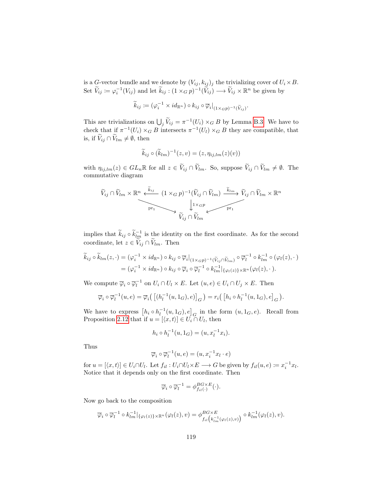is a G-vector bundle and we denote by  $(V_{ij}, k_{ij})_j$  the trivializing cover of  $U_i \times B$ . Set  $\widetilde{V}_{ij} := \varphi_i^{-1}(V_{ij})$  and let  $\widetilde{k}_{ij} : (1 \times_G p)^{-1}(\widetilde{V}_{ij}) \longrightarrow \widetilde{V}_{ij} \times \mathbb{R}^n$  be given by

$$
\widetilde{k}_{ij} \coloneqq (\varphi_i^{-1} \times id_{\mathbb{R}^n}) \circ k_{ij} \circ \overline{\varphi}_i|_{(1 \times_G p)^{-1}(\widetilde{V}_{ij})}
$$

.

.

This are trivializations on  $\bigcup_j \tilde{V}_{ij} = \pi^{-1}(U_i) \times_G B$  by Lemma [B.3.](#page-118-0) We have to check that if  $\pi^{-1}(U_i) \times_G B$  intersects  $\pi^{-1}(U_i) \times_G B$  they are compatible, that is, if  $\widetilde{V}_{ij} \cap \widetilde{V}_{lm} \neq \emptyset$ , then

$$
\widetilde{k}_{ij} \circ (\widetilde{k}_{lm})^{-1}(z,v) = (z, \eta_{ij,lm}(z)(v))
$$

with  $\eta_{ij,lm}(z) \in GL_n\mathbb{R}$  for all  $z \in \widetilde{V}_{ij} \cap \widetilde{V}_{lm}$ . So, suppose  $\widetilde{V}_{ij} \cap \widetilde{V}_{lm} \neq \emptyset$ . The commutative diagram

<sup>V</sup>eij <sup>∩</sup> <sup>V</sup>elm <sup>×</sup> <sup>R</sup> <sup>n</sup> (1 ×<sup>G</sup> p) −1 (Veij <sup>∩</sup> <sup>V</sup>elm) <sup>V</sup>eij <sup>∩</sup> <sup>V</sup>elm <sup>×</sup> <sup>R</sup> n <sup>V</sup>eij <sup>∩</sup> <sup>V</sup>elm pr<sup>1</sup> <sup>e</sup>kij <sup>e</sup>klm 1×Gp pr<sup>1</sup>

implies that  $\widetilde{k}_{ij} \circ \widetilde{k}_{lm}^{-1}$  is the identity on the first coordinate. As for the second coordinate, let  $z \in \widetilde{V}_{ij} \cap \widetilde{V}_{lm}$ . Then

$$
\widetilde{k}_{ij} \circ \widetilde{k}_{lm}(z, \cdot) = (\varphi_i^{-1} \times id_{\mathbb{R}^n}) \circ k_{ij} \circ \overline{\varphi}_i|_{(1 \times_{GP})^{-1}(\widetilde{V}_{ij} \cap \widetilde{V}_{lm})} \circ \overline{\varphi}_l^{-1} \circ k_{lm}^{-1} \circ (\varphi_l(z), \cdot)
$$

$$
= (\varphi_i^{-1} \times id_{\mathbb{R}^n}) \circ k_{ij} \circ \overline{\varphi}_i \circ \overline{\varphi}_l^{-1} \circ k_{lm}^{-1}|_{\{\varphi_l(z)\} \times \mathbb{R}^n} (\varphi_l(z), \cdot).
$$

We compute  $\overline{\varphi}_i \circ \overline{\varphi}_l^{-1}$  on  $U_i \cap U_l \times E$ . Let  $(u, e) \in U_i \cap U_j \times E$ . Then

$$
\overline{\varphi}_i \circ \overline{\varphi}_l^{-1}(u, e) = \overline{\varphi}_i \big( \left[ (h_l^{-1}(u, 1_G), e) \right]_G \big) = r_i \big( \left[ h_i \circ h_l^{-1}(u, 1_G), e \right]_G \big)
$$

We have to express  $\left[h_i \circ h_l^{-1}(u, 1_G), e\right]_G$  in the form  $(u, 1_G, e)$ . Recall from Proposition [2.12](#page-12-0) that if  $u = [\langle x, t \rangle] \in U_i \cap U_l$ , then

$$
h_i \circ h_l^{-1}(u, 1_G) = (u, x_l^{-1}x_i).
$$

Thus

$$
\overline{\varphi}_i \circ \overline{\varphi}_l^{-1}(u, e) = (u, x_i^{-1}x_l \cdot e)
$$

for  $u = [\langle x, t \rangle] \in U_i \cap U_l$ . Let  $f_{il} : U_i \cap U_l \times E \longrightarrow G$  be given by  $f_{il}(u, e) := x_i^{-1} x_l$ . Notice that it depends only on the first coordinate. Then

$$
\overline{\varphi}_i \circ \overline{\varphi}_l^{-1} = \phi_{f_{il}(\cdot)}^{BG \times E}(\cdot).
$$

Now go back to the composition

$$
\overline{\varphi}_i \circ \overline{\varphi}_l^{-1} \circ k_{lm}^{-1} |_{\{\varphi_l(z)\}\times\mathbb{R}^n} (\varphi_l(z), v) = \phi_{f_{il}}^{BG \times E} \left( k_{lm}^{-1}(\varphi_l(z), v) \right) \circ k_{lm}^{-1}(\varphi_l(z), v).
$$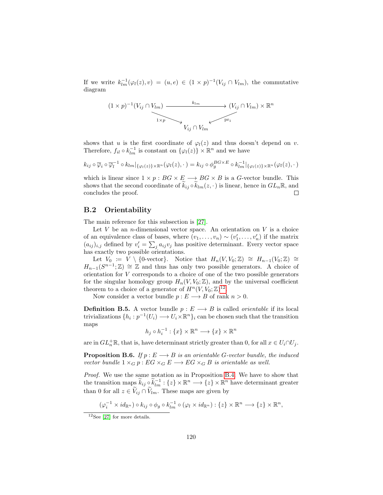If we write  $k_{lm}^{-1}(\varphi_l(z),v) = (u,e) \in (1 \times p)^{-1}(V_{ij} \cap V_{lm})$ , the commutative diagram

$$
(1 \times p)^{-1}(V_{ij} \cap V_{lm}) \xrightarrow{\phantom{m}k_{lm}} (V_{ij} \cap V_{lm}) \times \mathbb{R}^n
$$
  

$$
\xrightarrow{\phantom{m}} V_{ij} \cap V_{lm}
$$

shows that u is the first coordinate of  $\varphi_l(z)$  and thus doesn't depend on v. Therefore,  $f_{il} \circ k_{lm}^{-1}$  is constant on  $\{\varphi_l(z)\} \times \mathbb{R}^n$  and we have

$$
k_{ij}\circ\overline{\varphi}_i\circ\overline{\varphi}_l^{-1}\circ k_{lm}|_{\{\varphi_l(z)\}\times\mathbb{R}^n}(\varphi_l(z),\cdot)=k_{ij}\circ\phi_g^{BG\times E}\circ k_{lm}^{-1}|_{\{\varphi_l(z)\}\times\mathbb{R}^n}(\varphi_l(z),\cdot)
$$

which is linear since  $1 \times p : BG \times E \longrightarrow BG \times B$  is a G-vector bundle. This shows that the second coordinate of  $k_{ij} \circ k_{lm}(z, \cdot)$  is linear, hence in  $GL_n\mathbb{R}$ , and concludes the proof. concludes the proof.

#### <span id="page-121-2"></span>B.2 Orientability

The main reference for this subsection is [\[27\]](#page-143-0).

Let  $V$  be an *n*-dimensional vector space. An orientation on  $V$  is a choice of an equivalence class of bases, where  $(v_1, \ldots, v_n) \sim (v'_1, \ldots, v'_n)$  if the matrix  $(a_{ij})_{i,j}$  defined by  $v'_i = \sum_j a_{ij}v_j$  has positive determinant. Every vector space has exactly two possible orientations.

Let  $V_0 := V \setminus \{0\text{-vector}\}.$  Notice that  $H_n(V, V_0; \mathbb{Z}) \cong H_{n-1}(V_0; \mathbb{Z}) \cong$  $H_{n-1}(S^{n-1};\mathbb{Z}) \cong \mathbb{Z}$  and thus has only two possible generators. A choice of orientation for V corresponds to a choice of one of the two possible generators for the singular homology group  $H_n(V, V_0; \mathbb{Z})$ , and by the universal coefficient theorem to a choice of a generator of  $H^n(V, V_0; \mathbb{Z})^{12}$  $H^n(V, V_0; \mathbb{Z})^{12}$  $H^n(V, V_0; \mathbb{Z})^{12}$ .

Now consider a vector bundle  $p : E \longrightarrow B$  of rank  $n > 0$ .

**Definition B.5.** A vector bundle  $p : E \longrightarrow B$  is called *orientable* if its local trivializations  $\{h_i: p^{-1}(U_i) \longrightarrow U_i \times \mathbb{R}^n\}_i$  can be chosen such that the transition maps

$$
h_j \circ h_i^{-1} : \{x\} \times \mathbb{R}^n \longrightarrow \{x\} \times \mathbb{R}^n
$$

are in  $GL_n^+\mathbb{R}$ , that is, have determinant strictly greater than 0, for all  $x \in U_i \cap U_j$ .

<span id="page-121-1"></span>**Proposition B.6.** If  $p : E \longrightarrow B$  is an orientable G-vector bundle, the induced vector bundle  $1 \times_G p : EG \times_G E \longrightarrow EG \times_G B$  is orientable as well.

Proof. We use the same notation as in Proposition [B.4.](#page-118-2) We have to show that the transition maps  $\widetilde{k}_{ij} \circ \widetilde{k}_{lm}^{-1}: \{z\} \times \mathbb{R}^n \longrightarrow \{z\} \times \mathbb{R}^n$  have determinant greater than 0 for all  $z \in V_{ij} \cap V_{lm}$ . These maps are given by

$$
(\varphi_i^{-1} \times id_{\mathbb{R}^n}) \circ k_{ij} \circ \phi_g \circ k_{lm}^{-1} \circ (\varphi_l \times id_{\mathbb{R}^n}) : \{z\} \times \mathbb{R}^n \longrightarrow \{z\} \times \mathbb{R}^n,
$$

<span id="page-121-0"></span> $\overline{12}$ See [\[27\]](#page-143-0) for more details.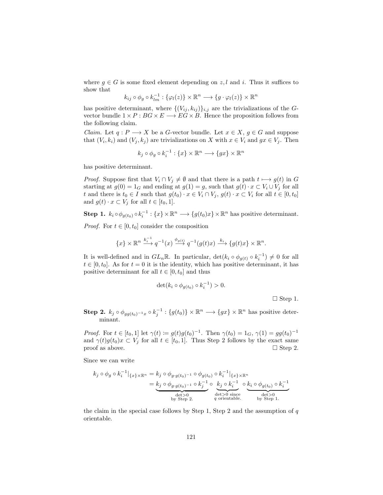where  $g \in G$  is some fixed element depending on z, l and i. Thus it suffices to show that

$$
k_{ij} \circ \phi_g \circ k_{lm}^{-1} : \{ \varphi_l(z) \} \times \mathbb{R}^n \longrightarrow \{ g \cdot \varphi_l(z) \} \times \mathbb{R}^n
$$

has positive determinant, where  $\{(V_{ij}, k_{ij})\}_{i,j}$  are the trivializations of the Gvector bundle  $1 \times P : BG \times E \longrightarrow EG \times B$ . Hence the proposition follows from the following claim.

*Claim.* Let  $q: P \longrightarrow X$  be a *G*-vector bundle. Let  $x \in X$ ,  $q \in G$  and suppose that  $(V_i, k_i)$  and  $(V_j, k_j)$  are trivializations on X with  $x \in V_i$  and  $gx \in V_j$ . Then

$$
k_j \circ \phi_g \circ k_i^{-1} : \{x\} \times \mathbb{R}^n \longrightarrow \{gx\} \times \mathbb{R}^n
$$

has positive determinant.

*Proof.* Suppose first that  $V_i \cap V_j \neq \emptyset$  and that there is a path  $t \mapsto g(t)$  in G starting at  $g(0) = 1_G$  and ending at  $g(1) = g$ , such that  $g(t) \cdot x \subset V_i \cup V_j$  for all t and there is  $t_0 \in I$  such that  $g(t_0) \cdot x \in V_i \cap V_j$ ,  $g(t) \cdot x \subset V_i$  for all  $t \in [0, t_0]$ and  $g(t) \cdot x \subset V_i$  for all  $t \in [t_0, 1]$ .

**Step 1.**  $k_i \circ \phi_{g(t_0)} \circ k_i^{-1} : \{x\} \times \mathbb{R}^n \longrightarrow \{g(t_0)x\} \times \mathbb{R}^n$  has positive determinant.

*Proof.* For  $t \in [0, t_0]$  consider the composition

$$
\{x\}\times\mathbb{R}^n\stackrel{k_i^{-1}}{\longrightarrow}q^{-1}(x)\stackrel{\phi_{g(t)}}{\longrightarrow}q^{-1}(g(t)x)\stackrel{k_i}{\longrightarrow}\{g(t)x\}\times\mathbb{R}^n.
$$

It is well-defined and in  $GL_n\mathbb{R}$ . In particular,  $\det(k_i \circ \phi_{g(t)} \circ k_i^{-1}) \neq 0$  for all  $t \in [0, t_0]$ . As for  $t = 0$  it is the identity, which has positive determinant, it has positive determinant for all  $t \in [0, t_0]$  and thus

$$
\det(k_i \circ \phi_{g(t_0)} \circ k_i^{-1}) > 0.
$$

 $\Box$  Step 1.

Step 2.  $k_j \circ \phi_{gg(t_0)^{-1}x} \circ k_j^{-1} : \{g(t_0)\} \times \mathbb{R}^n \longrightarrow \{gx\} \times \mathbb{R}^n$  has positive determinant.

*Proof.* For  $t \in [t_0, 1]$  let  $\gamma(t) := g(t)g(t_0)^{-1}$ . Then  $\gamma(t_0) = 1_G$ ,  $\gamma(1) = gg(t_0)^{-1}$ and  $\gamma(t)g(t_0)x \subset V_j$  for all  $t \in [t_0, 1]$ . Thus Step 2 follows by the exact same proof as above.  $\Box$  Step 2.

Since we can write

$$
k_j \circ \phi_g \circ k_i^{-1} |_{\{x\} \times \mathbb{R}^n} = k_j \circ \phi_{g \cdot g(t_0)^{-1}} \circ \phi_{g(t_0)} \circ k_i^{-1} |_{\{x\} \times \mathbb{R}^n}
$$
  
= 
$$
\underbrace{k_j \circ \phi_{g \cdot g(t_0)^{-1}} \circ k_j^{-1}}_{\text{det} > 0} \circ \underbrace{k_j \circ k_i^{-1}}_{\text{det} > 0} \circ \underbrace{k_i \circ \phi_{g(t_0)} \circ k_i^{-1}}_{\text{det} > 0} \circ \underbrace{k_i \circ \phi_{g(t_0)} \circ k_i^{-1}}_{\text{det} > 0}.
$$

the claim in the special case follows by Step 1, Step 2 and the assumption of  $q$ orientable.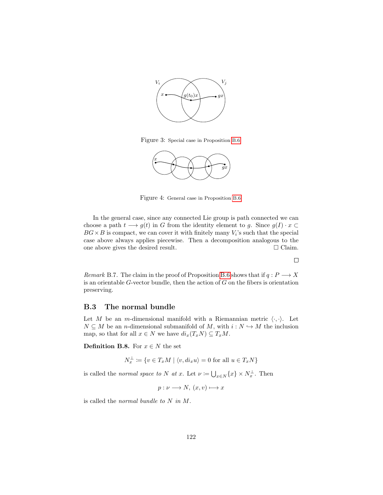

Figure 3: Special case in Proposition [B.6.](#page-121-1)



Figure 4: General case in Proposition [B.6.](#page-121-1)

In the general case, since any connected Lie group is path connected we can choose a path  $t \longrightarrow g(t)$  in G from the identity element to g. Since  $g(I) \cdot x \subset$  $BG \times B$  is compact, we can cover it with finitely many  $V_i$ 's such that the special case above always applies piecewise. Then a decomposition analogous to the one above gives the desired result.  $\Box$  Claim.

 $\Box$ 

<span id="page-123-0"></span>Remark B.7. The claim in the proof of Proposition [B.6](#page-121-1) shows that if  $q: P \longrightarrow X$ is an orientable  $G$ -vector bundle, then the action of  $G$  on the fibers is orientation preserving.

## B.3 The normal bundle

Let M be an m-dimensional manifold with a Riemannian metric  $\langle \cdot, \cdot \rangle$ . Let  $N \subseteq M$  be an *n*-dimensional submanifold of M, with  $i : N \hookrightarrow M$  the inclusion map, so that for all  $x \in N$  we have  $di_x(T_xN) \subseteq T_xM$ .

**Definition B.8.** For  $x \in N$  the set

$$
N_x^{\perp} := \{ v \in T_x M \mid \langle v, di_x u \rangle = 0 \text{ for all } u \in T_x N \}
$$

is called the normal space to N at x. Let  $\nu := \bigcup_{x \in N} \{x\} \times N_x^{\perp}$ . Then

$$
p: \nu \longrightarrow N, (x, v) \longmapsto x
$$

is called the normal bundle to N in M.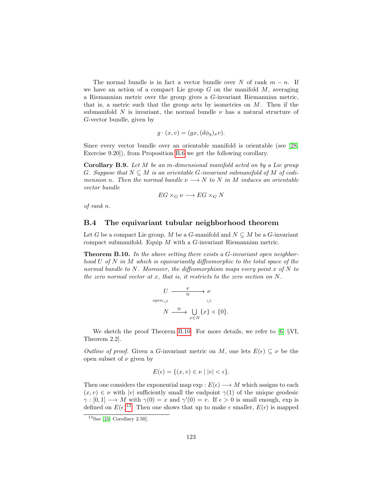The normal bundle is in fact a vector bundle over N of rank  $m - n$ . If we have an action of a compact Lie group  $G$  on the manifold  $M$ , averaging a Riemannian metric over the group gives a G-invariant Riemannian metric, that is, a metric such that the group acts by isometries on  $M$ . Then if the submanifold N is invariant, the normal bundle  $\nu$  has a natural structure of G-vector bundle, given by

$$
g \cdot (x, v) = (gx, (d\phi_g)_x v).
$$

Since every vector bundle over an orientable manifold is orientable (see [\[28,](#page-143-1) Exercise 9.20]), from Proposition [B.6](#page-121-1) we get the following corollary.

Corollary B.9. Let M be an m-dimensional manifold acted on by a Lie group G. Suppose that  $N \subseteq M$  is an orientable G-invariant submanifold of M of codimension n. Then the normal bundle  $\nu \longrightarrow N$  to N in M induces an orientable vector bundle

$$
EG \times_G \nu \longrightarrow EG \times_G N
$$

of rank n.

#### B.4 The equivariant tubular neighborhood theorem

Let G be a compact Lie group, M be a G-manifold and  $N \subseteq M$  be a G-invariant compact submanifold. Equip  $M$  with a  $G$ -invariant Riemannian metric.

<span id="page-124-0"></span>**Theorem B.10.** In the above setting there exists a G-invariant open neighborhood U of N in M which is equivariantly diffeomorphic to the total space of the normal bundle to  $N$ . Moreover, the diffeomorphism maps every point  $x$  of  $N$  to the zero normal vector at x, that is, it restricts to the zero section on  $N$ .

$$
U \xrightarrow{\varphi} \nu
$$
  
open  $\cup$   

$$
N \xrightarrow{\cong} \bigcup_{x \in N} \{x\} \times \{0\}.
$$

We sketch the proof Theorem [B.10.](#page-124-0) For more details, we refer to [\[6,](#page-141-3) §VI, Theorem 2.2].

Outline of proof. Given a G-invariant metric on M, one lets  $E(\epsilon) \subseteq \nu$  be the open subset of  $\nu$  given by

$$
E(\epsilon) = \{(x, v) \in \nu \mid |v| < \epsilon\}.
$$

Then one considers the exponential map  $\exp: E(\epsilon) \longrightarrow M$  which assigns to each  $(x, v) \in \nu$  with |v| sufficiently small the endpoint  $\gamma(1)$  of the unique geodesic  $\gamma : [0,1] \longrightarrow M$  with  $\gamma(0) = x$  and  $\gamma'(0) = v$ . If  $\epsilon > 0$  is small enough, exp is defined on  $E(\epsilon)^{13}$  $E(\epsilon)^{13}$  $E(\epsilon)^{13}$ . Then one shows that up to make  $\epsilon$  smaller,  $E(\epsilon)$  is mapped

<span id="page-124-1"></span> $\overline{^{13}$ See [\[10,](#page-141-2) Corollary 2.50].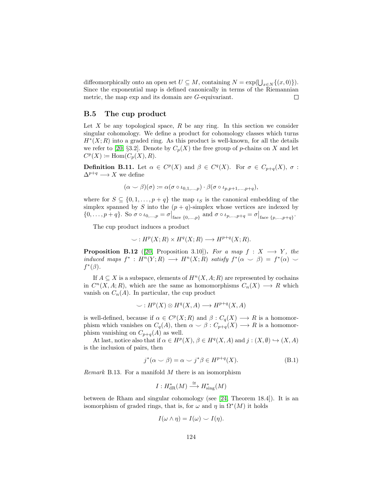diffeomorphically onto an open set  $U \subseteq M$ , containing  $N = \exp(\bigcup_{x \in N} \{(x, 0)\})$ . Since the exponential map is defined canonically in terms of the Riemannian metric, the map exp and its domain are G-equivariant.  $\Box$ 

#### B.5 The cup product

Let  $X$  be any topological space,  $R$  be any ring. In this section we consider singular cohomology. We define a product for cohomology classes which turns  $H^*(X;R)$  into a graded ring. As this product is well-known, for all the details we refer to [\[20,](#page-142-2) §3.2]. Denote by  $C_p(X)$  the free group of p-chains on X and let  $C^p(X) \coloneqq \text{Hom}(C_p(X), R).$ 

**Definition B.11.** Let  $\alpha \in C^p(X)$  and  $\beta \in C^q(X)$ . For  $\sigma \in C_{p+q}(X)$ ,  $\sigma$ :  $\Delta^{p+q} \longrightarrow X$  we define

$$
(\alpha \smile \beta)(\sigma) \coloneqq \alpha(\sigma \circ \iota_{0,1,\ldots,p}) \cdot \beta(\sigma \circ \iota_{p,p+1,\ldots,p+q}),
$$

where for  $S \subseteq \{0, 1, \ldots, p+q\}$  the map  $\iota_S$  is the canonical embedding of the simplex spanned by S into the  $(p+q)$ -simplex whose vertices are indexed by  $\{0, \ldots, p+q\}$ . So  $\sigma \circ \iota_{0, \ldots, p} = \sigma \big|_{\text{face } \{0, \ldots, p\}}$  and  $\sigma \circ \iota_{p, \ldots, p+q} = \sigma \big|_{\text{face } \{p, \ldots, p+q\}}$ .

The cup product induces a product

$$
\smile: H^p(X;R) \times H^q(X;R) \longrightarrow H^{p+q}(X;R).
$$

**Proposition B.12** ([\[20,](#page-142-2) Proposition 3.10]). For a map  $f : X \longrightarrow Y$ , the induced maps  $f^* : H^n(Y;R) \longrightarrow H^n(X;R)$  satisfy  $f^*(\alpha \smile \beta) = f^*(\alpha) \smile$  $f^*(\beta)$ .

If  $A \subseteq X$  is a subspace, elements of  $H^n(X, A; R)$  are represented by cochains in  $C<sup>n</sup>(X, A; R)$ , which are the same as homomorphisms  $C<sub>n</sub>(X) \longrightarrow R$  which vanish on  $C_n(A)$ . In particular, the cup product

$$
\smile: H^p(X) \otimes H^q(X, A) \longrightarrow H^{p+q}(X, A)
$$

is well-defined, because if  $\alpha \in C^p(X;R)$  and  $\beta: C_q(X) \longrightarrow R$  is a homomorphism which vanishes on  $C_q(A)$ , then  $\alpha \smile \beta : C_{p+q}(X) \longrightarrow R$  is a homomorphism vanishing on  $C_{p+q}(A)$  as well.

At last, notice also that if  $\alpha \in H^p(X)$ ,  $\beta \in H^q(X, A)$  and  $j : (X, \emptyset) \hookrightarrow (X, A)$ is the inclusion of pairs, then

$$
j^*(\alpha \smile \beta) = \alpha \smile j^*\beta \in H^{p+q}(X). \tag{B.1}
$$

*Remark* B.13. For a manifold  $M$  there is an isomorphism

<span id="page-125-0"></span>
$$
I: H^*_{\mathrm{dR}}(M) \xrightarrow{\cong} H^*_{\mathrm{sing}}(M)
$$

between de Rham and singular cohomology (see [\[24,](#page-142-1) Theorem 18.4]). It is an isomorphism of graded rings, that is, for  $\omega$  and  $\eta$  in  $\Omega^*(M)$  it holds

$$
I(\omega \wedge \eta) = I(\omega) \smile I(\eta).
$$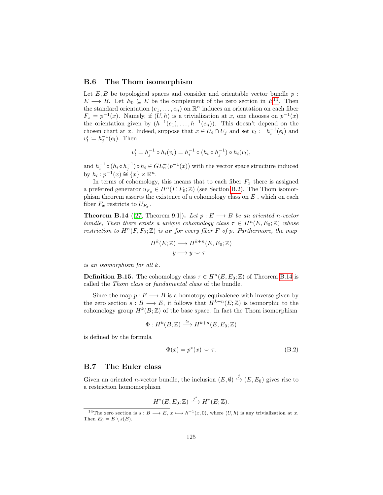#### B.6 The Thom isomorphism

Let  $E, B$  be topological spaces and consider and orientable vector bundle  $p$ :  $E \longrightarrow B$ . Let  $E_0 \subseteq E$  be the complement of the zero section in  $E^{14}$  $E^{14}$  $E^{14}$ . Then the standard orientation  $(e_1, \ldots, e_n)$  on  $\mathbb{R}^n$  induces an orientation on each fiber  $F_x = p^{-1}(x)$ . Namely, if  $(U, h)$  is a trivialization at x, one chooses on  $p^{-1}(x)$ the orientation given by  $(h^{-1}(e_1),...,h^{-1}(e_n))$ . This doesn't depend on the chosen chart at x. Indeed, suppose that  $x \in U_i \cap U_j$  and set  $v_i := h_i^{-1}(e_i)$  and  $v'_l \coloneqq h_j^{-1}(e_l)$ . Then

$$
v'_l = h_j^{-1} \circ h_i(v_l) = h_i^{-1} \circ (h_i \circ h_j^{-1}) \circ h_i(v_l),
$$

and  $h_i^{-1} \circ (h_i \circ h_j^{-1}) \circ h_i \in GL_n^+(p^{-1}(x))$  with the vector space structure induced by  $h_i : p^{-1}(x) \cong \{x\} \times \mathbb{R}^n$ .

In terms of cohomology, this means that to each fiber  $F_x$  there is assigned a preferred generator  $u_{F_x} \in H^n(F, F_0; \mathbb{Z})$  (see Section [B.2\)](#page-121-2). The Thom isomorphism theorem asserts the existence of a cohomology class on  $E$ , which on each fiber  $F_x$  restricts to  $U_{F_x}$ .

<span id="page-126-1"></span>**Theorem B.14** ([\[27,](#page-143-0) Theorem 9.1]). Let  $p : E \longrightarrow B$  be an oriented n-vector bundle. Then there exists a unique cohomology class  $\tau \in H^n(E, E_0; \mathbb{Z})$  whose restriction to  $H^n(F, F_0; \mathbb{Z})$  is  $u_F$  for every fiber F of p. Furthermore, the map

$$
H^k(E; \mathbb{Z}) \longrightarrow H^{k+n}(E, E_0; \mathbb{Z})
$$

$$
y \longmapsto y \smile \tau
$$

is an isomorphism for all k.

**Definition B.15.** The cohomology class  $\tau \in H^n(E, E_0; \mathbb{Z})$  of Theorem [B.14](#page-126-1) is called the Thom class or fundamental class of the bundle.

Since the map  $p : E \longrightarrow B$  is a homotopy equivalence with inverse given by the zero section  $s : B \longrightarrow E$ , it follows that  $H^{k+n}(E;\mathbb{Z})$  is isomorphic to the cohomology group  $H^k(B;\mathbb{Z})$  of the base space. In fact the Thom isomorphism

$$
\Phi: H^k(B; \mathbb{Z}) \xrightarrow{\cong} H^{k+n}(E, E_0; \mathbb{Z})
$$

is defined by the formula

$$
\Phi(x) = p^*(x) \smile \tau. \tag{B.2}
$$

#### <span id="page-126-2"></span>B.7 The Euler class

Given an oriented *n*-vector bundle, the inclusion  $(E, \emptyset) \stackrel{j}{\hookrightarrow} (E, E_0)$  gives rise to a restriction homomorphism

$$
H^*(E, E_0; \mathbb{Z}) \xrightarrow{j^*} H^*(E; \mathbb{Z}).
$$

<span id="page-126-0"></span><sup>&</sup>lt;sup>14</sup>The zero section is  $s : B \longrightarrow E$ ,  $x \longmapsto h^{-1}(x, 0)$ , where  $(U, h)$  is any trivialization at x. Then  $E_0 = E \setminus s(B)$ .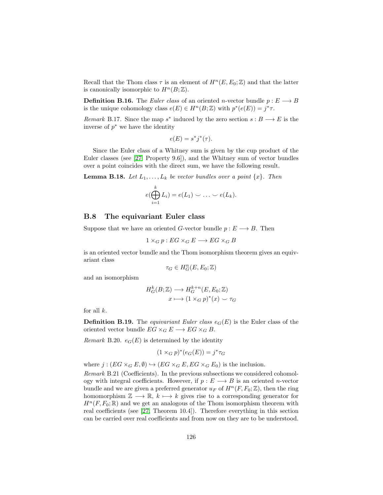Recall that the Thom class  $\tau$  is an element of  $H^n(E, E_0; \mathbb{Z})$  and that the latter is canonically isomorphic to  $H^n(B; \mathbb{Z})$ .

**Definition B.16.** The Euler class of an oriented n-vector bundle  $p : E \longrightarrow B$ is the unique cohomology class  $e(E) \in H^n(B; \mathbb{Z})$  with  $p^*(e(E)) = j^* \tau$ .

Remark B.17. Since the map  $s^*$  induced by the zero section  $s : B \longrightarrow E$  is the inverse of  $p^*$  we have the identity

$$
e(E) = s^*j^*(\tau).
$$

Since the Euler class of a Whitney sum is given by the cup product of the Euler classes (see [\[27,](#page-143-0) Property 9.6]), and the Whitney sum of vector bundles over a point coincides with the direct sum, we have the following result.

**Lemma B.18.** Let  $L_1, \ldots, L_k$  be vector bundles over a point  $\{x\}$ . Then

$$
e(\bigoplus_{i=1}^k L_i) = e(L_1) \smile \ldots \smile e(L_k).
$$

#### B.8 The equivariant Euler class

Suppose that we have an oriented G-vector bundle  $p : E \longrightarrow B$ . Then

$$
1\times_G p: EG\times_G E\longrightarrow EG\times_G B
$$

is an oriented vector bundle and the Thom isomorphism theorem gives an equivariant class

$$
\tau_G \in H_G^n(E, E_0; \mathbb{Z})
$$

and an isomorphism

$$
H_G^k(B; \mathbb{Z}) \longrightarrow H_G^{k+n}(E, E_0; \mathbb{Z})
$$

$$
x \longmapsto (1 \times_G p)^*(x) \smile \tau_G
$$

for all  $k$ .

**Definition B.19.** The equivariant Euler class  $e_G(E)$  is the Euler class of the oriented vector bundle  $EG \times_G E \longrightarrow EG \times_G B$ .

Remark B.20.  $e_G(E)$  is determined by the identity

$$
(1 \times_G p)^*(e_G(E)) = j^*\tau_G
$$

where  $j : (EG \times_G E, \emptyset) \hookrightarrow (EG \times_G E, EG \times_G E_0)$  is the inclusion.

Remark B.21 (Coefficients). In the previous subsections we considered cohomology with integral coefficients. However, if  $p : E \longrightarrow B$  is an oriented *n*-vector bundle and we are given a preferred generator  $u_F$  of  $H^n(F, F_0; \mathbb{Z})$ , then the ring homomorphism  $\mathbb{Z} \longrightarrow \mathbb{R}$ ,  $k \longmapsto k$  gives rise to a corresponding generator for  $H^{n}(F, F_{0}; \mathbb{R})$  and we get an analogous of the Thom isomorphism theorem with real coefficients (see [\[27,](#page-143-0) Theorem 10.4]). Therefore everything in this section can be carried over real coefficients and from now on they are to be understood.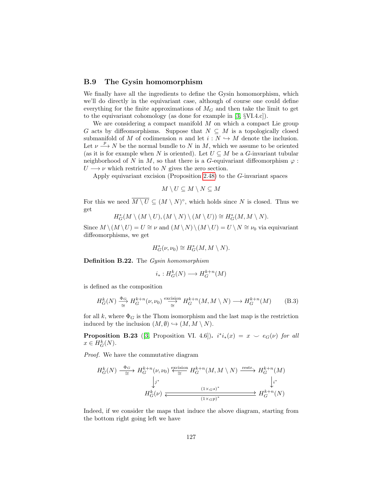#### B.9 The Gysin homomorphism

We finally have all the ingredients to define the Gysin homomorphism, which we'll do directly in the equivariant case, although of course one could define everything for the finite approximations of  $M<sub>G</sub>$  and then take the limit to get to the equivariant cohomology (as done for example in [\[3,](#page-141-1) §VI.4.c]).

We are considering a compact manifold  $M$  on which a compact Lie group G acts by diffeomorphisms. Suppose that  $N \subseteq M$  is a topologically closed submanifold of M of codimension n and let  $i : N \hookrightarrow M$  denote the inclusion. Let  $\nu \stackrel{p}{\longrightarrow} N$  be the normal bundle to N in M, which we assume to be oriented (as it is for example when N is oriented). Let  $U \subseteq M$  be a G-invariant tubular neighborhood of N in M, so that there is a G-equivariant diffeomorphism  $\varphi$ :  $U \longrightarrow \nu$  which restricted to N gives the zero section.

Apply equivariant excision (Proposition [2.48\)](#page-25-0) to the G-invariant spaces

$$
M\setminus U\subseteq M\setminus N\subseteq M
$$

For this we need  $\overline{M \setminus U} \subseteq (M \setminus N)^{\circ}$ , which holds since N is closed. Thus we get

$$
H_G^*(M \setminus (M \setminus U), (M \setminus N) \setminus (M \setminus U)) \cong H_G^*(M, M \setminus N).
$$

Since  $M \setminus (M \setminus U) = U \cong \nu$  and  $(M \setminus N) \setminus (M \setminus U) = U \setminus N \cong \nu_0$  via equivariant diffeomorphisms, we get

$$
H^*_G(\nu,\nu_0)\cong H^*_G(M,M\setminus N).
$$

Definition B.22. The Gysin homomorphism

$$
i_*: H^k_G(N) \longrightarrow H^{k+n}_G(M)
$$

is defined as the composition

$$
H_G^k(N) \xrightarrow{\Phi_G} H_G^{k+n}(\nu, \nu_0) \xrightarrow{\text{excision}} H_G^{k+n}(M, M \setminus N) \longrightarrow H_G^{k+n}(M) \tag{B.3}
$$

for all k, where  $\Phi_G$  is the Thom isomorphism and the last map is the restriction induced by the inclusion  $(M, \emptyset) \hookrightarrow (M, M \setminus N)$ .

**Proposition B.23** ([\[3,](#page-141-1) Proposition VI. 4.6]).  $i^*i_*(x) = x \smile e_G(\nu)$  for all  $x \in H^k_G(N)$ .

Proof. We have the commutative diagram

$$
H_G^k(N) \xrightarrow{\Phi_G} H_G^{k+n}(\nu, \nu_0) \xleftarrow{\text{excision}} H_G^{k+n}(M, M \setminus N) \xrightarrow{\text{restr.}} H_G^{k+n}(M)
$$
\n
$$
\downarrow j^*
$$
\n
$$
H_G^k(\nu) \xleftarrow{\text{(1} \times Gs)^*} H_G^{k+n}(N)
$$

Indeed, if we consider the maps that induce the above diagram, starting from the bottom right going left we have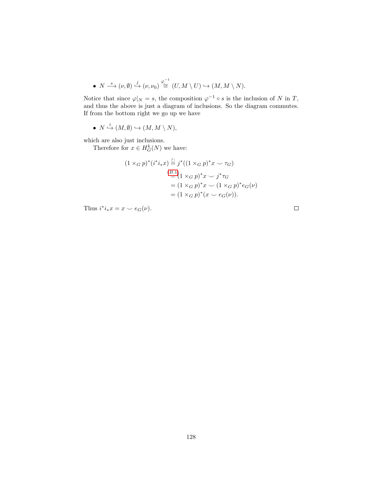• 
$$
N \stackrel{s}{\longrightarrow} (\nu, \emptyset) \stackrel{j}{\hookrightarrow} (\nu, \nu_0) \stackrel{\varphi^{-1}}{\cong} (U, M \setminus U) \hookrightarrow (M, M \setminus N).
$$

Notice that since  $\varphi|_N = s$ , the composition  $\varphi^{-1} \circ s$  is the inclusion of N in T, and thus the above is just a diagram of inclusions. So the diagram commutes. If from the bottom right we go up we have

• 
$$
N \xrightarrow{i} (M, \emptyset) \hookrightarrow (M, M \setminus N),
$$

which are also just inclusions.

Therefore for  $x \in H_G^k(N)$  we have:

$$
(1 \times_G p)^* (i^* i_* x) \stackrel{\circlearrowright}{=} j^* ((1 \times_G p)^* x \smile \tau_G)
$$
  
\n
$$
\stackrel{(B.1)}{=} \{1 \times_G p)^* x \smile j^* \tau_G
$$
  
\n
$$
= (1 \times_G p)^* x \smile (1 \times_G p)^* e_G(\nu)
$$
  
\n
$$
= (1 \times_G p)^* (x \smile e_G(\nu)).
$$

Thus  $i^*i_*x = x \smile e_G(\nu)$ .

 $\Box$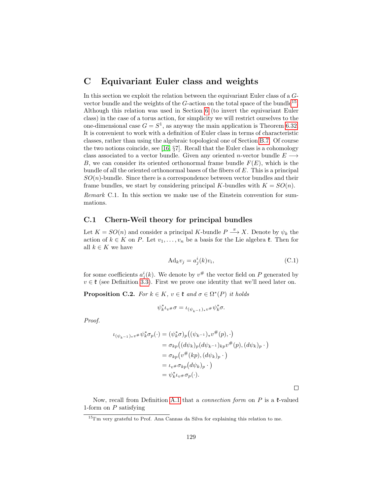## C Equivariant Euler class and weights

In this section we exploit the relation between the equivariant Euler class of a Gvector bundle and the weights of the  $G$ -action on the total space of the bundle<sup>[15](#page-130-0)</sup>. Although this relation was used in Section [6](#page-81-0) (to invert the equivariant Euler class) in the case of a torus action, for simplicity we will restrict ourselves to the one-dimensional case  $G = S^1$ , as anyway the main application is Theorem [6.32.](#page-102-0) It is convenient to work with a definition of Euler class in terms of characteristic classes, rather than using the algebraic topological one of Section [B.7.](#page-126-2) Of course the two notions coincide, see [\[16,](#page-142-0) §7]. Recall that the Euler class is a cohomology class associated to a vector bundle. Given any oriented n-vector bundle  $E \longrightarrow$ B, we can consider its oriented orthonormal frame bundle  $F(E)$ , which is the bundle of all the oriented orthonormal bases of the fibers of E. This is a principal  $SO(n)$ -bundle. Since there is a correspondence between vector bundles and their frame bundles, we start by considering principal K-bundles with  $K = SO(n)$ .

Remark C.1. In this section we make use of the Einstein convention for summations.

## C.1 Chern-Weil theory for principal bundles

Let  $K = SO(n)$  and consider a principal K-bundle  $P \stackrel{\pi}{\longrightarrow} X$ . Denote by  $\psi_k$  the action of  $k \in K$  on P. Let  $v_1, \ldots, v_n$  be a basis for the Lie algebra  $\mathfrak{k}$ . Then for all  $k \in K$  we have

<span id="page-130-1"></span>
$$
Ad_k v_j = a_j^i(k)v_i,
$$
\n(C.1)

for some coefficients  $a_j^i(k)$ . We denote by  $v^{\#}$  the vector field on P generated by  $v \in \mathfrak{k}$  (see Definition [3.3\)](#page-27-0). First we prove one identity that we'll need later on.

<span id="page-130-2"></span>**Proposition C.2.** For  $k \in K$ ,  $v \in \mathfrak{k}$  and  $\sigma \in \Omega^*(P)$  it holds

$$
\psi_k^* \iota_{v^{\#}} \sigma = \iota_{(\psi_{k^{-1}})_* v^{\#}} \psi_k^* \sigma.
$$

Proof.

$$
\iota_{(\psi_{k-1})_*v^{\#}}\psi_k^*\sigma_p(\cdot) = (\psi_k^*\sigma)_p((\psi_{k-1})_*v^{\#}(p), \cdot)
$$
  
\n
$$
= \sigma_{kp}((d\psi_k)_p(d\psi_{k-1})_{kp}v^{\#}(p),(d\psi_k)_p \cdot)
$$
  
\n
$$
= \sigma_{kp}(v^{\#}(kp),(d\psi_k)_p \cdot)
$$
  
\n
$$
= \iota_{v^{\#}\sigma_{kp}}(d\psi_k)_p \cdot)
$$
  
\n
$$
= \psi_k^*\iota_v\sigma_p(\cdot).
$$

 $\Box$ 

Now, recall from Definition [A.1](#page-109-0) that a *connection form* on  $P$  is a  $\ell$ -valued 1-form on  $P$  satisfying

<span id="page-130-0"></span><sup>15</sup>I'm very grateful to Prof. Ana Cannas da Silva for explaining this relation to me.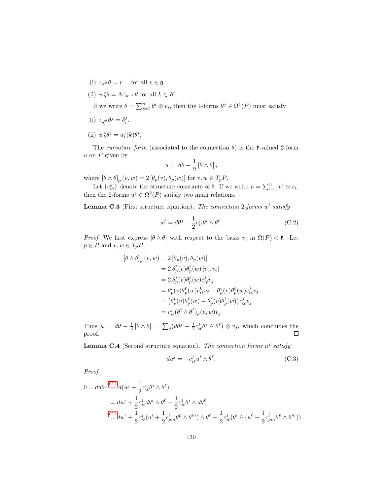- (i)  $\iota_v \# \theta = v$  for all  $v \in \mathfrak{g}$ .
- (ii)  $\psi_k^* \theta = \mathrm{Ad}_k \circ \theta$  for all  $k \in K$ .

If we write  $\theta = \sum_{i=1}^{n} \theta^i \otimes v_i$ , then the 1-forms  $\theta^j \in \Omega^1(P)$  must satisfy

- (i)  $\iota_{v_i^{\#}} \theta^j = \delta_i^j$ .
- (ii)  $\psi_k^* \theta^j = a_i^j(k) \theta^i$ .

The *curvature form* (associated to the connection  $\theta$ ) is the *t*-valued 2-form  $u$  on  $P$  given by

$$
u \coloneqq d\theta - \frac{1}{2} \left[ \theta \wedge \theta \right],
$$

where  $[\theta \wedge \theta]_p(v, w) = 2 [\theta_p(v), \theta_p(w)]$  for  $v, w \in T_pP$ .

Let  ${c_{ij}^k}$  denote the structure constants of  $\mathfrak k$ . If we write  $u = \sum_{i=1}^n u^i \otimes v_i$ , then the 2-forms  $u^j \in \Omega^2(P)$  satisfy two main relations.

**Lemma C.3** (First structure equation). The connection 2-forms  $u^j$  satisfy

<span id="page-131-0"></span>
$$
u^{j} = d\theta^{j} - \frac{1}{2}c_{i\ell}^{j}\theta^{i} \wedge \theta^{\ell}.
$$
 (C.2)

*Proof.* We first express  $[\theta \wedge \theta]$  with respect to the basis  $v_i$  in  $\Omega(P) \otimes \mathfrak{k}$ . Let  $p \in P$  and  $v, w \in T_p P$ .

$$
\begin{aligned} \left[\theta\wedge\theta\right]_p(v,w) &= 2\left[\theta_p(v),\theta_p(w)\right] \\ &= 2\,\theta_p^i(v)\theta_p^\ell(w)\left[v_i,v_\ell\right] \\ &= 2\,\theta_p^i(v)\theta_p^\ell(w)c_{i\ell}^jv_j \\ &= \theta_p^i(v)\theta_p^\ell(w)c_{i\ell}^kv_j - \theta_p^i(v)\theta_p^\ell(w)c_{\ell i}^jv_j \\ &= \left(\theta_p^i(v)\theta_p^\ell(w) - \theta_p^\ell(v)\theta_p^i(w)\right)c_{i\ell}^jv_j \\ &= c_{i\ell}^j(\theta^i\wedge\theta^\ell)_p(v,w)v_j. \end{aligned}
$$

Thus  $u = d\theta - \frac{1}{2} [\theta \wedge \theta] = \sum_j (d\theta^j - \frac{1}{2} c_{i\ell}^j \theta^i \wedge \theta^{\ell}) \otimes v_j$ , which concludes the proof.  $\Box$ 

<span id="page-131-1"></span>**Lemma C.4** (Second structure equation). The connection forms  $u^j$  satisfy

$$
du^{j} = -c_{i\ell}^{j}u^{i} \wedge \theta^{\ell}.
$$
 (C.3)

Proof.

$$
0 = dd\theta^{j} \stackrel{(C.2)}{=} d(u^{j} + \frac{1}{2}c_{i\ell}^{i}\theta^{i} \wedge \theta^{\ell})
$$
  
=  $du^{j} + \frac{1}{2}c_{i\ell}^{j}d\theta^{i} \wedge \theta^{\ell} - \frac{1}{2}c_{i\ell}^{j}\theta^{i} \wedge d\theta^{\ell}$   

$$
\stackrel{(C.2)}{=} du^{j} + \frac{1}{2}c_{i\ell}^{j}(u^{i} + \frac{1}{2}c_{pm}^{i}\theta^{p} \wedge \theta^{m}) \wedge \theta^{\ell} - \frac{1}{2}c_{i\ell}^{j}(\theta^{i} \wedge (u^{\ell} + \frac{1}{2}c_{pm}^{\ell}\theta^{p} \wedge \theta^{m}))
$$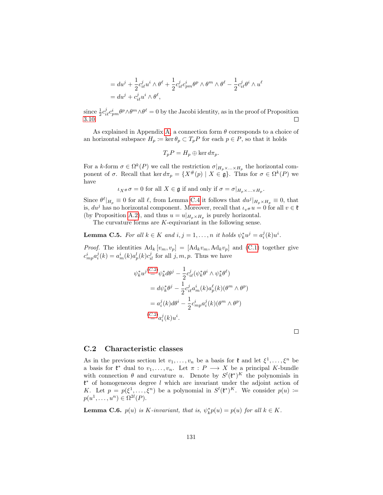$$
= du^{j} + \frac{1}{2}c^{j}_{i\ell}u^{i}\wedge\theta^{\ell} + \frac{1}{2}c^{j}_{i\ell}c^{i}_{pm}\theta^{p}\wedge\theta^{m}\wedge\theta^{\ell} - \frac{1}{2}c^{j}_{i\ell}\theta^{i}\wedge u^{\ell} = du^{j} + c^{j}_{i\ell}u^{i}\wedge\theta^{\ell},
$$

since  $\frac{1}{2}c_{i\ell}^j c_{pm}^i \theta^p \wedge \theta^m \wedge \theta^\ell = 0$  by the Jacobi identity, as in the proof of Proposition [3.10.](#page-32-0)  $\Box$ 

As explained in Appendix [A,](#page-109-2) a connection form  $\theta$  corresponds to a choice of an horizontal subspace  $H_p := \ker \theta_p \subset T_p P$  for each  $p \in P$ , so that it holds

$$
T_p P = H_p \oplus \ker d\pi_p.
$$

For a k-form  $\sigma \in \Omega^k(P)$  we call the restriction  $\sigma|_{H_p \times ... \times H_p}$  the horizontal component of  $\sigma$ . Recall that ker  $d\pi_p = \{X^\#(p) \mid X \in \mathfrak{g}\}\$ . Thus for  $\sigma \in \Omega^k(P)$  we have

 $\iota_{X^{\#}}\sigma=0$  for all  $X\in\mathfrak{g}$  if and only if  $\sigma=\sigma|_{H_p\times...\times H_p}$ .

Since  $\theta^{\ell}|_{H_p} \equiv 0$  for all  $\ell$ , from Lemma [C.4](#page-131-1) it follows that  $du^j|_{H_p \times H_p} \equiv 0$ , that is,  $du^j$  has no horizontal component. Moreover, recall that  $\iota_{v#} u = 0$  for all  $v \in \mathfrak{k}$ (by Proposition [A.2\)](#page-115-1), and thus  $u = u|_{H_p \times H_p}$  is purely horizontal.

The curvature forms are  $K$ -equivariant in the following sense.

<span id="page-132-0"></span>**Lemma C.5.** For all  $k \in K$  and  $i, j = 1, ..., n$  it holds  $\psi_k^* u^j = a_i^j(k) u^i$ .

*Proof.* The identities  $\text{Ad}_k[v_m, v_p] = [\text{Ad}_k v_m, \text{Ad}_k v_p]$  and [\(C.1\)](#page-130-1) together give  $c_{mp}^{i}a_{i}^{j}(k) = a_{m}^{i}(k)a_{p}^{l}(k)c_{il}^{j}$  for all  $j, m, p$ . Thus we have

$$
\psi_k^* u^{j(\mathcal{L},2)} \psi_k^* d\theta^j - \frac{1}{2} c_{i\ell}^j (\psi_k^* \theta^i \wedge \psi_k^* \theta^\ell)
$$
  
=  $d\psi_k^* \theta^j - \frac{1}{2} c_{i\ell}^j a_m^i(k) a_p^\ell(k) (\theta^m \wedge \theta^p)$   
=  $a_i^j(k) d\theta^i - \frac{1}{2} c_{mp}^i a_i^j(k) (\theta^m \wedge \theta^p)$   
 $\stackrel{(C.2)}{=} a_i^j(k) u^i.$ 

 $\Box$ 

#### C.2 Characteristic classes

As in the previous section let  $v_1, \ldots, v_n$  be a basis for  $\mathfrak{k}$  and let  $\xi^1, \ldots, \xi^n$  be a basis for  $\mathfrak{k}^*$  dual to  $v_1, \ldots, v_n$ . Let  $\pi : P \longrightarrow X$  be a principal K-bundle with connection  $\theta$  and curvature u. Denote by  $S^l(\mathfrak{k}^*)^K$  the polynomials in k <sup>∗</sup> of homogeneous degree l which are invariant under the adjoint action of K. Let  $p = p(\xi^1, \ldots, \xi^n)$  be a polynomial in  $S^l(\mathfrak{k}^*)^K$ . We consider  $p(u) :=$  $p(u^1,\ldots,u^n) \in \Omega^{2l}(P).$ 

<span id="page-132-1"></span>**Lemma C.6.**  $p(u)$  is *K*-invariant, that is,  $\psi_k^* p(u) = p(u)$  for all  $k \in K$ .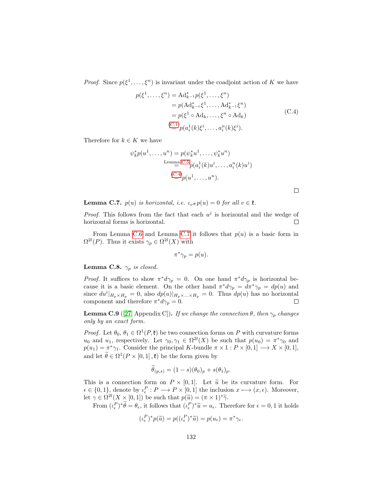*Proof.* Since  $p(\xi^1, \ldots, \xi^n)$  is invariant under the coadjoint action of K we have

$$
p(\xi^1, ..., \xi^n) = \mathrm{Ad}_{k^{-1}}^* p(\xi^1, ..., \xi^n)
$$
  
=  $p(\mathrm{Ad}_{k^{-1}}^* \xi^1, ..., \mathrm{Ad}_{k^{-1}}^* \xi^n)$   
=  $p(\xi^1 \circ \mathrm{Ad}_k, ..., \xi^n \circ \mathrm{Ad}_k)$   
 $\stackrel{(C.1)}{=} p(a_i^1(k)\xi^i, ..., a_i^n(k)\xi^i).$  (C.4)

Therefore for  $k \in K$  we have

$$
\psi_k^* p(u^1, \dots, u^n) = p(\psi_k^* u^1, \dots, \psi_k^* u^n)
$$
  
Lemma C.5 
$$
p(a_i^1(k)u^i, \dots, a_i^n(k)u^i)
$$

$$
\stackrel{(C.4)}{=} p(u^1, \dots, u^n).
$$

<span id="page-133-0"></span> $\Box$ 

<span id="page-133-1"></span>**Lemma C.7.**  $p(u)$  is horizontal, i.e.  $\iota_v \# p(u) = 0$  for all  $v \in \mathfrak{k}$ .

*Proof.* This follows from the fact that each  $u^j$  is horizontal and the wedge of horizontal forms is horizontal.  $\Box$ 

From Lemma [C.6](#page-132-1) and Lemma [C.7](#page-133-1) it follows that  $p(u)$  is a basic form in  $\Omega^{2l}(P)$ . Thus it exists  $\gamma_p \in \Omega^{2l}(X)$  with

$$
\pi^*\gamma_p = p(u).
$$

Lemma C.8.  $\gamma_p$  is closed.

*Proof.* It suffices to show  $\pi^* d\gamma_p = 0$ . On one hand  $\pi^* d\gamma_p$  is horizontal because it is a basic element. On the other hand  $\pi^* d\gamma_p = d\pi^* \gamma_p = dp(u)$  and since  $du^i|_{H_p\times H_p} = 0$ , also  $dp(u)|_{H_p\times...\times H_p} = 0$ . Thus  $dp(u)$  has no horizontal component and therefore  $\pi^* d\gamma_p = 0$ .  $\Box$ 

<span id="page-133-2"></span>**Lemma C.9** ([\[27,](#page-143-0) Appendix C]). If we change the connection  $\theta$ , then  $\gamma_p$  changes only by an exact form.

*Proof.* Let  $\theta_0, \theta_1 \in \Omega^1(P, \mathfrak{k})$  be two connection forms on P with curvature forms  $u_0$  and  $u_1$ , respectively. Let  $\gamma_0, \gamma_1 \in \Omega^{2l}(X)$  be such that  $p(u_0) = \pi^*\gamma_0$  and  $p(u_1) = \pi^*\gamma_1$ . Consider the principal K-bundle  $\pi \times 1 : P \times [0,1] \longrightarrow X \times [0,1],$ and let  $\tilde{\theta} \in \Omega^1(P \times [0,1], \mathfrak{k})$  be the form given by

$$
\theta_{(p,s)} = (1-s)(\theta_0)_p + s(\theta_1)_p.
$$

This is a connection form on  $P \times [0,1]$ . Let  $\tilde{u}$  be its curvature form. For  $\epsilon \in \{0,1\}$ , denote by  $\iota_{\epsilon}^P : P \longrightarrow P \times [0,1]$  the inclusion  $x \longmapsto (x,\epsilon)$ . Moreover, let  $\gamma \in \Omega^{2l}(X \times [0,1])$  be such that  $p(\widetilde{u}) = (\pi \times 1)^*\widetilde{\gamma}$ .

From  $(\iota_{\epsilon}^P)^*\tilde{\theta} = \theta_{\epsilon}$ , it follows that  $(\iota_{\epsilon}^P)^*\tilde{u} = u_{\epsilon}$ . Therefore for  $\epsilon = 0, 1$  it holds

$$
(\iota_{\epsilon}^P)^* p(\widetilde{u}) = p((\iota_{\epsilon}^P)^* \widetilde{u}) = p(u_{\epsilon}) = \pi^* \gamma_{\epsilon}.
$$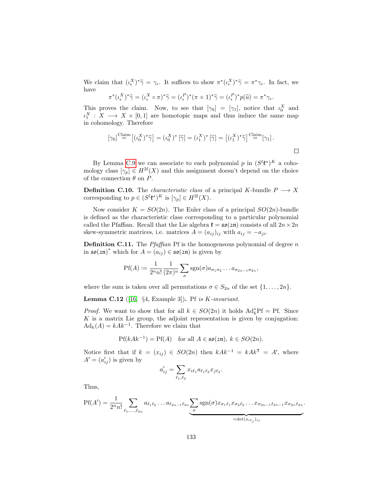We claim that  $(\iota_{\epsilon}^{X})^*\tilde{\gamma} = \gamma_{\epsilon}$ . It suffices to show  $\pi^*(\iota_{\epsilon}^{X})^*\tilde{\gamma} = \pi^*\gamma_{\epsilon}$ . In fact, we have have

$$
\pi^*(\iota_{\epsilon}^X)^*\widetilde{\gamma} = (\iota_{\epsilon}^X \circ \pi)^*\widetilde{\gamma} = (\iota_{\epsilon}^P)^*(\pi \times 1)^*\widetilde{\gamma} = (\iota_{\epsilon}^P)^*p(\widetilde{u}) = \pi^*\gamma_{\epsilon}.
$$

This proves the claim. Now, to see that  $[\gamma_0] = [\gamma_1]$ , notice that  $\iota_0^X$  and  $\iota_1^X: X \longrightarrow X \times [0,1]$  are homotopic maps and thus induce the same map in cohomology. Therefore

$$
[\gamma_0]^{\text{Claim}}[(\iota_0^X)^*\widetilde{\gamma}] = (\iota_0^X)^*[\widetilde{\gamma}] = (\iota_1^X)^*[\widetilde{\gamma}] = [(\iota_1^X)^*\widetilde{\gamma}]^{\text{Claim}}[\gamma_1].
$$

By Lemma [C.9](#page-133-2) we can associate to each polynomial p in  $(S^{l}\mathfrak{k}^*)^{K}$  a cohomology class  $[\gamma_p] \in H^{2l}(X)$  and this assignment doesn't depend on the choice of the connection  $\theta$  on  $P$ .

**Definition C.10.** The *characteristic class* of a principal K-bundle  $P \longrightarrow X$ corresponding to  $p \in (S^l \mathfrak{k}^*)^K$  is  $[\gamma_p] \in H^{2l}(X)$ .

Now consider  $K = SO(2n)$ . The Euler class of a principal  $SO(2n)$ -bundle is defined as the characteristic class corresponding to a particular polynomial called the Pfaffian. Recall that the Lie algebra  $\mathfrak{k} = \mathfrak{so}(2\mathfrak{n})$  consists of all  $2n \times 2n$ skew-symmetric matrices, i.e. matrices  $A = (a_{ij})_{ij}$  with  $a_{ij} = -a_{ji}$ .

**Definition C.11.** The *Pfaffian* Pf is the homogeneous polynomial of degree  $n$ in  $\mathfrak{so}(2\mathfrak{n})^*$  which for  $A = a_{ij} \in \mathfrak{so}(2\mathfrak{n})$  is given by

$$
\text{Pf}(A) \coloneqq \frac{1}{2^n n!} \frac{1}{(2\pi)^n} \sum_{\sigma} \text{sgn}(\sigma) a_{\sigma_1 \sigma_2} \dots a_{\sigma_{2n-1} \sigma_{2n}},
$$

where the sum is taken over all permutations  $\sigma \in S_{2n}$  of the set  $\{1, \ldots, 2n\}$ .

**Lemma C.12** ([\[16,](#page-142-0) §4, Example 3]). Pf is  $K$ -invariant.

*Proof.* We want to show that for all  $k \in SO(2n)$  it holds  $\text{Ad}_{k}^{*} \text{Pf} = \text{Pf}$ . Since  $K$  is a matrix Lie group, the adjoint representation is given by conjugation:  $\mathrm{Ad}_k(A) = kAk^{-1}$ . Therefore we claim that

$$
Pf(kAk^{-1}) = Pf(A) \text{ for all } A \in \mathfrak{so}(2\mathfrak{n}), k \in SO(2n).
$$

Notice first that if  $k = (x_{ij}) \in SO(2n)$  then  $kAk^{-1} = kAk^{T} = A'$ , where  $A' = (a'_{ij})$  is given by

$$
a'_{ij} = \sum_{\ell_1, \ell_2} x_{i\ell_1} a_{\ell_1 \ell_2} x_{j\ell_2}.
$$

Thus,

$$
Pf(A') = \frac{1}{2^n n!} \sum_{\ell_1, ..., \ell_{2n}} a_{\ell_1 \ell_2} ... a_{\ell_{2n-1} \ell_{2n}} \underbrace{\sum_{\sigma} \text{sgn}(\sigma) x_{\sigma_1 \ell_1} x_{\sigma_2 \ell_2} ... x_{\sigma_{2n-1} \ell_{2n-1}} x_{\sigma_{2n} \ell_{2n}}}_{=\det(x_{i\ell_j})_{ij}}.
$$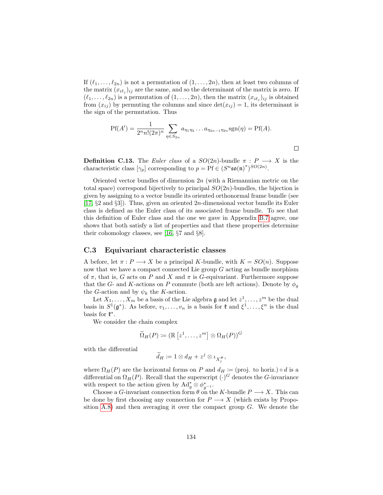If  $(\ell_1, \ldots, \ell_{2n})$  is not a permutation of  $(1, \ldots, 2n)$ , then at least two columns of the matrix  $(x_{i\ell_j})_{ij}$  are the same, and so the determinant of the matrix is zero. If  $(\ell_1, \ldots, \ell_{2n})$  is a permutation of  $(1, \ldots, 2n)$ , then the matrix  $(x_{i\ell_j})_{ij}$  is obtained from  $(x_{ij})$  by permuting the columns and since  $\det(x_{ij}) = 1$ , its determinant is the sign of the permutation. Thus

$$
Pf(A') = \frac{1}{2^n n!(2\pi)^n} \sum_{\eta \in S_{2n}} a_{\eta_1 \eta_2} \dots a_{\eta_{2n-1} \eta_{2n}} sgn(\eta) = Pf(A).
$$

 $\Box$ 

**Definition C.13.** The Euler class of a  $SO(2n)$ -bundle  $\pi : P \longrightarrow X$  is the characteristic class  $[\gamma_p]$  corresponding to  $p = \Pr \in (S^n \mathfrak{so}(\mathfrak{n})^*)^{SO(2n)}$ .

Oriented vector bundles of dimension  $2n$  (with a Riemannian metric on the total space) correspond bijectively to principal  $SO(2n)$ -bundles, the bijection is given by assigning to a vector bundle its oriented orthonormal frame bundle (see [\[17,](#page-142-3)  $\S 2$  and  $\S 3$ ]). Thus, given an oriented  $2n$ -dimensional vector bundle its Euler class is defined as the Euler class of its associated frame bundle. To see that this definition of Euler class and the one we gave in Appendix [B.7](#page-126-2) agree, one shows that both satisfy a list of properties and that these properties determine their cohomology classes, see [\[16,](#page-142-0) §7 and §8].

#### C.3 Equivariant characteristic classes

A before, let  $\pi : P \longrightarrow X$  be a principal K-bundle, with  $K = SO(n)$ . Suppose now that we have a compact connected Lie group  $G$  acting as bundle morphism of  $\pi$ , that is, G acts on P and X and  $\pi$  is G-equivariant. Furthermore suppose that the G- and K-actions on P commute (both are left actions). Denote by  $\phi_q$ the G-action and by  $\psi_k$  the K-action.

Let  $X_1, \ldots, X_m$  be a basis of the Lie algebra  $\mathfrak g$  and let  $z^1, \ldots, z^m$  be the dual basis in  $S^1(\mathfrak{g}^*)$ . As before,  $v_1, \ldots, v_n$  is a basis for  $\mathfrak{k}$  and  $\xi^1, \ldots, \xi^n$  is the dual basis for  $\mathfrak{k}^*$ .

We consider the chain complex

$$
\widetilde{\Omega}_H(P) \coloneqq (\mathbb{R}\left[z^1,\ldots,z^m\right] \otimes \Omega_H(P))^G
$$

with the differential

$$
\widetilde{d}_H \coloneqq 1 \otimes d_H + z^j \otimes \iota_{X_j^\#},
$$

where  $\Omega_H(P)$  are the horizontal forms on P and  $d_H \coloneqq (proj. to horiz.) \circ d$  is a differential on  $\Omega_H(P)$ . Recall that the superscript  $(\cdot)^G$  denotes the G-invariance with respect to the action given by  $\operatorname{Ad}^*_g \otimes \phi_{g^{-1}}^*$ .

Choose a G-invariant connection form  $\theta$  on the K-bundle  $P \longrightarrow X$ . This can be done by first choosing any connection for  $P \longrightarrow X$  (which exists by Propo-sition [A.8\)](#page-112-1) and then averaging it over the compact group  $G$ . We denote the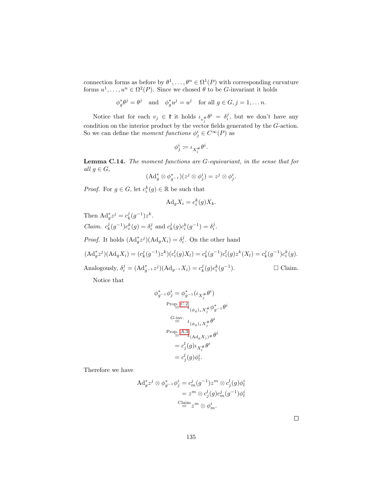connection forms as before by  $\theta^1, \ldots, \theta^n \in \Omega^1(P)$  with corresponding curvature forms  $u^1, \ldots, u^n \in \Omega^2(P)$ . Since we chosed  $\theta$  to be G-invariant it holds

$$
\phi_g^* \theta^j = \theta^j \quad \text{and} \quad \phi_g^* u^j = u^j \quad \text{for all } g \in G, j = 1, \dots n.
$$

Notice that for each  $v_j \in \mathfrak{k}$  it holds  $\iota_{v_j^{\#}} \theta^i = \delta_i^j$ , but we don't have any condition on the interior product by the vector fields generated by the G-action. So we can define the *moment functions*  $\phi_j^i \in C^\infty(P)$  as

$$
\phi^i_j \coloneqq \iota_{X^{\#}_j} \theta^i.
$$

<span id="page-136-0"></span>Lemma C.14. The moment functions are G-equivariant, in the sense that for all  $g \in G$ ,

$$
(\mathrm{Ad}_g^* \otimes \phi_{g^{-1}}^*)(z^j \otimes \phi_j^i) = z^j \otimes \phi_j^i.
$$

*Proof.* For  $g \in G$ , let  $c_i^k(g) \in \mathbb{R}$  be such that

$$
\mathrm{Ad}_g X_i = c_i^k(g) X_k.
$$

Then  $\text{Ad}_{g}^{*} z^{j} = c_{k}^{j} (g^{-1}) z^{k}$ . *Claim.*  $c_k^j(g^{-1})c_i^k(g) = \delta_i^j$  and  $c_k^j(g)c_i^k(g^{-1}) = \delta_i^j$ .

*Proof.* It holds  $(\text{Ad}_{g}^* z^j)(\text{Ad}_{g} X_i) = \delta_i^j$ . On the other hand

$$
(\mathrm{Ad}_{g}^{*}z^{j})(\mathrm{Ad}_{g}X_{i}) = (c_{k}^{j}(g^{-1})z^{k})(c_{i}^{l}(g)X_{l}) = c_{k}^{j}(g^{-1})c_{i}^{l}(g)z^{k}(X_{l}) = c_{k}^{j}(g^{-1})c_{i}^{k}(g).
$$

Analogously,  $\delta_i^j = (Ad_{g^{-1}}^* z^j)(Ad_{g^{-1}} X_i) = c_k^j(g)c_i^k(g^{-1})$  $\Box$  <br>Claim.

Notice that

$$
\phi_{g^{-1}}^* \phi_j^i = \phi_{g^{-1}}^* (\iota_{X_j^{\#}} \theta^i)
$$
  
\nProp. C.2  
\n
$$
\iota_{(\phi_g)_* X_j^{\#}} \phi_{g^{-1}}^* \theta^i
$$
  
\n
$$
\stackrel{G \text{-inv.}}{=} \iota_{(\phi_g)_* X_j^{\#}} \theta^i
$$
  
\nProp. A.3  
\n
$$
\iota_{(\text{Ad}_g X_j)^{\#}} \theta^i
$$
  
\n
$$
= c_j^l(g) \iota_{X_l^{\#}} \theta^i
$$
  
\n
$$
= c_j^l(g) \phi_l^i.
$$

Therefore we have

$$
\begin{aligned} \mathrm{Ad}^*_g z^j \otimes \phi^*_{g^{-1}} \phi^i_j &= c^j_m (g^{-1}) z^m \otimes c^l_j (g) \phi^i_l \\ &= z^m \otimes c^l_j (g) c^j_m (g^{-1}) \phi^i_l \\ &\stackrel{\mathrm{Claim}}{=} z^m \otimes \phi^i_m. \end{aligned}
$$

 $\Box$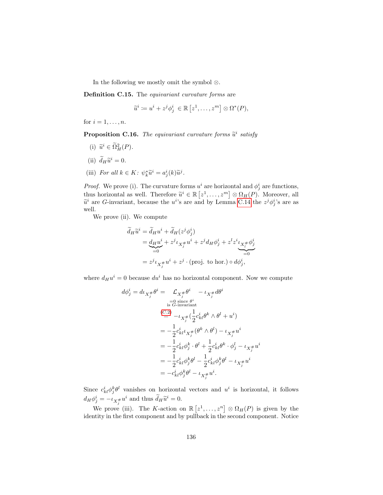In the following we mostly omit the symbol ⊗.

Definition C.15. The equivariant curvature forms are

$$
\widetilde{u}^i := u^i + z^j \phi^i_j \in \mathbb{R} [z^1, \dots, z^m] \otimes \Omega^*(P),
$$

for  $i = 1, \ldots, n$ .

<span id="page-137-0"></span>**Proposition C.16.** The equivariant curvature forms  $\widetilde{u}^i$  satisfy

- (i)  $\widetilde{u}^i \in \widetilde{\Omega}_H^2(P)$ .
- (ii)  $\tilde{d}_H \tilde{u}^i = 0.$
- (iii) For all  $k \in K$ :  $\psi_k^* \tilde{u}^i = a_j^i(k) \tilde{u}^j$ .

*Proof.* We prove (i). The curvature forms  $u^i$  are horizontal and  $\phi^i_j$  are functions, thus horizontal as well. Therefore  $\widetilde{u}^i \in \mathbb{R} [z^1, \ldots, z^m] \otimes \Omega_H(P)$ . Moreover, all  $\widetilde{u}^i$  are *G* invariant, because the  $u^i$ 's are and by Lemma *G* 14 the  $z^j \delta^{i}$ 's are as  $\tilde{u}^i$  are *G*-invariant, because the *u*<sup>*i*</sup>'s are and by Lemma [C.14](#page-136-0) the  $z^j \phi_j^i$ 's are as well.

We prove (ii). We compute

$$
\widetilde{d}_H \widetilde{u}^i = \widetilde{d}_H u^i + \widetilde{d}_H (z^j \phi_j^i)
$$
\n
$$
= \underbrace{d_H u^i}_{=0} + z^j \iota_{X^{\#}_j} u^i + z^j d_H \phi_j^i + z^l z^i \iota_{X^{\#}_l} \phi_j^i
$$
\n
$$
= z^j \iota_{X^{\#}_j} u^i + z^j \cdot (\text{proj. to hor.)} \circ d \phi_j^i,
$$

where  $d_H u^i = 0$  because  $du^i$  has no horizontal component. Now we compute

$$
d\phi_j^i = d\iota_{X_j^{\#}} \theta^i = \mathcal{L}_{X_j^{\#}} \theta^i - \iota_{X_j^{\#}} d\theta^i
$$
  
\n
$$
\sum_{i=0 \text{ since } \theta^i \text{ is } G-\text{invariant}}
$$
  
\n
$$
\sum_{i=0}^{(C,2)} -\iota_{X_j^{\#}} (\frac{1}{2} c_{kl}^i \theta^k \wedge \theta^l + u^i)
$$
  
\n
$$
= -\frac{1}{2} c_{kl}^i \iota_{X_j^{\#}} (\theta^k \wedge \theta^l) - \iota_{X_j^{\#}} u^i
$$
  
\n
$$
= -\frac{1}{2} c_{kl}^i \phi_j^k \cdot \theta^l + \frac{1}{2} c_{kl}^i \theta^k \cdot \phi_j^l - \iota_{X_j^{\#}} u^i
$$
  
\n
$$
= -\frac{1}{2} c_{kl}^i \phi_j^k \theta^l - \frac{1}{2} c_{kl}^i \phi_j^k \theta^l - \iota_{X_j^{\#}} u^i
$$
  
\n
$$
= -c_{kl}^i \phi_j^k \theta^l - \iota_{X_j^{\#}} u^i.
$$

Since  $c_{kl}^i \phi_j^k \theta^l$  vanishes on horizontal vectors and  $u^i$  is horizontal, it follows  $d_H \phi_j^i = -\iota_{X_j^{\#}} u^i$  and thus  $\widetilde{d}_H \widetilde{u}^i = 0$ .

We prove (iii). The K-action on  $\mathbb{R} [z^1, \ldots, z^n] \otimes \Omega_H(P)$  is given by the identity in the first component and by pullback in the second component. Notice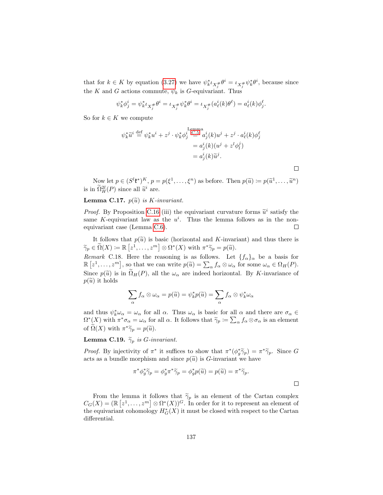that for  $k \in K$  by equation [\(3.27\)](#page-55-0) we have  $\psi_k^* \iota_{X_j^{\#}} \theta^i = \iota_{X_j^{\#}} \psi_k^* \theta^i$ , because since the K and G actions commute,  $\psi_k$  is G-equivariant. Thus

$$
\psi_k^*\phi_j^i=\psi_k^*\iota_{X_j^\#}\theta^i=\iota_{X_j^\#}\psi_k^*\theta^i=\iota_{X_j^\#}(a_\ell^i(k)\theta^\ell)=a_\ell^i(k)\phi_j^\ell.
$$

So for  $k \in K$  we compute

$$
\begin{aligned} \psi_k^* \widetilde{u}^i \stackrel{\text{def}}{=} \psi_k^* u^i + z^j \cdot \psi_k^* \phi_j^i \stackrel{\text{Lemma}}{=} a_j^i(k) u^j + z^j \cdot a_\ell^i(k) \phi_j^\ell \\ & = a_j^i(k) (u^j + z^l \phi_l^j) \\ & = a_j^i(k) \widetilde{u}^j. \end{aligned}
$$

Now let  $p \in (S^l \mathfrak{k}^*)^K$ ,  $p = p(\xi^1, \ldots, \xi^n)$  as before. Then  $p(\tilde{u}) \coloneqq p(\tilde{u}^1, \ldots, \tilde{u}^n)$ is in  $\tilde{\Omega}_H^{2l}(P)$  since all  $\tilde{u}^i$  are.

 $\Box$ 

 $\Box$ 

#### **Lemma C.17.**  $p(\tilde{u})$  is *K*-invariant.

*Proof.* By Proposition [C.16](#page-137-0) (iii) the equivariant curvature forms  $\tilde{u}^i$  satisfy the same K conjunction is the  $u^i$ . Thus the larma follows as in the nonsame K-equivariant law as the  $u^i$ . Thus the lemma follows as in the nonequivariant case (Lemma [C.6\)](#page-132-1).  $\Box$ 

It follows that  $p(\tilde{u})$  is basic (horizontal and K-invariant) and thus there is  $\widetilde{\gamma}_p \in \widetilde{\Omega}(X) \coloneqq \mathbb{R}\left[z^1, \ldots, z^m\right] \otimes \Omega^*(X) \text{ with } \pi^*\widetilde{\gamma}_p = p(\widetilde{u}).$ 

Remark C.18. Here the reasoning is as follows. Let  ${f_\alpha}_{\alpha}$  be a basis for  $\mathbb{R} \left[ z^1, \ldots, z^m \right]$ , so that we can write  $p(\tilde{u}) = \sum_{\alpha} f_{\alpha} \otimes \omega_{\alpha}$  for some  $\omega_{\alpha} \in \Omega_H(P)$ . Since  $p(\tilde{u})$  is in  $\tilde{\Omega}_H(P)$ , all the  $\omega_\alpha$  are indeed horizontal. By K-invariance of  $p(\tilde{u})$  it holds

$$
\sum_{\alpha} f_{\alpha} \otimes \omega_{\alpha} = p(\widetilde{u}) = \psi_{k}^{*} p(\widetilde{u}) = \sum_{\alpha} f_{\alpha} \otimes \psi_{k}^{*} \omega_{\alpha}
$$

and thus  $\psi_k^* \omega_\alpha = \omega_\alpha$  for all  $\alpha$ . Thus  $\omega_\alpha$  is basic for all  $\alpha$  and there are  $\sigma_\alpha \in$  $\Omega^*(X)$  with  $\pi^*\sigma_\alpha = \omega_\alpha$  for all  $\alpha$ . It follows that  $\widetilde{\gamma}_p := \sum_{\alpha} f_\alpha \otimes \sigma_\alpha$  is an element of  $\widetilde{\Omega}(X)$  with  $\pi^*\widetilde{\gamma}_p = p(\widetilde{u})$ .

**Lemma C.19.**  $\widetilde{\gamma}_p$  is *G*-invariant.

*Proof.* By injectivity of  $\pi^*$  it suffices to show that  $\pi^*(\phi_j^*\tilde{\gamma}_p) = \pi^*\tilde{\gamma}_p$ . Since G acts as a hundle morphism and since  $g(\tilde{\alpha})$  is G invariant we have acts as a bundle morphism and since  $p(\tilde{u})$  is G-invariant we have

$$
\pi^* \phi_g^* \widetilde{\gamma}_p = \phi_g^* \pi^* \widetilde{\gamma}_p = \phi_g^* p(\widetilde{u}) = p(\widetilde{u}) = \pi^* \widetilde{\gamma}_p.
$$

From the lemma it follows that  $\tilde{\gamma}_p$  is an element of the Cartan complex  $C_G(X) = (\mathbb{R} [z^1, \ldots, z^m] \otimes \Omega^*(X))^G$ . In order for it to represent an element of the equivariant cohomology  $H^*_G(X)$  it must be closed with respect to the Cartan differential.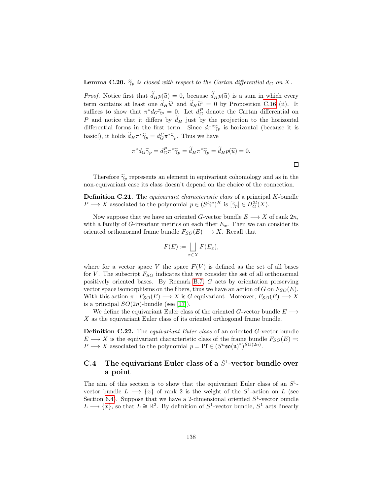**Lemma C.20.**  $\widetilde{\gamma}_p$  is closed with respect to the Cartan differential  $d_G$  on X.

*Proof.* Notice first that  $\tilde{d}_H p(\tilde{u}) = 0$ , because  $\tilde{d}_H p(\tilde{u})$  is a sum in which every term contains at least one  $\tilde{d}_H\tilde{u}^i$  and  $\tilde{d}_H\tilde{u}^i = 0$  by Proposition [C.16](#page-137-0) (ii). It<br>suffices to show that  $\pi^*d_{\tilde{\alpha}}\tilde{\alpha} = 0$ . Let  $d^P$  denote the Cartan differential on suffices to show that  $\pi^* d_G \widetilde{\gamma}_p = 0$ . Let  $d_G^P$  denote the Cartan differential on P and notice that it differs by  $\tilde{d}_H$  just by the projection to the horizontal differential forms in the first term. Since  $d\pi^*\widetilde{\gamma}_p$  is horizontal (because it is basic!), it holds  $\tilde{d}_H \pi^* \tilde{\gamma}_p = d_G^P \pi^* \tilde{\gamma}_p$ . Thus we have

$$
\pi^* d_G \widetilde{\gamma}_p = d_G^P \pi^* \widetilde{\gamma}_p = \widetilde{d}_H \pi^* \widetilde{\gamma}_p = \widetilde{d}_H p(\widetilde{u}) = 0.
$$

Therefore  $\widetilde{\gamma}_p$  represents an element in equivariant cohomology and as in the non-equivariant case its class doesn't depend on the choice of the connection.

Definition C.21. The equivariant characteristic class of a principal K-bundle  $P \longrightarrow X$  associated to the polynomial  $p \in (S^l \mathfrak{k}^*)^K$  is  $[\widetilde{\gamma}_p] \in H_G^{2l}(X)$ .

Now suppose that we have an oriented G-vector bundle  $E \longrightarrow X$  of rank  $2n$ , with a family of G-invariant metrics on each fiber  $E_x$ . Then we can consider its oriented orthonormal frame bundle  $F_{SO}(E) \longrightarrow X$ . Recall that

$$
F(E) := \bigsqcup_{x \in X} F(E_x),
$$

where for a vector space V the space  $F(V)$  is defined as the set of all bases for V. The subscript  $F_{SO}$  indicates that we consider the set of all orthonormal positively oriented bases. By Remark [B.7,](#page-123-0) G acts by orientation preserving vector space isomorphisms on the fibers, thus we have an action of G on  $F_{SO}(E)$ . With this action  $\pi : F_{SO}(E) \longrightarrow X$  is G-equivariant. Moreover,  $F_{SO}(E) \longrightarrow X$ is a principal  $SO(2n)$ -bundle (see [\[17\]](#page-142-3)).

We define the equivariant Euler class of the oriented G-vector bundle  $E \longrightarrow$ X as the equivariant Euler class of its oriented orthogonal frame bundle.

Definition C.22. The equivariant Euler class of an oriented G-vector bundle  $E \longrightarrow X$  is the equivariant characteristic class of the frame bundle  $F_{SO}(E) =$ :  $P \longrightarrow X$  associated to the polynomial  $p = Pf \in (S^n \mathfrak{so}(n)^*)^{SO(2n)}$ .

## C.4 The equivariant Euler class of a  $S^1$ -vector bundle over a point

The aim of this section is to show that the equivariant Euler class of an  $S^1$ vector bundle  $L \longrightarrow \{x\}$  of rank 2 is the weight of the  $S^1$ -action on L (see Section [6.4\)](#page-91-0). Suppose that we have a 2-dimensional oriented  $S^1$ -vector bundle  $L \longrightarrow \{x\}$ , so that  $L \cong \mathbb{R}^2$ . By definition of  $S^1$ -vector bundle,  $S^1$  acts linearly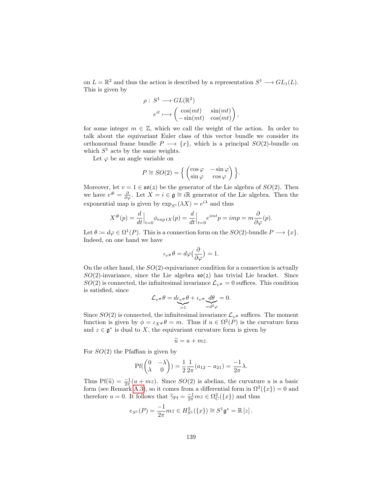on  $L = \mathbb{R}^2$  and thus the action is described by a representation  $S^1 \longrightarrow GL_1(L)$ . This is given by

$$
\rho: S^1 \longrightarrow GL(\mathbb{R}^2)
$$
  
\n
$$
e^{it} \longmapsto \begin{pmatrix} \cos(mt) & \sin(mt) \\ -\sin(mt) & \cos(mt) \end{pmatrix},
$$

for some integer  $m \in \mathbb{Z}$ , which we call the weight of the action. In order to talk about the equivariant Euler class of this vector bundle we consider its orthonormal frame bundle  $P \longrightarrow \{x\}$ , which is a principal  $SO(2)$ -bundle on which  $S^1$  acts by the same weights.

Let  $\varphi$  be an angle variable on

$$
P \cong SO(2) = \left\{ \begin{pmatrix} \cos \varphi & -\sin \varphi \\ \sin \varphi & \cos \varphi \end{pmatrix} \right\}.
$$

Moreover, let  $v = 1 \in \mathfrak{so}(2)$  be the generator of the Lie algebra of  $SO(2)$ . Then we have  $v^{\#} = \frac{\partial}{\partial \varphi}$ . Let  $\hat{X} = i \in \mathfrak{g} \cong i\mathbb{R}$  generator of the Lie algebra. Then the exponential map is given by  $\exp_{S^1}(\lambda X) = e^{i\lambda}$  and thus

$$
X^{\#}(p) = \frac{d}{dt}\Big|_{t=0} \phi_{\exp tX}(p) = \frac{d}{dt}\Big|_{t=0} e^{imt} p = imp = m\frac{\partial}{\partial \varphi}(p).
$$

Let  $\theta := d\varphi \in \Omega^1(P)$ . This is a connection form on the  $SO(2)$ -bundle  $P \longrightarrow \{x\}$ . Indeed, on one hand we have

$$
\iota_{v^{\#}} \theta = d\varphi \left( \frac{\partial}{\partial \varphi} \right) = 1.
$$

On the other hand, the  $SO(2)$ -equivariance condition for a connection is actually  $SO(2)$ -invariance, since the Lie algebra  $\mathfrak{so}(2)$  has trivial Lie bracket. Since  $SO(2)$  is connected, the infinitesimal invariance  $\mathcal{L}_{v#} = 0$  suffices. This condition is satisfied, since

$$
\mathcal{L}_{v^{\#}}\theta = d\underbrace{\iota_{v^{\#}}\theta}_{=1} + \iota_{v^{\#}}\underbrace{d\theta}_{=d^2\varphi} = 0.
$$

Since  $SO(2)$  is connected, the infinitesimal invariance  $\mathcal{L}_{v#}$  suffices. The moment function is given by  $\phi = \iota_{X} * \theta = m$ . Thus if  $u \in \Omega^2(P)$  is the curvature form and  $z \in \mathfrak{g}^*$  is dual to X, the equivariant curvature form is given by

$$
\widetilde{u} = u + mz.
$$

For  $SO(2)$  the Pfaffian is given by

$$
Pf(\begin{pmatrix} 0 & -\lambda \\ \lambda & 0 \end{pmatrix}) = \frac{1}{2} \frac{1}{2\pi} (a_{12} - a_{21}) = \frac{-1}{2\pi} \lambda.
$$

Thus Pf( $\tilde{u}$ ) =  $\frac{-1}{2\pi}(u+ mz)$ . Since  $SO(2)$  is abelian, the curvature u is a basic<br>form (see Bomark A.3), so it comes from a differential form in  $\Omega^2(fx)$ ) = 0 and form (see Remark [A.3\)](#page-116-0), so it comes from a differential form in  $\Omega^2({x})=0$  and therefore  $u = 0$ . It follows that  $\tilde{\gamma}_{\text{PF}} = \frac{-1}{2\pi} m z \in \Omega_C^2({x})$  and thus

$$
e_{S^1}(P) = \frac{-1}{2\pi} m z \in H_{S^1}^2(\{x\}) \cong S^1 \mathfrak{g}^* = \mathbb{R}[z].
$$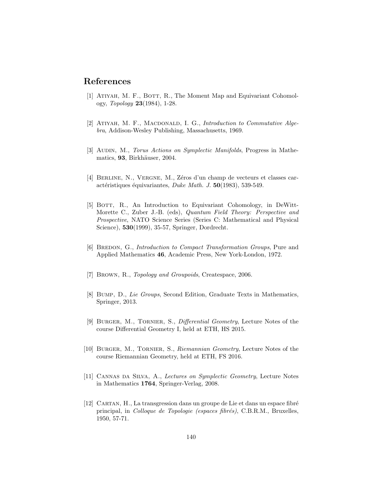## References

- [1] ATIYAH, M. F., BOTT, R., The Moment Map and Equivariant Cohomology, Topology 23(1984), 1-28.
- [2] ATIYAH, M. F., MACDONALD, I. G., Introduction to Commutative Algebra, Addison-Wesley Publishing, Massachusetts, 1969.
- <span id="page-141-1"></span>[3] AUDIN, M., Torus Actions on Symplectic Manifolds, Progress in Mathematics, 93, Birkhäuser, 2004.
- [4] BERLINE, N., VERGNE, M., Zéros d'un champ de vecteurs et classes caractéristiques équivariantes, Duke Math. J.  $50(1983)$ , 539-549.
- [5] BOTT, R., An Introduction to Equivariant Cohomology, in DeWitt-Morette C., Zuber J.-B. (eds), Quantum Field Theory: Perspective and Prospective, NATO Science Series (Series C: Mathematical and Physical Science), 530(1999), 35-57, Springer, Dordrecht.
- <span id="page-141-3"></span>[6] BREDON, G., *Introduction to Compact Transformation Groups*, Pure and Applied Mathematics 46, Academic Press, New York-London, 1972.
- [7] Brown, R., Topology and Groupoids, Createspace, 2006.
- [8] Bump, D., Lie Groups, Second Edition, Graduate Texts in Mathematics, Springer, 2013.
- [9] Burger, M., Tornier, S., Differential Geometry, Lecture Notes of the course Differential Geometry I, held at ETH, HS 2015.
- <span id="page-141-2"></span>[10] Burger, M., Tornier, S., Riemannian Geometry, Lecture Notes of the course Riemannian Geometry, held at ETH, FS 2016.
- <span id="page-141-0"></span>[11] Cannas da Silva, A., Lectures on Symplectic Geometry, Lecture Notes in Mathematics 1764, Springer-Verlag, 2008.
- $[12]$  CARTAN, H., La transgression dans un groupe de Lie et dans un espace fibré principal, in Colloque de Topologie (espaces fibrés), C.B.R.M., Bruxelles, 1950, 57-71.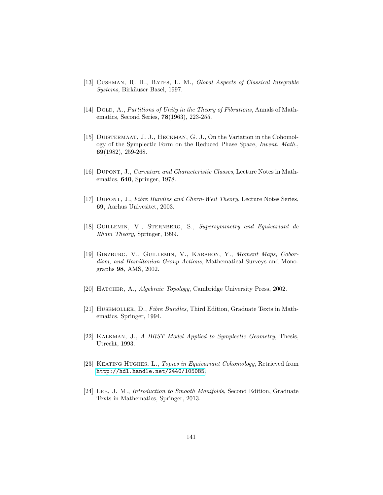- [13] CUSHMAN, R. H., BATES, L. M., Global Aspects of Classical Integrable Systems, Birkäuser Basel, 1997.
- [14] DOLD, A., Partitions of Unity in the Theory of Fibrations, Annals of Mathematics, Second Series, 78(1963), 223-255.
- [15] DUISTERMAAT, J. J., HECKMAN, G. J., On the Variation in the Cohomology of the Symplectic Form on the Reduced Phase Space, Invent. Math., 69(1982), 259-268.
- <span id="page-142-0"></span>[16] DUPONT, J., Curvature and Characteristic Classes, Lecture Notes in Mathematics, 640, Springer, 1978.
- <span id="page-142-3"></span>[17] DUPONT, J., Fibre Bundles and Chern-Weil Theory, Lecture Notes Series, 69, Aarhus Univesitet, 2003.
- [18] GUILLEMIN, V., STERNBERG, S., Supersymmetry and Equivariant de Rham Theory, Springer, 1999.
- [19] GINZBURG, V., GUILLEMIN, V., KARSHON, Y., Moment Maps, Cobordism, and Hamiltonian Group Actions, Mathematical Surveys and Monographs 98, AMS, 2002.
- <span id="page-142-2"></span>[20] HATCHER, A., Algebraic Topology, Cambridge University Press, 2002.
- [21] HUSEMOLLER, D., Fibre Bundles, Third Edition, Graduate Texts in Mathematics, Springer, 1994.
- [22] KALKMAN, J., A BRST Model Applied to Symplectic Geometry, Thesis, Utrecht, 1993.
- [23] KEATING HUGHES, L., Topics in Equivariant Cohomology, Retrieved from <http://hdl.handle.net/2440/105085>.
- <span id="page-142-1"></span>[24] LEE, J. M., *Introduction to Smooth Manifolds*, Second Edition, Graduate Texts in Mathematics, Springer, 2013.